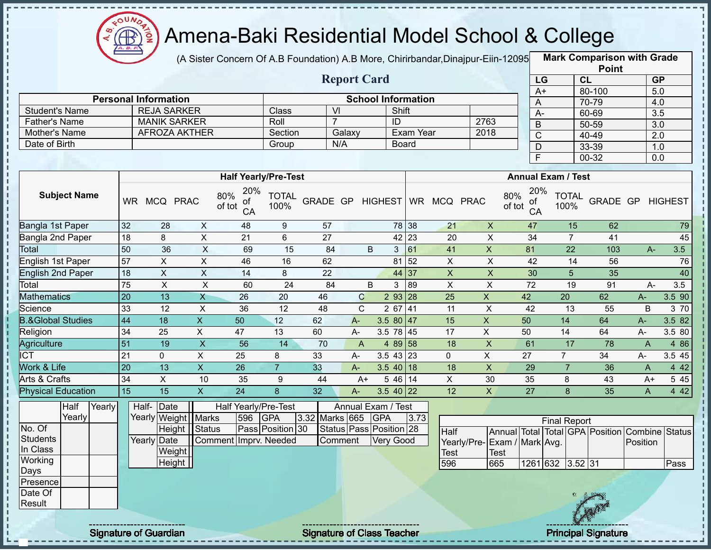

(A Sister Concern Of A.B Foundation) A.B More, Chirirbandar,Dinajpur-Eiin-120950

**Mark Comparison with Grade Point**

|                              |                 |                             |                           |                                  |                      |                         |              | <b>Report Card</b>        |                    |           |                              |                             | LG                               |                           | <b>CL</b>                       |                | GP               |        |
|------------------------------|-----------------|-----------------------------|---------------------------|----------------------------------|----------------------|-------------------------|--------------|---------------------------|--------------------|-----------|------------------------------|-----------------------------|----------------------------------|---------------------------|---------------------------------|----------------|------------------|--------|
|                              |                 | <b>Personal Information</b> |                           |                                  |                      |                         |              | <b>School Information</b> |                    |           |                              |                             | $A+$                             |                           | 80-100                          |                | 5.0              |        |
| <b>Student's Name</b>        |                 | <b>REJA SARKER</b>          |                           |                                  | Class                | $\overline{\mathsf{M}}$ |              |                           | Shift              |           |                              |                             | A                                |                           | 70-79                           |                | 4.0              |        |
| <b>Father's Name</b>         |                 | <b>MANIK SARKER</b>         |                           |                                  | Roll                 | $\overline{7}$          |              |                           | ID                 |           |                              | 2763                        | $\overline{A}$                   |                           | 60-69                           |                | 3.5              |        |
| Mother's Name                |                 | AFROZA AKTHER               |                           |                                  | Section              |                         | Galaxy       |                           |                    | Exam Year |                              | 2018                        | B                                |                           | $50 - 59$                       |                | $\overline{3.0}$ |        |
| Date of Birth                |                 |                             |                           |                                  | Group                | N/A                     |              |                           | <b>Board</b>       |           |                              |                             | $\overline{C}$                   |                           | $40 - 49$                       |                | 2.0              |        |
|                              |                 |                             |                           |                                  |                      |                         |              |                           |                    |           |                              |                             | D<br>F                           |                           | 33-39                           |                | 1.0              |        |
|                              |                 |                             |                           |                                  |                      |                         |              |                           |                    |           |                              |                             |                                  |                           | 00-32                           |                | 0.0              |        |
|                              |                 |                             |                           | <b>Half Yearly/Pre-Test</b>      |                      |                         |              |                           |                    |           |                              |                             |                                  | <b>Annual Exam / Test</b> |                                 |                |                  |        |
| <b>Subject Name</b>          |                 | WR MCQ PRAC                 |                           | 20%<br>80%<br>оt<br>of tot<br>CA | <b>TOTAL</b><br>100% |                         |              |                           |                    |           | GRADE GP HIGHEST WR MCQ PRAC |                             | 20%<br>80%<br>оt<br>of tot<br>CA | <b>TOTAL</b><br>100%      | GRADE GP                        |                | <b>HIGHEST</b>   |        |
| <b>Bangla 1st Paper</b>      | 32              | 28                          | $\boldsymbol{\mathsf{X}}$ | 48                               | 9                    | 57                      |              |                           | 78 38              |           | 21                           | $\pmb{\times}$              | 47                               | 15                        | 62                              |                |                  | 79     |
| Bangla 2nd Paper             | $\overline{18}$ | 8                           | $\pmb{\times}$            | 21                               | 6                    | 27                      |              |                           | $42 \overline{23}$ |           | 20                           | $\pmb{\times}$              | 34                               | $\overline{7}$            | 41                              |                |                  | 45     |
| Total                        | 50              | 36                          | $\boldsymbol{\mathsf{X}}$ | 69                               | 15                   | 84                      |              | B                         | 61<br>$\mathbf{3}$ |           | 41                           | X                           | 81                               | 22                        | 103                             | $A-$           |                  | 3.5    |
| English 1st Paper            | 57              | $\mathsf X$                 | $\pmb{\times}$            | 46                               | 16                   | 62                      |              |                           | 81 52              |           | $\overline{X}$               | $\mathsf X$                 | 42                               | 14                        | 56                              |                |                  | 76     |
| <b>English 2nd Paper</b>     | 18              | $\overline{X}$              | $\boldsymbol{\mathsf{X}}$ | 14                               | 8                    | 22                      |              |                           | 44 37              |           | $\overline{\mathsf{x}}$      | $\mathsf X$                 | 30                               | 5                         | 35                              |                |                  | 40     |
| Total                        | $\overline{75}$ | $\pmb{\times}$              | $\pmb{\times}$            | 60                               | 24                   | 84                      |              | B                         | 89<br>3            |           | $\boldsymbol{\mathsf{X}}$    | $\pmb{\times}$              | 72                               | 19                        | 91                              | A-             |                  | 3.5    |
| <b>Mathematics</b>           | 20              | 13                          | $\mathsf{X}$              | 26                               | 20                   | 46                      | $\mathbf C$  |                           | 2 93 28            |           | 25                           | $\overline{\mathsf{x}}$     | 42                               | 20                        | 62                              | A-             |                  | 3.5 90 |
| Science                      | 33              | 12                          | X                         | 36                               | 12                   | 48                      | C            |                           | $267$ 41           |           | 11                           | X                           | 42                               | 13                        | 55                              | B              |                  | 3 70   |
| <b>B.&amp;Global Studies</b> | 44              | 18                          | $\mathsf{X}$              | 50                               | 12                   | 62                      | A-           |                           | 3.5 80 $ 47$       |           | 15                           | $\boldsymbol{X}$            | 50                               | 14                        | 64                              | $A -$          |                  | 3.5 82 |
| Religion                     | $\overline{34}$ | 25                          | X                         | 47                               | 13                   | 60                      | A-           |                           | 3.5 78 45          |           | 17                           | $\pmb{\times}$              | 50                               | 14                        | 64                              | A-             |                  | 3.5 80 |
| <b>Agriculture</b>           | 51              | 19                          | $\pmb{\mathsf{X}}$        | 56                               | 14                   | 70                      | $\mathsf{A}$ |                           | 4 89 58            |           | 18                           | $\sf X$                     | 61                               | 17                        | 78                              | $\overline{A}$ |                  | 4 8 6  |
| $\overline{\text{ICT}}$      | 21              | $\Omega$                    | $\mathsf{X}$              | 25                               | 8                    | 33                      | A-           |                           | $3.5$ 43 23        |           | $\mathbf 0$                  | X                           | 27                               | $\overline{7}$            | 34                              | А-             |                  | 3.5 45 |
| Work & Life                  | 20              | $\overline{13}$             | $\boldsymbol{\mathsf{X}}$ | 26                               | $\overline{7}$       | 33                      | $A -$        |                           | $3.540$ 18         |           | 18                           | $\mathsf X$                 | 29                               | $\overline{7}$            | 36                              | $\mathsf{A}$   |                  | 442    |
| <b>Arts &amp; Crafts</b>     | 34              | $\pmb{\times}$              | 10                        | 35                               | 9                    | 44                      | $A+$         |                           | $546$ 14           |           | $\pmb{\times}$               | 30                          | 35                               | 8                         | 43                              | $A+$           |                  | 5 4 5  |
| <b>Physical Education</b>    | 15              | $\overline{15}$             | $\overline{X}$            | $\overline{24}$                  | 8                    | 32                      | $A -$        |                           | $3.5$ 40 22        |           | 12                           | $\mathsf{X}$                | $\overline{27}$                  | 8                         | 35                              | $\mathsf{A}$   |                  | 442    |
| Half<br>Yearly               |                 | Half- Date                  |                           | Half Yearly/Pre-Test             |                      |                         |              | Annual Exam / Test        |                    |           |                              |                             |                                  |                           |                                 |                |                  |        |
| Yearly                       |                 | Yearly Weight Marks         |                           | 596                              | GPA                  | 3.32 Marks 665          |              | <b>GPA</b>                |                    | 3.73      |                              |                             |                                  | <b>Final Report</b>       |                                 |                |                  |        |
| No. Of                       |                 |                             | Height Status             |                                  | Pass Position 30     |                         |              | Status Pass Position 28   |                    |           | Half                         |                             |                                  |                           | Annual Total Total GPA Position | Combine Status |                  |        |
| <b>Students</b>              |                 | Yearly Date                 |                           | Comment Imprv. Needed            |                      | Comment                 |              | <b>Very Good</b>          |                    |           |                              | Yearly/Pre-Exam / Mark Avg. |                                  |                           |                                 | Position       |                  |        |
| In Class                     |                 | Weight                      |                           |                                  |                      |                         |              |                           |                    |           | <b>Test</b>                  | <b>Test</b>                 |                                  |                           |                                 |                |                  |        |
| Working                      |                 | Height                      |                           |                                  |                      |                         |              |                           |                    |           | 596                          | 665                         |                                  | 1261 632 3.52 31          |                                 |                |                  | Pass   |
| Days<br>Presence             |                 |                             |                           |                                  |                      |                         |              |                           |                    |           |                              |                             |                                  |                           |                                 |                |                  |        |
| Date Of                      |                 |                             |                           |                                  |                      |                         |              |                           |                    |           |                              |                             |                                  |                           |                                 |                |                  |        |
| Result                       |                 |                             |                           |                                  |                      |                         |              |                           |                    |           |                              |                             |                                  |                           |                                 |                |                  |        |
|                              |                 |                             |                           |                                  |                      |                         |              |                           |                    |           |                              |                             |                                  |                           |                                 |                |                  |        |

J.  $\blacksquare$ 

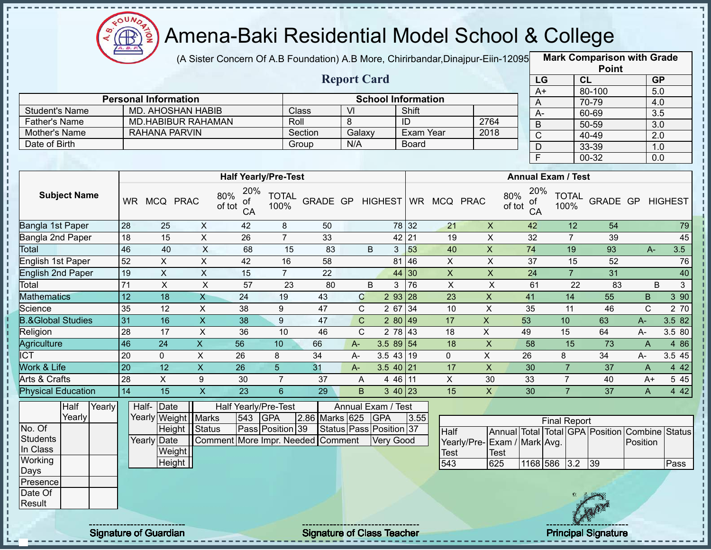

(A Sister Concern Of A.B Foundation) A.B More, Chirirbandar,Dinajpur-Eiin-12095 **Mark Comparison with Grade** 

|                      |                             |              | <b>Report Card</b> |                           |      |
|----------------------|-----------------------------|--------------|--------------------|---------------------------|------|
|                      | <b>Personal Information</b> |              |                    | <b>School Information</b> |      |
| Student's Name       | MD. AHOSHAN HABIB           | <b>Class</b> | VI                 | Shift                     |      |
| <b>Father's Name</b> | <b>MD.HABIBUR RAHAMAN</b>   | Roll         |                    | ID                        | 2764 |
| Mother's Name        | RAHANA PARVIN               | Section      | Galaxy             | Exam Year                 | 2018 |
| Date of Birth        |                             | Group        | N/A                | Board                     |      |

|                       | <b>Point</b> |                  |
|-----------------------|--------------|------------------|
| LG                    | <b>CL</b>    | <b>GP</b>        |
| $\overline{A+}$       | 80-100       | 5.0              |
| Α                     | 70-79        | 4.0              |
| А-                    | 60-69        | $\overline{3.5}$ |
| B                     | 50-59        | 3.0              |
| $\overline{\text{C}}$ | 40-49        | 2.0              |
| D                     | 33-39        | 1.0              |
| F                     | $00-32$      | 0.0              |

|                              |           |             |             | <b>Half Yearly/Pre-Test</b>      |                      |          |              |                |       |    |                | <b>Annual Exam / Test</b>        |                      |          |       |                |
|------------------------------|-----------|-------------|-------------|----------------------------------|----------------------|----------|--------------|----------------|-------|----|----------------|----------------------------------|----------------------|----------|-------|----------------|
| <b>Subject Name</b>          | <b>WR</b> | <b>MCQ</b>  | <b>PRAC</b> | 20%<br>80%<br>οf<br>of tot<br>CA | <b>TOTAL</b><br>100% | GRADE GP |              | <b>HIGHEST</b> | WR    |    | MCQ PRAC       | 20%<br>80%<br>οf<br>of tot<br>CA | <b>TOTAL</b><br>100% | GRADE GP |       | <b>HIGHEST</b> |
| Bangla 1st Paper             | 28        | 25          | X           | 42                               | 8                    | 50       |              |                | 78 32 | 21 | X              | 42                               | 12                   | 54       |       | 79             |
| Bangla 2nd Paper             | 18        | 15          | $\sf X$     | 26                               | $\overline{7}$       | 33       |              |                | 42 21 | 19 | X              | 32                               |                      | 39       |       | 45             |
| <b>Total</b>                 | 46        | 40          | X           | 68                               | 15                   | 83       |              | B<br>3         | 53    | 40 | X              | 74                               | 19                   | 93       | $A -$ | 3.5            |
| English 1st Paper            | 52        | X           | X           | 42                               | 16                   | 58       |              | 81             | 46    | X  | X              | 37                               | 15                   | 52       |       | 76             |
| <b>English 2nd Paper</b>     | 19        | X           | X           | 15                               | $\overline{7}$       | 22       |              |                | 44 30 | X. | X              | 24                               | $\overline{7}$       | 31       |       | 40             |
| Total                        | 71        | X           | X           | 57                               | 23                   | 80       |              | B<br>3         | 76    | X  | X              | 61                               | 22                   | 83       |       | B<br>3         |
| <b>Mathematics</b>           | 12        | 18          | X           | 24                               | 19                   | 43       | C            | 293 28         |       | 23 | X              | 41                               | 14                   | 55       | B     | 390            |
| Science                      | 35        | 12          | X           | 38                               | 9                    | 47       | C.           | $267$ 34       |       | 10 | X              | 35                               | 11                   | 46       | C.    | 2 70           |
| <b>B.&amp;Global Studies</b> | 31        | 16          | X           | 38                               | 9                    | 47       | $\mathbf{C}$ | 280 49         |       | 17 | X.             | 53                               | 10                   | 63       | $A -$ | 3.582          |
| Religion                     | 28        | 17          | X           | 36                               | 10                   | 46       | C.           | 2 78 43        |       | 18 | X              | 49                               | 15                   | 64       | A-    | 3.5 80         |
| Agriculture                  | 46        | 24          | X.          | 56                               | 10                   | 66       | $A-$         | $3.589$ 54     |       | 18 | $\pmb{\times}$ | 58                               | 15                   | 73       | A     | 4 8 6          |
| <b>ICT</b>                   | 20        | $\mathbf 0$ | X           | 26                               | 8                    | 34       | $A-$         | $3.5$ 43 19    |       | 0  | X              | 26                               | 8                    | 34       | A-    | 3.5 45         |
| Work & Life                  | 20        | 12          | X.          | 26                               | $5\overline{)}$      | 31       | $A -$        | $3.540$   21   |       | 17 | X              | 30                               |                      | 37       | A     | 4 4 2          |
| Arts & Crafts                | 28        | X           | 9           | 30                               | 7                    | 37       | A            | 4 46 11        |       | X. | 30             | 33                               |                      | 40       | A+    | 5 4 5          |
| <b>Physical Education</b>    | 14        | 15          | X           | 23                               | 6                    | 29       | B            | $3\;40\; 23$   |       | 15 | X              | 30                               |                      | 37       | A     | 4 4 2          |

|                 | Half   | <b>Yearly</b> |             | Half-Date             |                                   |     | Half Yearly/Pre-Test |                    | Annual Exam / Test      |      |                              |      |          |                     |          |     |                                                |      |
|-----------------|--------|---------------|-------------|-----------------------|-----------------------------------|-----|----------------------|--------------------|-------------------------|------|------------------------------|------|----------|---------------------|----------|-----|------------------------------------------------|------|
|                 | Yearly |               |             | Yearly Weight   Marks |                                   | 543 | <b>IGPA</b>          | 2.86 Marks 625 GPA |                         | 3.55 |                              |      |          | <b>Final Report</b> |          |     |                                                |      |
| No. Of          |        |               |             |                       | Height Status                     |     | Pass Position 39     |                    | Status Pass Position 37 |      | <b>Half</b>                  |      |          |                     |          |     | Annual Total Total GPA Position Combine Status |      |
| Students        |        |               | Yearly Date |                       | Comment More Impr. Needed Comment |     |                      |                    | Very Good               |      | Yearly/Pre- Exam / Mark Avg. |      |          |                     |          |     | Position                                       |      |
| In Class        |        |               |             | Weight                |                                   |     |                      |                    |                         |      | <b>Test</b>                  | Test |          |                     |          |     |                                                |      |
| Working         |        |               |             | Height                |                                   |     |                      |                    |                         |      | 543                          | 625  | 1168 586 |                     | $3.2$ 39 |     |                                                | Pass |
| <b>Days</b>     |        |               |             |                       |                                   |     |                      |                    |                         |      |                              |      |          |                     |          |     |                                                |      |
| <b>Presence</b> |        |               |             |                       |                                   |     |                      |                    |                         |      |                              |      |          |                     |          |     |                                                |      |
| Date Of         |        |               |             |                       |                                   |     |                      |                    |                         |      |                              |      |          |                     |          |     |                                                |      |
| Result          |        |               |             |                       |                                   |     |                      |                    |                         |      |                              |      |          |                     |          |     |                                                |      |
|                 |        |               |             |                       |                                   |     |                      |                    |                         |      |                              |      |          |                     |          | Gen |                                                |      |

J, J.

 $\mathbf{I}$ 

i<br>i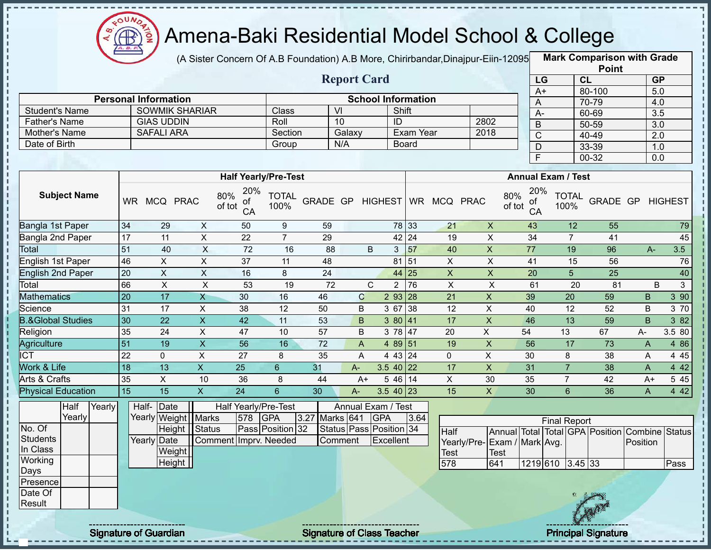

(A Sister Concern Of A.B Foundation) A.B More, Chirirbandar,Dinajpur-Eiin-120950

**Mark Comparison with Grade**

|                              |                 |                                 |                           |                                  |                      |                |                         |             |                           |                              |                             |               |                 |                           | <b>Point</b>                    |                  |                  |
|------------------------------|-----------------|---------------------------------|---------------------------|----------------------------------|----------------------|----------------|-------------------------|-------------|---------------------------|------------------------------|-----------------------------|---------------|-----------------|---------------------------|---------------------------------|------------------|------------------|
|                              |                 |                                 |                           |                                  |                      |                | <b>Report Card</b>      |             |                           |                              |                             |               | LG              |                           | CL                              | <b>GP</b>        |                  |
|                              |                 |                                 |                           |                                  |                      |                |                         |             |                           |                              |                             |               | $A+$            |                           | 80-100                          | $\overline{5.0}$ |                  |
|                              |                 | <b>Personal Information</b>     |                           |                                  |                      |                |                         |             | <b>School Information</b> |                              |                             |               | A               |                           | 70-79                           | 4.0              |                  |
| <b>Student's Name</b>        |                 | <b>SOWMIK SHARIAR</b>           |                           |                                  | Class                |                | $\overline{V}$          |             | Shift                     |                              |                             |               | $A-$            |                           | 60-69                           | $\overline{3.5}$ |                  |
| <b>Father's Name</b>         |                 | <b>GIAS UDDIN</b>               |                           |                                  | Roll                 |                | 10                      |             | ID                        |                              | 2802                        |               | $\overline{B}$  |                           | 50-59                           | $\overline{3.0}$ |                  |
| Mother's Name                |                 | <b>SAFALI ARA</b>               |                           |                                  | Section              |                | Galaxy                  |             | Exam Year                 |                              | 2018                        |               | $\overline{C}$  |                           | 40-49                           | 2.0              |                  |
| Date of Birth                |                 |                                 |                           |                                  | Group                |                | N/A                     |             | <b>Board</b>              |                              |                             |               | D               |                           | 33-39                           | 1.0              |                  |
|                              |                 |                                 |                           |                                  |                      |                |                         |             |                           |                              |                             |               | F               |                           | 00-32                           | 0.0              |                  |
|                              |                 |                                 |                           | <b>Half Yearly/Pre-Test</b>      |                      |                |                         |             |                           |                              |                             |               |                 | <b>Annual Exam / Test</b> |                                 |                  |                  |
| <b>Subject Name</b>          |                 | WR MCQ PRAC                     |                           | 20%<br>80%<br>Οt<br>of tot<br>CA | <b>TOTAL</b><br>100% |                |                         |             |                           | GRADE GP HIGHEST WR MCQ PRAC |                             | 80%<br>of tot | 20%<br>оt<br>CA | <b>TOTAL</b><br>100%      | GRADE GP                        |                  | <b>HIGHEST</b>   |
| Bangla 1st Paper             | 34              | 29                              | X                         | 50                               | 9                    | 59             |                         |             | 78 33                     | 21                           | $\mathsf{X}$                |               | 43              | 12                        | 55                              |                  | 79               |
| Bangla 2nd Paper             | 17              | $\overline{11}$                 | $\overline{X}$            | $\overline{22}$                  | $\overline{7}$       | 29             |                         |             | 42 24                     | 19                           | $\overline{\mathsf{x}}$     |               | $\overline{34}$ | $\overline{7}$            | 41                              |                  | 45               |
| Total                        | 51              | 40                              | $\boldsymbol{\mathsf{X}}$ | $\overline{72}$                  | 16                   | 88             |                         | B           | 57<br>3                   | 40                           | $\boldsymbol{\mathsf{X}}$   |               | 77              | 19                        | 96                              | $A-$             | 3.5              |
| English 1st Paper            | 46              | $\mathsf{X}$                    | $\overline{X}$            | 37                               | 11                   | 48             |                         |             | 81 51                     | $\pmb{\times}$               | $\overline{X}$              |               | 41              | 15                        | 56                              |                  | 76               |
| English 2nd Paper            | 20              | $\mathsf{X}$                    | $\pmb{\times}$            | 16                               | 8                    | 24             |                         |             | 44 25                     | $\pmb{\times}$               | $\pmb{\times}$              |               | 20              | 5                         | 25                              |                  | 40               |
| Total                        | 66              | $\pmb{\times}$                  | $\boldsymbol{\mathsf{X}}$ | 53                               | 19                   | 72             |                         | $\mathbf C$ | 76<br>$\overline{2}$      | $\mathsf X$                  | $\sf X$                     |               | 61              |                           | 20<br>81                        | B                | 3                |
| <b>Mathematics</b>           | $\overline{20}$ | 17                              | $\overline{X}$            | 30                               | 16                   | 46             | $\mathbf C$             |             | $293$ 28                  | $\overline{21}$              | $\overline{X}$              |               | 39              | 20                        | 59                              | $\sf B$          | $3\overline{90}$ |
| Science                      | 31              | 17                              | $\pmb{\times}$            | 38                               | 12                   | 50             | B                       | 3 67        | 38                        | 12                           | $\pmb{\times}$              |               | 40              | 12                        | 52                              | B                | 3 70             |
| <b>B.&amp;Global Studies</b> | 30              | $\overline{22}$                 | $\overline{X}$            | 42                               | 11                   | 53             | B                       | 3 80        | 41                        | 17                           | $\mathsf X$                 |               | 46              | 13                        | $\overline{59}$                 | B                | $382$            |
| Religion                     | 35              | 24                              | X                         | 47                               | 10                   | 57             | B                       |             | 3 78 47                   | 20                           | X                           |               | 54              | 13                        | 67                              | A-               | 3.5 80           |
| Agriculture                  | $\overline{51}$ | 19                              | $\pmb{\times}$            | 56                               | 16                   | 72             | A                       | 4 8 9       | 151                       | 19                           | $\pmb{\times}$              |               | 56              | 17                        | 73                              | A                | 4 8 6            |
| <b>ICT</b>                   | 22              | $\Omega$                        | $\mathsf{X}$              | 27                               | 8                    | 35             | A                       |             | 4 43 24                   | $\Omega$                     | X                           |               | 30              | 8                         | 38                              | A                | 4 4 5            |
| Work & Life                  | $\overline{18}$ | 13                              | $\overline{\mathsf{x}}$   | 25                               | $6\phantom{a}$       | 31             | $A -$                   |             | 3.5 40 22                 | 17                           | $\overline{X}$              |               | 31              | $\overline{7}$            | 38                              | A                | 442              |
| Arts & Crafts                | 35              | $\overline{X}$                  | 10                        | $\overline{36}$                  | 8                    | 44             | $A+$                    |             | $546$ 14                  | X                            | 30                          |               | 35              | $\overline{7}$            | $\overline{42}$                 | $A+$             | 545              |
| <b>Physical Education</b>    | $\overline{15}$ | 15                              | X                         | $\overline{24}$                  | $6\phantom{1}$       | 30             | $A -$                   |             | $3.540$   23              | 15                           | $\mathsf{X}$                |               | 30              | 6                         | 36                              | A                | 4 4 2            |
| Half<br>Yearly<br>Yearly     |                 | Half-<br>Date                   |                           | Half Yearly/Pre-Test<br>578      | <b>GPA</b>           | 3.27 Marks 641 | Annual Exam / Test      | <b>GPA</b>  |                           |                              |                             |               |                 |                           |                                 |                  |                  |
| No. Of                       |                 | Yearly Weight   Marks<br>Height | Status                    |                                  | Pass Position 32     |                | Status Pass Position 34 |             | 3.64                      |                              |                             |               |                 | <b>Final Report</b>       |                                 |                  |                  |
| <b>Students</b>              |                 | Yearly Date                     |                           | Comment Imprv. Needed            |                      |                | Comment                 | Excellent   |                           | <b>Half</b>                  |                             |               |                 |                           | Annual Total Total GPA Position | Combine Status   |                  |
| In Class                     |                 |                                 |                           |                                  |                      |                |                         |             |                           |                              | Yearly/Pre-Exam / Mark Avg. |               |                 |                           |                                 | Position         |                  |
| Working                      |                 | Weight<br><b>Height</b>         |                           |                                  |                      |                |                         |             |                           | <b>Test</b>                  |                             | <b>Test</b>   |                 |                           |                                 |                  |                  |
| Days                         |                 |                                 |                           |                                  |                      |                |                         |             |                           | 578                          |                             | 641           |                 | 1219 610 3.45 33          |                                 |                  | Pass             |
| Presence                     |                 |                                 |                           |                                  |                      |                |                         |             |                           |                              |                             |               |                 |                           |                                 |                  |                  |
| Date Of                      |                 |                                 |                           |                                  |                      |                |                         |             |                           |                              |                             |               |                 |                           | 位 25. 经高级                       |                  |                  |



Result

п п

п

п

T

п J, J, ł  $\mathbf{I}$  $\mathbf{I}$ 

п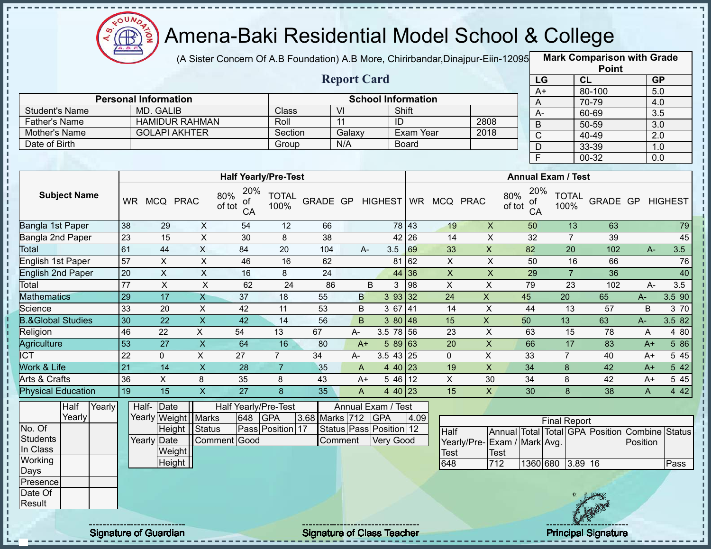

f, Ţ J. Ť.  $\mathbf I$ J,

J.  $\blacksquare$ 

> п Ţ Ţ

#### Amena-Baki Residential Model School & College

(A Sister Concern Of A.B Foundation) A.B More, Chirirbandar,Dinajpur-Eiin-120950

**Mark Comparison with Grade Point**

|                       |                             |                                                                |              |                                    |                           |           |    |      |                 |                           | .      |                                                                   |
|-----------------------|-----------------------------|----------------------------------------------------------------|--------------|------------------------------------|---------------------------|-----------|----|------|-----------------|---------------------------|--------|-------------------------------------------------------------------|
|                       |                             |                                                                |              |                                    | <b>Report Card</b>        |           |    |      | LG              | <b>CL</b>                 |        | <b>GP</b>                                                         |
|                       |                             |                                                                |              |                                    |                           |           |    |      | A+              |                           | 80-100 | 5.0                                                               |
|                       | <b>Personal Information</b> |                                                                |              |                                    | <b>School Information</b> |           |    |      | A               |                           | 70-79  | 4.0                                                               |
| <b>Student's Name</b> | MD. GALIB                   |                                                                | <b>Class</b> | VI                                 |                           | Shift     |    |      | A-              |                           | 60-69  | 3.5                                                               |
| <b>Father's Name</b>  | <b>HAMIDUR RAHMAN</b>       |                                                                | Roll         | 11                                 | ID                        |           |    | 2808 | B               |                           | 50-59  | 3.0                                                               |
| Mother's Name         | <b>GOLAPI AKHTER</b>        |                                                                | Section      | Galaxy                             |                           | Exam Year |    | 2018 | C               |                           | 40-49  | 2.0                                                               |
| Date of Birth         |                             |                                                                | Group        | N/A                                |                           | Board     |    |      |                 |                           | 33-39  | 1.0                                                               |
|                       |                             |                                                                |              |                                    |                           |           |    |      |                 |                           | 00-32  | 0.0                                                               |
|                       |                             | <b>Half Yearly/Pre-Test</b>                                    |              |                                    |                           |           |    |      |                 | <b>Annual Exam / Test</b> |        |                                                                   |
| <b>Subject Name</b>   | WR MCQ PRAC                 | 20%<br>$\frac{80\%}{\text{of tot}} \frac{20}{\text{of}}$<br>CA |              | TOTAL GRADE GP HIGHEST WR MCQ PRAC |                           |           |    |      | 20%             |                           |        | 80% 20% TOTAL GRADE GP HIGHEST<br>of tot CA 100% GRADE GP HIGHEST |
| Rangle 1st Paper      | $\Omega$<br>ാവ              | FA                                                             | 12           | <b>GG</b>                          |                           | $79112$   | 10 |      | 50 <sub>1</sub> | 12                        | 62     | 70                                                                |

| Bangla 1st Paper             | 38 | 29 | х                | 54 | 12 | 66  |      |              | 78 43 | 19 | X  | 50 | 13 | 63  |      | 79     |
|------------------------------|----|----|------------------|----|----|-----|------|--------------|-------|----|----|----|----|-----|------|--------|
| Bangla 2nd Paper             | 23 | 15 | $\check{ }$<br>⋏ | 30 | 8  | 38  |      |              | 42 26 | 14 | X  | 32 |    | 39  |      | 45     |
| Total                        | 61 | 44 | X                | 84 | 20 | 104 | A-   | 3.5          | 69    | 33 | X  | 82 | 20 | 102 | $A-$ | 3.5    |
| English 1st Paper            | 57 | X  | ∧                | 46 | 16 | 62  |      | 81           | 62    | X  | ∧  | 50 | 16 | 66  |      | 76     |
| English 2nd Paper            | 20 | X  | ∧                | 16 | 8  | 24  |      |              | 44 36 |    |    | 29 |    | 36  |      | 40     |
| Total                        | 77 | ᄉ  | ⋏                | 62 | 24 | 86  | B    |              | 98    | ∧  | ∧  | 79 | 23 | 102 | A-   | 3.5    |
| <b>Mathematics</b>           | 29 | 17 | ∧                | 37 | 18 | 55  | B    | 393 32       |       | 24 |    | 45 | 20 | 65  | A-   | 3.5 90 |
| Science                      | 33 | 20 | X                | 42 | 11 | 53  | B    | 3 67         | 41    | 14 | ⋏  | 44 | 13 | 57  | B    | 3 70   |
| <b>B.&amp;Global Studies</b> | 30 | 22 | X                | 42 | 14 | 56  | B.   | 3 80         | 48    | 15 |    | 50 | 13 | 63  | A-   | 3.5 82 |
| Religion                     | 46 | 22 | X                | 54 | 13 | 67  | А-   | 78 56<br>3.5 |       | 23 | ⋏  | 63 | 15 | 78  | A    | 4 80   |
| Agriculture                  | 53 | 27 | Χ                | 64 | 16 | 80  | $A+$ | 5 89         | 163   | 20 | Х  | 66 | 17 | 83  | $A+$ | 5 86   |
| ICT                          | 22 |    | ⋏                | 27 |    | 34  | А-   | $3.5$ 43 25  |       | 0  | X  | 33 |    | 40  | $A+$ | 5 4 5  |
| Work & Life                  | 21 | 14 | X                | 28 |    | 35  | A    | 4 40 23      |       | 19 | X  | 34 | 8  | 42  | $A+$ | 5 42   |
| Arts & Crafts                | 36 | ∧  | 8                | 35 | 8  | 43  | A+   | 5 46 12      |       | ⋏  | 30 | 34 | 8  | 42  | A+   | 5 4 5  |
| <b>Physical Education</b>    | 19 | 15 |                  | 27 |    | 35  | A    | 4 40 23      |       | 15 |    | 30 |    | 38  | A    | 4 4 2  |

|          | Half   | Yearly | Half- Date            |              |     | Half Yearly/Pre-Test |                | Annual Exam / Test            |      |                              |      |          |                             |                   |                                                |      |
|----------|--------|--------|-----------------------|--------------|-----|----------------------|----------------|-------------------------------|------|------------------------------|------|----------|-----------------------------|-------------------|------------------------------------------------|------|
|          | Yearly |        | Yearly Weight   Marks |              | 648 | <b>GPA</b>           | 3.68 Marks 712 | <b>GPA</b>                    | 4.09 |                              |      |          | <b>Final Report</b>         |                   |                                                |      |
| No. Of   |        |        | Height Status         |              |     | Pass Position 17     |                | Status   Pass   Position   12 |      | Half                         |      |          |                             |                   | Annual Total Total GPA Position Combine Status |      |
| Students |        |        | Yearly Date           | Comment Good |     |                      | Comment        | Very Good                     |      | Yearly/Pre- Exam / Mark Avg. |      |          |                             |                   | Position                                       |      |
| In Class |        |        | Weight                |              |     |                      |                |                               |      | Test                         | Test |          |                             |                   |                                                |      |
| Working  |        |        | Height                |              |     |                      |                |                               |      | 648                          | 712  | 1360 680 | $3.89$ 16                   |                   |                                                | Pass |
| Days     |        |        |                       |              |     |                      |                |                               |      |                              |      |          |                             |                   |                                                |      |
| Presence |        |        |                       |              |     |                      |                |                               |      |                              |      |          |                             |                   |                                                |      |
| Date Of  |        |        |                       |              |     |                      |                |                               |      |                              |      |          |                             |                   |                                                |      |
| Result   |        |        |                       |              |     |                      |                |                               |      |                              |      |          |                             | <b>CONTRACTOR</b> |                                                |      |
|          |        |        |                       |              |     |                      |                |                               |      |                              |      |          |                             |                   |                                                |      |
|          |        |        |                       |              |     |                      |                |                               |      |                              |      |          | --------- <del>------</del> |                   |                                                |      |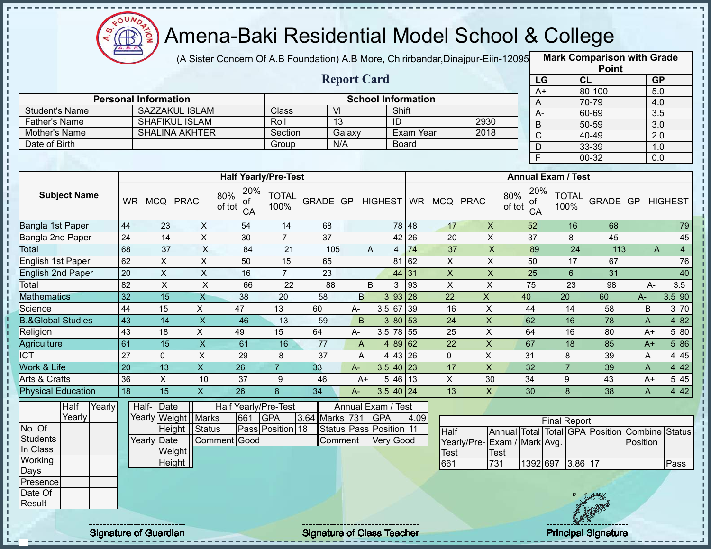

(A Sister Concern Of A.B Foundation) A.B More, Chirirbandar,Dinajpur-Eiin-120950

**Mark Comparison with Grade**

|                              |                 |                             |                           |                             |                      |                 |                           |                |                           |                           |                              |                 |                           |                 | <b>Point</b>                                   |           |                |
|------------------------------|-----------------|-----------------------------|---------------------------|-----------------------------|----------------------|-----------------|---------------------------|----------------|---------------------------|---------------------------|------------------------------|-----------------|---------------------------|-----------------|------------------------------------------------|-----------|----------------|
|                              |                 |                             |                           |                             |                      |                 | <b>Report Card</b>        |                |                           |                           |                              | LG              |                           | CL              |                                                | <b>GP</b> |                |
|                              |                 |                             |                           |                             |                      |                 |                           |                |                           |                           |                              | $A+$            |                           |                 | 80-100                                         | 5.0       |                |
|                              |                 | <b>Personal Information</b> |                           |                             |                      |                 |                           |                | <b>School Information</b> |                           |                              | A               |                           |                 | 70-79                                          | 4.0       |                |
| <b>Student's Name</b>        |                 | <b>SAZZAKUL ISLAM</b>       |                           |                             | Class                |                 | $\overline{V}$            |                | Shift                     |                           |                              | $A -$           |                           |                 | 60-69                                          | 3.5       |                |
| <b>Father's Name</b>         |                 | <b>SHAFIKUL ISLAM</b>       |                           |                             | Roll                 |                 | 13                        |                | ID                        |                           | 2930                         | $\mathsf B$     |                           |                 | $50 - 59$                                      | 3.0       |                |
| Mother's Name                |                 | <b>SHALINA AKHTER</b>       |                           |                             | Section              |                 | Galaxy                    |                | <b>Exam Year</b>          |                           | 2018                         | $\mathsf C$     |                           |                 | 40-49                                          | 2.0       |                |
| Date of Birth                |                 |                             |                           |                             | Group                |                 | N/A                       |                | Board                     |                           |                              | $\mathsf D$     |                           |                 | 33-39                                          | 1.0       |                |
|                              |                 |                             |                           |                             |                      |                 |                           |                |                           |                           |                              | F               |                           |                 | $00 - 32$                                      | 0.0       |                |
|                              |                 |                             |                           | <b>Half Yearly/Pre-Test</b> |                      |                 |                           |                |                           |                           |                              |                 | <b>Annual Exam / Test</b> |                 |                                                |           |                |
|                              |                 |                             |                           | 20%                         |                      |                 |                           |                |                           |                           |                              | 20%             |                           |                 |                                                |           |                |
| <b>Subject Name</b>          |                 | WR MCQ PRAC                 |                           | 80%<br>οf<br>of tot<br>CA   | <b>TOTAL</b><br>100% | GRADE GP        |                           | <b>HIGHEST</b> |                           | WR MCQ PRAC               | 80%<br>of tot                | οf<br>CA        | 100%                      | <b>TOTAL</b>    | GRADE GP                                       |           | <b>HIGHEST</b> |
| Bangla 1st Paper             | 44              | 23                          | $\boldsymbol{\mathsf{X}}$ | 54                          | 14                   | 68              |                           |                | 78 48                     | 17                        | $\boldsymbol{\mathsf{X}}$    | 52              |                           | 16              | 68                                             |           | 79             |
| Bangla 2nd Paper             | 24              | $\overline{14}$             | $\overline{X}$            | 30                          | $\overline{7}$       | $\overline{37}$ |                           |                | 42 26                     | 20                        | $\mathsf X$                  | 37              |                           | 8               | 45                                             |           | 45             |
| <b>Total</b>                 | 68              | 37                          | $\overline{X}$            | 84                          | 21                   | 105             |                           | A              | 74<br>$\overline{4}$      | $\overline{37}$           | $\overline{X}$               | 89              |                           | $\overline{24}$ | 113                                            | A         | $\overline{4}$ |
| English 1st Paper            | 62              | $\pmb{\times}$              | $\pmb{\times}$            | 50                          | 15                   | 65              |                           |                | 81 62                     | $\mathsf{X}$              | $\pmb{\times}$               | 50              |                           | 17              | 67                                             |           | 76             |
| <b>English 2nd Paper</b>     | 20              | $\overline{\mathsf{x}}$     | $\overline{\mathsf{x}}$   | 16                          | $\overline{7}$       | $\overline{23}$ |                           |                | 44 31                     | $\boldsymbol{\mathsf{X}}$ | $\overline{\mathsf{x}}$      | $\overline{25}$ |                           | $6\phantom{1}$  | 31                                             |           | 40             |
| Total                        | 82              | $\boldsymbol{\mathsf{X}}$   | $\pmb{\times}$            | 66                          | 22                   | 88              |                           | B              | 3<br>93                   | $\pmb{\times}$            | $\mathsf X$                  | 75              |                           | 23              | 98                                             | A-        | 3.5            |
| <b>Mathematics</b>           | 32              | 15                          | $\mathsf{X}$              | 38                          | 20                   | 58              | B                         |                | 393 28                    | 22                        | $\mathsf{X}$                 | 40              | 20                        |                 | 60                                             | A-        | 3.5 90         |
| Science                      | 44              | 15                          | X                         | 47                          | 13                   | 60              | A-                        |                | 3.5 67 39                 | 16                        | $\mathsf{X}$                 | 44              |                           | 14              | 58                                             | B         | 3 70           |
| <b>B.&amp;Global Studies</b> | $\overline{43}$ | $\overline{14}$             | $\overline{X}$            | 46                          | 13                   | 59              | B                         |                | 3 80 53                   | 24                        | $\pmb{\times}$               | 62              |                           | 16              | 78                                             | A         | 482            |
| Religion                     | 43              | 18                          | $\mathsf{X}$              | 49                          | 15                   | 64              | A-                        |                | 3.5 78 55                 | 25                        | X                            | 64              |                           | 16              | 80                                             | $A+$      | 5 80           |
| Agriculture                  | 61              | $\overline{15}$             | $\overline{X}$            | 61                          | 16                   | 77              | $\boldsymbol{\mathsf{A}}$ |                | 4 89 62                   | 22                        | $\overline{X}$               | 67              |                           | 18              | 85                                             | $A+$      | 5 86           |
| <b>ICT</b>                   | $\overline{27}$ | $\overline{0}$              | $\overline{X}$            | 29                          | 8                    | $\overline{37}$ | A                         |                | 4 43 26                   | $\mathbf 0$               | $\overline{X}$               | $\overline{31}$ |                           | 8               | 39                                             | A         | 445            |
| <b>Work &amp; Life</b>       | 20              | 13                          | $\overline{X}$            | $\overline{26}$             | $\overline{7}$       | 33              | $A-$                      |                | $3.5$ 40 23               | 17                        | $\overline{\mathsf{x}}$      | 32              |                           | $\overline{7}$  | 39                                             | A         | 4 4 2          |
| Arts & Crafts                | 36              | $\overline{\mathsf{x}}$     | 10                        | 37                          | $9\,$                | 46              | $A+$                      |                | $546$ 13                  | $\overline{X}$            | 30                           | $\overline{34}$ |                           | 9               | 43                                             | $A+$      | 545            |
| <b>Physical Education</b>    | $\overline{18}$ | $\overline{15}$             | $\overline{\mathsf{x}}$   | $\overline{26}$             | 8                    | 34              | A-                        |                | 3.5 40 24                 | 13                        | $\overline{X}$               | 30              |                           | 8               | 38                                             | A         | 4 4 2          |
| Half<br>Yearly               |                 | Half- Date                  |                           | Half Yearly/Pre-Test        |                      |                 | Annual Exam / Test        |                |                           |                           |                              |                 |                           |                 |                                                |           |                |
| Yearly                       |                 | Yearly Weight   Marks       |                           | 661                         | <b>GPA</b>           | 3.64 Marks 731  |                           | <b>GPA</b>     | 4.09                      |                           |                              |                 | <b>Final Report</b>       |                 |                                                |           |                |
| No. Of                       |                 |                             | Height Status             |                             | Pass Position 18     |                 | Status Pass Position 11   |                |                           | Half                      |                              |                 |                           |                 | Annual Total Total GPA Position Combine Status |           |                |
| <b>Students</b>              |                 | Yearly Date                 |                           | Comment Good                |                      |                 | Comment                   | Very Good      |                           |                           | Yearly/Pre- Exam / Mark Avg. |                 |                           |                 |                                                | Position  |                |
| In Class                     |                 | Weight                      |                           |                             |                      |                 |                           |                |                           | <b>Test</b>               | <b>Test</b>                  |                 |                           |                 |                                                |           |                |
| Working                      |                 | Height                      |                           |                             |                      |                 |                           |                |                           | 661                       | 731                          | 1392 697        |                           | 3.86 17         |                                                |           | Pass           |
| Days                         |                 |                             |                           |                             |                      |                 |                           |                |                           |                           |                              |                 |                           |                 |                                                |           |                |
| Presence                     |                 |                             |                           |                             |                      |                 |                           |                |                           |                           |                              |                 |                           |                 |                                                |           |                |
| Date Of                      |                 |                             |                           |                             |                      |                 |                           |                |                           |                           |                              |                 |                           |                 |                                                |           |                |
| Result                       |                 |                             |                           |                             |                      |                 |                           |                |                           |                           |                              |                 |                           |                 |                                                |           |                |
|                              |                 |                             |                           |                             |                      |                 |                           |                |                           |                           |                              |                 |                           |                 |                                                |           |                |

Î

 $\mathbf I$  $\mathbf I$ J, п  $\mathbf I$ 

 $\mathbf{I}$ 

п

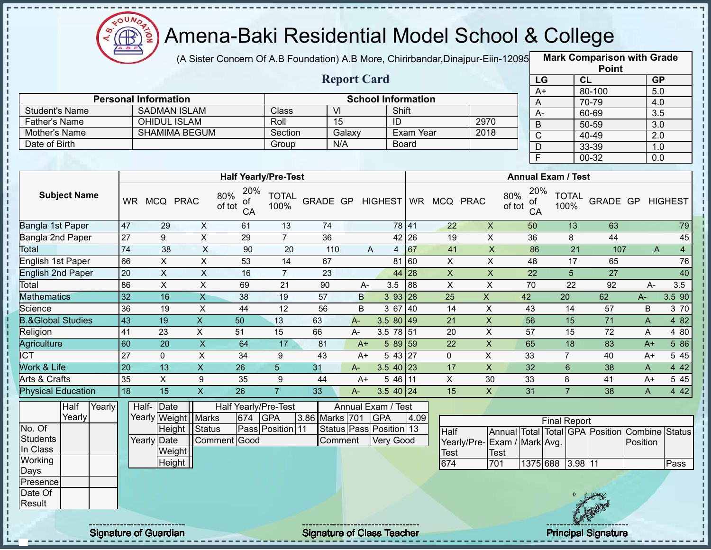

 $\frac{1}{1}$ 

 $\blacksquare$ 

 $\mathbf I$ 

п

п

#### Amena-Baki Residential Model School & College

(A Sister Concern Of A.B Foundation) A.B More, Chirirbandar,Dinajpur-Eiin-120950

**Mark Comparison with Grade**

|                              |                 |                             |                           |                                  |                      |                  |                         |            |                           |                         |                             |                                  |                           | <b>Point</b>                                   |              |                                |
|------------------------------|-----------------|-----------------------------|---------------------------|----------------------------------|----------------------|------------------|-------------------------|------------|---------------------------|-------------------------|-----------------------------|----------------------------------|---------------------------|------------------------------------------------|--------------|--------------------------------|
|                              |                 |                             |                           |                                  |                      |                  | <b>Report Card</b>      |            |                           |                         |                             |                                  | LG                        | CL                                             |              | <b>GP</b>                      |
|                              |                 |                             |                           |                                  |                      |                  |                         |            |                           |                         |                             | $A+$                             |                           | 80-100                                         |              | 5.0                            |
|                              |                 | <b>Personal Information</b> |                           |                                  |                      |                  |                         |            | <b>School Information</b> |                         |                             | A                                |                           | 70-79                                          |              | 4.0                            |
| <b>Student's Name</b>        |                 | <b>SADMAN ISLAM</b>         |                           |                                  | Class                | $\overline{V}$   |                         |            | Shift                     |                         |                             | $\overline{A}$                   |                           | 60-69                                          |              | $\overline{3.5}$               |
| <b>Father's Name</b>         |                 | <b>OHIDUL ISLAM</b>         |                           |                                  | Roll                 |                  | 15                      |            | ID                        |                         | 2970                        | $\overline{B}$                   |                           | $50 - 59$                                      |              | 3.0                            |
| Mother's Name                |                 | <b>SHAMIMA BEGUM</b>        |                           |                                  | Section              |                  | Galaxy                  |            | Exam Year                 |                         | 2018                        | $\overline{C}$                   |                           | $40 - 49$                                      |              | $\overline{2.0}$               |
| Date of Birth                |                 |                             |                           |                                  | Group                |                  | N/A                     |            | <b>Board</b>              |                         |                             | $\mathsf D$                      |                           | 33-39                                          |              | 1.0                            |
|                              |                 |                             |                           |                                  |                      |                  |                         |            |                           |                         |                             | F                                |                           | $00 - 32$                                      |              | 0.0                            |
|                              |                 |                             |                           | <b>Half Yearly/Pre-Test</b>      |                      |                  |                         |            |                           |                         |                             |                                  | <b>Annual Exam / Test</b> |                                                |              |                                |
|                              |                 |                             |                           |                                  |                      |                  |                         |            |                           |                         |                             |                                  |                           |                                                |              |                                |
| <b>Subject Name</b>          |                 | WR MCQ PRAC                 |                           | 20%<br>80%<br>οf<br>of tot<br>CA | <b>TOTAL</b><br>100% | GRADE GP HIGHEST |                         |            |                           | WR MCQ PRAC             |                             | 20%<br>80%<br>of<br>of tot<br>CA | <b>TOTAL</b><br>100%      | GRADE GP HIGHEST                               |              |                                |
| Bangla 1st Paper             | 47              | 29                          | $\boldsymbol{X}$          | 61                               | 13                   | 74               |                         |            | 78 41                     | 22                      | $\pmb{\times}$              | 50                               | 13                        | 63                                             |              | 79                             |
| Bangla 2nd Paper             | 27              | 9                           | $\overline{X}$            | 29                               | $\overline{7}$       | 36               |                         |            | 42 26                     | 19                      | $\mathsf X$                 | 36                               | 8                         | 44                                             |              | 45                             |
| Total                        | $\overline{74}$ | 38                          | X                         | 90                               | 20                   | 110              |                         | A          | $4 \overline{67}$         | 41                      | $\overline{\mathsf{x}}$     | 86                               | $\overline{21}$           | 107                                            |              | $\mathsf{A}$<br>$\overline{4}$ |
| English 1st Paper            | 66              | $\boldsymbol{\mathsf{X}}$   | $\overline{X}$            | 53                               | $\overline{14}$      | 67               |                         |            | 81 60                     | $\overline{X}$          | $\sf X$                     | 48                               | 17                        | 65                                             |              | 76                             |
| <b>English 2nd Paper</b>     | 20              | $\boldsymbol{\mathsf{X}}$   | $\overline{X}$            | 16                               | $\overline{7}$       | 23               |                         |            | 44 28                     | $\overline{\mathsf{x}}$ | $\pmb{\mathsf{X}}$          | $\overline{22}$                  | 5                         | 27                                             |              | 40                             |
| Total                        | 86              | $\boldsymbol{\mathsf{X}}$   | $\mathsf{X}$              | 69                               | 21                   | 90               | A-                      | 3.5        | 88                        | $\pmb{\times}$          | $\pmb{\times}$              | 70                               | $\overline{22}$           | 92                                             | A-           | 3.5                            |
| <b>Mathematics</b>           | 32              | 16                          | $\overline{X}$            | 38                               | 19                   | 57               | B                       |            | 3 9 3<br>28               | 25                      | $\mathsf{X}$                | 42                               | 20                        | 62                                             | A-           | 3.5 90                         |
| Science                      | 36              | 19                          | $\boldsymbol{\mathsf{X}}$ | 44                               | $\overline{12}$      | 56               | $\sf B$                 |            | 3 67<br>40                | 14                      | $\overline{X}$              | 43                               | 14                        | 57                                             | B            | 3 70                           |
| <b>B.&amp;Global Studies</b> | 43              | $\overline{19}$             | $\overline{\mathsf{x}}$   | $\overline{50}$                  | 13                   | 63               | $A -$                   |            | 3.5 80 49                 | $\overline{21}$         | $\overline{X}$              | $\overline{56}$                  | 15                        | $\overline{71}$                                | $\mathsf{A}$ | 482                            |
| Religion                     | 41              | $\overline{23}$             | $\overline{\mathsf{x}}$   | 51                               | 15                   | 66               | A-                      |            | 3.5 78 51                 | $\overline{20}$         | $\overline{X}$              | 57                               | $\overline{15}$           | $\overline{72}$                                | A            | 4 80                           |
| Agriculture                  | 60              | $\overline{20}$             | $\overline{\mathsf{x}}$   | 64                               | $\overline{17}$      | $\overline{81}$  | $A+$                    |            | 5 89 59                   | $\overline{22}$         | $\overline{X}$              | 65                               | $\overline{18}$           | $\overline{83}$                                | $A+$         | 5 86                           |
| <b>ICT</b>                   | 27              | $\mathbf 0$                 | $\boldsymbol{\mathsf{X}}$ | 34                               | 9                    | 43               | $A+$                    |            | 5 43 27                   | $\mathbf 0$             | $\mathsf{X}$                | 33                               | $\overline{7}$            | 40                                             | $A+$         | 5 4 5                          |
| Work & Life                  | $\overline{20}$ | $\overline{13}$             | $\overline{X}$            | $\overline{26}$                  | 5 <sup>5</sup>       | 31               | A-                      |            | $3.540$ 23                | 17                      | $\overline{X}$              | 32                               | $6\overline{6}$           | 38                                             | $\mathsf{A}$ | 4 4 2                          |
| <b>Arts &amp; Crafts</b>     | 35              | $\overline{X}$              | $\boldsymbol{9}$          | 35                               | $9\,$                | 44               | $A+$                    |            | 5 46 11                   | $\mathsf{X}$            | 30                          | 33                               | 8                         | $\overline{41}$                                | $A+$         | 545                            |
| <b>Physical Education</b>    | 18              | 15                          | $\mathsf X$               | 26                               | $\overline{7}$       | 33               | $A-$                    |            | 3.5 40 24                 | 15                      | $\mathsf{X}$                | 31                               | $\overline{7}$            | 38                                             | $\mathsf{A}$ | 4 4 2                          |
| Half<br>Yearly               |                 | Half-Date                   |                           | Half Yearly/Pre-Test             |                      |                  | Annual Exam / Test      |            |                           |                         |                             |                                  |                           |                                                |              |                                |
| Yearly                       |                 | Yearly Weight   Marks       |                           | 674                              | <b>GPA</b>           | 3.86 Marks 701   |                         | <b>GPA</b> | 4.09                      |                         |                             |                                  | <b>Final Report</b>       |                                                |              |                                |
| No. Of                       |                 | Height Status               |                           |                                  | Pass Position 11     |                  | Status Pass Position 13 |            |                           | <b>Half</b>             |                             |                                  |                           | Annual Total Total GPA Position Combine Status |              |                                |
| <b>Students</b>              |                 | Yearly Date                 |                           | Comment Good                     |                      |                  | Comment                 |            | <b>Very Good</b>          |                         | Yearly/Pre-Exam / Mark Avg. |                                  |                           |                                                | Position     |                                |
| In Class                     |                 | Weight                      |                           |                                  |                      |                  |                         |            |                           | Test                    | <b>Test</b>                 |                                  |                           |                                                |              |                                |
| Working                      |                 | Height                      |                           |                                  |                      |                  |                         |            |                           | 674                     | 701                         |                                  | 1375 688 3.98 11          |                                                |              | Pass                           |
| Days                         |                 |                             |                           |                                  |                      |                  |                         |            |                           |                         |                             |                                  |                           |                                                |              |                                |
| Presence                     |                 |                             |                           |                                  |                      |                  |                         |            |                           |                         |                             |                                  |                           |                                                |              |                                |
| Date Of                      |                 |                             |                           |                                  |                      |                  |                         |            |                           |                         |                             |                                  |                           |                                                |              |                                |
| Result                       |                 |                             |                           |                                  |                      |                  |                         |            |                           |                         |                             |                                  |                           |                                                |              |                                |
|                              |                 |                             |                           |                                  |                      |                  |                         |            |                           |                         |                             |                                  |                           |                                                |              |                                |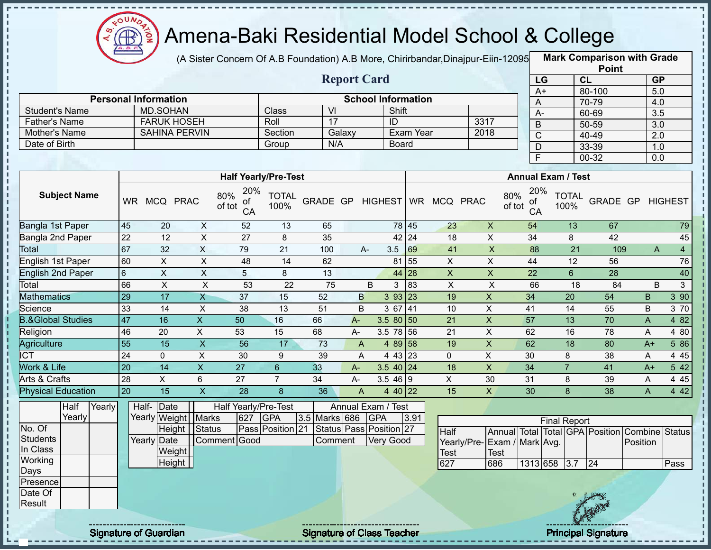

п

 $\frac{1}{1}$ 

Î

 $1 + 1 + 1 + 1 + 1 + 1$ 

J.

#### Amena-Baki Residential Model School & College

(A Sister Concern Of A.B Foundation) A.B More, Chirirbandar, Dinajpur-Eiin-12095

**Mark Comparison with Grade**

|                                |                 |                             |                           |                             |                      |                               |              |                           |              |                         |                             |                                  |                           | <b>Point</b>                                   |                  |                  |
|--------------------------------|-----------------|-----------------------------|---------------------------|-----------------------------|----------------------|-------------------------------|--------------|---------------------------|--------------|-------------------------|-----------------------------|----------------------------------|---------------------------|------------------------------------------------|------------------|------------------|
|                                |                 |                             |                           |                             |                      |                               |              | <b>Report Card</b>        |              |                         |                             | LG                               |                           | CL                                             | <b>GP</b>        |                  |
|                                |                 |                             |                           |                             |                      |                               |              |                           |              |                         |                             | $A+$                             |                           | 80-100                                         | 5.0              |                  |
|                                |                 | <b>Personal Information</b> |                           |                             |                      |                               |              | <b>School Information</b> |              |                         |                             | A                                |                           | 70-79                                          | 4.0              |                  |
| <b>Student's Name</b>          |                 | <b>MD.SOHAN</b>             |                           |                             | Class                | $\overline{\mathsf{V}}$<br>17 |              |                           | Shift        |                         | 3317                        | A-                               |                           | 60-69                                          | 3.5              |                  |
| <b>Father's Name</b>           |                 | <b>FARUK HOSEH</b>          |                           |                             | Roll                 |                               |              | $\overline{1}$            | Exam Year    |                         | 2018                        | B                                |                           | $50 - 59$                                      | $\overline{3.0}$ |                  |
| Mother's Name<br>Date of Birth |                 | <b>SAHINA PERVIN</b>        |                           |                             | Section              | N/A                           | Galaxy       |                           |              |                         |                             | $\overline{C}$                   |                           | 40-49                                          | 2.0              |                  |
|                                |                 |                             |                           |                             | Group                |                               |              |                           | <b>Board</b> |                         |                             | D                                |                           | $33 - 39$                                      | 1.0              |                  |
|                                |                 |                             |                           |                             |                      |                               |              |                           |              |                         |                             | F                                |                           | $00 - 32$                                      | 0.0              |                  |
|                                |                 |                             |                           | <b>Half Yearly/Pre-Test</b> |                      |                               |              |                           |              |                         |                             |                                  | <b>Annual Exam / Test</b> |                                                |                  |                  |
|                                |                 |                             |                           | 20%                         |                      |                               |              |                           |              |                         |                             |                                  |                           |                                                |                  |                  |
| <b>Subject Name</b>            |                 | WR MCQ PRAC                 |                           | 80%<br>οf<br>of tot<br>CA   | <b>TOTAL</b><br>100% | GRADE GP                      |              | <b>HIGHEST</b>            |              | WR MCQ PRAC             |                             | 20%<br>80%<br>оf<br>of tot<br>CA | <b>TOTAL</b><br>100%      | GRADE GP                                       |                  | <b>HIGHEST</b>   |
| Bangla 1st Paper               | 45              | 20                          | $\boldsymbol{\mathsf{X}}$ | 52                          | 13                   | 65                            |              |                           | 78 45        | 23                      | $\pmb{\times}$              | 54                               | 13                        | 67                                             |                  | 79               |
| Bangla 2nd Paper               | $\overline{22}$ | 12                          | $\overline{X}$            | $\overline{27}$             | 8                    | 35                            |              |                           | 42 24        | $\overline{18}$         | $\overline{\mathsf{x}}$     | $\overline{34}$                  | 8                         | 42                                             |                  | 45               |
| Total                          | 67              | 32                          | $\overline{X}$            | 79                          | $\overline{21}$      | 100                           |              | 3.5<br>A-                 | 69           | 41                      | $\overline{X}$              | 88                               | $\overline{21}$           | 109                                            | $\overline{A}$   | $\overline{4}$   |
| <b>English 1st Paper</b>       | 60              | $\overline{X}$              | $\overline{\mathsf{x}}$   | 48                          | $\overline{14}$      | 62                            |              |                           | 81 55        | $\overline{\mathsf{x}}$ | $\overline{\mathsf{x}}$     | 44                               | 12                        | 56                                             |                  | 76               |
| <b>English 2nd Paper</b>       | $6\phantom{a}$  | $\sf X$                     | $\overline{X}$            | 5                           | 8                    | 13                            |              |                           | 44 28        | $\mathsf{X}$            | $\boldsymbol{\mathsf{X}}$   | $\overline{22}$                  | $6\overline{6}$           | $\overline{28}$                                |                  | 40               |
| Total                          | 66              | $\boldsymbol{\mathsf{X}}$   | $\overline{X}$            | 53                          | 22                   | $\overline{75}$               |              | B<br>3                    | 83           | $\pmb{\times}$          | $\sf X$                     | 66                               | 18                        | 84                                             | B                | 3                |
| <b>Mathematics</b>             | 29              | 17                          | $\mathsf{X}$              | $\overline{37}$             | 15                   | 52                            | B            |                           | 3 93 23      | 19                      | $\overline{X}$              | 34                               | $\overline{20}$           | 54                                             | B                | $3\overline{90}$ |
| Science                        | 33              | 14                          | $\pmb{\times}$            | 38                          | 13                   | 51                            | B            |                           | 3 67 41      | 10                      | $\pmb{\times}$              | 41                               | 14                        | 55                                             | B                | 3 70             |
| <b>B.&amp;Global Studies</b>   | 47              | 16                          | $\mathsf{X}$              | $\overline{50}$             | 16                   | 66                            | $A -$        | $3.580$ 50                |              | 21                      | $\pmb{\times}$              | 57                               | 13                        | 70                                             | $\overline{A}$   | 4 8 2            |
| Religion                       | 46              | 20                          | X                         | 53                          | 15                   | 68                            | A-           | $3.5$ 78 56               |              | 21                      | $\pmb{\times}$              | 62                               | 16                        | 78                                             | A                | 4 80             |
| Agriculture                    | $\overline{55}$ | $\overline{15}$             | $\overline{X}$            | $\overline{56}$             | 17                   | 73                            | $\mathsf{A}$ |                           | 4 89 58      | 19                      | $\mathsf X$                 | 62                               | 18                        | 80                                             | $A+$             | 5 86             |
| <b>ICT</b>                     | $\overline{24}$ | $\mathbf 0$                 | $\overline{\mathsf{x}}$   | 30                          | 9                    | 39                            | A            |                           | 4 43 23      | $\Omega$                | $\overline{X}$              | 30                               | 8                         | $\overline{38}$                                | A                | 445              |
| Work & Life                    | 20              | 14                          | $\overline{X}$            | $\overline{27}$             | $6\phantom{a}$       | 33                            | $A-$         | $3.540$ 24                |              | 18                      | $\overline{X}$              | $\overline{34}$                  | $\overline{7}$            | 41                                             | $A+$             | 542              |
| Arts & Crafts                  | 28              | $\overline{X}$              | $\,6\,$                   | 27                          | $\overline{7}$       | 34                            | $A-$         | 3.546 9                   |              | $\mathsf{X}$            | 30                          | 31                               | 8                         | 39                                             | A                | 4 4 5            |
| <b>Physical Education</b>      | 20              | $\overline{15}$             | $\overline{\mathsf{x}}$   | $\overline{28}$             | 8                    | $\overline{36}$               | A            |                           | 4 40 22      | 15                      | $\overline{X}$              | $\overline{30}$                  | 8                         | $\overline{38}$                                | $\overline{A}$   | 442              |
| Half<br>Yearly                 |                 | Date<br>Half-               |                           | Half Yearly/Pre-Test        |                      |                               |              | Annual Exam / Test        |              |                         |                             |                                  |                           |                                                |                  |                  |
| Yearly                         |                 | Yearly Weight Marks         |                           | 627                         | <b>GPA</b>           | 3.5 Marks 686                 |              | <b>GPA</b>                | 3.91         |                         |                             |                                  | <b>Final Report</b>       |                                                |                  |                  |
| No. Of                         |                 | Height                      | Status                    |                             | Pass Position 21     |                               |              | Status Pass Position 27   |              | Half                    |                             |                                  |                           | Annual Total Total GPA Position Combine Status |                  |                  |
| <b>Students</b>                |                 | Yearly Date                 |                           | Comment Good                |                      | Comment                       |              | <b>Very Good</b>          |              |                         | Yearly/Pre-Exam / Mark Avg. |                                  |                           |                                                | Position         |                  |
| In Class                       |                 | Weight                      |                           |                             |                      |                               |              |                           |              | <b>Test</b>             | <b>Test</b>                 |                                  |                           |                                                |                  |                  |
| Working                        |                 | Height                      |                           |                             |                      |                               |              |                           |              | 627                     | 686                         | 1313 658                         | 3.7                       | 24                                             |                  | Pass             |
| Days                           |                 |                             |                           |                             |                      |                               |              |                           |              |                         |                             |                                  |                           |                                                |                  |                  |
| Presence                       |                 |                             |                           |                             |                      |                               |              |                           |              |                         |                             |                                  |                           |                                                |                  |                  |
| Date Of                        |                 |                             |                           |                             |                      |                               |              |                           |              |                         |                             |                                  |                           |                                                |                  |                  |
| Result                         |                 |                             |                           |                             |                      |                               |              |                           |              |                         |                             |                                  |                           |                                                |                  |                  |
|                                |                 |                             |                           |                             |                      |                               |              |                           |              |                         |                             |                                  |                           |                                                |                  |                  |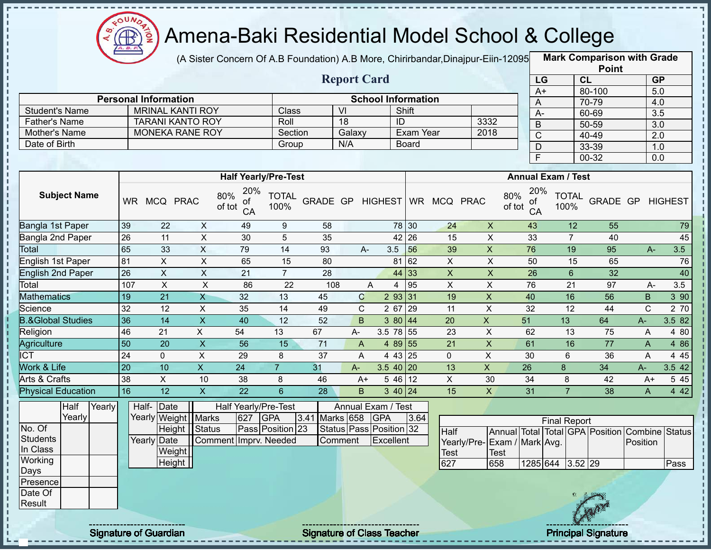

п

 $\mathbf I$ J.

J. J. J,

ł

л J.  $\frac{1}{1}$ 

 $\blacksquare$ 

п  $\mathbf I$ 

 $-1$  +  $-1$  +  $-1$  +  $-1$ 

# Amena-Baki Residential Model School & College

(A Sister Concern Of A.B Foundation) A.B More, Chirirbandar,Dinajpur-Eiin-120950

**Mark Comparison with Grade Point**

|                       |           |                             |                         |               |                 |                             |          |        |                    |                           |              |             |                |               |                 |                           | Point     |           |                |
|-----------------------|-----------|-----------------------------|-------------------------|---------------|-----------------|-----------------------------|----------|--------|--------------------|---------------------------|--------------|-------------|----------------|---------------|-----------------|---------------------------|-----------|-----------|----------------|
|                       |           |                             |                         |               |                 |                             |          |        | <b>Report Card</b> |                           |              |             |                |               | LG              |                           | <b>CL</b> | <b>GP</b> |                |
|                       |           |                             |                         |               |                 |                             |          |        |                    |                           |              |             |                |               | A+              |                           | 80-100    | 5.0       |                |
|                       |           | <b>Personal Information</b> |                         |               |                 |                             |          |        |                    | <b>School Information</b> |              |             |                |               | A               |                           | 70-79     | 4.0       |                |
| <b>Student's Name</b> |           |                             | <b>MRINAL KANTI ROY</b> |               |                 | Class                       |          | VI     |                    |                           | Shift        |             |                |               | A-              |                           | 60-69     | 3.5       |                |
| <b>Father's Name</b>  |           |                             | <b>TARANI KANTO ROY</b> |               |                 | Roll                        |          | 18     |                    | ID                        |              |             | 3332           |               | B               |                           | 50-59     | 3.0       |                |
| Mother's Name         |           |                             | <b>MONEKA RANE ROY</b>  |               |                 | Section                     |          | Galaxy |                    |                           | Exam Year    |             | 2018           |               | $\mathsf C$     |                           | 40-49     | 2.0       |                |
| Date of Birth         |           |                             |                         |               |                 | Group                       |          | N/A    |                    |                           | <b>Board</b> |             |                |               | D               |                           | 33-39     | 1.0       |                |
|                       |           |                             |                         |               |                 |                             |          |        |                    |                           |              |             |                |               | F               |                           | 00-32     | 0.0       |                |
|                       |           |                             |                         |               |                 |                             |          |        |                    |                           |              |             |                |               |                 |                           |           |           |                |
|                       |           |                             |                         |               |                 | <b>Half Yearly/Pre-Test</b> |          |        |                    |                           |              |             |                |               |                 | <b>Annual Exam / Test</b> |           |           |                |
| <b>Subject Name</b>   | <b>WR</b> |                             | MCQ PRAC                | 80%<br>of tot | 20%<br>of<br>CA | <b>TOTAL</b><br>100%        | GRADE GP |        |                    | <b>HIGHEST</b>            |              | WR MCQ PRAC |                | 80%<br>of tot | 20%<br>of<br>CA | <b>TOTAL</b><br>100%      | GRADE GP  |           | <b>HIGHEST</b> |
| Bangla 1st Paper      | 39        | 22                          | X                       |               | 49              | 9                           | 58       |        |                    | 78                        | 30           | 24          | X              |               | 43              | 12                        | 55        |           | 79             |
| Bangla 2nd Paper      | 26        | 11                          | X                       |               | 30              | 5                           | 35       |        |                    | 42                        | 26           | 15          | X              |               | 33              | 7                         | 40        |           | 45             |
| Total                 | 65        | 33                          | X                       |               | 79              | 14                          | 93       |        | $A -$              | 3.5                       | 56           | 39          | X              |               | 76              | 19                        | 95        | $A -$     | 3.5            |
| English 1st Paper     | 81        | X                           | X                       |               | 65              | 15                          | 80       |        |                    | 81                        | 62           | X           | X              |               | 50              | 15                        | 65        |           | 76             |
| English 2nd Paper     | 26        | X                           | X                       |               | 21              | $\overline{7}$              | 28       |        |                    | 44                        | 33           | X           | $\mathsf{X}$   |               | 26              | 6                         | 32        |           | 40             |
| Total                 | 107       | X                           | X                       |               | 86              | 22                          | 108      |        | A                  | 4                         | 95           | X           | X              |               | 76              | 21                        | 97        | $A-$      | 3.5            |
| <b>Mathematics</b>    | 19        | 21                          | $\mathsf{X}$            |               | 32              | 13                          | 45       |        | $\mathbf C$        | 2 9 3                     | 31           | 19          | $\pmb{\times}$ |               | 40              | 16                        | 56        | B         | 3 90           |
| Science               | 32        | 12                          | X                       |               | 35              | 14                          | 49       |        | C                  | 2 67                      | 29           | 11          | X              |               | 32              | 12                        | 44        | С         | 2 70           |

| 1 O LGI                      | 1 V 1     | ୵៶                   | ↗         | vv | ∠∠ | 1 V V |    |                      | 1 J J | $\lambda$ | $\lambda$ | , v |    | <u>JI</u> | $\mathbf{r}$ | ⊽.⊽   |
|------------------------------|-----------|----------------------|-----------|----|----|-------|----|----------------------|-------|-----------|-----------|-----|----|-----------|--------------|-------|
| Mathematics                  | 19        | $\mathcal{L}$<br>∠ ا | $\Lambda$ | 32 | 13 | 45    | ⌒  | 2 93 31              |       | 19        |           | 40  | 16 | 56        | B.           | 390   |
| Science                      | າາ<br>JZ. | 12                   |           | 35 | 14 | 49    | ~  | 2 67                 | 129   | 11        |           | 32  | 12 | 44        |              | 2 70  |
| <b>B.&amp;Global Studies</b> | 36        | 14                   |           | 40 | 12 | 52    | B  | 3 80 44              |       | 20        | ∧         | 51  | 13 | 64        | $A-$         | 3.582 |
| Religion                     | 46        | 21<br>$\epsilon$     |           | 54 |    | 67    | A- | 3.5<br>78 55         |       | 23        |           | 62  | 13 | 75        |              | 4 80  |
| Agriculture                  | 50        | 20                   |           | 56 | 15 |       |    | 4 89 55              |       | 21        |           | 61  | 16 | 77        | $\mathsf{A}$ | 4 8 6 |
| СT                           | 24        |                      |           | 29 |    | 37    |    | 43 25                |       |           |           | 30  |    | 36        |              | 4 4 5 |
| Work & Life                  | l 20      | 10                   |           | 24 |    |       | A- | 3.5<br>40   20       |       | 13        | $\Lambda$ | 26  |    | 34        | A-           | 3.542 |
| Arts & Crafts                | .38       |                      | 10        | 38 |    | 46    | A+ | 5 46 12              |       |           | 30        | 34  |    | 42        | A+           | 5 4 5 |
| <b>Physical Education</b>    | 16        |                      |           | 22 |    | 28    | B  | $3 \, 40 \,   \, 24$ |       | 15        |           | 31  |    | 38        |              | 4 4 2 |

|                  | Half   | Yearly |             | Half-Date             |                       |     | Half Yearly/Pre-Test |                    | Annual Exam / Test                 |      |                              |      |                  |                     |                           |                                                |      |
|------------------|--------|--------|-------------|-----------------------|-----------------------|-----|----------------------|--------------------|------------------------------------|------|------------------------------|------|------------------|---------------------|---------------------------|------------------------------------------------|------|
|                  | Yearly |        |             | Yearly Weight   Marks |                       | 627 | <b>IGPA</b>          | 3.41 Marks 658 GPA |                                    | 3.64 |                              |      |                  | <b>Final Report</b> |                           |                                                |      |
| No. Of           |        |        |             | Height Status         |                       |     | Pass Position 23     |                    | Status Pass Position 32            |      | Half                         |      |                  |                     |                           | Annual Total Total GPA Position Combine Status |      |
| Students         |        |        | Yearly Date |                       | Comment Imprv. Needed |     |                      | <b>Comment</b>     | Excellent                          |      | Yearly/Pre- Exam / Mark Avg. |      |                  |                     |                           | Position                                       |      |
| In Class         |        |        |             | Weight                |                       |     |                      |                    |                                    |      | Test                         | Test |                  |                     |                           |                                                |      |
| Working          |        |        |             | Height                |                       |     |                      |                    |                                    |      | 627                          | 658  | 1285 644 3.52 29 |                     |                           |                                                | Pass |
| Days             |        |        |             |                       |                       |     |                      |                    |                                    |      |                              |      |                  |                     |                           |                                                |      |
| <b>IPresence</b> |        |        |             |                       |                       |     |                      |                    |                                    |      |                              |      |                  |                     |                           |                                                |      |
| Date Of          |        |        |             |                       |                       |     |                      |                    |                                    |      |                              |      |                  |                     |                           |                                                |      |
| Result           |        |        |             |                       |                       |     |                      |                    |                                    |      |                              |      |                  |                     | Can                       |                                                |      |
|                  |        |        |             |                       |                       |     |                      |                    |                                    |      |                              |      |                  |                     |                           |                                                |      |
|                  |        |        |             |                       |                       |     |                      |                    | ---------------------------------- |      |                              |      |                  |                     | ------------------------- |                                                |      |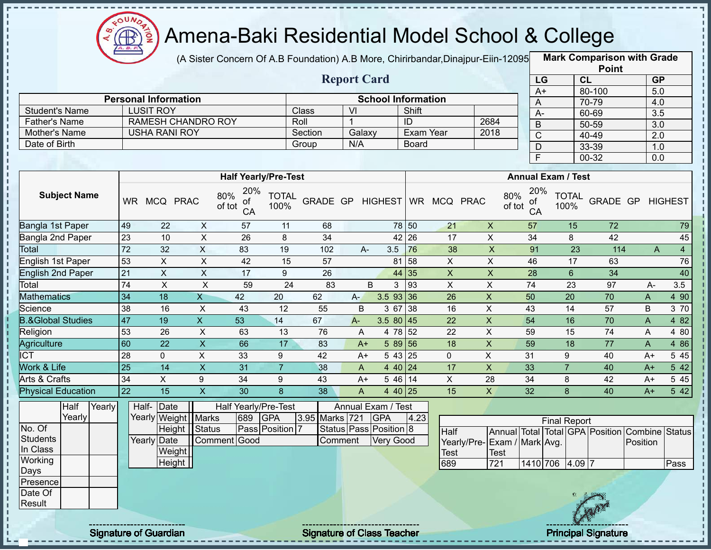

л п

 $\mathbf I$ 

 $\mathbf I$ 

 $\begin{array}{c} 1 & 1 & 1 \\ 1 & 1 & 1 \\ 1 & 1 & 1 \end{array}$ 

#### Amena-Baki Residential Model School & College

(A Sister Concern Of A.B Foundation) A.B More, Chirirbandar,Dinajpur-Eiin-12095 **Mark Comparison with Grade** 

|                      |                             |         | <b>Report Card</b> |                           |      |
|----------------------|-----------------------------|---------|--------------------|---------------------------|------|
|                      | <b>Personal Information</b> |         |                    | <b>School Information</b> |      |
| Student's Name       | <b>LUSIT ROY</b>            | Class   | VI                 | Shift                     |      |
| <b>Father's Name</b> | <b>RAMESH CHANDRO ROY</b>   | Roll    |                    | ID                        | 2684 |
| Mother's Name        | <b>USHA RANI ROY</b>        | Section | Galaxy             | Exam Year                 | 2018 |
| Date of Birth        |                             | Group   | N/A                | <b>Board</b>              |      |

|      | <b>Point</b> |                  |
|------|--------------|------------------|
| LG   | CL           | <b>GP</b>        |
| $A+$ | 80-100       | 5.0              |
| Α    | 70-79        | 4.0              |
| А-   | 60-69        | $\overline{3.5}$ |
| B    | 50-59        | $\overline{3.0}$ |
| C    | 40-49        | 2.0              |
| D    | 33-39        | 1.0              |
| F    | 00-32        | 0.0              |

|                              |           |              |             | <b>Half Yearly/Pre-Test</b>      |                      |                 |              |              |            |    |             |             | <b>Annual Exam / Test</b>        |                      |          |   |      |                |
|------------------------------|-----------|--------------|-------------|----------------------------------|----------------------|-----------------|--------------|--------------|------------|----|-------------|-------------|----------------------------------|----------------------|----------|---|------|----------------|
| <b>Subject Name</b>          | <b>WR</b> | <b>MCQ</b>   | <b>PRAC</b> | 20%<br>80%<br>οf<br>of tot<br>CA | <b>TOTAL</b><br>100% | <b>GRADE GP</b> |              | HIGHEST WR   |            |    | <b>MCQ</b>  | <b>PRAC</b> | 20%<br>80%<br>of<br>of tot<br>CA | <b>TOTAL</b><br>100% | GRADE GP |   |      | <b>HIGHEST</b> |
| Bangla 1st Paper             | 49        | 22           | X           | 57                               | 11                   | 68              |              |              | 78 50      |    | 21          | X           | 57                               | 15                   | 72       |   |      | 79             |
| Bangla 2nd Paper             | 23        | 10           | X           | 26                               | 8                    | 34              |              |              | 42 26      |    | 17          | X.          | 34                               | 8                    | 42       |   |      | 45             |
| <b>Total</b>                 | 72        | 32           | X           | 83                               | 19                   | 102             |              | 3.5<br>$A -$ |            | 76 | 38          | X           | 91                               | 23                   | 114      |   | A    | $\overline{4}$ |
| English 1st Paper            | 53        | X            | X           | 42                               | 15                   | 57              |              |              | 58<br>81   |    | X           | X           | 46                               | 17                   | 63       |   |      | 76             |
| <b>English 2nd Paper</b>     | 21        | X.           | X           | 17                               | 9                    | 26              |              |              | 44 35      |    | X           | X           | 28                               | 6                    | 34       |   |      | 40             |
| Total                        | 74        | X            | X           | 59                               | 24                   | 83              |              | B            | 93         |    | X           | X           | 74                               | 23                   | 97       |   | A-   | 3.5            |
| <b>Mathematics</b>           | 34        | 18           | X           | 42                               | 20                   | 62              | $A-$         | $3.5$ 93 36  |            |    | 26          | X           | 50                               | 20                   | 70       | A |      | 4 90           |
| Science                      | 38        | 16           | X           | 43                               | 12                   | 55              | B            | 3 67         | $\vert$ 38 |    | 16          | X           | 43                               | 14                   | 57       | B |      | 3 70           |
| <b>B.&amp;Global Studies</b> | 47        | 19           | X           | 53                               | 14                   | 67              | $A -$        | $3.580$ 45   |            |    | 22          | X           | 54                               | 16                   | 70       | A |      | 4 8 2          |
| Religion                     | 53        | 26           | X           | 63                               | 13                   | 76              | A            |              | 4 78 52    |    | 22          | X           | 59                               | 15                   | 74       | A |      | 4 80           |
| Agriculture                  | 60        | 22           | X           | 66                               | 17                   | 83              | $A+$         |              | $589$ 56   |    | 18          | X           | 59                               | 18                   | 77       |   | A    | 4 8 6          |
| <b>ICT</b>                   | 28        | $\mathbf{0}$ | X           | 33                               | 9                    | 42              | $A+$         |              | $543$ 25   |    | $\mathbf 0$ | X           | 31                               | 9                    | 40       |   | $A+$ | 5 4 5          |
| Work & Life                  | 25        | 14           | X           | 31                               |                      | 38              | $\mathsf{A}$ |              | 4 40 24    |    | 17          | X           | 33                               |                      | 40       |   | $A+$ | 5 4 2          |
| Arts & Crafts                | 34        | X            | 9           | 34                               | 9                    | 43              | $A+$         |              | $546$ 14   |    | X           | 28          | 34                               | 8                    | 42       |   | $A+$ | 5 4 5          |
| <b>Physical Education</b>    | 22        | 15           | X.          | 30                               | 8                    | 38              | A            |              | 4 40 25    |    | 15          | X           | 32                               | 8                    | 40       |   | $A+$ | 5 42           |

|          | Half   | Yearly | Half- Date                   |                       |     | Half Yearly/Pre-Test |                | Annual Exam / Test                 |      |                             |      |                 |                     |                              |     |                                                |      |
|----------|--------|--------|------------------------------|-----------------------|-----|----------------------|----------------|------------------------------------|------|-----------------------------|------|-----------------|---------------------|------------------------------|-----|------------------------------------------------|------|
|          | Yearly |        |                              | Yearly Weight   Marks | 689 | <b>GPA</b>           | 3.95 Marks 721 | <b>IGPA</b>                        | 4.23 |                             |      |                 | <b>Final Report</b> |                              |     |                                                |      |
| No. Of   |        |        |                              | Height Status         |     | Pass Position 7      |                | Status Pass Position 8             |      | Half                        |      |                 |                     |                              |     | Annual Total Total GPA Position Combine Status |      |
| Students |        |        | Yearly Date                  | Comment Good          |     |                      | ∣Comment       | <b>Very Good</b>                   |      | Yearly/Pre-Exam / Mark Avg. |      |                 |                     |                              |     | Position                                       |      |
| In Class |        |        | Weight                       |                       |     |                      |                |                                    |      | <b>Test</b>                 | Test |                 |                     |                              |     |                                                |      |
| Working  |        |        | Height                       |                       |     |                      |                |                                    |      | 689                         | 721  | 1410 706 4.09 7 |                     |                              |     |                                                | Pass |
| Days     |        |        |                              |                       |     |                      |                |                                    |      |                             |      |                 |                     |                              |     |                                                |      |
| Presence |        |        |                              |                       |     |                      |                |                                    |      |                             |      |                 |                     |                              |     |                                                |      |
| Date Of  |        |        |                              |                       |     |                      |                |                                    |      |                             |      |                 |                     |                              |     |                                                |      |
| Result   |        |        |                              |                       |     |                      |                |                                    |      |                             |      |                 |                     |                              | CAM |                                                |      |
|          |        |        |                              |                       |     |                      |                |                                    |      |                             |      |                 |                     |                              |     |                                                |      |
|          |        |        | ---------------------------- |                       |     |                      |                | ---------------------------------- |      |                             |      |                 |                     | -------- <del>--</del> ----- |     |                                                |      |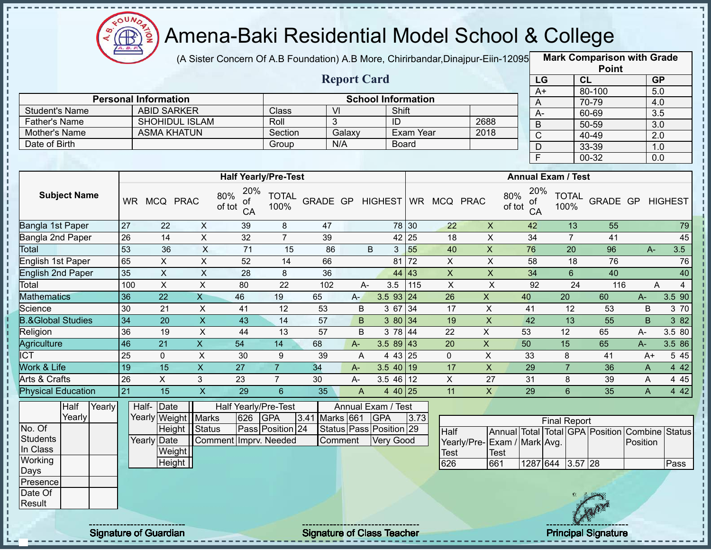

(A Sister Concern Of A.B Foundation) A.B More, Chirirbandar, Dinajpur-Eiin-12095

**Mark Comparison with Grade Point**

|                              |                 |                             |                           |                                  |                      |                   |                    |                           |           |                |                             |                 |                           | <b>LOIIII</b>                                  |                  |        |
|------------------------------|-----------------|-----------------------------|---------------------------|----------------------------------|----------------------|-------------------|--------------------|---------------------------|-----------|----------------|-----------------------------|-----------------|---------------------------|------------------------------------------------|------------------|--------|
|                              |                 |                             |                           |                                  |                      |                   | <b>Report Card</b> |                           |           |                |                             | LG              |                           | CL                                             | GP               |        |
|                              |                 |                             |                           |                                  |                      |                   |                    |                           |           |                |                             | $A+$            |                           | 80-100                                         | 5.0              |        |
|                              |                 | <b>Personal Information</b> |                           |                                  |                      |                   |                    | <b>School Information</b> |           |                |                             | A               |                           | 70-79                                          | 4.0              |        |
| <b>Student's Name</b>        |                 | <b>ABID SARKER</b>          |                           |                                  | Class                | $\overline{V}$    |                    | Shift                     |           |                |                             | $A-$            |                           | 60-69                                          | 3.5              |        |
| <b>Father's Name</b>         |                 | <b>SHOHIDUL ISLAM</b>       |                           |                                  | Roll                 | 3                 |                    | $\overline{ID}$           |           |                | 2688                        | $\overline{B}$  |                           | 50-59                                          | $\overline{3.0}$ |        |
| Mother's Name                |                 | <b>ASMA KHATUN</b>          |                           |                                  | Section              |                   | Galaxy             |                           | Exam Year |                | 2018                        | $\overline{C}$  |                           | 40-49                                          | $\overline{2.0}$ |        |
| Date of Birth                |                 |                             |                           |                                  | Group                | N/A               |                    |                           | Board     |                |                             | $\overline{D}$  |                           | 33-39                                          | 1.0              |        |
|                              |                 |                             |                           |                                  |                      |                   |                    |                           |           |                |                             | $\overline{F}$  |                           | $00 - 32$                                      | $\overline{0.0}$ |        |
|                              |                 |                             |                           | <b>Half Yearly/Pre-Test</b>      |                      |                   |                    |                           |           |                |                             |                 | <b>Annual Exam / Test</b> |                                                |                  |        |
| <b>Subject Name</b>          |                 | WR MCQ PRAC                 |                           | 20%<br>80%<br>ot<br>of tot<br>CA | <b>TOTAL</b><br>100% | GRADE GP HIGHEST  |                    |                           |           | WR MCQ PRAC    | 80%<br>of tot               | 20%<br>ot<br>CA | <b>TOTAL</b><br>100%      | <b>GRADE GP HIGHEST</b>                        |                  |        |
| Bangla 1st Paper             | $\overline{27}$ | 22                          | $\pmb{\times}$            | 39                               | 8                    | 47                |                    |                           | 78 30     | 22             | $\mathsf X$                 | 42              | 13                        | 55                                             |                  | 79     |
| Bangla 2nd Paper             | 26              | 14                          | $\sf X$                   | 32                               | $\overline{7}$       | 39                |                    |                           | 42 25     | 18             | $\mathsf{X}$                | 34              | $\overline{7}$            | 41                                             |                  | 45     |
| Total                        | 53              | 36                          | $\overline{\mathsf{x}}$   | $\overline{71}$                  | 15                   | 86                |                    | $\sf B$<br>$\mathfrak{S}$ | 55        | 40             | $\mathsf X$                 | 76              | $\overline{20}$           | 96                                             | $A -$            | 3.5    |
| English 1st Paper            | 65              | $\overline{X}$              | $\overline{X}$            | 52                               | $\overline{14}$      | 66                |                    | 81                        | 72        | $\overline{X}$ | $\overline{X}$              | 58              | $\overline{18}$           | 76                                             |                  | 76     |
| <b>English 2nd Paper</b>     | 35              | $\mathsf X$                 | $\sf X$                   | 28                               | $\,8\,$              | 36                |                    |                           | 44 43     | $\mathsf{X}$   | $\mathsf X$                 | 34              | $6\phantom{1}$            | 40                                             |                  | 40     |
| Total                        | 100             | X                           | $\mathsf X$               | 80                               | $\overline{22}$      | 102               | $A-$               | 3.5                       | 115       | $\pmb{\times}$ | $\pmb{\times}$              | 92              | 24                        | 116                                            | A                | 4      |
| <b>Mathematics</b>           | 36              | $\overline{22}$             | $\overline{X}$            | 46                               | 19                   | 65                | A-                 | $3.5$ 93 24               |           | 26             | $\overline{X}$              | 40              | 20                        | 60                                             | $A-$             | 3.5 90 |
| Science                      | 30              | 21                          | $\boldsymbol{\mathsf{X}}$ | 41                               | 12                   | 53                | B                  | 3 67 34                   |           | 17             | $\boldsymbol{\mathsf{X}}$   | 41              | 12                        | 53                                             | B                | 3 70   |
| <b>B.&amp;Global Studies</b> | 34              | 20                          | $\overline{\mathsf{x}}$   | 43                               | 14                   | 57                | B                  | 3 80 34                   |           | 19             | $\pmb{\times}$              | 42              | $\overline{13}$           | 55                                             | B                | 382    |
| Religion                     | 36              | 19                          | $\mathsf{X}$              | 44                               | 13                   | 57                | B                  | 3 78 44                   |           | 22             | $\pmb{\times}$              | 53              | 12                        | 65                                             | $A -$            | 3.5 80 |
| Agriculture                  | 46              | 21                          | $\overline{X}$            | 54                               | 14                   | 68                | A-                 | $3.589$ 43                |           | 20             | $\mathsf{X}$                | 50              | 15                        | 65                                             | A-               | 3.5 86 |
| <b>ICT</b>                   | 25              | $\mathbf{0}$                | X                         | 30                               | 9                    | 39                | $\overline{A}$     | 4 43 25                   |           | $\Omega$       | X                           | 33              | 8                         | 41                                             | $A+$             | 5 4 5  |
| <b>Work &amp; Life</b>       | 19              | $\overline{15}$             | $\mathsf{X}$              | 27                               | $\overline{7}$       | 34                | $A -$              | $3.540$ 19                |           | 17             | $\pmb{\times}$              | 29              | $\overline{7}$            | 36                                             | $\mathsf{A}$     | 4 4 2  |
| Arts & Crafts                | $\overline{26}$ | X                           | 3                         | 23                               | $\overline{7}$       | 30                | $A -$              | $3.546$ 12                |           | X              | 27                          | 31              | 8                         | 39                                             | A                | 4 4 5  |
| <b>Physical Education</b>    | 21              | $\overline{15}$             | $\overline{X}$            | $\overline{29}$                  | 6                    | 35                | $\overline{A}$     | 4 40 25                   |           | 11             | $\mathsf{X}$                | 29              | $6\overline{6}$           | 35                                             | A                | 442    |
| Half<br>Yearly               |                 | Half- Date                  |                           | Half Yearly/Pre-Test             |                      |                   |                    | Annual Exam / Test        |           |                |                             |                 |                           |                                                |                  |        |
| Yearly                       |                 | Yearly Weight   Marks       |                           | 626                              | <b>GPA</b>           | 3.41<br>Marks 661 |                    | <b>GPA</b>                | 3.73      |                |                             |                 | <b>Final Report</b>       |                                                |                  |        |
| No. Of                       |                 |                             | Height   Status           |                                  | Pass Position 24     |                   |                    | Status Pass Position 29   |           | Half           |                             |                 |                           | Annual Total Total GPA Position Combine Status |                  |        |
| <b>Students</b>              |                 | <b>Yearly Date</b>          |                           | Comment Imprv. Needed            |                      | Comment           |                    | Very Good                 |           |                | Yearly/Pre-Exam / Mark Avg. |                 |                           |                                                | Position         |        |
| In Class                     |                 | Weight                      |                           |                                  |                      |                   |                    |                           |           | <b>Test</b>    | <b>Test</b>                 |                 |                           |                                                |                  |        |
| Working                      |                 | Height                      |                           |                                  |                      |                   |                    |                           |           | 626            | 661                         | 1287 644        | $3.57$ 28                 |                                                |                  | Pass   |
| Days                         |                 |                             |                           |                                  |                      |                   |                    |                           |           |                |                             |                 |                           |                                                |                  |        |
| Presence                     |                 |                             |                           |                                  |                      |                   |                    |                           |           |                |                             |                 |                           |                                                |                  |        |
| Date Of                      |                 |                             |                           |                                  |                      |                   |                    |                           |           |                |                             |                 |                           |                                                |                  |        |
| Result                       |                 |                             |                           |                                  |                      |                   |                    |                           |           |                |                             |                 |                           |                                                |                  |        |
|                              |                 |                             |                           |                                  |                      |                   |                    |                           |           |                |                             |                 |                           |                                                |                  |        |

Signature of Guardian Signature of Class Teacher Principal Signature of Class Teacher Principal Signature



IS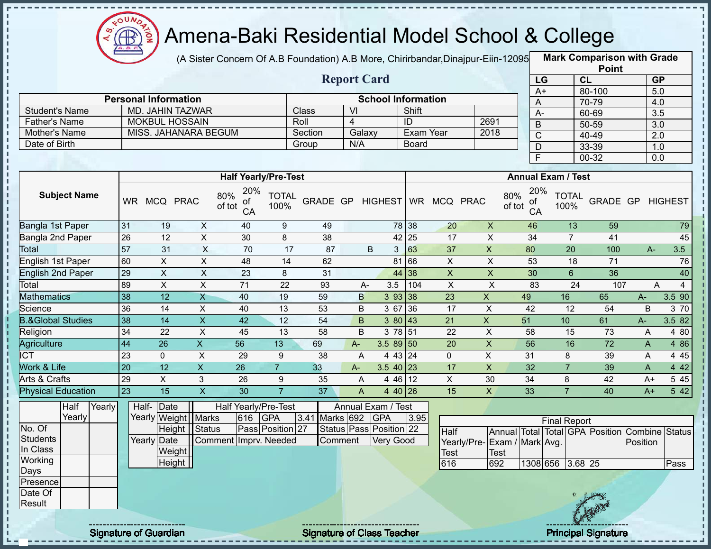

(A Sister Concern Of A.B Foundation) A.B More, Chirirbandar, Dinajpur-Eiin-12095

**Mark Comparison with Grade**

|                      |                             |         | <b>Report Card</b> |                           |      |   |
|----------------------|-----------------------------|---------|--------------------|---------------------------|------|---|
|                      | <b>Personal Information</b> |         |                    | <b>School Information</b> |      |   |
| Student's Name       | MD. JAHIN TAZWAR            | Class   | VI                 | Shift                     |      |   |
| <b>Father's Name</b> | <b>MOKBUL HOSSAIN</b>       | Roll    |                    | ID                        | 2691 | B |
| Mother's Name        | MISS. JAHANARA BEGUM        | Section | Galaxy             | Exam Year                 | 2018 |   |
| Date of Birth        |                             | Group   | N/A                | <b>Board</b>              |      |   |
|                      |                             |         |                    |                           |      |   |

|                 | <b>Point</b> |                  |
|-----------------|--------------|------------------|
| LG              | <b>CL</b>    | <b>GP</b>        |
| $\overline{A+}$ | 80-100       | 5.0              |
| A               | 70-79        | 4.0              |
| А-              | 60-69        | $\overline{3.5}$ |
| B               | 50-59        | 3.0              |
| C               | 40-49        | 2.0              |
| D               | 33-39        | 1.0              |
| E               | 00-32        | 0.0              |

|                              |           |            |             | <b>Half Yearly/Pre-Test</b>      |                      |          |       |    |                |           |             |             | <b>Annual Exam / Test</b>        |                      |          |       |         |
|------------------------------|-----------|------------|-------------|----------------------------------|----------------------|----------|-------|----|----------------|-----------|-------------|-------------|----------------------------------|----------------------|----------|-------|---------|
| <b>Subject Name</b>          | <b>WR</b> | <b>MCQ</b> | <b>PRAC</b> | 20%<br>80%<br>οf<br>of tot<br>CA | <b>TOTAL</b><br>100% | GRADE GP |       |    | <b>HIGHEST</b> | <b>WR</b> | <b>MCQ</b>  | <b>PRAC</b> | 20%<br>80%<br>0f<br>of tot<br>CA | <b>TOTAL</b><br>100% | GRADE GP |       | HIGHEST |
| Bangla 1st Paper             | 31        | 19         | X           | 40                               | 9                    | 49       |       |    | 78 38          |           | 20          | X           | 46                               | 13                   | 59       |       | 79      |
| Bangla 2nd Paper             | 26        | 12         | X           | 30                               | 8                    | 38       |       |    | 42 25          |           | 17          | X           | 34                               |                      | 41       |       | 45      |
| Total                        | 57        | 31         | X           | 70                               | 17                   | 87       |       | B  | 3              | 63        | 37          | X           | 80                               | 20                   | 100      | $A -$ | 3.5     |
| English 1st Paper            | 60        | X.         | X           | 48                               | 14                   | 62       |       |    | 81 66          |           | X           | X           | 53                               | 18                   | 71       |       | 76      |
| English 2nd Paper            | 29        | X.         | X           | 23                               | 8                    | 31       |       |    | 44 38          |           | X           | X           | 30                               | 6                    | 36       |       | 40      |
| Total                        | 89        | X          | X           | 71                               | 22                   | 93       |       | A- | 3.5            | 104       | X           | X           | 83                               | 24                   | 107      |       | A       |
| <b>Mathematics</b>           | 38        | 12         | X           | 40                               | 19                   | 59       |       | B  | 393 38         |           | 23          | X.          | 49                               | 16                   | 65       | A-    | 3.5 90  |
| Science                      | 36        | 14         | X           | 40                               | 13                   | 53       |       | B  | 3 67           | 36        | 17          | X           | 42                               | 12                   | 54       | B     | 3 70    |
| <b>B.&amp;Global Studies</b> | 38        | 14         | X.          | 42                               | 12                   | 54       |       | B. | 3 80           | 43        | 21          | X.          | 51                               | 10                   | 61       | $A -$ | 3.5 82  |
| Religion                     | 34        | 22         | X           | 45                               | 13                   | 58       |       | B  | 3 78 51        |           | 22          | X           | 58                               | 15                   | 73       | A     | 4 80    |
| Agriculture                  | 44        | 26         | X.          | 56                               | 13                   | 69       | $A -$ |    | $3.589$ 50     |           | 20          | X.          | 56                               | 16                   | 72       | A     | 4 8 6   |
| <b>ICT</b>                   | 23        | 0          | X           | 29                               | 9                    | 38       |       | A  | 4 43 24        |           | $\mathbf 0$ | X           | 31                               | 8                    | 39       | A     | 4 4 5   |
| <b>Nork &amp; Life</b>       | 20        | 12         | X           | 26                               | $\overline{7}$       | 33       | $A-$  |    | $3.540$ 23     |           | 17          | X           | 32                               |                      | 39       | A     | 4 4 2   |
| Arts & Crafts                | 29        | X          | 3           | 26                               | 9                    | 35       |       | A  | 4 46 12        |           | X           | 30          | 34                               | 8                    | 42       | $A+$  | 5 4 5   |
| <b>Physical Education</b>    | 23        | 15         | X.          | 30                               |                      | 37       |       | A  | 4 40 26        |           | 15          | X.          | 33                               |                      | 40       | $A+$  | 542     |

|                 | Half   | Yearly | Half-Date             |                       |         | Half Yearly/Pre-Test |                | Annual Exam / Test      |      |                              |             |                     |     |                                                |      |
|-----------------|--------|--------|-----------------------|-----------------------|---------|----------------------|----------------|-------------------------|------|------------------------------|-------------|---------------------|-----|------------------------------------------------|------|
|                 | Yearly |        | Yearly Weight   Marks |                       | 616 GPA |                      | 3.41 Marks 692 | <b>GPA</b>              | 3.95 |                              |             | <b>Final Report</b> |     |                                                |      |
| No. Of          |        |        |                       | Height   Status       |         | Pass Position 27     |                | Status Pass Position 22 |      | <b>Half</b>                  |             |                     |     | Annual Total Total GPA Position Combine Status |      |
| Students        |        |        | Yearly Date           | Comment Imprv. Needed |         |                      | <b>Comment</b> | <b>Very Good</b>        |      | Yearly/Pre- Exam / Mark Avg. |             |                     |     | Position                                       |      |
| In Class        |        |        | Weight                |                       |         |                      |                |                         |      | <b>Test</b>                  | <b>Test</b> |                     |     |                                                |      |
| Working         |        |        | Height                |                       |         |                      |                |                         |      | 616                          | 692         | 1308 656 3.68 25    |     |                                                | Pass |
| Days            |        |        |                       |                       |         |                      |                |                         |      |                              |             |                     |     |                                                |      |
| <b>Presence</b> |        |        |                       |                       |         |                      |                |                         |      |                              |             |                     |     |                                                |      |
| Date Of         |        |        |                       |                       |         |                      |                |                         |      |                              |             |                     |     |                                                |      |
| Result          |        |        |                       |                       |         |                      |                |                         |      |                              |             |                     |     |                                                |      |
|                 |        |        |                       |                       |         |                      |                |                         |      |                              |             |                     | CRM |                                                |      |

Ţ

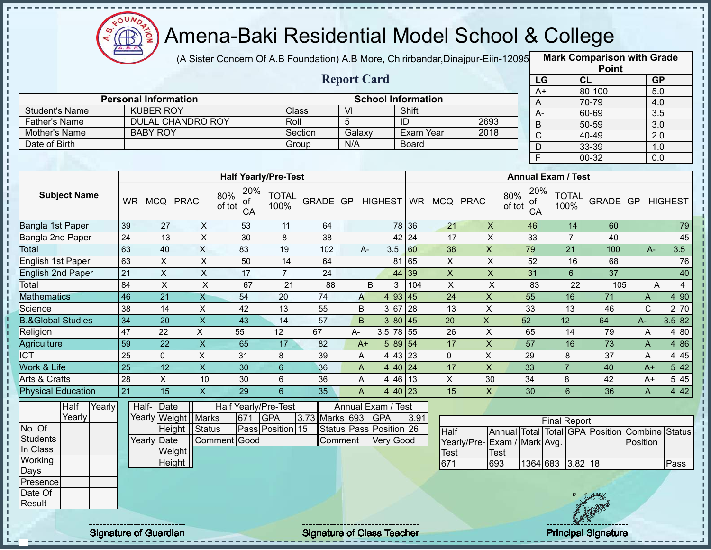

f,

# Amena-Baki Residential Model School & College

(A Sister Concern Of A.B Foundation) A.B More, Chirirbandar,Dinajpur-Eiin-120950

**Mark Comparison with Grade Point**

|                      |                             |                  |                          |                                  |                      |         |     |                              |           |              |      |               |                 |                           | Point     |           |                |
|----------------------|-----------------------------|------------------|--------------------------|----------------------------------|----------------------|---------|-----|------------------------------|-----------|--------------|------|---------------|-----------------|---------------------------|-----------|-----------|----------------|
|                      |                             |                  |                          |                                  |                      |         |     | <b>Report Card</b>           |           |              |      |               | LG              |                           | <b>CL</b> | <b>GP</b> |                |
|                      |                             |                  |                          |                                  |                      |         |     |                              |           |              |      |               | A+              |                           | 80-100    | 5.0       |                |
|                      | <b>Personal Information</b> |                  |                          |                                  |                      |         |     | <b>School Information</b>    |           |              |      |               | A               |                           | 70-79     | 4.0       |                |
| Student's Name       |                             | <b>KUBER ROY</b> |                          |                                  |                      | Class   | VI  |                              | Shift     |              |      |               | A-              |                           | 60-69     | 3.5       |                |
| <b>Father's Name</b> |                             |                  | <b>DULAL CHANDRO ROY</b> |                                  | Roll                 |         | 5   |                              | ID        |              | 2693 |               | B               |                           | 50-59     | 3.0       |                |
| Mother's Name        |                             | <b>BABY ROY</b>  |                          |                                  |                      | Section |     | Galaxy                       | Exam Year |              | 2018 |               | С               |                           | 40-49     | 2.0       |                |
| Date of Birth        |                             |                  |                          |                                  |                      | Group   | N/A |                              | Board     |              |      |               | D               |                           | 33-39     | 1.0       |                |
|                      |                             |                  |                          |                                  |                      |         |     |                              |           |              |      |               | F               |                           | 00-32     | 0.0       |                |
|                      |                             |                  |                          |                                  |                      |         |     |                              |           |              |      |               |                 |                           |           |           |                |
|                      |                             |                  |                          | <b>Half Yearly/Pre-Test</b>      |                      |         |     |                              |           |              |      |               |                 | <b>Annual Exam / Test</b> |           |           |                |
| <b>Subject Name</b>  | <b>WR</b>                   |                  | MCQ PRAC                 | 20%<br>80%<br>of<br>of tot<br>CA | <b>TOTAL</b><br>100% |         |     | GRADE GP HIGHEST WR MCQ PRAC |           |              |      | 80%<br>of tot | 20%<br>οf<br>CA | <b>TOTAL</b><br>100%      | GRADE GP  |           | <b>HIGHEST</b> |
| Bangla 1st Paper     | 39                          | 27               | X                        | 53                               | 11                   | 64      |     |                              | 78 36     | 21           | X    |               | 46              | 14                        | 60        |           | 79             |
| Bangla 2nd Paper     | 24                          | 13               | X                        | 30                               | 8                    | 38      |     |                              | 42 24     | 17           | X    |               | 33              | 7                         | 40        |           | 45             |
| Total                | 63                          | 40               | X                        | 83                               | 19                   | 102     |     | 3.5<br>$A-$                  | 60        | 38           | X    |               | 79              | 21                        | 100       | $A -$     | 3.5            |
| English 1st Paper    | 63                          | X                | X                        | 50                               | 14                   | 64      |     | 81                           | 65        | X            | X    |               | 52              | 16                        | 68        |           | 76             |
| English 2nd Paper    | 21                          | X                | X                        | 17                               | 7                    | 24      |     | 44                           | 39        | X            | X    |               | 31              | 6                         | 37        |           | 40             |
| Total                | RA                          | X                | x                        | 67                               | 21                   | 88      |     | $\mathcal{R}$<br>R.          | 1104      | $\mathsf{x}$ |      |               | R3              | 22                        | 105       | Д         | 4              |

| ινιαι                        | ט ו       | Ψ   | $\lambda$ | ບບ | ιJ | U  | $\Gamma$ | ບ.ບ          | 1 UU | ັບບ | $\Lambda$ | 1 J | ∠ । | 1 U U | $\Gamma$     | ⊽.⊽     |
|------------------------------|-----------|-----|-----------|----|----|----|----------|--------------|------|-----|-----------|-----|-----|-------|--------------|---------|
| English 1st Paper            | 63        |     |           | 50 | 14 | 64 |          | 81           | 65   |     |           | 52  | 16  | 68    |              | 76      |
| <b>English 2nd Paper</b>     | 21        |     |           |    |    | 24 |          | 44 39        |      |     |           | 31  | n   | 37    |              | 40      |
| Total                        | 84        |     |           | 67 | 21 | 88 | B        |              | 104  |     |           | 83  | 22  | 105   | $\mathsf{A}$ |         |
| Mathematics                  | 146       | 21  |           | 54 | 20 | 74 | A        | 93 45        |      | 24  |           | 55  | 16. |       | $\mathsf{A}$ | 90<br>4 |
| Science                      | 38        | 14  | Λ         | 42 | 13 | 55 | B        | 3 67         | 128  | 13  |           | 33  | 13  | 46    | ◡            | 2 70    |
| <b>B.&amp;Global Studies</b> | 134       | 20  |           | 43 | 14 | 57 | B        | 3 80 45      |      | 20  |           | 52  | 12  | 64    | А-           | 3.582   |
| Religion                     | 147       | 22  |           | 55 | 12 | 67 | A-       | 3.5<br>78 55 |      | 26  |           | 65  | 14  | 79    | A            | 80<br>4 |
| Agriculture                  | l 59      | 22  |           | 65 |    | 82 | A+       | 5 89 54      |      | 17  |           | 57  | 16  | 73    | A            | 4 8 6   |
| <b>ICT</b>                   | <b>25</b> |     |           | 31 |    | 39 | A        | 43   23<br>4 |      |     |           | 29  |     | 37    | A            | 4 4 5   |
| Work & Life                  | l 25      | 12  |           | 30 |    | 36 | A        | 40124<br>4   |      | 17  | ∧         | 33  |     | 40    | $A+$         | 5 4 2   |
| Arts & Crafts                | 28        |     | 10        | 30 |    | 36 |          | 46 13        |      |     | 30        | 34  |     | 42    | A+           | 5 4 5   |
| <b>Physical Education</b>    | l 21      | 15. |           | 29 |    | 35 |          | 4 40 $ 23$   |      | 15  |           | 30  |     | 36    |              | 4 4 2   |

|          | Half    | Yearly |             | Half- Date            |              |     | Half Yearly/Pre-Test |                | Annual Exam / Test      |      |                |      |
|----------|---------|--------|-------------|-----------------------|--------------|-----|----------------------|----------------|-------------------------|------|----------------|------|
|          | Yearlvl |        |             | Yearly Weight   Marks |              | 671 | <b>GPA</b>           | 3.73 Marks 693 | <b>IGPA</b>             | 3.91 |                |      |
| No. Of   |         |        |             | Height   Status       |              |     | Pass Position 15     |                | Status Pass Position 26 |      | <b>Half</b>    | Ann  |
| Students |         |        | Yearly Date |                       | Comment Good |     |                      | Comment        | <b>Very Good</b>        |      | Yearly/Pre-Exa |      |
| In Class |         |        |             | Weight                |              |     |                      |                |                         |      | <b>Test</b>    | Test |
| Working  |         |        |             | Height                |              |     |                      |                |                         |      | 671            | 693  |
| Days     |         |        |             |                       |              |     |                      |                |                         |      |                |      |
| Presence |         |        |             |                       |              |     |                      |                |                         |      |                |      |
| Date Of  |         |        |             |                       |              |     |                      |                |                         |      |                |      |
| Result   |         |        |             |                       |              |     |                      |                |                         |      |                |      |

|                              |      |                  | <b>Final Report</b> |  |                                                |       |
|------------------------------|------|------------------|---------------------|--|------------------------------------------------|-------|
| Half                         |      |                  |                     |  | Annual Total Total GPA Position Combine Status |       |
| Yearly/Pre- Exam / Mark Avg. |      |                  |                     |  | <b>IPosition</b>                               |       |
| Test                         | Test |                  |                     |  |                                                |       |
| 671                          | 693  | 1364 683 3.82 18 |                     |  |                                                | lPass |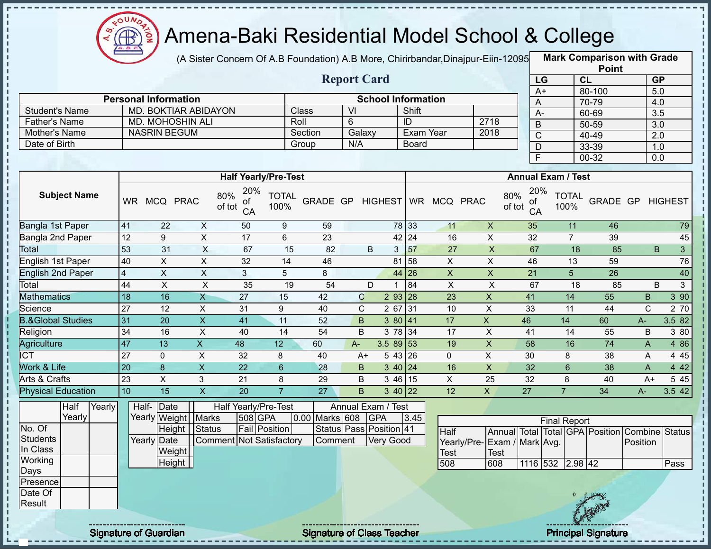

(A Sister Concern Of A.B Foundation) A.B More, Chirirbandar, Dinajpur-Eiin-12095

**Mark Comparison with Grade**

|                       |                             |         | <b>Report Card</b> |                           |      |  |
|-----------------------|-----------------------------|---------|--------------------|---------------------------|------|--|
|                       | <b>Personal Information</b> |         |                    | <b>School Information</b> |      |  |
| <b>Student's Name</b> | MD. BOKTIAR ABIDAYON        | Class   | Μ                  | Shift                     |      |  |
| <b>Father's Name</b>  | <b>MD. MOHOSHIN ALI</b>     | Roll    |                    | ID                        | 2718 |  |
| Mother's Name         | <b>NASRIN BEGUM</b>         | Section | Galaxy             | Exam Year                 | 2018 |  |
| Date of Birth         |                             | Group   | N/A                | Board                     |      |  |
|                       |                             |         |                    |                           |      |  |

|                 | <b>Point</b> |                  |
|-----------------|--------------|------------------|
| LG              | CL           | <b>GP</b>        |
| $\overline{A+}$ | 80-100       | 5.0              |
| A               | 70-79        | 4.0              |
| А-              | 60-69        | $\overline{3.5}$ |
| B               | 50-59        | 3.0              |
| C               | 40-49        | 2.0              |
| D               | 33-39        | 1.0              |
| E               | 00-32        | 0.0              |

|                              |           |            |              | <b>Half Yearly/Pre-Test</b>      |                      |          |       |                |                      |           |             |              | <b>Annual Exam / Test</b>        |                      |                 |              |                |                |
|------------------------------|-----------|------------|--------------|----------------------------------|----------------------|----------|-------|----------------|----------------------|-----------|-------------|--------------|----------------------------------|----------------------|-----------------|--------------|----------------|----------------|
| <b>Subject Name</b>          | <b>WR</b> | <b>MCQ</b> | <b>PRAC</b>  | 20%<br>80%<br>of<br>of tot<br>CA | <b>TOTAL</b><br>100% | GRADE GP |       | <b>HIGHEST</b> |                      | <b>WR</b> | MCQ PRAC    |              | 20%<br>80%<br>οf<br>of tot<br>CA | <b>TOTAL</b><br>100% | <b>GRADE GP</b> |              | <b>HIGHEST</b> |                |
| Bangla 1st Paper             | 41        | 22         | X            | 50                               | 9                    | 59       |       |                | 78 33                |           | 11          | X            | 35                               | 11                   | 46              |              |                | 79             |
| Bangla 2nd Paper             | 12        | 9          | X            | 17                               | 6                    | 23       |       |                | $42$   24            |           | 16          | X            | 32                               |                      | 39              |              |                | 45             |
| Total                        | 53        | 31         | X            | 67                               | 15                   | 82       |       | B              | 3                    | 57        | 27          | X            | 67                               | 18                   | 85              |              | B              | $\mathfrak{S}$ |
| English 1st Paper            | 40        | X.         | X            | 32                               | 14                   | 46       |       |                | 81 58                |           | X           | X            | 46                               | 13                   | 59              |              |                | 76             |
| <b>English 2nd Paper</b>     | 4         | X          | $\mathsf{X}$ | 3                                | 5                    | 8        |       |                | 44 26                |           | X           | X.           | 21                               | 5                    | 26              |              |                | 40             |
| Total                        | 44        | X          | X            | 35                               | 19                   | 54       |       | D              |                      | 84        | X           | X            | 67                               | 18                   | 85              |              | B              | 3              |
| <b>Mathematics</b>           | 18        | 16         | X            | 27                               | 15                   | 42       | C     |                | $293$ 28             |           | 23          | X            | 41                               | 14                   | 55              | B            |                | 390            |
| Science                      | 27        | 12         | X            | 31                               | 9                    | 40       | С     | 2 67           | 31                   |           | 10          | Χ            | 33                               | 11                   | 44              | C            |                | 2 70           |
| <b>B.&amp;Global Studies</b> | 31        | 20         | $\mathsf{X}$ | 41                               | 11                   | 52       | B     |                | 380 41               |           | 17          | X            | 46                               | 14                   | 60              | A-           |                | 3.582          |
| Religion                     | 34        | 16         | X            | 40                               | 14                   | 54       | B     |                | 3 78 34              |           | 17          | X            | 41                               | 14                   | 55              | B            |                | 3 80           |
| Agriculture                  | 47        | 13         | X.           | 48                               | 12                   | 60       | $A -$ | $3.589$ 53     |                      |           | 19          | X            | 58                               | 16                   | 74              | A            |                | 4 8 6          |
| <b>ICT</b>                   | 27        | 0          | X            | 32                               | 8                    | 40       | A+    |                | 543 26               |           | $\mathbf 0$ | X            | 30                               | 8                    | 38              | $\mathsf{A}$ |                | 4 4 5          |
| Work & Life                  | 20        | 8          | X.           | 22                               | 6                    | 28       | B     |                | $3 \, 40 \,   \, 24$ |           | 16          | X            | 32                               | 6                    | 38              | A            |                | 4 4 2          |
| Arts & Crafts                | 23        | X          | 3            | 21                               | 8                    | 29       | B     |                | 3 46 15              |           | X           | 25           | 32                               | 8                    | 40              | $A+$         |                | 5 4 5          |
| <b>Physical Education</b>    | 10        | 15         | X            | 20                               |                      | 27       | B     |                | $3 \, 40 \,   22$    |           | 12          | $\mathsf{X}$ | 27                               |                      | 34              | $A -$        |                | 3.542          |

|                 | Half    | Yearly | Half- Date  |                       |                          | Half Yearly/Pre-Test |                | Annual Exam / Test      |      |     |
|-----------------|---------|--------|-------------|-----------------------|--------------------------|----------------------|----------------|-------------------------|------|-----|
|                 | Yearlyl |        |             | Yearly Weight   Marks |                          | 508 GPA              | 0.00 Marks 608 | <b>IGPA</b>             | 3.45 |     |
| No. Of          |         |        |             | Height                | <b>Status</b>            | <b>Fail Position</b> |                | Status Pass Position 41 |      | Ha  |
| <b>Students</b> |         |        | Yearly Date |                       | Comment Not Satisfactory |                      | Comment        | Verv Good               |      | Ye  |
| In Class        |         |        |             | Weight                |                          |                      |                |                         |      | Tes |
| Working         |         |        |             | Height                |                          |                      |                |                         |      | 508 |
| Days            |         |        |             |                       |                          |                      |                |                         |      |     |
| Presence        |         |        |             |                       |                          |                      |                |                         |      |     |
| Date Of         |         |        |             |                       |                          |                      |                |                         |      |     |
| Result          |         |        |             |                       |                          |                      |                |                         |      |     |

|                              |      |                  | <b>Final Report</b> |  |                                                |      |
|------------------------------|------|------------------|---------------------|--|------------------------------------------------|------|
| <b>Half</b>                  |      |                  |                     |  | Annual Total Total GPA Position Combine Status |      |
| Yearly/Pre- Exam / Mark Avg. |      |                  |                     |  | Position                                       |      |
| <b>Test</b>                  | Test |                  |                     |  |                                                |      |
| 508                          | 608  | 1116 532 2.98 42 |                     |  |                                                | Pass |

J, J.

Ţ

 $\mathbf I$  $\mathbf I$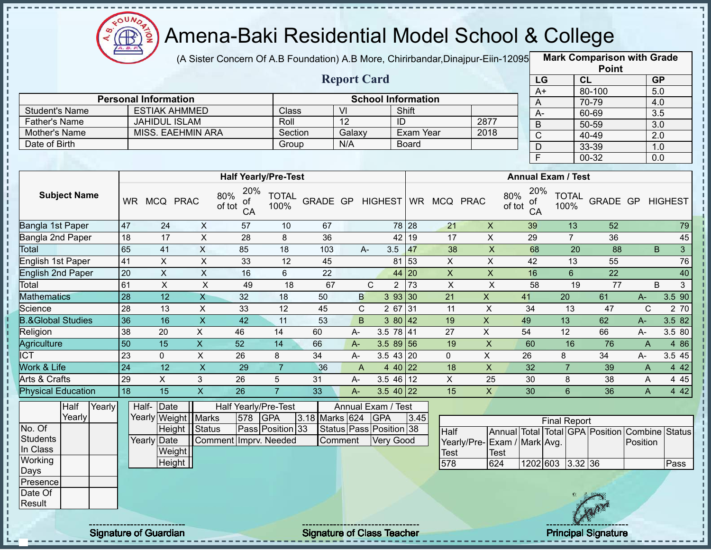

(A Sister Concern Of A.B Foundation) A.B More, Chirirbandar,Dinajpur-Eiin-120950

**Mark Comparison with Grade Point**

|                              |                 |                                   |                 |                                  |                      |                | <b>Report Card</b>            |                           |                |              |                              |                                            |               | LG               |                           | CL                              |                       | GP               |                |
|------------------------------|-----------------|-----------------------------------|-----------------|----------------------------------|----------------------|----------------|-------------------------------|---------------------------|----------------|--------------|------------------------------|--------------------------------------------|---------------|------------------|---------------------------|---------------------------------|-----------------------|------------------|----------------|
|                              |                 | <b>Personal Information</b>       |                 |                                  |                      |                |                               | <b>School Information</b> |                |              |                              |                                            |               | $A+$             |                           | 80-100                          |                       | 5.0              |                |
| <b>Student's Name</b>        |                 | <b>ESTIAK AHMMED</b>              |                 |                                  | Class                |                | $\overline{\mathsf{M}}$       |                           | Shift          |              |                              |                                            |               | A                |                           | 70-79                           |                       | 4.0              |                |
| <b>Father's Name</b>         |                 | <b>JAHIDUL ISLAM</b>              |                 |                                  | Roll                 |                | $\overline{12}$               |                           | ID             |              |                              | 2877                                       |               | $A -$<br>$\sf B$ |                           | 60-69<br>50-59                  |                       | 3.5<br>3.0       |                |
| Mother's Name                |                 | <b>MISS. EAEHMIN ARA</b>          |                 |                                  | Section              |                | Galaxy                        |                           |                | Exam Year    |                              | 2018                                       |               | $\overline{C}$   |                           | 40-49                           |                       | $\overline{2.0}$ |                |
| Date of Birth                |                 |                                   |                 |                                  | Group                |                | N/A                           |                           |                | <b>Board</b> |                              |                                            |               | D                |                           | 33-39                           |                       | 1.0              |                |
|                              |                 |                                   |                 |                                  |                      |                |                               |                           |                |              |                              |                                            |               | F                |                           | $00 - 32$                       |                       | 0.0              |                |
|                              |                 |                                   |                 |                                  |                      |                |                               |                           |                |              |                              |                                            |               |                  |                           |                                 |                       |                  |                |
|                              |                 |                                   |                 | <b>Half Yearly/Pre-Test</b>      |                      |                |                               |                           |                |              |                              |                                            |               |                  | <b>Annual Exam / Test</b> |                                 |                       |                  |                |
| <b>Subject Name</b>          |                 | WR MCQ PRAC                       |                 | 20%<br>80%<br>οf<br>of tot<br>CA | <b>TOTAL</b><br>100% |                |                               |                           |                |              | GRADE GP HIGHEST WR MCQ PRAC |                                            | 80%<br>of tot | 20%<br>οf<br>CA  | <b>TOTAL</b><br>100%      | GRADE GP HIGHEST                |                       |                  |                |
| Bangla 1st Paper             | 47              | 24                                | $\sf X$         | 57                               | 10                   | 67             |                               |                           | 78 28          |              | 21                           | $\boldsymbol{\mathsf{X}}$                  |               | 39               | 13                        | 52                              |                       |                  | 79             |
| Bangla 2nd Paper             | 18              | 17                                | $\pmb{\times}$  | 28                               | 8                    | 36             |                               |                           | 42 19          |              | 17                           | $\pmb{\times}$                             |               | 29               | $\overline{7}$            | 36                              |                       |                  | 45             |
| Total                        | 65              | 41                                | X               | 85                               | 18                   | 103            |                               | A-                        | 3.5            | 47           | 38                           | $\pmb{\mathsf{X}}$                         |               | 68               | 20                        | 88                              |                       | B                | $\overline{3}$ |
| English 1st Paper            | 41              | X                                 | $\pmb{\times}$  | 33                               | 12                   | 45             |                               |                           | 81 53          |              | $\mathsf{X}$                 | $\pmb{\times}$                             |               | 42               | 13                        | 55                              |                       |                  | 76             |
| <b>English 2nd Paper</b>     | 20              | $\boldsymbol{\mathsf{X}}$         | $\pmb{\times}$  | 16                               | 6                    | 22             |                               |                           | 44 20          |              | $\pmb{\times}$               | $\boldsymbol{\mathsf{X}}$                  |               | 16               | $6\phantom{a}$            | 22                              |                       |                  | 40             |
| Total                        | 61              | X                                 | $\pmb{\times}$  | 49                               | 18                   | 67             |                               | $\mathbf C$               | $\overline{2}$ | 73           | $\pmb{\times}$               | $\pmb{\times}$                             |               | 58               | 19                        | $\overline{77}$                 |                       | B.               | $\overline{3}$ |
| <b>Mathematics</b>           | 28              | 12                                | X               | 32                               | 18                   | 50             | B                             |                           | 393 30         |              | 21                           | $\boldsymbol{\mathsf{X}}$                  |               | 41               | 20                        | 61                              | A-                    |                  | 3.5 90         |
| Science                      | 28              | 13                                | X               | 33                               | 12                   | 45             | $\mathsf{C}$                  |                           | $267$ 31       |              | 11                           | $\pmb{\times}$                             |               | 34               | 13                        | 47                              | $\mathsf{C}$          |                  | 2 70           |
| <b>B.&amp;Global Studies</b> | 36              | 16                                | $\mathsf X$     | 42                               | 11                   | 53             | B.                            |                           | 380 42         |              | 19                           | $\boldsymbol{\mathsf{X}}$                  |               | 49               | 13                        | 62                              | A-                    |                  | 3.5 82         |
| Religion                     | 38              | 20                                | $\mathsf{X}$    | 46                               | 14                   | 60             | A-                            |                           | 3.5 78 41      |              | 27                           | $\pmb{\times}$                             |               | 54               | 12                        | 66                              | A-                    |                  | 3.5 80         |
| Agriculture                  | 50              | 15                                | $\mathsf{X}$    | 52                               | 14                   | 66             | A-                            |                           | $3.589$ 56     |              | 19                           | $\boldsymbol{\mathsf{X}}$                  |               | 60               | 16                        | 76                              | $\mathsf{A}$          |                  | 4 8 6          |
| <b>ICT</b>                   | 23              | $\mathbf 0$                       | X               | 26                               | 8                    | 34             | А-                            |                           | $3.543$ 20     |              | $\mathbf 0$                  | $\mathsf{X}$                               |               | 26               | 8                         | 34                              | A-                    |                  | 3.5 45         |
| Work & Life                  | $\overline{24}$ | $\overline{12}$                   | $\mathsf X$     | 29                               | $\overline{7}$       | 36             | A                             |                           | 440 22         |              | 18                           | $\pmb{\times}$                             |               | 32               | $\overline{7}$            | 39                              | A                     |                  | 4 4 2          |
| <b>Arts &amp; Crafts</b>     | 29              | $\mathsf X$                       | 3               | 26                               | $\sqrt{5}$           | 31             | А-                            |                           | $3.546$ 12     |              | $\pmb{\times}$               | 25                                         |               | 30               | 8                         | 38                              | A                     |                  | 4 4 5          |
| <b>Physical Education</b>    | 18              | $\overline{15}$                   | $\overline{X}$  | 26                               | $\overline{7}$       | 33             | $A -$                         |                           | $3.540$ 22     |              | 15                           | $\mathsf{X}$                               |               | 30               | $6\overline{6}$           | 36                              | A                     |                  | 442            |
| Half<br>Yearly<br>Yearly     |                 | Half- Date<br>Yearly Weight Marks |                 | Half Yearly/Pre-Test<br>578      | <b>GPA</b>           | 3.18 Marks 624 | Annual Exam / Test            | <b>GPA</b>                |                | 3.45         |                              |                                            |               |                  | <b>Final Report</b>       |                                 |                       |                  |                |
| No. Of                       |                 |                                   | Height   Status |                                  | Pass Position 33     |                | Status   Pass   Position   38 |                           |                |              | Half                         |                                            |               |                  |                           | Annual Total Total GPA Position | <b>Combine Status</b> |                  |                |
| <b>Students</b><br>In Class  |                 | Yearly Date<br>Weight             |                 | Comment Imprv. Needed            |                      |                | Comment                       | <b>Very Good</b>          |                |              | <b>Test</b>                  | Yearly/Pre-Exam / Mark Avg.<br><b>Test</b> |               |                  |                           |                                 | Position              |                  |                |
| Working                      |                 | Height                            |                 |                                  |                      |                |                               |                           |                |              | 578                          | 624                                        |               |                  | 1202 603 3.32 36          |                                 |                       |                  | Pass           |
| Days                         |                 |                                   |                 |                                  |                      |                |                               |                           |                |              |                              |                                            |               |                  |                           |                                 |                       |                  |                |
| Presence                     |                 |                                   |                 |                                  |                      |                |                               |                           |                |              |                              |                                            |               |                  |                           |                                 |                       |                  |                |
| Date Of                      |                 |                                   |                 |                                  |                      |                |                               |                           |                |              |                              |                                            |               |                  |                           |                                 |                       |                  |                |
| Result                       |                 |                                   |                 |                                  |                      |                |                               |                           |                |              |                              |                                            |               |                  |                           |                                 |                       |                  |                |
|                              |                 |                                   |                 |                                  |                      |                |                               |                           |                |              |                              |                                            |               |                  |                           |                                 |                       |                  |                |

п п

п  $\blacksquare$ 

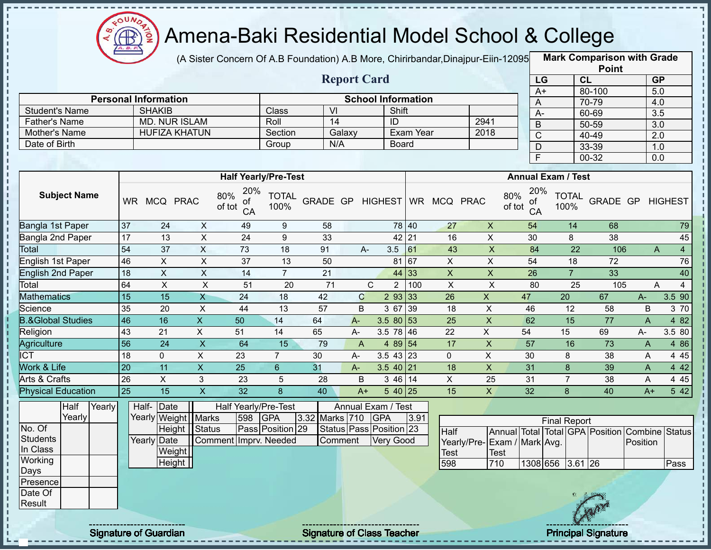

(A Sister Concern Of A.B Foundation) A.B More, Chirirbandar,Dinajpur-Eiin-120950

**Mark Comparison with Grade**

|                              |                 |                             |                           |                             |                      |                 |                    |                                |                    |                           |                             |                           |                     |                 | <b>Point</b>                                   |                  |                  |
|------------------------------|-----------------|-----------------------------|---------------------------|-----------------------------|----------------------|-----------------|--------------------|--------------------------------|--------------------|---------------------------|-----------------------------|---------------------------|---------------------|-----------------|------------------------------------------------|------------------|------------------|
|                              |                 |                             |                           |                             |                      |                 | <b>Report Card</b> |                                |                    |                           |                             | LG                        |                     | CL              |                                                | <b>GP</b>        |                  |
|                              |                 |                             |                           |                             |                      |                 |                    |                                |                    |                           |                             | $A+$                      |                     |                 | 80-100                                         | 5.0              |                  |
|                              |                 | <b>Personal Information</b> |                           |                             |                      | $\overline{V}$  |                    | <b>School Information</b>      |                    |                           |                             | A                         |                     |                 | 70-79                                          | 4.0              |                  |
| <b>Student's Name</b>        |                 | <b>SHAKIB</b>               |                           |                             | Class                | 14              |                    | Shift                          |                    |                           | 2941                        | $A -$                     |                     |                 | 60-69                                          | 3.5              |                  |
| <b>Father's Name</b>         |                 | <b>MD. NUR ISLAM</b>        |                           |                             | Roll                 |                 |                    | $\overline{1}$                 |                    |                           | 2018                        | $\overline{B}$            |                     |                 | $50 - 59$                                      | $\overline{3.0}$ |                  |
| Mother's Name                |                 | <b>HUFIZA KHATUN</b>        |                           |                             | Section              |                 | Galaxy             |                                | Exam Year          |                           |                             | $\overline{C}$            |                     |                 | $40 - 49$                                      | 2.0              |                  |
| Date of Birth                |                 |                             |                           |                             | Group                |                 | N/A                |                                | <b>Board</b>       |                           |                             | D                         |                     |                 | 33-39                                          | 1.0              |                  |
|                              |                 |                             |                           |                             |                      |                 |                    |                                |                    |                           |                             | $\overline{\mathsf{F}}$   |                     |                 | 00-32                                          | 0.0              |                  |
|                              |                 |                             |                           | <b>Half Yearly/Pre-Test</b> |                      |                 |                    |                                |                    |                           |                             | <b>Annual Exam / Test</b> |                     |                 |                                                |                  |                  |
|                              |                 |                             |                           | 20%                         |                      |                 |                    |                                |                    |                           |                             | 20%                       |                     |                 |                                                |                  |                  |
| <b>Subject Name</b>          |                 | WR MCQ PRAC                 |                           | 80%<br>0f<br>of tot<br>CA   | <b>TOTAL</b><br>100% | GRADE GP        |                    | <b>HIGHEST</b>                 |                    | WR MCQ PRAC               | 80%                         | οf<br>of tot<br>CA        | 100%                | <b>TOTAL</b>    | GRADE GP                                       |                  | <b>HIGHEST</b>   |
| Bangla 1st Paper             | 37              | 24                          | $\boldsymbol{\mathsf{X}}$ | 49                          | 9                    | 58              |                    |                                | 78 40              | 27                        | $\overline{\mathsf{x}}$     | 54                        |                     | 14              | 68                                             |                  | 79               |
| Bangla 2nd Paper             | 17              | 13                          | $\overline{\mathsf{x}}$   | 24                          | $\boldsymbol{9}$     | 33              |                    |                                | 42 21              | 16                        | $\overline{X}$              | 30                        |                     | 8               | 38                                             |                  | 45               |
| <b>Total</b>                 | 54              | $\overline{37}$             | $\overline{\mathsf{x}}$   | $\overline{73}$             | $\overline{18}$      | 91              |                    | 3.5<br>A-                      | 61                 | 43                        | $\overline{X}$              | 84                        |                     | $\overline{22}$ | 106                                            | A                | $\overline{4}$   |
| English 1st Paper            | 46              | $\overline{X}$              | $\boldsymbol{\mathsf{X}}$ | $\overline{37}$             | 13                   | 50              |                    |                                | 81 67              | $\pmb{\times}$            | $\overline{X}$              | 54                        |                     | 18              | 72                                             |                  | 76               |
| <b>English 2nd Paper</b>     | 18              | $\pmb{\times}$              | $\mathsf X$               | 14                          | $\overline{7}$       | $\overline{21}$ |                    |                                | 44 33              | $\boldsymbol{\mathsf{X}}$ | $\overline{\mathsf{x}}$     | 26                        |                     | $\overline{7}$  | 33                                             |                  | 40               |
| Total                        | 64              | $\overline{X}$              | $\overline{\mathsf{x}}$   | $\overline{51}$             | $\overline{20}$      | $\overline{71}$ |                    | $\mathsf{C}$<br>$\overline{2}$ | 100                | $\overline{\mathsf{x}}$   | $\overline{X}$              | $\overline{80}$           |                     | $\overline{25}$ | 105                                            | A                | $\overline{4}$   |
| <b>Mathematics</b>           | 15              | 15                          | $\mathsf{X}$              | 24                          | 18                   | 42              | $\mathbf C$        |                                | 293 33             | 26                        | $\boldsymbol{\mathsf{X}}$   | 47                        | 20                  |                 | 67                                             | $A-$             | 3.5 90           |
| Science                      | 35              | 20                          | $\mathsf X$               | $\overline{44}$             | 13                   | 57              | B                  | 3 67                           | 39                 | 18                        | $\mathsf X$                 | 46                        |                     | 12              | 58                                             | $\sf B$          | 3 70             |
| <b>B.&amp;Global Studies</b> | 46              | 16                          | X                         | 50                          | 14                   | 64              | $A -$              | $3.580$ 53                     |                    | 25                        | $\pmb{\mathsf{X}}$          | 62                        |                     | 15              | 77                                             | $\mathsf{A}$     | 4 8 2            |
| Religion                     | 43              | 21                          | X                         | 51                          | 14                   | 65              | A-                 | 3.5 78 46                      |                    | 22                        | $\mathsf{X}$                | 54                        | 15                  |                 | 69                                             | A-               | 3.5 80           |
| Agriculture                  | $\overline{56}$ | $\overline{24}$             | $\overline{X}$            | 64                          | $\overline{15}$      | 79              | $\overline{A}$     |                                | 4 89 54            | 17                        | $\pmb{\times}$              | 57                        |                     | 16              | 73                                             | $\overline{A}$   | 4 8 6            |
| ICT                          | $\overline{18}$ | $\mathbf 0$                 | $\overline{X}$            | 23                          | $\overline{7}$       | 30              | A-                 | $3.5$ 43 23                    |                    | $\mathbf 0$               | $\overline{X}$              | 30                        |                     | 8               | 38                                             | A                | 4 4 5            |
| Work & Life                  | $\overline{20}$ | 11                          | $\overline{\mathsf{x}}$   | $\overline{25}$             | $\sqrt{6}$           | 31              | $A -$              | $3.5 \ 40 \ 21$                |                    | 18                        | $\overline{X}$              | 31                        |                     | 8               | 39                                             | $\mathsf{A}$     | 442              |
| <b>Arts &amp; Crafts</b>     | 26              | $\overline{X}$              | $\mathfrak{S}$            | 23                          | $\sqrt{5}$           | 28              | B                  |                                | $346\overline{14}$ | $\overline{X}$            | 25                          | 31                        |                     | $\overline{7}$  | 38                                             | A                | 4 4 5            |
| Physical Education           | $\overline{25}$ | 15                          | $\overline{\mathsf{x}}$   | $\overline{32}$             | $\overline{8}$       | 40              | $A+$               |                                | 5 40 25            | 15                        | $\overline{X}$              | 32                        |                     | 8               | 40                                             | $A+$             | $5\overline{42}$ |
| Half<br>Yearly               |                 | Date<br>Half-               |                           | Half Yearly/Pre-Test        |                      |                 |                    | Annual Exam / Test             |                    |                           |                             |                           |                     |                 |                                                |                  |                  |
| Yearly                       |                 |                             | Yearly Weight   Marks     | 598                         | <b>GPA</b>           | 3.32 Marks 710  |                    | <b>GPA</b>                     | 3.91               |                           |                             |                           | <b>Final Report</b> |                 |                                                |                  |                  |
| No. Of                       |                 |                             | Height Status             |                             | Pass Position 29     |                 |                    | Status Pass Position 23        |                    | <b>Half</b>               |                             |                           |                     |                 | Annual Total Total GPA Position Combine Status |                  |                  |
| <b>Students</b>              |                 | Yearly Date                 |                           | Comment Imprv. Needed       |                      |                 | Comment            | <b>Very Good</b>               |                    |                           | Yearly/Pre-Exam / Mark Avg. |                           |                     |                 |                                                | Position         |                  |
| In Class                     |                 | Weight                      |                           |                             |                      |                 |                    |                                |                    | <b>Test</b>               | Test                        |                           |                     |                 |                                                |                  |                  |
| Working                      |                 | Height                      |                           |                             |                      |                 |                    |                                |                    | 598                       | 710                         |                           | 1308 656 3.61 26    |                 |                                                |                  | Pass             |
| Days                         |                 |                             |                           |                             |                      |                 |                    |                                |                    |                           |                             |                           |                     |                 |                                                |                  |                  |
| Presence                     |                 |                             |                           |                             |                      |                 |                    |                                |                    |                           |                             |                           |                     |                 |                                                |                  |                  |
| Date Of                      |                 |                             |                           |                             |                      |                 |                    |                                |                    |                           |                             |                           |                     |                 |                                                |                  |                  |
| Result                       |                 |                             |                           |                             |                      |                 |                    |                                |                    |                           |                             |                           |                     |                 |                                                |                  |                  |
|                              |                 |                             |                           |                             |                      |                 |                    |                                |                    |                           |                             |                           |                     |                 |                                                |                  |                  |

 $\blacksquare$ 

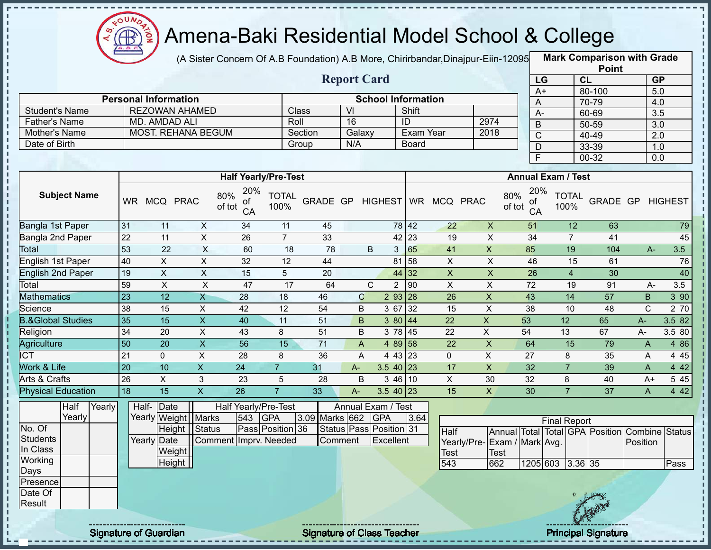

(A Sister Concern Of A.B Foundation) A.B More, Chirirbandar,Dinajpur-Eiin-12095 **Mark Comparison with Grade** 

|                      |                             |         | <b>Report Card</b> |                           |      |
|----------------------|-----------------------------|---------|--------------------|---------------------------|------|
|                      | <b>Personal Information</b> |         |                    | <b>School Information</b> |      |
| Student's Name       | <b>REZOWAN AHAMED</b>       | Class   | VI                 | Shift                     |      |
| <b>Father's Name</b> | MD. AMDAD ALI               | Roll    | 16                 | ID                        | 2974 |
| Mother's Name        | <b>MOST. REHANA BEGUM</b>   | Section | Galaxy             | Exam Year                 | 2018 |
| Date of Birth        |                             | Group   | N/A                | <b>Board</b>              |      |
|                      |                             |         |                    |                           |      |

|                       | <b>Point</b> |                  |
|-----------------------|--------------|------------------|
| LG                    | <b>CL</b>    | <b>GP</b>        |
| $A+$                  | 80-100       | 5.0              |
| Α                     | 70-79        | 4.0              |
| A-                    | 60-69        | $\overline{3.5}$ |
| B                     | 50-59        | $\overline{3.0}$ |
| $\overline{\text{c}}$ | 40-49        | 2.0              |
| D                     | 33-39        | 1.0              |
| F                     | 00-32        | 0.0              |

|                              |           |            |              |                                  | <b>Half Yearly/Pre-Test</b> |          |      |              |                                        |            |             | <b>Annual Exam / Test</b>        |                      |          |      |         |
|------------------------------|-----------|------------|--------------|----------------------------------|-----------------------------|----------|------|--------------|----------------------------------------|------------|-------------|----------------------------------|----------------------|----------|------|---------|
| <b>Subject Name</b>          | <b>WR</b> | <b>MCQ</b> | <b>PRAC</b>  | 20%<br>80%<br>οf<br>of tot<br>CA | <b>TOTAL</b><br>100%        | GRADE GP |      | HIGHEST   WR |                                        | <b>MCQ</b> | <b>PRAC</b> | 20%<br>80%<br>of<br>of tot<br>CA | <b>TOTAL</b><br>100% | GRADE GP |      | HIGHEST |
| Bangla 1st Paper             | 31        | 11         | X            | 34                               | 11                          | 45       |      |              | 78 42                                  | 22         | X           | 51                               | 12                   | 63       |      | 79      |
| Bangla 2nd Paper             | 22        | 11         | X            | 26                               | $\overline{7}$              | 33       |      |              | $42 \mid 23$                           | 19         | X           | 34                               | 7                    | 41       |      | 45      |
| Total                        | 53        | 22         | X            | 60                               | 18                          | 78       |      | B<br>3       | 65                                     | 41         | X           | 85                               | 19                   | 104      | A-   | 3.5     |
| English 1st Paper            | 40        | X.         | Χ            | 32                               | 12                          | 44       |      |              | 58<br>81                               | X          | X           | 46                               | 15                   | 61       |      | 76      |
| English 2nd Paper            | 19        | X          | X            | 15                               | 5                           | 20       |      |              | 44 32                                  | X          | X           | 26                               | 4                    | 30       |      | 40      |
| Total                        | 59        | X          | X            | 47                               | 17                          | 64       |      | С            | 90                                     | X          | Χ           | 72                               | 19                   | 91       | A-   | 3.5     |
| Mathematics                  | 23        | 12         | X            | 28                               | 18                          | 46       |      | C            | 293 28                                 | 26         | X           | 43                               | 14                   | 57       | B    | 3 90    |
| Science                      | 38        | 15         | X            | 42                               | 12                          | 54       | B    | 3 67         | $\begin{array}{c} \n 32\n \end{array}$ | 15         | X           | 38                               | 10                   | 48       | C.   | 2 70    |
| <b>B.&amp;Global Studies</b> | 35        | 15         | X            | 40                               | 11                          | 51       |      | B            | 380 44                                 | 22         | X           | 53                               | 12                   | 65       | A-   | 3.582   |
| Religion                     | 34        | 20         | X            | 43                               | 8                           | 51       |      | B            | 3 78 45                                | 22         | X           | 54                               | 13                   | 67       | A-   | 3.5 80  |
| Agriculture                  | 50        | 20         | $\mathsf{X}$ | 56                               | 15                          | 71       |      | A            | 4 89 58                                | 22         | X           | 64                               | 15                   | 79       | A    | 4 8 6   |
| <b>ICT</b>                   | 21        | 0          | X            | 28                               | 8                           | 36       | A    |              | 4 43 23                                | 0          | X           | 27                               | 8                    | 35       | A    | 4 4 5   |
| <b>Nork &amp; Life</b>       | 20        | 10         | X.           | 24                               | $\overline{7}$              | 31       | $A-$ |              | $3.540$ 23                             | 17         | X           | 32                               |                      | 39       | A    | 4 4 2   |
| Arts & Crafts                | 26        | X          | 3            | 23                               | 5                           | 28       | B    |              | 3 46 10                                | X.         | 30          | 32                               | 8                    | 40       | $A+$ | 5 4 5   |
| <b>Physical Education</b>    | 18        | 15         | X.           | 26                               | 7                           | 33       | $A-$ |              | $3.540$ 23                             | 15         | X           | 30                               |                      | 37       | A    | 4 4 2   |

|                 | Half   | Yearly |             | Half-Date             |                       |     | Half Yearly/Pre-Test |                | Annual Exam / Test      |      |                              |      |          |                     |         |      |                                                |      |
|-----------------|--------|--------|-------------|-----------------------|-----------------------|-----|----------------------|----------------|-------------------------|------|------------------------------|------|----------|---------------------|---------|------|------------------------------------------------|------|
|                 | Yearly |        |             | Yearly Weight   Marks |                       | 543 | <b>GPA</b>           | 3.09 Marks 662 | <b>IGPA</b>             | 3.64 |                              |      |          | <b>Final Report</b> |         |      |                                                |      |
| No. Of          |        |        |             | Height Status         |                       |     | Pass Position 36     |                | Status Pass Position 31 |      | <b>Half</b>                  |      |          |                     |         |      | Annual Total Total GPA Position Combine Status |      |
| <b>Students</b> |        |        | Yearly Date |                       | Comment Imprv. Needed |     |                      | Comment        | Excellent               |      | Yearly/Pre- Exam / Mark Avg. |      |          |                     |         |      | Position                                       |      |
| In Class        |        |        |             | Weight                |                       |     |                      |                |                         |      | <b>Test</b>                  | Test |          |                     |         |      |                                                |      |
| Working         |        |        |             | Height                |                       |     |                      |                |                         |      | 543                          | 662  | 1205 603 |                     | 3.36 35 |      |                                                | Pass |
| Days            |        |        |             |                       |                       |     |                      |                |                         |      |                              |      |          |                     |         |      |                                                |      |
| Presence        |        |        |             |                       |                       |     |                      |                |                         |      |                              |      |          |                     |         |      |                                                |      |
| Date Of         |        |        |             |                       |                       |     |                      |                |                         |      |                              |      |          |                     |         |      |                                                |      |
| Result          |        |        |             |                       |                       |     |                      |                |                         |      |                              |      |          |                     |         |      |                                                |      |
|                 |        |        |             |                       |                       |     |                      |                |                         |      |                              |      |          |                     |         | Cram |                                                |      |
|                 |        |        |             |                       |                       |     |                      |                |                         |      |                              |      |          |                     |         |      |                                                |      |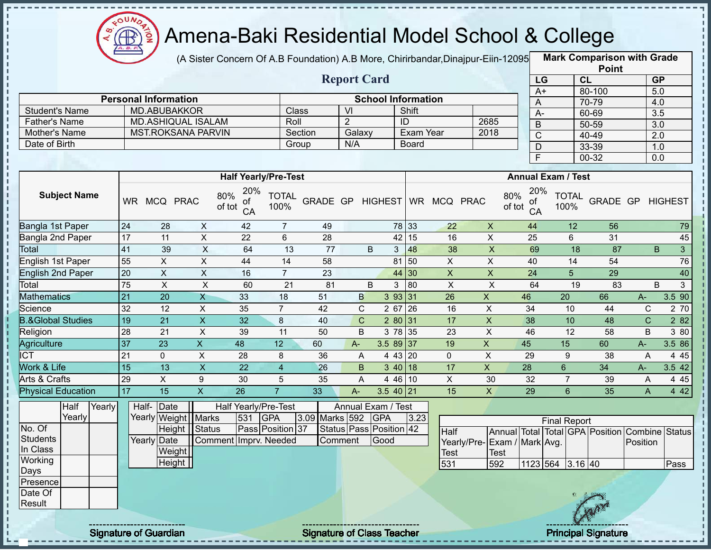

(A Sister Concern Of A.B Foundation) A.B More, Chirirbandar,Dinajpur-Eiin-120950

**Mark Comparison with Grade**

|                              |                 |                             |                           |                             |                      |                 |                         |                           |                     |                           |                             |                 |                           |                 | <b>Point</b>                                   |                  |                |
|------------------------------|-----------------|-----------------------------|---------------------------|-----------------------------|----------------------|-----------------|-------------------------|---------------------------|---------------------|---------------------------|-----------------------------|-----------------|---------------------------|-----------------|------------------------------------------------|------------------|----------------|
|                              |                 |                             |                           |                             |                      |                 | <b>Report Card</b>      |                           |                     |                           |                             |                 | LG                        | CL              |                                                | <b>GP</b>        |                |
|                              |                 |                             |                           |                             |                      |                 |                         |                           |                     |                           |                             | $A+$            |                           |                 | 80-100                                         | 5.0              |                |
|                              |                 | <b>Personal Information</b> |                           |                             |                      |                 |                         | <b>School Information</b> |                     |                           |                             | A               |                           |                 | 70-79                                          | 4.0              |                |
| <b>Student's Name</b>        |                 | <b>MD.ABUBAKKOR</b>         |                           |                             | Class                |                 | $\overline{\mathsf{V}}$ |                           | Shift               |                           |                             | $A -$           |                           |                 | 60-69                                          | 3.5              |                |
| <b>Father's Name</b>         |                 |                             | <b>MD.ASHIQUAL ISALAM</b> |                             | Roll                 |                 | $\overline{2}$          |                           | ID                  |                           | 2685                        | B               |                           |                 | $50 - 59$                                      | $\overline{3.0}$ |                |
| Mother's Name                |                 |                             | <b>MST.ROKSANA PARVIN</b> |                             |                      | Section         | Galaxy                  |                           | <b>Exam Year</b>    |                           | 2018                        | $\mathsf C$     |                           |                 | 40-49                                          | $\overline{2.0}$ |                |
| Date of Birth                |                 |                             |                           |                             | Group                |                 | N/A                     |                           | <b>Board</b>        |                           |                             | $\mathsf{D}$    |                           |                 | 33-39                                          | 1.0              |                |
|                              |                 |                             |                           |                             |                      |                 |                         |                           |                     |                           |                             | F               |                           |                 | $00 - 32$                                      | 0.0              |                |
|                              |                 |                             |                           | <b>Half Yearly/Pre-Test</b> |                      |                 |                         |                           |                     |                           |                             |                 | <b>Annual Exam / Test</b> |                 |                                                |                  |                |
|                              |                 |                             |                           | 20%                         |                      |                 |                         |                           |                     |                           |                             | 20%             |                           |                 |                                                |                  |                |
| <b>Subject Name</b>          | <b>WR</b>       | MCQ PRAC                    |                           | 80%<br>ot<br>of tot<br>CA   | <b>TOTAL</b><br>100% | GRADE GP        |                         | <b>HIGHEST</b>            |                     | WR MCQ PRAC               | 80%<br>of tot               | 0f<br>CA        | 100%                      | <b>TOTAL</b>    | GRADE GP                                       |                  | <b>HIGHEST</b> |
| Bangla 1st Paper             | 24              | 28                          | $\pmb{\times}$            | 42                          | $\overline{7}$       | 49              |                         |                           | 78 33               | 22                        | $\mathsf X$                 | 44              |                           | 12              | 56                                             |                  | 79             |
| Bangla 2nd Paper             | 17              | $\overline{11}$             | $\overline{X}$            | 22                          | $6\,$                | $\overline{28}$ |                         |                           | 42 15               | 16                        | $\overline{X}$              | 25              |                           | 6               | 31                                             |                  | 45             |
| Total                        | 41              | 39                          | $\overline{X}$            | 64                          | 13                   | 77              |                         | B<br>3                    | 48                  | 38                        | $\overline{\mathsf{x}}$     | 69              |                           | $\overline{18}$ | 87                                             | B                | 3 <sup>1</sup> |
| English 1st Paper            | 55              | $\boldsymbol{\mathsf{X}}$   | X                         | 44                          | 14                   | 58              |                         |                           | 81 50               | $\pmb{\times}$            | $\mathsf X$                 | 40              |                           | 14              | 54                                             |                  | 76             |
| <b>English 2nd Paper</b>     | 20              | $\overline{X}$              | $\overline{X}$            | 16                          | $\overline{7}$       | $\overline{23}$ |                         |                           | 44 30               | $\boldsymbol{\mathsf{X}}$ | $\overline{\mathsf{x}}$     | $\overline{24}$ |                           | $\overline{5}$  | $\overline{29}$                                |                  | 40             |
| Total                        | 75              | $\pmb{\times}$              | $\boldsymbol{\mathsf{X}}$ | 60                          | 21                   | 81              |                         | $\sf B$<br>$\mathbf{3}$   | 80                  | $\pmb{\times}$            | $\sf X$                     | 64              |                           | 19              | 83                                             | B                | $\mathbf{3}$   |
| <b>Mathematics</b>           | $\overline{21}$ | $\overline{20}$             | $\mathsf{X}$              | 33                          | 18                   | 51              | $\mathsf{B}$            |                           | 393 31              | 26                        | $\mathsf X$                 | 46              | $\overline{20}$           |                 | 66                                             | $A-$             | 3.5 90         |
| Science                      | 32              | 12                          | X                         | 35                          | $\overline{7}$       | 42              | $\mathbf C$             | 2 67                      | 26                  | 16                        | X                           | 34              |                           | 10              | 44                                             | $\mathsf{C}$     | 2 70           |
| <b>B.&amp;Global Studies</b> | 19              | $\overline{21}$             | $\boldsymbol{\mathsf{X}}$ | 32                          | $\,8\,$              | 40              | $\mathsf C$             |                           | 280 31              | $\overline{17}$           | $\overline{X}$              | 38              |                           | 10              | 48                                             | $\mathbf C$      | 282            |
| Religion                     | 28              | 21                          | $\mathsf{X}$              | 39                          | 11                   | 50              | B                       |                           | 3 78 35             | 23                        | $\mathsf{X}$                | 46              |                           | 12              | 58                                             | B                | 3 80           |
| Agriculture                  | 37              | 23                          | $\overline{X}$            | 48                          | 12                   | 60              | $A -$                   | $3.589$ 37                |                     | 19                        | $\overline{X}$              | $\overline{45}$ | 15                        |                 | 60                                             | $A-$             | 3.586          |
| $\overline{ICT}$             | $\overline{21}$ | $\mathbf 0$                 | $\overline{X}$            | $\overline{28}$             | 8                    | 36              | A                       |                           | 4 43 20             | $\mathbf 0$               | $\overline{\mathsf{x}}$     | 29              | 9                         |                 | $\overline{38}$                                | A                | 445            |
| <b>Work &amp; Life</b>       | $\overline{15}$ | 13                          | $\overline{\mathsf{x}}$   | $\overline{22}$             | $\overline{4}$       | 26              | $\sf B$                 |                           | $3\overline{40}$ 18 | 17                        | $\overline{X}$              | $\overline{28}$ | $\,6\,$                   |                 | 34                                             | A-               | 3.542          |
| Arts & Crafts                | 29              | $\overline{X}$              | $\boldsymbol{9}$          | 30                          | 5                    | 35              | A                       |                           | $446$ 10            | $\overline{\mathsf{x}}$   | 30                          | 32              | $\overline{7}$            |                 | 39                                             | A                | 445            |
| <b>Physical Education</b>    | $\overline{17}$ | 15                          | $\overline{\mathsf{x}}$   | 26                          | $\overline{7}$       | 33              | $A -$                   | $3.540$ 21                |                     | 15                        | $\overline{\mathsf{X}}$     | 29              | 6                         |                 | 35                                             | A                | 4 4 2          |
| Half<br>Yearly               |                 | Half-<br>Date               |                           | Half Yearly/Pre-Test        |                      |                 |                         | Annual Exam / Test        |                     |                           |                             |                 |                           |                 |                                                |                  |                |
| Yearly                       |                 |                             | Yearly Weight   Marks     | 531                         | <b>GPA</b>           | 3.09 Marks 592  |                         | <b>GPA</b>                | 3.23                |                           |                             |                 | <b>Final Report</b>       |                 |                                                |                  |                |
| No. Of                       |                 |                             | Height Status             |                             | Pass Position 37     |                 |                         | Status Pass Position 42   |                     | <b>Half</b>               |                             |                 |                           |                 | Annual Total Total GPA Position Combine Status |                  |                |
| <b>Students</b>              |                 | Yearly Date                 |                           | Comment Imprv. Needed       |                      |                 | Comment                 | Good                      |                     |                           | Yearly/Pre-Exam / Mark Avg. |                 |                           |                 |                                                | Position         |                |
| In Class                     |                 |                             | Weight                    |                             |                      |                 |                         |                           |                     | <b>Test</b>               | <b>Test</b>                 |                 |                           |                 |                                                |                  |                |
| Working                      |                 |                             | Height                    |                             |                      |                 |                         |                           |                     | 531                       | 592                         |                 | 1123 564 3.16 40          |                 |                                                |                  | Pass           |
| Days                         |                 |                             |                           |                             |                      |                 |                         |                           |                     |                           |                             |                 |                           |                 |                                                |                  |                |
| Presence                     |                 |                             |                           |                             |                      |                 |                         |                           |                     |                           |                             |                 |                           |                 |                                                |                  |                |
| Date Of                      |                 |                             |                           |                             |                      |                 |                         |                           |                     |                           |                             |                 |                           |                 |                                                |                  |                |
| Result                       |                 |                             |                           |                             |                      |                 |                         |                           |                     |                           |                             |                 |                           |                 |                                                |                  |                |
|                              |                 |                             |                           |                             |                      |                 |                         |                           |                     |                           |                             |                 |                           |                 |                                                |                  |                |

J, J, I  $\mathbf I$ 

 $\blacksquare$ 

п п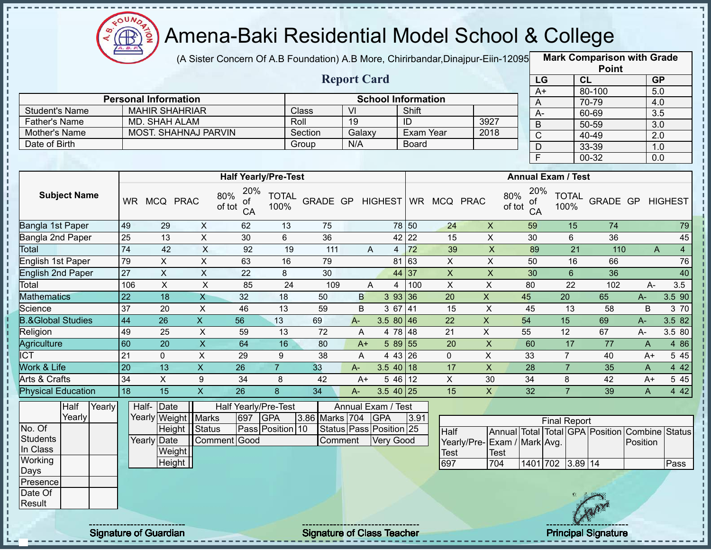

J. п

ł D ŋ

 $\begin{array}{c} 1 \\ 1 \\ 1 \\ 1 \\ 1 \end{array}$ 

 $\mathbf{I}$  $\mathbf I$ 

#### Amena-Baki Residential Model School & College

(A Sister Concern Of A.B Foundation) A.B More, Chirirbandar,Dinajpur-Eiin-12095 **Mark Comparison with Grade** 

|                       |                             |         | <b>Report Card</b> |                           |      |
|-----------------------|-----------------------------|---------|--------------------|---------------------------|------|
|                       | <b>Personal Information</b> |         |                    | <b>School Information</b> |      |
| <b>Student's Name</b> | <b>MAHIR SHAHRIAR</b>       | Class   | VI                 | Shift                     |      |
| <b>Father's Name</b>  | MD. SHAH ALAM               | Roll    | 19                 | ID                        | 3927 |
| Mother's Name         | <b>MOST. SHAHNAJ PARVIN</b> | Section | Galaxy             | Exam Year                 | 2018 |
| Date of Birth         |                             | Group   | N/A                | <b>Board</b>              |      |

|      | <b>Point</b> |                  |
|------|--------------|------------------|
| LG   | CL           | <b>GP</b>        |
| $A+$ | 80-100       | 5.0              |
| A    | 70-79        | 4.0              |
| А-   | 60-69        | $\overline{3.5}$ |
| B    | 50-59        | $\overline{3.0}$ |
| C    | 40-49        | 2.0              |
| D    | 33-39        | 1.0              |
| E    | 00-32        | 0.0              |

|                              |           |            |             | <b>Half Yearly/Pre-Test</b>      |                      |          |       |                |           |             |              | <b>Annual Exam / Test</b>        |                      |                 |       |                |       |
|------------------------------|-----------|------------|-------------|----------------------------------|----------------------|----------|-------|----------------|-----------|-------------|--------------|----------------------------------|----------------------|-----------------|-------|----------------|-------|
| <b>Subject Name</b>          | <b>WR</b> | <b>MCQ</b> | <b>PRAC</b> | 20%<br>80%<br>οf<br>of tot<br>CA | <b>TOTAL</b><br>100% | GRADE GP |       | <b>HIGHEST</b> | <b>WR</b> | <b>MCQ</b>  | <b>PRAC</b>  | 20%<br>80%<br>οf<br>of tot<br>CA | <b>TOTAL</b><br>100% | <b>GRADE GP</b> |       | <b>HIGHEST</b> |       |
| Bangla 1st Paper             | 49        | 29         | X           | 62                               | 13                   | 75       |       |                | 78 50     | 24          | X            | 59                               | 15                   | 74              |       |                | 79    |
| Bangla 2nd Paper             | 25        | 13         | X           | 30                               | 6                    | 36       |       |                | 42 22     | 15          | X            | 30                               | 6                    | 36              |       |                | 45    |
| Total                        | 74        | 42         | X           | 92                               | 19                   | 111      |       | A<br>4         | 72        | 39          | X            | 89                               | 21                   | 110             |       | A              | 4     |
| English 1st Paper            | 79        | X          | X           | 63                               | 16                   | 79       |       | 81             | 63        | X           | X            | 50                               | 16                   | 66              |       |                | 76    |
| <b>English 2nd Paper</b>     | 27        | X          | X           | 22                               | 8                    | 30       |       |                | 44 37     | X           | X            | 30                               | 6                    | 36              |       |                | 40    |
| Total                        | 106       | X          | X           | 85                               | 24                   | 109      |       | A<br>4         | 100       | X           | X            | 80                               | 22                   | 102             | A-    | 3.5            |       |
| <b>Mathematics</b>           | 22        | 18         | X           | 32                               | 18                   | 50       | B     | 393 36         |           | 20          | X.           | 45                               | 20                   | 65              | $A-$  | 3.5 90         |       |
| Science                      | 37        | 20         | X           | 46                               | 13                   | 59       | B     | 3 67           | 41        | 15          | X.           | 45                               | 13                   | 58              | B     |                | 3 70  |
| <b>B.&amp;Global Studies</b> | 44        | 26         | X.          | 56                               | 13                   | 69       | $A -$ | 3.5 80 46      |           | 22          | X            | 54                               | 15                   | 69              | $A -$ | 3.5 82         |       |
| Religion                     | 49        | 25         | X           | 59                               | 13                   | 72       | A     | 4 78 48        |           | 21          | X            | 55                               | 12                   | 67              | A-    | 3.5 80         |       |
| Agriculture                  | 60        | 20         | X           | 64                               | 16                   | 80       | $A+$  | 5 89           | 55        | 20          | $\mathsf{X}$ | 60                               | 17                   | 77              | A     |                | 4 8 6 |
| $\overline{ICT}$             | 21        | 0          | X           | 29                               | 9                    | 38       | A     | $443$ 26       |           | $\mathbf 0$ | Χ            | 33                               | 7                    | 40              | $A+$  |                | 5 4 5 |
| <b>Nork &amp; Life</b>       | 20        | 13         | X           | 26                               | $\overline{7}$       | 33       | $A -$ | $3.540$ 18     |           | 17          | X            | 28                               |                      | 35              | A     | 4 4 2          |       |
| Arts & Crafts                | 34        | X          | 9           | 34                               | 8                    | 42       | $A+$  | 5 46 12        |           | X           | 30           | 34                               | 8                    | 42              | $A+$  |                | 5 4 5 |
| <b>Physical Education</b>    | 18        | 15         | X           | 26                               | 8                    | 34       | A-    | $3.5$ 40 25    |           | 15          | X            | 32                               |                      | 39              | A     |                | 442   |
|                              |           |            |             |                                  |                      |          |       |                |           |             |              |                                  |                      |                 |       |                |       |

|          | <b>Half</b> | Yearly | Half- Date            |              |     | Half Yearly/Pre-Test    |                    | Annual Exam / Test      |      |                             |             |                  |                     |      |                                                |      |
|----------|-------------|--------|-----------------------|--------------|-----|-------------------------|--------------------|-------------------------|------|-----------------------------|-------------|------------------|---------------------|------|------------------------------------------------|------|
|          | Yearly      |        | Yearly Weight   Marks |              | 697 | <b>IGPA</b>             | 3.86 Marks 704 GPA |                         | 3.91 |                             |             |                  | <b>Final Report</b> |      |                                                |      |
| No. Of   |             |        | Height Status         |              |     | <b>Pass Position 10</b> |                    | Status Pass Position 25 |      | <b>Half</b>                 |             |                  |                     |      | Annual Total Total GPA Position Combine Status |      |
| Students |             |        | Yearly Date           | Comment Good |     |                         | ∣Comment           | Very Good               |      | Yearly/Pre-Exam / Mark Avg. |             |                  |                     |      | Position                                       |      |
| In Class |             |        | Weight                |              |     |                         |                    |                         |      | <b>Test</b>                 | <b>Test</b> |                  |                     |      |                                                |      |
| Working  |             |        | Height                |              |     |                         |                    |                         |      | 697                         | 704         | 1401 702 3.89 14 |                     |      |                                                | Pass |
| Days     |             |        |                       |              |     |                         |                    |                         |      |                             |             |                  |                     |      |                                                |      |
| Presence |             |        |                       |              |     |                         |                    |                         |      |                             |             |                  |                     |      |                                                |      |
| Date Of  |             |        |                       |              |     |                         |                    |                         |      |                             |             |                  |                     |      |                                                |      |
| Result   |             |        |                       |              |     |                         |                    |                         |      |                             |             |                  |                     | Cany |                                                |      |
|          |             |        |                       |              |     |                         |                    |                         |      |                             |             |                  |                     |      |                                                |      |
|          |             |        |                       |              |     |                         |                    |                         |      |                             |             |                  |                     |      |                                                |      |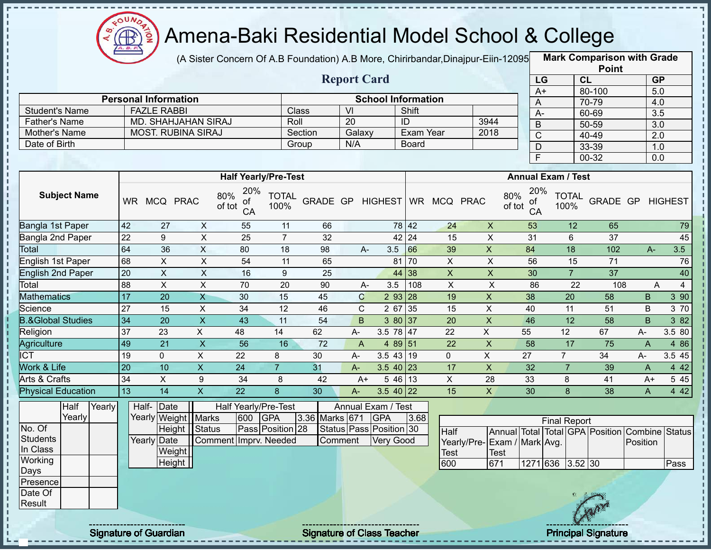

(A Sister Concern Of A.B Foundation) A.B More, Chirirbandar,Dinajpur-Eiin-12095 **Mark Comparison with Grade** 

|                       |                             |         | <b>Report Card</b> |                           |      | LG                     |
|-----------------------|-----------------------------|---------|--------------------|---------------------------|------|------------------------|
|                       | <b>Personal Information</b> |         |                    | <b>School Information</b> |      | $A+$<br>$\overline{A}$ |
| <b>Student's Name</b> | <b>FAZLE RABBI</b>          | Class   | VI                 | Shift                     |      | A-                     |
| <b>Father's Name</b>  | MD. SHAHJAHAN SIRAJ         | Roll    | 20                 | ID                        | 3944 | B                      |
| Mother's Name         | <b>MOST. RUBINA SIRAJ</b>   | Section | Galaxy             | Exam Year                 | 2018 | C                      |
| Date of Birth         |                             | Group   | N/A                | <b>Board</b>              |      | D                      |
|                       |                             |         |                    |                           |      |                        |
|                       |                             |         |                    |                           |      |                        |

|      | <b>Point</b> |                  |
|------|--------------|------------------|
| LG   | <b>CL</b>    | <b>GP</b>        |
| $A+$ | 80-100       | 5.0              |
| Α    | 70-79        | 4.0              |
| А-   | 60-69        | $3.\overline{5}$ |
| B    | 50-59        | 3.0              |
| C    | $40 - 49$    | 2.0              |
| D    | $33 - 39$    | 1.0              |
| F    | 00-32        | 0.0              |

|                              |           |            |             |                                  | <b>Half Yearly/Pre-Test</b> |          |       |       |                 |           |             |              | <b>Annual Exam / Test</b>        |                      |          |       |                |
|------------------------------|-----------|------------|-------------|----------------------------------|-----------------------------|----------|-------|-------|-----------------|-----------|-------------|--------------|----------------------------------|----------------------|----------|-------|----------------|
| <b>Subject Name</b>          | <b>WR</b> | <b>MCQ</b> | <b>PRAC</b> | 20%<br>80%<br>οf<br>of tot<br>CA | <b>TOTAL</b><br>100%        | GRADE GP |       |       | <b>HIGHEST</b>  | <b>WR</b> | <b>MCQ</b>  | <b>PRAC</b>  | 20%<br>80%<br>of<br>of tot<br>CA | <b>TOTAL</b><br>100% | GRADE GP |       | <b>HIGHEST</b> |
| Bangla 1st Paper             | 42        | 27         | X           | 55                               | 11                          | 66       |       |       | 78 42           |           | 24          | X            | 53                               | 12                   | 65       |       | 79             |
| Bangla 2nd Paper             | 22        | 9          | X           | 25                               | $\overline{7}$              | 32       |       |       | 42 24           |           | 15          | X            | 31                               | 6                    | 37       |       | 45             |
| Total                        | 64        | 36         | X           | 80                               | 18                          | 98       |       | $A -$ | 3.5             | 66        | 39          | X.           | 84                               | 18                   | 102      |       | 3.5<br>$A -$   |
| English 1st Paper            | 68        | X          | X           | 54                               | 11                          | 65       |       |       | 81              | 70        | X           | X            | 56                               | 15                   | 71       |       | 76             |
| <b>English 2nd Paper</b>     | 20        | X          | X           | 16                               | 9                           | 25       |       |       | 44 38           |           | X           | X            | 30                               | $\overline{7}$       | 37       |       | 40             |
| Total                        | 88        | X          | X           | 70                               | 20                          | 90       |       | $A-$  | 3.5             | 108       | X           | X            | 86                               | 22                   | 108      |       | A<br>4         |
| <b>Aathematics</b>           | 17        | 20         | X           | 30                               | 15                          | 45       |       | C     | 2 9 3           | <b>28</b> | 19          | X.           | 38                               | 20                   | 58       | B     | 3 90           |
| Science                      | 27        | 15         | X           | 34                               | 12                          | 46       |       | C.    | 2 67            | 35        | 15          | X            | 40                               | 11                   | 51       | B     | 3 70           |
| <b>B.&amp;Global Studies</b> | 34        | 20         | X           | 43                               | 11                          | 54       |       | B     | 3 80 37         |           | 20          | $\mathsf{X}$ | 46                               | 12                   | 58       | B     | 3 82           |
| Religion                     | 37        | 23         | X.          | 48                               | 14                          | 62       | $A -$ |       | 3.5 78 47       |           | 22          | X.           | 55                               | 12                   | 67       | $A -$ | 3.5 80         |
| Agriculture                  | 49        | 21         | X           | 56                               | 16                          | 72       |       | A     | 4 89 51         |           | 22          | X            | 58                               | 17                   | 75       | A     | 4 86           |
| <b>ICT</b>                   | 19        | 0          | X.          | 22                               | 8                           | 30       | $A-$  |       | $3.543$ 19      |           | $\mathbf 0$ | X            | 27                               | 7                    | 34       | A-    | 3.5 45         |
| <b>Nork &amp; Life</b>       | 20        | 10         | X           | 24                               | $\overline{7}$              | 31       | A-    |       | $3.540$ 23      |           | 17          | X            | 32                               |                      | 39       | A     | 4 4 2          |
| Arts & Crafts                | 34        | X          | 9           | 34                               | 8                           | 42       |       | A+    | 546 13          |           | X           | 28           | 33                               | 8                    | 41       | $A+$  | 5 4 5          |
| <b>Physical Education</b>    | 13        | 14         | Χ           | 22                               | 8                           | 30       | A-    |       | $3.5 \ 40 \ 22$ |           | 15          | X            | 30                               | 8                    | 38       | A     | 4 4 2          |

|          | Half   | Yearly | Half-Date   |                       |                       |     | Half Yearly/Pre-Test |                | Annual Exam / Test      |      |                              |             |                     |      |                                                |      |
|----------|--------|--------|-------------|-----------------------|-----------------------|-----|----------------------|----------------|-------------------------|------|------------------------------|-------------|---------------------|------|------------------------------------------------|------|
|          | Yearly |        |             | Yearly Weight   Marks |                       | 600 | <b>IGPA</b>          | 3.36 Marks 671 | <b>IGPA</b>             | 3.68 |                              |             | <b>Final Report</b> |      |                                                |      |
| No. Of   |        |        |             | Height Status         |                       |     | Pass Position 28     |                | Status Pass Position 30 |      | Half                         |             |                     |      | Annual Total Total GPA Position Combine Status |      |
| Students |        |        | Yearly Date |                       | Comment Imprv. Needed |     |                      | <b>Comment</b> | <b>Very Good</b>        |      | Yearly/Pre- Exam / Mark Avg. |             |                     |      | Position                                       |      |
| In Class |        |        |             | Weight                |                       |     |                      |                |                         |      | <b>Test</b>                  | <b>Test</b> |                     |      |                                                |      |
| Working  |        |        |             | Height                |                       |     |                      |                |                         |      | 600                          | 671         | 1271 636 3.52 30    |      |                                                | Pass |
| Days     |        |        |             |                       |                       |     |                      |                |                         |      |                              |             |                     |      |                                                |      |
| Presence |        |        |             |                       |                       |     |                      |                |                         |      |                              |             |                     |      |                                                |      |
| Date Of  |        |        |             |                       |                       |     |                      |                |                         |      |                              |             |                     |      |                                                |      |
| Result   |        |        |             |                       |                       |     |                      |                |                         |      |                              |             |                     |      |                                                |      |
|          |        |        |             |                       |                       |     |                      |                |                         |      |                              |             |                     | Gran |                                                |      |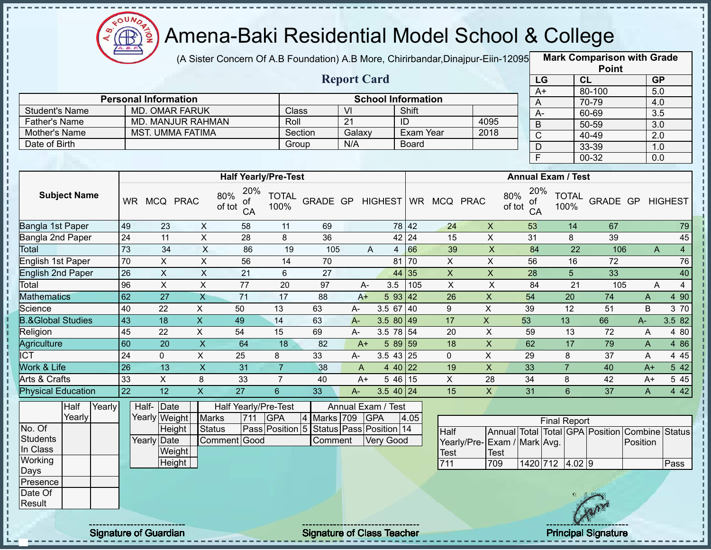

(A Sister Concern Of A.B Foundation) A.B More, Chirirbandar,Dinajpur-Eiin-12095 **Mark Comparison with Grade** 

|                                                                        |        |        |                 |                             |                           |                           |                             |                      |                 |                 |                           |                   |                              |                             |                 |                           |                      | <b>Point</b>                                   |              |                                             |
|------------------------------------------------------------------------|--------|--------|-----------------|-----------------------------|---------------------------|---------------------------|-----------------------------|----------------------|-----------------|-----------------|---------------------------|-------------------|------------------------------|-----------------------------|-----------------|---------------------------|----------------------|------------------------------------------------|--------------|---------------------------------------------|
|                                                                        |        |        |                 |                             |                           |                           |                             |                      |                 |                 | <b>Report Card</b>        |                   |                              |                             |                 | LG                        | CL                   |                                                |              | <b>GP</b>                                   |
|                                                                        |        |        |                 |                             |                           |                           |                             |                      |                 |                 |                           |                   |                              |                             |                 | $A+$                      |                      | 80-100                                         |              | 5.0                                         |
|                                                                        |        |        |                 | <b>Personal Information</b> |                           |                           |                             |                      |                 |                 | <b>School Information</b> |                   |                              |                             | A               |                           |                      | 70-79                                          |              | 4.0                                         |
| <b>Student's Name</b>                                                  |        |        |                 |                             | <b>MD. OMAR FARUK</b>     |                           |                             |                      | <b>Class</b>    | $\overline{V}$  |                           | Shift             |                              |                             | $A -$           |                           |                      | 60-69                                          |              | $\overline{3.5}$                            |
| Father's Name                                                          |        |        |                 |                             | <b>MD. MANJUR RAHMAN</b>  |                           |                             | Roll                 |                 | $\overline{21}$ |                           | ID                |                              | 4095                        | $\overline{B}$  |                           |                      | $50 - 59$                                      |              | $\overline{3.0}$                            |
| Mother's Name                                                          |        |        |                 |                             | <b>MST. UMMA FATIMA</b>   |                           |                             |                      | Section         | Galaxy          |                           |                   | <b>Exam Year</b>             | 2018                        | $\overline{C}$  |                           |                      | 40-49                                          |              | $\overline{2.0}$                            |
| Date of Birth                                                          |        |        |                 |                             |                           |                           |                             |                      | Group           | N/A             |                           | Board             |                              |                             | $\mathsf D$     |                           |                      | 33-39                                          |              | 1.0                                         |
|                                                                        |        |        |                 |                             |                           |                           |                             |                      |                 |                 |                           |                   |                              |                             | $\overline{F}$  |                           |                      | 00-32                                          |              | 0.0                                         |
|                                                                        |        |        |                 |                             |                           |                           | <b>Half Yearly/Pre-Test</b> |                      |                 |                 |                           |                   |                              |                             |                 | <b>Annual Exam / Test</b> |                      |                                                |              |                                             |
| 20%<br><b>Subject Name</b><br>80%<br>WR MCQ PRAC<br>οf<br>of tot<br>CA |        |        |                 |                             |                           |                           |                             | <b>TOTAL</b><br>100% |                 |                 |                           |                   | GRADE GP HIGHEST WR MCQ PRAC | 80%<br>of tot               | 20%<br>οf<br>CA |                           | <b>TOTAL</b><br>100% | <b>GRADE GP HIGHEST</b>                        |              |                                             |
| Bangla 1st Paper                                                       |        |        | 49              | 23                          |                           | $\boldsymbol{\mathsf{X}}$ | 58                          | 11                   | 69              |                 |                           | 78 42             | 24                           | $\boldsymbol{\mathsf{X}}$   | 53              |                           | 14                   | 67                                             |              | 79                                          |
| Bangla 2nd Paper                                                       |        |        | 24              | 11                          |                           | $\overline{X}$            | 28                          | 8                    | 36              |                 |                           | 42 24             | 15                           | $\pmb{\times}$              | 31              |                           | 8                    | 39                                             |              | 45                                          |
| Total                                                                  |        |        | 73              | 34                          |                           | $\overline{X}$            | 86                          | 19                   | 105             |                 | A                         | $4 \overline{66}$ | 39                           | $\overline{\mathsf{x}}$     | 84              |                           | $\overline{22}$      | 106                                            |              | $\overline{4}$<br>$\boldsymbol{\mathsf{A}}$ |
| <b>English 1st Paper</b>                                               |        |        | 70              | $\overline{X}$              |                           | $\overline{X}$            | 56                          | $\overline{14}$      | 70              |                 |                           | 81 70             | $\overline{X}$               | $\overline{X}$              | 56              |                           | 16                   | 72                                             |              | 76                                          |
| <b>English 2nd Paper</b>                                               |        |        | 26              | $\overline{X}$              |                           | $\overline{X}$            | $\overline{21}$             | 6                    | 27              |                 |                           | 44 35             | $\overline{X}$               | $\overline{X}$              | 28              |                           | $\overline{5}$       | 33                                             |              | 40                                          |
| Total                                                                  |        |        | 96              | $\overline{X}$              |                           | $\overline{X}$            | $\overline{77}$             | $\overline{20}$      | $\overline{97}$ |                 | $\overline{3.5}$<br>$A-$  | 105               | $\overline{\mathsf{x}}$      | $\overline{X}$              | 84              |                           | $\overline{21}$      | 105                                            |              | $\overline{4}$<br>A                         |
| <b>Mathematics</b>                                                     |        |        | 62              | $\overline{27}$             | $\overline{X}$            |                           | $\overline{71}$             | 17                   | 88              | $A+$            |                           | 593 42            | 26                           | $\overline{X}$              | 54              |                           | 20                   | 74                                             | $\mathsf{A}$ | 4 90                                        |
| Science                                                                |        |        | 40              | 22                          | $\boldsymbol{\mathsf{X}}$ |                           | 50                          | 13                   | 63              | $A -$           |                           | 3.5 67 40         | 9                            | $\pmb{\times}$              | 39              |                           | 12                   | 51                                             | B            | 3 70                                        |
| <b>B.&amp;Global Studies</b>                                           |        |        | 43              | $\overline{18}$             | $\overline{X}$            |                           | 49                          | $\overline{14}$      | 63              | $A -$           |                           | $3.580$ 49        | 17                           | $\overline{X}$              | 53              |                           | 13                   | 66                                             | $A -$        | 3.5 82                                      |
| Religion                                                               |        |        | 45              | 22                          | $\boldsymbol{\mathsf{X}}$ |                           | 54                          | 15                   | 69              | $A-$            |                           | $3.5 \ 78 \ 54$   | 20                           | $\pmb{\times}$              | 59              |                           | 13                   | 72                                             | A            | 4 80                                        |
| <b>Agriculture</b>                                                     |        |        | 60              | $\overline{20}$             | $\overline{X}$            |                           | 64                          | $\overline{18}$      | 82              | $A+$            |                           | 5 89 59           | 18                           | $\overline{\mathsf{x}}$     | 62              |                           | 17                   | 79                                             | $\mathsf{A}$ | 486                                         |
| <b>ICT</b>                                                             |        |        | 24              | $\mathbf 0$                 | $\overline{X}$            |                           | 25                          | 8                    | 33              | A-              |                           | $3.543$ 25        | $\mathbf 0$                  | $\pmb{\times}$              | 29              |                           | 8                    | 37                                             | A            | 4 4 5                                       |
| <b>Work &amp; Life</b>                                                 |        |        | 26              | $\overline{13}$             | $\overline{X}$            |                           | 31                          | $\overline{7}$       | 38              | A               |                           | 4 40 22           | 19                           | $\pmb{\times}$              | 33              |                           | $\overline{7}$       | 40                                             | $A+$         | $5\overline{42}$                            |
| <b>Arts &amp; Crafts</b>                                               |        |        | 33              | $\mathsf{X}$                | 8                         |                           | 33                          | $\overline{7}$       | 40              | $A+$            |                           | 5 4 6<br>15       | $\mathsf{X}$                 | 28                          | 34              |                           | 8                    | 42                                             | $A+$         | 545                                         |
| <b>Physical Education</b>                                              |        |        | $\overline{22}$ | 12                          | $\boldsymbol{\mathsf{X}}$ |                           | 27                          | $6\phantom{1}$       | 33              | $A-$            |                           | $3.540$ 24        | 15                           | $\mathsf{X}$                | 31              |                           | $6\overline{6}$      | 37                                             | $\mathsf{A}$ | 4 4 2                                       |
|                                                                        | Half   | Yearly |                 | Half-Date                   |                           |                           | Half Yearly/Pre-Test        |                      |                 |                 | Annual Exam / Test        |                   |                              |                             |                 |                           |                      |                                                |              |                                             |
|                                                                        | Yearly |        |                 | Yearly Weight               |                           | <b>Marks</b>              | 711                         | <b>GPA</b>           | 4<br>Marks 709  |                 | <b>GPA</b>                | 4.05              |                              |                             |                 | <b>Final Report</b>       |                      |                                                |              |                                             |
| No. Of                                                                 |        |        |                 |                             | Height                    | <b>Status</b>             |                             | Pass Position 5      |                 |                 | Status Pass Position 14   |                   | Half                         |                             |                 |                           |                      | Annual Total Total GPA Position Combine Status |              |                                             |
| <b>Students</b>                                                        |        |        |                 | Yearly Date                 |                           |                           | Comment Good                |                      | Comment         |                 | <b>Very Good</b>          |                   |                              | Yearly/Pre-Exam / Mark Avg. |                 |                           |                      |                                                | Position     |                                             |
| In Class                                                               |        |        |                 |                             | Weight                    |                           |                             |                      |                 |                 |                           |                   | Test                         | <b>Test</b>                 |                 |                           |                      |                                                |              |                                             |
| Working                                                                |        |        |                 |                             | Height                    |                           |                             |                      |                 |                 |                           |                   | 711                          | 709                         |                 | 1420 712 4.02 9           |                      |                                                |              | Pass                                        |
| Days                                                                   |        |        |                 |                             |                           |                           |                             |                      |                 |                 |                           |                   |                              |                             |                 |                           |                      |                                                |              |                                             |
| Presence<br>Date Of                                                    |        |        |                 |                             |                           |                           |                             |                      |                 |                 |                           |                   |                              |                             |                 |                           |                      |                                                |              |                                             |
| Result                                                                 |        |        |                 |                             |                           |                           |                             |                      |                 |                 |                           |                   |                              |                             |                 |                           |                      |                                                |              |                                             |
|                                                                        |        |        |                 |                             |                           |                           |                             |                      |                 |                 |                           |                   |                              |                             |                 |                           |                      |                                                |              |                                             |
|                                                                        |        |        |                 |                             |                           |                           |                             |                      |                 |                 |                           |                   |                              |                             |                 |                           |                      |                                                |              |                                             |

Signature of Guardian Signature of Class Teacher Principal Signature 2014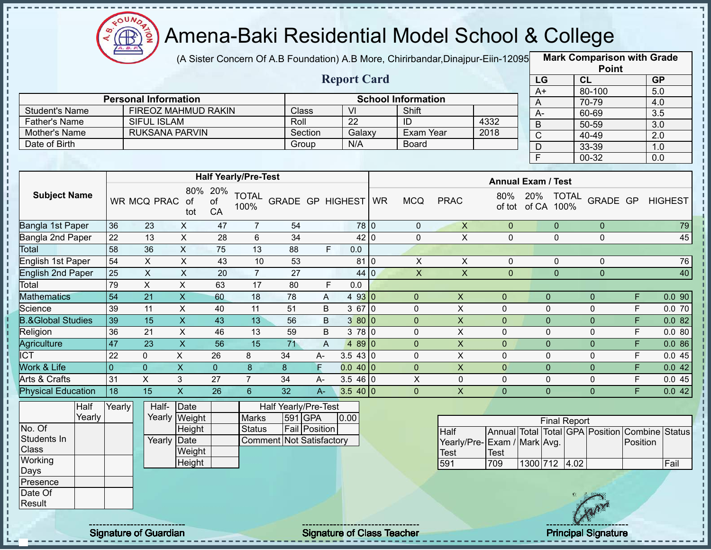

(A Sister Concern Of A.B Foundation) A.B More, Chirirbandar,Dinajpur-Eiin-12095 **Mark Comparison with Grade** 

|                      |                             |         | <b>Report Card</b> |                           |      |
|----------------------|-----------------------------|---------|--------------------|---------------------------|------|
|                      | <b>Personal Information</b> |         |                    | <b>School Information</b> |      |
| Student's Name       | FIREOZ MAHMUD RAKIN         | Class   | VI                 | Shift                     |      |
| <b>Father's Name</b> | SIFUL ISLAM                 | Roll    | 22                 | ID                        | 4332 |
| Mother's Name        | <b>RUKSANA PARVIN</b>       | Section | Galaxy             | Exam Year                 | 2018 |
| Date of Birth        |                             | Group   | N/A                | Board                     |      |

|                 | <b>Point</b> |                  |
|-----------------|--------------|------------------|
| LG              | CL           | <b>GP</b>        |
| $\overline{A+}$ | 80-100       | 5.0              |
| Α               | 70-79        | 4.0              |
| А-              | 60-69        | 3.5              |
| В               | 50-59        | $\overline{3.0}$ |
| C               | 40-49        | 2.0              |
| D               | $33 - 39$    | 1.0              |
| F               | 00-32        | 0.0              |

|                              |                |                |                  |                 | <b>Half Yearly/Pre-Test</b> |                      |       |            |           |                |             | <b>Annual Exam / Test</b> |              |                      |              |   |                |
|------------------------------|----------------|----------------|------------------|-----------------|-----------------------------|----------------------|-------|------------|-----------|----------------|-------------|---------------------------|--------------|----------------------|--------------|---|----------------|
| <b>Subject Name</b>          |                | WR MCQ PRAC    | 80%<br>of<br>tot | 20%<br>οf<br>CA | <b>TOTAL</b><br>100%        | GRADE GP HIGHEST     |       |            | <b>WR</b> | <b>MCQ</b>     | <b>PRAC</b> | 80%<br>of tot             | 20%<br>of CA | <b>TOTAL</b><br>100% | GRADE GP     |   | <b>HIGHEST</b> |
| Bangla 1st Paper             | 36             | 23             | X                | 47              | $\overline{7}$              | 54                   |       |            | 78 0      | $\mathbf 0$    | X           | $\mathbf{0}$              |              | $\mathbf 0$          | $\mathbf{0}$ |   | 79             |
| Bangla 2nd Paper             | 22             | 13             | X                | 28              | 6                           | 34                   |       |            | 42 0      | 0              | X           | $\mathbf 0$               |              | $\mathbf 0$          | $\mathbf 0$  |   | 45             |
| Total                        | 58             | 36             | X                | 75              | 13                          | 88                   |       | F.<br>0.0  |           |                |             |                           |              |                      |              |   |                |
| English 1st Paper            | 54             | X              | X                | 43              | 10                          | 53                   |       |            | 81 0      | X              | X           | $\mathbf 0$               |              | $\mathbf 0$          | $\mathbf 0$  |   | 76             |
| English 2nd Paper            | 25             | X              | X                | 20              | $\overline{7}$              | 27                   |       |            | 44 0      | X              | X           | $\mathbf{0}$              |              | $\mathbf{0}$         | $\mathbf{0}$ |   | 40             |
| Total                        | 79             | X              | X                | 63              | 17                          | 80                   |       | F.<br>0.0  |           |                |             |                           |              |                      |              |   |                |
| <b>Mathematics</b>           | 54             | 21             | X                | 60              | 18                          | 78                   | Α     | 493 0      |           | $\overline{0}$ | X           | $\overline{0}$            | $\Omega$     |                      | $\mathbf{0}$ | F | 0.090          |
| Science                      | 39             | 11             | X                | 40              | 11                          | 51                   | B     | $367$ 0    |           | 0              | X           | $\mathbf 0$               | $\Omega$     |                      | $\Omega$     | F | 0.070          |
| <b>B.&amp;Global Studies</b> | 39             | 15             | X                | 43              | 13                          | 56                   | В     | 3800       |           | $\overline{0}$ | X           | $\overline{0}$            | $\mathbf{0}$ |                      | $\mathbf 0$  | F | 0.082          |
| Religion                     | 36             | 21             | X                | 46              | 13                          | 59                   | B     | 378 0      |           | 0              | X           | $\mathbf 0$               | $\mathbf 0$  |                      | $\Omega$     | F | 0.080          |
| Agriculture                  | 47             | 23             | X                | 56              | 15                          | 71                   | A     | $489$ 0    |           | $\mathbf 0$    | X           | $\overline{0}$            | $\mathbf{0}$ |                      | $\mathbf{0}$ | F | 0.086          |
| <b>ICT</b>                   | 22             | 0              | X                | 26              | 8                           | 34                   | $A-$  | 3.543 0    |           | 0              | X           | $\mathbf 0$               | $\mathbf 0$  |                      | $\mathbf 0$  | F | 0.045          |
| Work & Life                  | $\overline{0}$ | $\overline{0}$ | X                | $\overline{0}$  | 8                           | 8                    | F     | $0.040$  0 |           | $\mathbf{0}$   | X           | $\overline{0}$            | $\Omega$     |                      | $\mathbf{0}$ | F | 0.042          |
| Arts & Crafts                | 31             | X              | 3                | 27              | $\overline{7}$              | 34                   | A-    | $3.546$ 0  |           | X              | 0           | $\mathbf 0$               | $\Omega$     |                      | $\Omega$     | F | 0.045          |
| <b>Physical Education</b>    | 18             | 15             | X.               | 26              | 6                           | 32                   | $A -$ | 3.540 0    |           | $\mathbf 0$    | X           | $\mathbf{0}$              | $\mathbf{0}$ |                      | $\mathbf 0$  | F | 0.042          |
| Half                         | Yearly         | Half-          | Date             |                 |                             | Half Yearly/Pre-Test |       |            |           |                |             |                           |              |                      |              |   |                |

|              | Hall   | 'earıy ∥ | Hail-  | ∣⊔ate         |                          | Hair Yearly/Pre-Test |      |
|--------------|--------|----------|--------|---------------|--------------------------|----------------------|------|
|              | Yearly |          |        | Yearly Weight | <b>Marks</b>             | 591 GPA              | 0.00 |
| No. Of       |        |          |        | Height        | <b>Status</b>            | Fail Position        |      |
| Students In  |        |          | Yearly | Date          | Comment Not Satisfactory |                      |      |
| <b>Class</b> |        |          |        | Weight        |                          |                      |      |
| Working      |        |          |        | Height        |                          |                      |      |
| Days         |        |          |        |               |                          |                      |      |
| Presence     |        |          |        |               |                          |                      |      |
| Date Of      |        |          |        |               |                          |                      |      |
| Result       |        |          |        |               |                          |                      |      |
|              |        |          |        |               |                          |                      |      |

| <b>Final Report</b>         |      |               |  |  |  |                                                |      |  |  |  |  |  |  |  |
|-----------------------------|------|---------------|--|--|--|------------------------------------------------|------|--|--|--|--|--|--|--|
| <b>Half</b>                 |      |               |  |  |  | Annual Total Total GPA Position Combine Status |      |  |  |  |  |  |  |  |
| Yearly/Pre-Exam / Mark Avg. |      |               |  |  |  | <b>Position</b>                                |      |  |  |  |  |  |  |  |
| <b>Test</b>                 | Test |               |  |  |  |                                                |      |  |  |  |  |  |  |  |
| 591                         | 709  | 1300 712 4.02 |  |  |  |                                                | Fail |  |  |  |  |  |  |  |

Signature of Guardian Signature of Class Teacher Principal Signature 21/45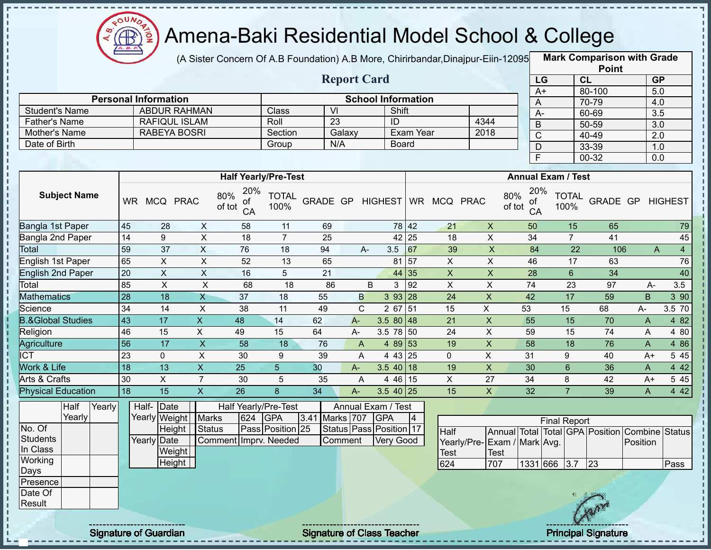

J.

п

i

 $\begin{array}{c} 1 \\ 1 \\ 1 \\ 1 \\ 1 \\ 1 \\ \end{array}$ 

 $\mathbf I$  $\mathbf{I}$ 

 $\frac{1}{1}$ 

f,  $\mathbf I$ Ţ

 $\frac{1}{1}$ 

# Amena-Baki Residential Model School & College

(A Sister Concern Of A.B Foundation) A.B More, Chirirbandar, Dinajpur-Eiin-12095

**Mark Comparison with Grade**

|                              |                 |                             |                         |                             |                      |                  |                    |                           |                  |                         |                             |                           |                           | <b>Point</b>                                   |                |                  |
|------------------------------|-----------------|-----------------------------|-------------------------|-----------------------------|----------------------|------------------|--------------------|---------------------------|------------------|-------------------------|-----------------------------|---------------------------|---------------------------|------------------------------------------------|----------------|------------------|
|                              |                 |                             |                         |                             |                      |                  | <b>Report Card</b> |                           |                  |                         |                             | LG                        |                           | CL                                             |                | GP               |
|                              |                 | <b>Personal Information</b> |                         |                             |                      |                  |                    |                           |                  |                         |                             | $A+$                      |                           | 80-100                                         |                | 5.0              |
| <b>Student's Name</b>        |                 | <b>ABDUR RAHMAN</b>         |                         |                             | Class                | $\overline{V}$   |                    | <b>School Information</b> | Shift            |                         |                             | A                         |                           | 70-79                                          |                | 4.0              |
| <b>Father's Name</b>         |                 | RAFIQUL ISLAM               |                         |                             | Roll                 | $\overline{23}$  |                    | ID                        |                  |                         | 4344                        | $A -$                     |                           | 60-69                                          |                | 3.5              |
| Mother's Name                |                 | <b>RABEYA BOSRI</b>         |                         |                             | Section              |                  | Galaxy             |                           | Exam Year        |                         | 2018                        | B                         |                           | $50 - 59$                                      |                | $\overline{3.0}$ |
| Date of Birth                |                 |                             |                         |                             | Group                | N/A              |                    |                           | <b>Board</b>     |                         |                             | $\overline{C}$            |                           | 40-49                                          |                | $\overline{2.0}$ |
|                              |                 |                             |                         |                             |                      |                  |                    |                           |                  |                         |                             | $\overline{D}$            |                           | 33-39                                          |                | 1.0              |
|                              |                 |                             |                         |                             |                      |                  |                    |                           |                  |                         |                             | F                         |                           | $00 - 32$                                      |                | 0.0              |
|                              |                 |                             |                         | <b>Half Yearly/Pre-Test</b> |                      |                  |                    |                           |                  |                         |                             |                           | <b>Annual Exam / Test</b> |                                                |                |                  |
|                              |                 |                             |                         | 20%                         |                      |                  |                    |                           |                  |                         |                             | 20%                       |                           |                                                |                |                  |
| <b>Subject Name</b>          |                 | WR MCQ PRAC                 |                         | 80%<br>οf<br>of tot<br>CA   | <b>TOTAL</b><br>100% | GRADE GP HIGHEST |                    |                           |                  | WR MCQ PRAC             |                             | 80%<br>οf<br>of tot<br>CA | <b>TOTAL</b><br>100%      | GRADE GP                                       |                | <b>HIGHEST</b>   |
| Bangla 1st Paper             | 45              | 28                          | $\mathsf{X}$            | 58                          | 11                   | 69               |                    |                           | 78 42            | 21                      | $\mathsf X$                 | 50                        | 15                        | 65                                             |                | 79               |
| <b>Bangla 2nd Paper</b>      | $\overline{14}$ | 9                           | $\overline{X}$          | 18                          | $\overline{7}$       | $\overline{25}$  |                    |                           | 42 25            | $\overline{18}$         | $\overline{\mathsf{x}}$     | 34                        | $\overline{7}$            | 41                                             |                | 45               |
| Total                        | 59              | 37                          | X                       | 76                          | 18                   | 94               |                    | A-<br>3.5                 | 67               | 39                      | $\boldsymbol{\mathsf{X}}$   | 84                        | 22                        | 106                                            | $\mathsf{A}$   | $\overline{4}$   |
| <b>English 1st Paper</b>     | 65              | $\pmb{\times}$              | $\overline{X}$          | 52                          | $\overline{13}$      | 65               |                    |                           | 81 57            | $\overline{X}$          | $\overline{\mathsf{x}}$     | 46                        | 17                        | 63                                             |                | 76               |
| <b>English 2nd Paper</b>     | 20              | $\mathsf{X}$                | $\overline{X}$          | 16                          | 5                    | 21               |                    |                           | 44 35            | $\overline{\mathsf{x}}$ | $\overline{\mathsf{x}}$     | $\overline{28}$           | $6\phantom{a}$            | $\overline{34}$                                |                | 40               |
| Total                        | 85              | $\pmb{\times}$              | $\pmb{\times}$          | 68                          | $\overline{18}$      | 86               |                    | B                         | 92<br>3          | $\mathsf{X}$            | $\mathsf{X}$                | $\overline{74}$           | $\overline{23}$           | $\overline{97}$                                | $A -$          | 3.5              |
| <b>Mathematics</b>           | 28              | 18                          | $\mathsf{X}$            | 37                          | 18                   | 55               | $\mathsf{B}$       |                           | 393 28           | 24                      | $\boldsymbol{\mathsf{X}}$   | 42                        | 17                        | $\overline{59}$                                | B              | 3 90             |
| Science                      | $\overline{34}$ | 14                          | $\overline{X}$          | $\overline{38}$             | 11                   | 49               | $\overline{C}$     |                           | 2 67 51          | 15                      | $\overline{X}$              | 53                        | 15                        | 68                                             | $A -$          | 3.5 70           |
| <b>B.&amp;Global Studies</b> | $\overline{43}$ | $\overline{17}$             | $\overline{X}$          | 48                          | 14                   | 62               | $A -$              |                           | $3.580$ 48       | 21                      | $\mathsf X$                 | 55                        | 15                        | 70                                             | A              | 4 8 2            |
| Religion                     | 46              | 15                          | $\overline{\mathsf{x}}$ | 49                          | 15                   | 64               | A-                 |                           | 3.5 78 50        | 24                      | $\mathsf{X}$                | 59                        | 15                        | $\overline{74}$                                | A              | 4 80             |
| Agriculture                  | 56              | $\overline{17}$             | $\overline{\mathbf{x}}$ | $\overline{58}$             | 18                   | 76               | $\overline{A}$     |                           | 4 89 53          | 19                      | $\overline{X}$              | 58                        | $\overline{18}$           | 76                                             | $\overline{A}$ | 4 8 6            |
| <b>ICT</b>                   | 23              | $\mathbf 0$                 | $\overline{X}$          | 30                          | 9                    | 39               | A                  |                           | 4 43 25          | $\mathbf 0$             | $\overline{X}$              | 31                        | 9                         | 40                                             | $A+$           | 5 4 5            |
| Work & Life                  | $\overline{18}$ | 13                          | $\overline{\mathsf{x}}$ | $\overline{25}$             | $\overline{5}$       | 30               | $A-$               |                           | $3.5$ 40 18      | 19                      | $\overline{X}$              | 30                        | $\overline{6}$            | 36                                             | A              | 4 4 2            |
| Arts & Crafts                | 30              | $\overline{X}$              | $\overline{7}$          | 30                          | 5                    | 35               | A                  |                           | 4 46 15          | $\overline{X}$          | 27                          | 34                        | 8                         | 42                                             | $A+$           | 5 4 5            |
| <b>Physical Education</b>    | 18              | 15                          | $\mathsf X$             | 26                          | 8                    | 34               | $A-$               |                           | $3.540$ 25       | 15                      | $\overline{X}$              | 32                        | $\overline{7}$            | 39                                             | A              | 4 4 2            |
| Half<br>Yearly               |                 | Half-Date                   |                         | <b>Half Yearly/Pre-Test</b> |                      |                  |                    | Annual Exam / Test        |                  |                         |                             |                           |                           |                                                |                |                  |
| Yearly                       |                 | Yearly Weight               | <b>Marks</b>            | 624                         | <b>GPA</b>           | 3.41             | Marks 707          | <b>GPA</b>                | $\vert 4 \vert$  |                         |                             |                           | <b>Final Report</b>       |                                                |                |                  |
| No. Of                       |                 | Height                      | <b>Status</b>           |                             | Pass Position 25     |                  |                    | Status Pass Position 17   |                  | Half                    |                             |                           |                           | Annual Total Total GPA Position Combine Status |                |                  |
| <b>Students</b>              |                 | <b>Yearly Date</b>          |                         | Comment Imprv. Needed       |                      |                  | Comment            |                           | <b>Very Good</b> |                         | Yearly/Pre-Exam / Mark Avg. |                           |                           |                                                | Position       |                  |
| In Class                     |                 | Weight                      |                         |                             |                      |                  |                    |                           |                  | <b>Test</b>             | <b>Test</b>                 |                           |                           |                                                |                |                  |
| Working                      |                 | Height                      |                         |                             |                      |                  |                    |                           |                  | 624                     | 707                         | 1331 666                  | 3.7                       | $\sqrt{23}$                                    |                | Pass             |
| Days                         |                 |                             |                         |                             |                      |                  |                    |                           |                  |                         |                             |                           |                           |                                                |                |                  |
| Presence                     |                 |                             |                         |                             |                      |                  |                    |                           |                  |                         |                             |                           |                           |                                                |                |                  |
| Date Of<br>Result            |                 |                             |                         |                             |                      |                  |                    |                           |                  |                         |                             |                           |                           |                                                |                |                  |
|                              |                 |                             |                         |                             |                      |                  |                    |                           |                  |                         |                             |                           |                           |                                                |                |                  |
|                              |                 |                             |                         |                             |                      |                  |                    |                           |                  |                         |                             |                           |                           |                                                |                |                  |

Signature of Guardian Signature of Class Teacher Principal Signature 22/45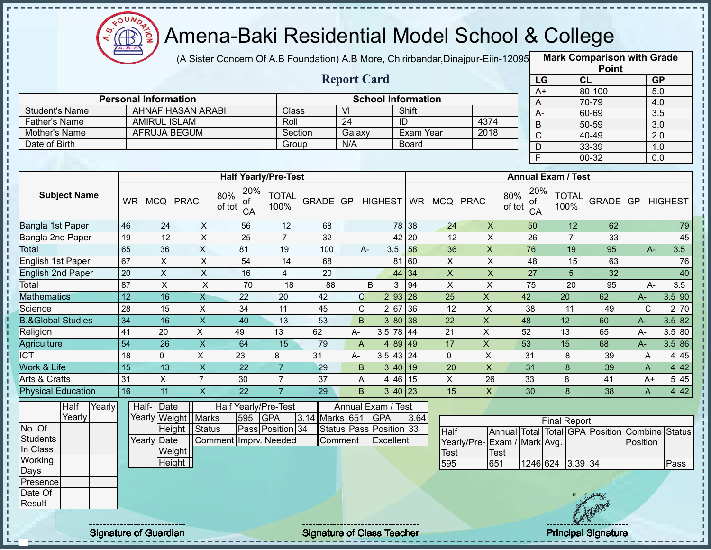

(A Sister Concern Of A.B Foundation) A.B More, Chirirbandar,Dinajpur-Eiin-12095 **Mark Comparison with Grade** 

|                       |                             |                             | <b>Report Card</b> |                           |                  | LG                 |
|-----------------------|-----------------------------|-----------------------------|--------------------|---------------------------|------------------|--------------------|
|                       | <b>Personal Information</b> |                             |                    | <b>School Information</b> |                  | $A+$               |
| <b>Student's Name</b> | AHNAF HASAN ARABI           | <b>Class</b>                | VI                 | Shift                     |                  | A-                 |
| Father's Name         | <b>AMIRUL ISLAM</b>         | Roll                        | 24                 | ID                        | 4374             | B                  |
| Mother's Name         | AFRUJA BEGUM                | Section                     | Galaxy             | Exam Year                 | 2018             |                    |
| Date of Birth         |                             | Group                       | N/A                | <b>Board</b>              |                  | D                  |
|                       |                             |                             |                    |                           |                  |                    |
|                       |                             |                             |                    |                           |                  |                    |
|                       |                             | <b>Half Yearly/Pre-Test</b> |                    |                           |                  | <b>Annual Exan</b> |
| Subject Name          | 000 <sub>k</sub>            | 20%<br><b>TOTAL</b>         |                    |                           | 000 <sub>6</sub> | 20% $_{T}$         |

|      | <b>Point</b> |           |
|------|--------------|-----------|
| LG   | CL           | <b>GP</b> |
| $A+$ | 80-100       | 5.0       |
| Α    | 70-79        | 4.0       |
| A-   | 60-69        | 3.5       |
| B    | 50-59        | 3.0       |
| C    | $40 - 49$    | 2.0       |
| D    | 33-39        | 1.0       |
| F    | 00-32        | 0.0       |

|                              |           |            |                |                                  | <b>Half Yearly/Pre-Test</b> |          |    |                      |           |            |             | <b>Annual Exam / Test</b>        |                      |          |       |                |
|------------------------------|-----------|------------|----------------|----------------------------------|-----------------------------|----------|----|----------------------|-----------|------------|-------------|----------------------------------|----------------------|----------|-------|----------------|
| <b>Subject Name</b>          | <b>WR</b> | <b>MCQ</b> | <b>PRAC</b>    | 20%<br>80%<br>οf<br>of tot<br>CA | <b>TOTAL</b><br>100%        | GRADE GP |    | HIGHEST WR           |           | <b>MCQ</b> | <b>PRAC</b> | 20%<br>80%<br>οf<br>of tot<br>CA | <b>TOTAL</b><br>100% | GRADE GP |       | <b>HIGHEST</b> |
| Bangla 1st Paper             | 46        | 24         | X              | 56                               | 12                          | 68       |    |                      | 78 38     | 24         | X           | 50                               | 12                   | 62       |       | 79             |
| Bangla 2nd Paper             | 19        | 12         | X              | 25                               | 7                           | 32       |    |                      | 42 20     | 12         | X           | 26                               | 7                    | 33       |       | 45             |
| <b>Total</b>                 | 65        | 36         | X.             | 81                               | 19                          | 100      |    | 3.5<br>A-            | 58        | 36         | X           | 76                               | 19                   | 95       | $A-$  | 3.5            |
| English 1st Paper            | 67        | X          | X              | 54                               | 14                          | 68       |    | 81                   | 60        | X          | X           | 48                               | 15                   | 63       |       | 76             |
| <b>English 2nd Paper</b>     | 20        | X          | X              | 16                               | 4                           | 20       |    |                      | 44 34     | X          | X           | 27                               | 5                    | 32       |       | 40             |
| Total                        | 87        | X          | X              | 70                               | 18                          | 88       |    | B<br>3               | 94        | X          | X           | 75                               | 20                   | 95       | $A -$ | 3.5            |
| <b>Mathematics</b>           | 12        | 16         | X              | 22                               | 20                          | 42       |    | $\mathbf C$<br>2 9 3 | <b>28</b> | 25         | X           | 42                               | 20                   | 62       | $A -$ | 3.5 90         |
| Science                      | 28        | 15         | X              | 34                               | 11                          | 45       |    | C.<br>2 67           | 36        | 12         | X.          | 38                               | 11                   | 49       | C     | 2 70           |
| <b>B.&amp;Global Studies</b> | 34        | 16         | X              | 40                               | 13                          | 53       | B  | 3 80                 | 138       | 22         | X           | 48                               | 12                   | 60       | $A-$  | 3.5 82         |
| Religion                     | 41        | 20         | Χ              | 49                               | 13                          | 62       | A- | 3.5 78 44            |           | 21         | X           | 52                               | 13                   | 65       | A-    | 3.5 80         |
| Agriculture                  | 54        | 26         | X              | 64                               | 15                          | 79       | A  | 4 89 49              |           | 17         | X           | 53                               | 15                   | 68       | $A-$  | 3.5 86         |
| <b>ICT</b>                   | 18        | 0          | X.             | 23                               | 8                           | 31       | A- | $3.5$ 43 24          |           | $\Omega$   | X           | 31                               | 8                    | 39       | Α     | 4 4 5          |
| Work & Life                  | 15        | 13         | X              | 22                               |                             | 29       | B  | $340$ 19             |           | 20         | X.          | 31                               | 8                    | 39       | A     | 4 4 2          |
| Arts & Crafts                | 31        | X          | $\overline{7}$ | 30                               | 7                           | 37       | A  | 4 46 15              |           | X          | 26          | 33                               | 8                    | 41       | $A+$  | 5 4 5          |
| <b>Physical Education</b>    | 16        | 11         | X              | 22                               |                             | 29       | B  | $3 \t40 \t23$        |           | 15         | X           | 30                               | 8                    | 38       | A     | 4 4 2          |

|                 | Half   | Yearly | Half-Date   |                       |                       |     | Half Yearly/Pre-Test |                | Annual Exam / Test            |      |                              |      |                     |     |                                                |      |
|-----------------|--------|--------|-------------|-----------------------|-----------------------|-----|----------------------|----------------|-------------------------------|------|------------------------------|------|---------------------|-----|------------------------------------------------|------|
|                 | Yearly |        |             | Yearly Weight   Marks |                       | 595 | <b>GPA</b>           | 3.14 Marks 651 | <b>GPA</b>                    | 3.64 |                              |      | <b>Final Report</b> |     |                                                |      |
| No. Of          |        |        |             | Height Status         |                       |     | Pass Position 34     |                | Status   Pass   Position   33 |      | Half                         |      |                     |     | Annual Total Total GPA Position Combine Status |      |
| Students        |        |        | Yearly Date |                       | Comment Imprv. Needed |     |                      | Comment        | Excellent                     |      | Yearly/Pre- Exam / Mark Avg. |      |                     |     | Position                                       |      |
| In Class        |        |        |             | Weight                |                       |     |                      |                |                               |      | <b>Test</b>                  | Test |                     |     |                                                |      |
| Working         |        |        |             | Height                |                       |     |                      |                |                               |      | 595                          | 651  | 1246 624 3.39 34    |     |                                                | Pass |
| Days            |        |        |             |                       |                       |     |                      |                |                               |      |                              |      |                     |     |                                                |      |
| <b>Presence</b> |        |        |             |                       |                       |     |                      |                |                               |      |                              |      |                     |     |                                                |      |
| Date Of         |        |        |             |                       |                       |     |                      |                |                               |      |                              |      |                     |     |                                                |      |
| Result          |        |        |             |                       |                       |     |                      |                |                               |      |                              |      |                     |     |                                                |      |
|                 |        |        |             |                       |                       |     |                      |                |                               |      |                              |      |                     | CAM |                                                |      |

J.

Signature of Guardian Signature of Class Teacher Principal Signature 23/45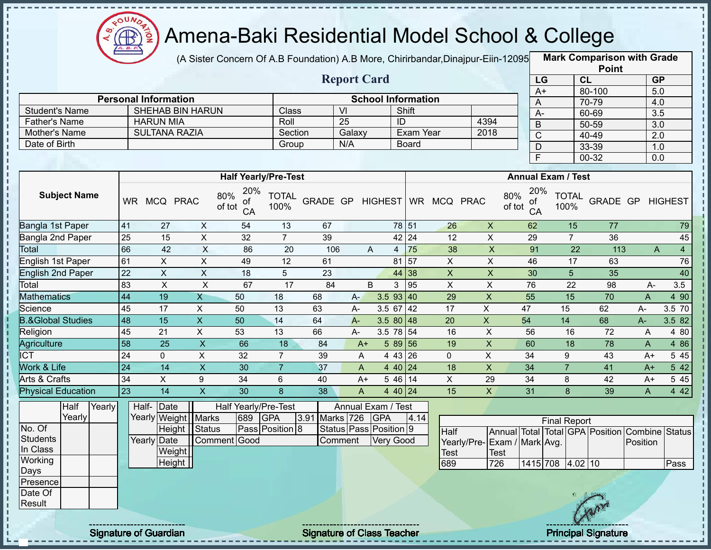

J.

п

 $\frac{1}{1}$  =  $\frac{1}{1}$  =  $\frac{1}{1}$  =  $\frac{1}{1}$  =

 $\mathbf I$ 

#### Amena-Baki Residential Model School & College

(A Sister Concern Of A.B Foundation) A.B More, Chirirbandar,Dinajpur-Eiin-120950

**Mark Comparison with Grade**

|                                       |                 |                                          |                           |                             |                      |                  |                        |            | <b>Point</b>              |                         |                              |                 |                           |                                                |                  |                |
|---------------------------------------|-----------------|------------------------------------------|---------------------------|-----------------------------|----------------------|------------------|------------------------|------------|---------------------------|-------------------------|------------------------------|-----------------|---------------------------|------------------------------------------------|------------------|----------------|
|                                       |                 |                                          |                           |                             |                      |                  | <b>Report Card</b>     |            |                           |                         |                              | LG              |                           | CL                                             | <b>GP</b>        |                |
|                                       |                 |                                          |                           |                             |                      |                  |                        |            |                           |                         |                              | $A+$            |                           | 80-100                                         | 5.0              |                |
|                                       |                 | <b>Personal Information</b>              |                           |                             |                      |                  | $\overline{V}$         |            | <b>School Information</b> |                         |                              | A               |                           | 70-79                                          | 4.0              |                |
| <b>Student's Name</b>                 |                 | <b>SHEHAB BIN HARUN</b>                  |                           |                             | Class<br>Roll        |                  | $\overline{25}$        |            | Shift                     |                         | 4394                         | $A-$            |                           | 60-69                                          | 3.5              |                |
| <b>Father's Name</b><br>Mother's Name |                 | <b>HARUN MIA</b><br><b>SULTANA RAZIA</b> |                           |                             | Section              |                  |                        |            | ID<br>Exam Year           |                         | 2018                         | $\mathsf B$     |                           | $50 - 59$                                      | 3.0              |                |
| Date of Birth                         |                 |                                          |                           |                             | Group                |                  | Galaxy<br>N/A          |            | <b>Board</b>              |                         |                              | $\overline{C}$  |                           | 40-49                                          | $\overline{2.0}$ |                |
|                                       |                 |                                          |                           |                             |                      |                  |                        |            |                           |                         |                              | D               |                           | 33-39                                          | 1.0              |                |
|                                       |                 |                                          |                           |                             |                      |                  |                        |            |                           |                         |                              | $\overline{F}$  |                           | $00 - 32$                                      | 0.0              |                |
|                                       |                 |                                          |                           | <b>Half Yearly/Pre-Test</b> |                      |                  |                        |            |                           |                         |                              |                 | <b>Annual Exam / Test</b> |                                                |                  |                |
|                                       |                 |                                          |                           | 20%                         |                      |                  |                        |            |                           |                         |                              | 20%             |                           |                                                |                  |                |
| <b>Subject Name</b>                   |                 | WR MCQ PRAC                              |                           | 80%<br>οf<br>of tot<br>CA   | <b>TOTAL</b><br>100% | GRADE GP HIGHEST |                        |            |                           | WR MCQ PRAC             | 80%<br>of tot                | οf<br>CA        | <b>TOTAL</b><br>100%      | GRADE GP                                       |                  | <b>HIGHEST</b> |
| Bangla 1st Paper                      | 41              | 27                                       | $\boldsymbol{\mathsf{X}}$ | 54                          | 13                   | 67               |                        |            | 78 51                     | 26                      | $\pmb{\times}$               | 62              |                           | 77<br>15                                       |                  | 79             |
| Bangla 2nd Paper                      | $\overline{25}$ | 15                                       | $\overline{X}$            | $\overline{32}$             | $\overline{7}$       | 39               |                        |            | 42 24                     | $\overline{12}$         | $\overline{X}$               | 29              | $\overline{7}$            | 36                                             |                  | 45             |
| Total                                 | 66              | 42                                       | $\overline{X}$            | 86                          | $\overline{20}$      | 106              |                        | A          | 75<br>$\overline{4}$      | 38                      | $\overline{X}$               | 91              |                           | 22<br>113                                      | $\overline{A}$   | $\overline{4}$ |
| English 1st Paper                     | 61              | X                                        | $\overline{X}$            | 49                          | 12                   | 61               |                        |            | $81\overline{57}$         | $\overline{X}$          | $\overline{X}$               | 46              |                           | 17<br>63                                       |                  | 76             |
| <b>English 2nd Paper</b>              | $\overline{22}$ | $\pmb{\times}$                           | $\overline{X}$            | 18                          | 5                    | $\overline{23}$  |                        |            | 44 38                     | $\mathsf{X}$            | $\overline{\mathsf{x}}$      | 30              | $\overline{5}$            | $\overline{35}$                                |                  | 40             |
| Total                                 | 83              | $\pmb{\times}$                           | $\overline{\mathsf{x}}$   | 67                          | $\overline{17}$      | 84               |                        | B          | 95<br>3                   | $\overline{\mathsf{x}}$ | $\mathsf X$                  | 76              | 22                        | 98                                             | A-               | 3.5            |
| <b>Mathematics</b>                    | $\overline{44}$ | 19                                       | $\overline{X}$            | 50                          | 18                   | 68               | $A -$                  |            | 3.593   40                | 29                      | $\pmb{\times}$               | 55              | 15                        | 70                                             | $\overline{A}$   | 4 90           |
| Science                               | 45              | 17                                       | $\sf X$                   | 50                          | 13                   | 63               | A-                     |            | $3.5$ 67 42               | 17                      | $\mathsf X$                  | 47              | 15                        | 62                                             | A-               | 3.5 70         |
| <b>B.&amp;Global Studies</b>          | $\overline{48}$ | $\overline{15}$                          | $\mathsf{X}$              | $\overline{50}$             | $\overline{14}$      | 64               | $A -$                  |            | $3.580$ 48                | 20                      | $\boldsymbol{\mathsf{X}}$    | 54              | $\overline{14}$           | 68                                             | A-               | 3.5 82         |
| Religion                              | 45              | 21                                       | $\mathsf{X}$              | 53                          | 13                   | 66               | $A -$                  |            | $3.5$ 78 $\overline{54}$  | 16                      | $\sf X$                      | 56              | 16                        | 72                                             | $\overline{A}$   | 4 80           |
| Agriculture                           | $\overline{58}$ | 25                                       | $\overline{\mathsf{x}}$   | 66                          | 18                   | 84               | $A+$                   |            | 58956                     | 19                      | $\overline{X}$               | 60              | 18                        | 78                                             | $\overline{A}$   | 4 8 6          |
| <b>ICT</b>                            | $\overline{24}$ | $\mathbf 0$                              | $\overline{X}$            | $\overline{32}$             | $\overline{7}$       | 39               | A                      |            | 4 43 26                   | $\mathbf 0$             | $\overline{X}$               | $\overline{34}$ | 9                         | 43                                             | $A+$             | 5 4 5          |
| Work & Life                           | $\overline{24}$ | $\overline{14}$                          | $\overline{X}$            | 30                          | $\overline{7}$       | 37               | A                      |            | 4 40 24                   | 18                      | $\overline{X}$               | $\overline{34}$ | $\overline{7}$            | 41                                             | $A+$             | 5 42           |
| <b>Arts &amp; Crafts</b>              | $\overline{34}$ | $\overline{X}$                           | $\overline{9}$            | $\overline{34}$             | $6\phantom{1}$       | 40               | $A+$                   |            | $546$ 14                  | $\overline{X}$          | 29                           | 34              | 8                         | $\overline{42}$                                | $A+$             | 5 4 5          |
| <b>Physical Education</b>             | 23              | 14                                       | $\boldsymbol{\mathsf{X}}$ | $\overline{30}$             | 8                    | $\overline{38}$  | $\mathsf A$            |            | 4 40 24                   | 15                      | $\overline{X}$               | 31              | $\mathbf{8}$              | 39                                             | $\overline{A}$   | 4 4 2          |
| Half<br>Yearly                        | Half-           | Date                                     |                           | Half Yearly/Pre-Test        |                      |                  | Annual Exam / Test     |            |                           |                         |                              |                 |                           |                                                |                  |                |
| Yearly                                |                 | Yearly Weight                            | <b>Marks</b>              | 689                         | <b>GPA</b>           | 3.91 Marks 726   |                        | <b>GPA</b> | 4.14                      |                         |                              |                 | <b>Final Report</b>       |                                                |                  |                |
| No. Of                                |                 | Height                                   | <b>Status</b>             |                             | Pass Position 8      |                  | Status Pass Position 9 |            |                           | Half                    |                              |                 |                           | Annual Total Total GPA Position Combine Status |                  |                |
| <b>Students</b>                       |                 | Yearly Date                              |                           | Comment Good                |                      |                  | Comment                | Very Good  |                           |                         | Yearly/Pre- Exam / Mark Avg. |                 |                           |                                                | Position         |                |
| In Class                              |                 | Weight                                   |                           |                             |                      |                  |                        |            |                           | <b>Test</b>             | <b>Test</b>                  |                 |                           |                                                |                  |                |
| Working                               |                 | Height $\vert$                           |                           |                             |                      |                  |                        |            |                           | 689                     | 726                          |                 | 1415 708 4.02 10          |                                                |                  | Pass           |
| Days                                  |                 |                                          |                           |                             |                      |                  |                        |            |                           |                         |                              |                 |                           |                                                |                  |                |
| Presence                              |                 |                                          |                           |                             |                      |                  |                        |            |                           |                         |                              |                 |                           |                                                |                  |                |
| Date Of<br>Result                     |                 |                                          |                           |                             |                      |                  |                        |            |                           |                         |                              |                 |                           |                                                |                  |                |
|                                       |                 |                                          |                           |                             |                      |                  |                        |            |                           |                         |                              |                 |                           |                                                |                  |                |
|                                       |                 |                                          |                           |                             |                      |                  |                        |            |                           |                         |                              |                 |                           |                                                |                  |                |

Signature of Guardian Signature of Class Teacher Principal Signature 24/45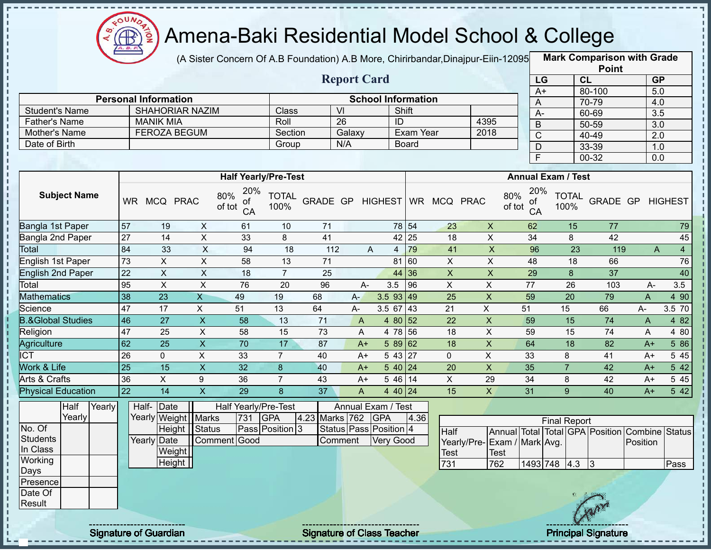

п Ţ

Ţ  $\mathbf{I}$ 

#### Amena-Baki Residential Model School & College

(A Sister Concern Of A.B Foundation) A.B More, Chirirbandar,Dinajpur-Eiin-12095 **Mark Comparison with Grade** 

|                      |                             |                             | <b>Report Card</b> |                           |      | LG<br>A+      |
|----------------------|-----------------------------|-----------------------------|--------------------|---------------------------|------|---------------|
|                      | <b>Personal Information</b> |                             |                    | <b>School Information</b> |      | $\forall$     |
| Student's Name       | <b>SHAHORIAR NAZIM</b>      | Class                       | VI                 | Shift                     |      | $A-$          |
| <b>Father's Name</b> | <b>MANIK MIA</b>            | Roll                        | 26                 | ID                        | 4395 | B             |
| Mother's Name        | <b>FEROZA BEGUM</b>         | Section                     | Galaxy             | Exam Year                 | 2018 | C             |
| Date of Birth        |                             | Group                       | N/A                | <b>Board</b>              |      | D             |
|                      |                             |                             |                    |                           |      |               |
|                      |                             |                             |                    |                           |      |               |
|                      |                             | <b>Half Yearly/Pre-Test</b> |                    |                           |      | Annual Exam / |
|                      |                             |                             |                    |                           |      |               |

|      | <b>Point</b> |                  |
|------|--------------|------------------|
| LG   | <b>CL</b>    | <b>GP</b>        |
| $A+$ | 80-100       | 5.0              |
| Α    | 70-79        | 4.0              |
| А-   | 60-69        | $\overline{3.5}$ |
| B    | 50-59        | 3.0              |
| C    | 40-49        | 2.0              |
| D    | 33-39        | 1.0              |
| F    | 00-32        | 0.0              |

|                              |           |              |             | <b>Half Yearly/Pre-Test</b>      |                      |          |      |                |           |            |             | <b>Annual Exam / Test</b>        |                      |          |      |                     |
|------------------------------|-----------|--------------|-------------|----------------------------------|----------------------|----------|------|----------------|-----------|------------|-------------|----------------------------------|----------------------|----------|------|---------------------|
| <b>Subject Name</b>          | <b>WR</b> | <b>MCQ</b>   | <b>PRAC</b> | 20%<br>80%<br>οf<br>of tot<br>CA | <b>TOTAL</b><br>100% | GRADE GP |      | <b>HIGHEST</b> | <b>WR</b> | <b>MCQ</b> | <b>PRAC</b> | 20%<br>80%<br>of<br>of tot<br>CA | <b>TOTAL</b><br>100% | GRADE GP |      | <b>HIGHEST</b>      |
| Bangla 1st Paper             | 57        | 19           | X           | 61                               | 10                   | 71       |      |                | 78 54     | 23         | X           | 62                               | 15                   | 77       |      | 79                  |
| Bangla 2nd Paper             | 27        | 14           | X           | 33                               | 8                    | 41       |      | 42             | 25        | 18         | X           | 34                               | 8                    | 42       |      | 45                  |
| Total                        | 84        | 33           | $\times$    | 94                               | 18                   | 112      |      | A<br>4         | 79        | 41         | X           | 96                               | 23                   | 119      |      | $\overline{4}$<br>A |
| English 1st Paper            | 73        | X            | X           | 58                               | 13                   | 71       |      | 81             | 60        | X          | X           | 48                               | 18                   | 66       |      | 76                  |
| <b>English 2nd Paper</b>     | 22        | X            | X           | 18                               |                      | 25       |      |                | 44 36     | X          | X           | 29                               | 8                    | 37       |      | 40                  |
| Total                        | 95        | X            | X.          | 76                               | 20                   | 96       | $A-$ | 3.5            | 96        | X          | X           | 77                               | 26                   | 103      | A-   | 3.5                 |
| Mathematics                  | 38        | 23           | X           | 49                               | 19                   | 68       | $A-$ | $3.5$ 93 49    |           | 25         | X           | 59                               | 20                   | 79       | A    | 4 90                |
| Science                      | 47        | 17           | X           | 51                               | 13                   | 64       | A-   | 3.5 67         | 43        | 21         | X           | 51                               | 15                   | 66       | A-   | 3.5 70              |
| <b>B.&amp;Global Studies</b> | 46        | 27           | X           | 58                               | 13                   | 71       | A    | 4 80 52        |           | 22         | X           | 59                               | 15                   | 74       | A    | 4 8 2               |
| Religion                     | 47        | 25           | X           | 58                               | 15                   | 73       | A    | 4 78           | 56        | 18         | X           | 59                               | 15                   | 74       | A    | 4 80                |
| Agriculture                  | 62        | 25           | X           | 70                               | 17                   | 87       | $A+$ | 58962          |           | 18         | X           | 64                               | 18                   | 82       | $A+$ | 5 86                |
| $\overline{\text{ICT}}$      | 26        | $\mathbf{0}$ | X           | 33                               | $\overline{ }$       | 40       | $A+$ | 5 43 27        |           | 0          | X           | 33                               | 8                    | 41       | $A+$ | 5 4 5               |
| <b>Nork &amp; Life</b>       | 25        | 15           | X           | 32                               | 8                    | 40       | $A+$ | $540$ 24       |           | 20         | X           | 35                               |                      | 42       | $A+$ | 5 42                |
| Arts & Crafts                | 36        | X            | 9           | 36                               |                      | 43       | $A+$ | 5 4 6          | 14        | X          | 29          | 34                               | 8                    | 42       | $A+$ | 5 4 5               |
| <b>Physical Education</b>    | 22        | 14           | X           | 29                               | 8                    | 37       | A    | 4 40 24        |           | 15         | X           | 31                               | 9                    | 40       | $A+$ | 5 42                |

|          | Half   | Yearly | Half-Date   |        |                       |     | Half Yearly/Pre-Test |                | Annual Exam / Test           |      |                              |      |          |                     |     |       |                                                |      |
|----------|--------|--------|-------------|--------|-----------------------|-----|----------------------|----------------|------------------------------|------|------------------------------|------|----------|---------------------|-----|-------|------------------------------------------------|------|
|          | Yearly |        |             |        | Yearly Weight   Marks | 731 | <b>IGPA</b>          | 4.23 Marks 762 | <b>GPA</b>                   | 4.36 |                              |      |          | <b>Final Report</b> |     |       |                                                |      |
| No. Of   |        |        |             |        | Height   Status       |     | Pass Position 3      |                | Status   Pass   Position   4 |      | Half                         |      |          |                     |     |       | Annual Total Total GPA Position Combine Status |      |
| Students |        |        | Yearly Date |        | Comment Good          |     |                      | Comment        | Very Good                    |      | Yearly/Pre- Exam / Mark Avg. |      |          |                     |     |       | Position                                       |      |
| In Class |        |        |             | Weight |                       |     |                      |                |                              |      | <b>Test</b>                  | Test |          |                     |     |       |                                                |      |
| Working  |        |        |             | Height |                       |     |                      |                |                              |      | 731                          | 762  | 1493 748 |                     | 4.3 |       |                                                | Pass |
| Days     |        |        |             |        |                       |     |                      |                |                              |      |                              |      |          |                     |     |       |                                                |      |
| Presence |        |        |             |        |                       |     |                      |                |                              |      |                              |      |          |                     |     |       |                                                |      |
| Date Of  |        |        |             |        |                       |     |                      |                |                              |      |                              |      |          |                     |     |       |                                                |      |
| Result   |        |        |             |        |                       |     |                      |                |                              |      |                              |      |          |                     |     |       |                                                |      |
|          |        |        |             |        |                       |     |                      |                |                              |      |                              |      |          |                     |     | Crany |                                                |      |

Signature of Guardian Signature of Class Teacher Principal Signature 25-45-45.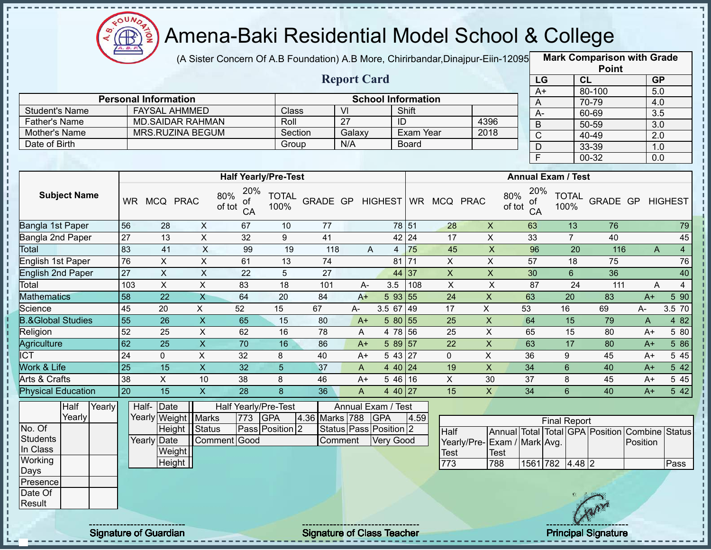

J.

п п J.

J. л

п

л п  $\frac{1}{1}$ J. J. п  $\mathbf I$ 

п  $\mathbf I$ 

т

 $1 + 1 + 1 + 1 + 1$ 

# Amena-Baki Residential Model School & College

(A Sister Concern Of A.B Foundation) A.B More, Chirirbandar, Dinajpur-Eiin-12095

**Mark Comparison with Grade Point**

|                       |                |                             |              |                                  |                      |               |        |                    |                           |           |               |           |               |                 |                           | Point     |           |                |
|-----------------------|----------------|-----------------------------|--------------|----------------------------------|----------------------|---------------|--------|--------------------|---------------------------|-----------|---------------|-----------|---------------|-----------------|---------------------------|-----------|-----------|----------------|
|                       |                |                             |              |                                  |                      |               |        | <b>Report Card</b> |                           |           |               |           |               | LG              |                           | <b>CL</b> | <b>GP</b> |                |
|                       |                |                             |              |                                  |                      |               |        |                    |                           |           |               |           |               | A+              |                           | 80-100    | 5.0       |                |
|                       |                | <b>Personal Information</b> |              |                                  |                      |               |        |                    | <b>School Information</b> |           |               |           |               | A               |                           | 70-79     | 4.0       |                |
| <b>Student's Name</b> |                | <b>FAYSAL AHMMED</b>        |              |                                  | Class                |               | VI     |                    |                           | Shift     |               |           |               | А-              |                           | 60-69     | 3.5       |                |
| Father's Name         |                | <b>MD.SAIDAR RAHMAN</b>     |              |                                  | Roll                 |               | 27     |                    | ID                        |           |               | 4396      |               | B               |                           | 50-59     | 3.0       |                |
| Mother's Name         |                | <b>MRS.RUZINA BEGUM</b>     |              |                                  | Section              |               | Galaxy |                    |                           | Exam Year |               | 2018      |               | C               |                           | 40-49     | 2.0       |                |
| Date of Birth         |                |                             |              |                                  | Group                |               | N/A    |                    |                           | Board     |               |           |               | D               |                           | 33-39     | 1.0       |                |
|                       |                |                             |              |                                  |                      |               |        |                    |                           |           |               |           |               | F               |                           | 00-32     | 0.0       |                |
|                       |                |                             |              | <b>Half Yearly/Pre-Test</b>      |                      |               |        |                    |                           |           |               |           |               |                 | <b>Annual Exam / Test</b> |           |           |                |
| <b>Subject Name</b>   | <b>WR</b>      | <b>MCQ</b>                  | <b>PRAC</b>  | 20%<br>80%<br>of<br>of tot<br>CA | <b>TOTAL</b><br>100% | GRADE GP      |        |                    | <b>HIGHEST</b>            |           | WR MCQ PRAC   |           | 80%<br>of tot | 20%<br>of<br>CA | <b>TOTAL</b><br>100%      | GRADE GP  |           | <b>HIGHEST</b> |
| Bangla 1st Paper      | 56             | 28                          | X            | 67                               | 10                   | 77            |        |                    |                           | 78 51     | 28            | X         |               | 63              | 13                        | 76        |           | 79             |
| Bangla 2nd Paper      | 27             | 13                          | X            | 32                               | 9                    | 41            |        |                    |                           | 42 24     | 17            | X         |               | 33              | 7                         | 40        |           | 45             |
| Total                 | 83             | 41                          | X            | 99                               | 19                   | 118           |        | A                  | 4                         | 75        | 45            | X         |               | 96              | 20                        | 116       | A         | 4              |
| English 1st Paper     | 76             | X                           | X            | 61                               | 13                   | 74            |        |                    | 81                        | 171       | X             | X         |               | 57              | 18                        | 75        |           | 76             |
| English 2nd Paper     | 27             | X                           | X            | 22                               | 5                    | 27            |        |                    |                           | 44 37     | X             | X         |               | 30              | 6                         | 36        |           | 40             |
| Total                 | 103            | X                           | X            | 83                               | 18                   | 101           |        | A-                 | 3.5                       | 108       | X             | X         |               | 87              | 24                        | 111       | A         | 4              |
| $M = 41$ and $M = 42$ | $\overline{z}$ | $\sim$                      | $\mathbf{v}$ | $\sim$ $\sim$                    | $\sim$               | $\sim$ $\sim$ |        |                    | $-$ 00 $-$                |           | $\sim$ $\sim$ | $\lambda$ |               | $\sim$          | $\sim$                    | $\sim$    |           | $-$ 00         |

| Total                        | 103       |    | $\lambda$ | 83 | 18 | 101 | A-   | 3.5                  | 108 |    |    | 87 | 24  | 111 | A            |       |
|------------------------------|-----------|----|-----------|----|----|-----|------|----------------------|-----|----|----|----|-----|-----|--------------|-------|
| Mathematics                  | 58        | 22 |           | 64 | 20 | 84  | A+   | 5 93 55              |     | 24 |    | 63 | 20  | 83  | $A+$         | 5 90  |
| Science                      | -45       | 20 |           | 52 | 15 | 67  | А-   | 3.5<br>67            | 149 |    |    | 53 | 16  | 69  | A-           | 3.570 |
| <b>3.&amp;Global Studies</b> | 155       | 26 | $\Lambda$ | 65 | 15 | 80  | $A+$ | -80<br>5             | 155 | 25 | ⌒  | 64 | 15. | 79  | $\mathsf{A}$ | 4 82  |
| Religion                     | 52        | 25 | $\sim$    | 62 | 16 | 78  | A    | $.78$ 56<br>4        |     | 25 |    | 65 | 15  | 80  | $A+$         | 5 80  |
| Agriculture                  | <b>62</b> | 25 |           | 70 | 16 | 86  | A+   | -89<br>5             | 157 | 22 |    | 63 |     | 80  | $A+$         | 5 86  |
| דרו                          | 24        |    |           | 32 |    | 40  | $A+$ | -43<br>$\mathbf b$   | 127 |    |    | 36 | 9   | 45  | $A+$         | 5 45  |
| Work & Life                  | 125       | 15 |           | 32 |    | 37  | A    | 40                   | 124 | 19 |    | 34 | h   | 40  | $A+$         | 5 42  |
| Arts & Crafts                | 38        |    | 10        | 38 |    | 46  | A+   | 46 16<br>$5^{\circ}$ |     |    | 30 | 37 |     | 45  | $A+$         | 5 45  |
| <b>Physical Education</b>    | l 20      | 15 |           | 28 |    | 36  |      | 40                   | 127 | 15 |    | 34 |     | 40  | A+           | 5 42  |

|          | Half   | Yearly | Half-Date             |                 |     | Half Yearly/Pre-Test |                    | Annual Exam / Test           |      |                              |      |                 |                     |     |                                                |      |
|----------|--------|--------|-----------------------|-----------------|-----|----------------------|--------------------|------------------------------|------|------------------------------|------|-----------------|---------------------|-----|------------------------------------------------|------|
|          | Yearly |        | Yearly Weight   Marks |                 | 773 | <b>IGPA</b>          | 4.36 Marks 788 GPA |                              | 4.59 |                              |      |                 | <b>Final Report</b> |     |                                                |      |
| No. Of   |        |        |                       | Height   Status |     | Pass Position 2      |                    | Status   Pass   Position   2 |      | Half                         |      |                 |                     |     | Annual Total Total GPA Position Combine Status |      |
| Students |        |        | Yearly Date           | Comment Good    |     |                      | Comment            | <b>Very Good</b>             |      | Yearly/Pre- Exam / Mark Avg. |      |                 |                     |     | Position                                       |      |
| In Class |        |        | Weight                |                 |     |                      |                    |                              |      | <b>Test</b>                  | Test |                 |                     |     |                                                |      |
| Working  |        |        | Height                |                 |     |                      |                    |                              |      | 773                          | 788  | 1561 782 4.48 2 |                     |     |                                                | Pass |
| Days     |        |        |                       |                 |     |                      |                    |                              |      |                              |      |                 |                     |     |                                                |      |
| Presence |        |        |                       |                 |     |                      |                    |                              |      |                              |      |                 |                     |     |                                                |      |
| Date Of  |        |        |                       |                 |     |                      |                    |                              |      |                              |      |                 |                     |     |                                                |      |
| Result   |        |        |                       |                 |     |                      |                    |                              |      |                              |      |                 |                     | Any |                                                |      |
|          |        |        |                       |                 |     |                      |                    |                              |      |                              |      |                 |                     |     |                                                |      |

Signature of Guardian Signature of Class Teacher Principal Signature 26 Australian Principal Signature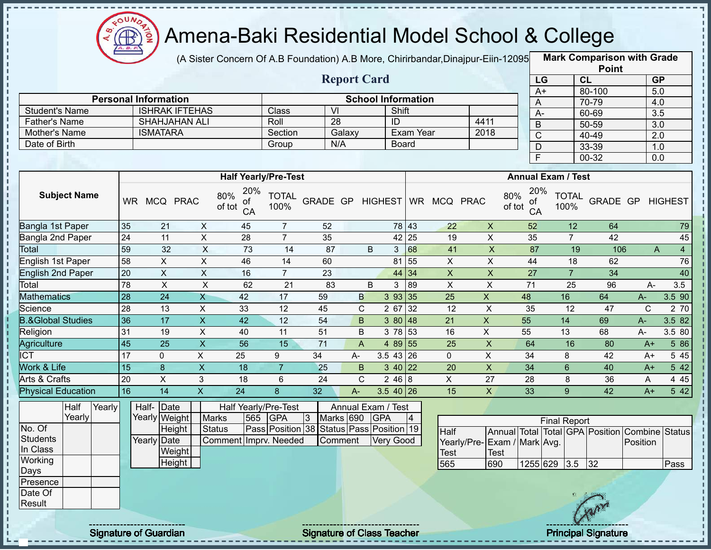

(A Sister Concern Of A.B Foundation) A.B More, Chirirbandar,Dinajpur-Eiin-120950

**Mark Comparison with Grade**

|                                               |                 |                                 |                           |                                  |                                                                   |                                   |                                 |                                    |                |                                    |                                                             |                 |                           |                | <b>Point</b>               |                     |                |
|-----------------------------------------------|-----------------|---------------------------------|---------------------------|----------------------------------|-------------------------------------------------------------------|-----------------------------------|---------------------------------|------------------------------------|----------------|------------------------------------|-------------------------------------------------------------|-----------------|---------------------------|----------------|----------------------------|---------------------|----------------|
|                                               |                 |                                 |                           |                                  |                                                                   |                                   | <b>Report Card</b>              |                                    |                |                                    |                                                             |                 | LG                        | CL             |                            | GP                  |                |
|                                               |                 | <b>Personal Information</b>     |                           |                                  |                                                                   |                                   |                                 |                                    |                |                                    |                                                             | $A+$            |                           | 80-100         |                            | 5.0                 |                |
|                                               |                 | <b>ISHRAK IFTEHAS</b>           |                           |                                  |                                                                   | $\overline{\mathsf{V}}$           |                                 | <b>School Information</b><br>Shift |                |                                    |                                                             | A               |                           | 70-79          |                            | 4.0                 |                |
| <b>Student's Name</b><br><b>Father's Name</b> |                 | <b>SHAHJAHAN ALI</b>            |                           |                                  | Class<br>Roll                                                     | 28                                |                                 | ID                                 |                |                                    | 4411                                                        | $A -$           |                           | 60-69          |                            | $\overline{3.5}$    |                |
| Mother's Name                                 |                 | <b>ISMATARA</b>                 |                           |                                  | Section                                                           |                                   | Galaxy                          |                                    | Exam Year      |                                    | 2018                                                        | $\sf B$         |                           | 50-59          |                            | 3.0                 |                |
| Date of Birth                                 |                 |                                 |                           |                                  | Group                                                             | N/A                               |                                 | <b>Board</b>                       |                |                                    |                                                             | $\overline{C}$  |                           | 40-49          |                            | 2.0                 |                |
|                                               |                 |                                 |                           |                                  |                                                                   |                                   |                                 |                                    |                |                                    |                                                             | $\mathsf D$     |                           | 33-39          |                            | 1.0                 |                |
|                                               |                 |                                 |                           |                                  |                                                                   |                                   |                                 |                                    |                |                                    |                                                             | F               |                           | 00-32          |                            | 0.0                 |                |
|                                               |                 |                                 |                           |                                  | <b>Half Yearly/Pre-Test</b>                                       |                                   |                                 |                                    |                |                                    |                                                             |                 | <b>Annual Exam / Test</b> |                |                            |                     |                |
| <b>Subject Name</b>                           |                 | WR MCQ PRAC                     |                           | 20%<br>80%<br>of<br>of tot<br>CA | <b>TOTAL</b><br>100%                                              | GRADE GP                          |                                 | <b>HIGHEST</b>                     |                | WR MCQ PRAC                        | 80%<br>of tot                                               | 20%<br>of<br>CA | <b>TOTAL</b><br>100%      |                | GRADE GP                   |                     | <b>HIGHEST</b> |
| Bangla 1st Paper                              | 35              | 21                              | X                         | 45                               | $\overline{7}$                                                    | 52                                |                                 |                                    | 78 43          | 22                                 | $\boldsymbol{X}$                                            | 52              |                           | 12             | 64                         |                     | 79             |
| Bangla 2nd Paper                              | $\overline{24}$ | 11                              | $\mathsf{X}$              | 28                               | $\overline{7}$                                                    | 35                                |                                 |                                    | 42 25          | 19                                 | $\pmb{\times}$                                              | 35              |                           | $\overline{7}$ | 42                         |                     | 45             |
| Total                                         | 59              | 32                              | $\mathsf{X}$              | $\overline{73}$                  | 14                                                                | 87                                | B                               | 3 <sup>5</sup>                     | 68             | 41                                 | $\overline{X}$                                              | 87              |                           | 19             | 106                        | $\mathsf{A}$        | $\overline{4}$ |
| English 1st Paper                             | 58              | X                               | X                         | 46                               | 14                                                                | 60                                |                                 | 81                                 | 55             | X                                  | X                                                           | 44              |                           | 18             | 62                         |                     | 76             |
| <b>English 2nd Paper</b>                      | 20              | $\boldsymbol{\mathsf{X}}$       | $\mathsf{X}$              | 16                               | $\overline{7}$                                                    | 23                                |                                 | 44                                 | 34             | $\mathsf X$                        | $\mathsf X$                                                 | 27              |                           | $\overline{7}$ | 34                         |                     | 40             |
| Total                                         | 78              | $\pmb{\times}$                  | $\pmb{\times}$            | 62                               | 21                                                                | 83                                | B                               | 3                                  | 89             | $\pmb{\times}$                     | $\boldsymbol{\mathsf{X}}$                                   | 71              |                           | 25             | 96                         | A-                  | 3.5            |
| <b>Mathematics</b>                            | $\overline{28}$ | 24                              | $\mathsf{X}$              | 42                               | 17                                                                | 59                                | B                               | 393 35                             |                | 25                                 | $\overline{X}$                                              | 48              | 16                        |                | 64                         | $A-$                | 3.5 90         |
| Science                                       | 28              | 13                              | $\sf X$                   | 33                               | 12                                                                | 45                                | $\mathbf C$                     | 2 67                               | 32             | 12                                 | X                                                           | 35              | 12                        |                | 47                         | C                   | 2 70           |
| <b>B.&amp;Global Studies</b>                  | 36              | 17                              | $\boldsymbol{X}$          | 42                               | 12                                                                | 54                                | B                               | 3 80                               | 48             | 21                                 | $\boldsymbol{\mathsf{X}}$                                   | 55              | 14                        |                | 69                         | $A -$               | 3.5 82         |
| Religion                                      | 31              | 19                              | $\pmb{\times}$            | 40                               | 11                                                                | 51                                | B                               | 3 78                               | 53             | 16                                 | $\mathsf{X}$                                                | 55              | 13                        |                | 68                         | A-                  | 3.5 80         |
| Agriculture                                   | 45              | 25                              | $\boldsymbol{\mathsf{X}}$ | 56                               | 15                                                                | $\overline{71}$                   | $\mathsf{A}$                    | 4 89 55                            |                | 25                                 | $\mathsf X$                                                 | 64              | 16                        |                | 80                         | $A+$                | 5 86           |
| <b>ICT</b>                                    | 17              | $\mathbf{0}$                    | X                         | 25                               | 9                                                                 | 34                                | A-                              | $3.543$ 26                         |                | 0                                  | $\pmb{\times}$                                              | 34              | 8                         |                | 42                         | $A+$                | 5 4 5          |
| Work & Life                                   | 15              | $\boldsymbol{8}$                | $\pmb{\times}$            | 18                               | $\overline{7}$                                                    | 25                                | $\sf B$                         | 340                                | 22             | 20                                 | $\mathsf X$                                                 | 34              | $6\phantom{1}$            |                | 40                         | $A+$                | 5 42           |
| Arts & Crafts                                 | 20              | X                               | 3                         | 18                               | 6                                                                 | 24                                | C                               | 246 8                              |                | X                                  | 27                                                          | 28              | 8                         |                | 36                         | A                   | 4 4 5          |
| <b>Physical Education</b>                     | 16              | 14                              | $\overline{X}$            | 24                               | 8                                                                 | 32                                | $A-$                            | $3.540$ 26                         |                | 15                                 | $\mathsf{X}$                                                | 33              | 9                         |                | 42                         | $A+$                | 5 42           |
| Half<br>Yearly<br>Yearly                      |                 | Half- Date<br>Yearly Weight     | <b>Marks</b>              | Half Yearly/Pre-Test<br>565      | <b>GPA</b>                                                        | $ 3\rangle$                       | Annual Exam / Test<br>Marks 690 | <b>GPA</b>                         | $\overline{4}$ |                                    |                                                             |                 | <b>Final Report</b>       |                |                            |                     |                |
| No. Of<br><b>Students</b><br>In Class         |                 | Height<br>Yearly Date<br>Weight | <b>Status</b>             |                                  | Pass Position 38 Status Pass Position 19<br>Comment Imprv. Needed |                                   | Comment                         | Very Good                          |                | Half<br>Yearly/Pre-<br><b>Test</b> | Annual Total Total GPA Position<br>Exam / Mark Avg.<br>Test |                 |                           |                |                            | Combine<br>Position | <b>Status</b>  |
| Working                                       |                 | Height                          |                           |                                  |                                                                   |                                   |                                 |                                    |                | 565                                | 690                                                         |                 | 1255 629 3.5              | 32             |                            |                     | Pass           |
| Days<br>Presence                              |                 |                                 |                           |                                  |                                                                   |                                   |                                 |                                    |                |                                    |                                                             |                 |                           |                |                            |                     |                |
| Date Of                                       |                 |                                 |                           |                                  |                                                                   |                                   |                                 |                                    |                |                                    |                                                             |                 |                           |                |                            |                     |                |
| Result                                        |                 |                                 |                           |                                  |                                                                   |                                   |                                 |                                    |                |                                    |                                                             |                 |                           |                |                            |                     |                |
|                                               |                 | <b>Signature of Guardian</b>    |                           |                                  |                                                                   | <b>Signature of Class Teacher</b> |                                 |                                    |                |                                    |                                                             |                 |                           |                | <b>Principal Signature</b> |                     |                |

ï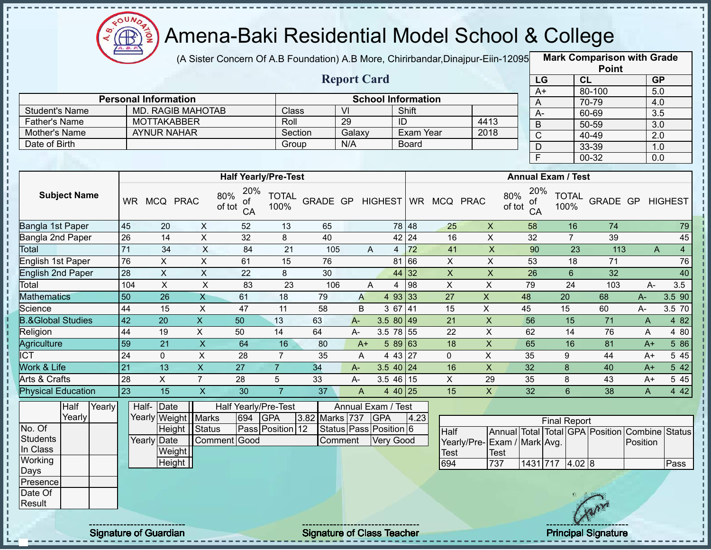

J.

J. J. J,

л

ï

J. J.

п

 $\mathbf I$ 

 $\mathbf{I}$  $\mathbf I$ 

 $\frac{1}{2}$  =  $\frac{1}{2}$  =  $\frac{1}{2}$  =  $\frac{1}{2}$  =  $\frac{1}{2}$  =  $\frac{1}{2}$ 

# Amena-Baki Residential Model School & College

(A Sister Concern Of A.B Foundation) A.B More, Chirirbandar,Dinajpur-Eiin-120950

**Mark Comparison with Grade Point**

|                       |                             |                    |                          |                                  |                      |          |        |                    |                           |           |                     |      |               |                 |                           | Point    |      |                |                |
|-----------------------|-----------------------------|--------------------|--------------------------|----------------------------------|----------------------|----------|--------|--------------------|---------------------------|-----------|---------------------|------|---------------|-----------------|---------------------------|----------|------|----------------|----------------|
|                       |                             |                    |                          |                                  |                      |          |        | <b>Report Card</b> |                           |           |                     |      |               | LG              | <b>CL</b>                 |          |      | <b>GP</b>      |                |
|                       |                             |                    |                          |                                  |                      |          |        |                    |                           |           |                     |      |               | A+              |                           | 80-100   |      | 5.0            |                |
|                       | <b>Personal Information</b> |                    |                          |                                  |                      |          |        |                    | <b>School Information</b> |           |                     |      |               | A               |                           | 70-79    |      | 4.0            |                |
| <b>Student's Name</b> |                             |                    | <b>MD. RAGIB MAHOTAB</b> |                                  | Class                |          | VI     |                    |                           | Shift     |                     |      |               | A-              |                           | 60-69    |      | 3.5            |                |
| <b>Father's Name</b>  |                             | <b>MOTTAKABBER</b> |                          |                                  | Roll                 |          | 29     |                    | ID                        |           |                     | 4413 |               | B               |                           | 50-59    |      | 3.0            |                |
| Mother's Name         |                             | <b>AYNUR NAHAR</b> |                          |                                  | Section              |          | Galaxy |                    |                           | Exam Year |                     | 2018 |               | C               |                           | 40-49    |      | 2.0            |                |
| Date of Birth         |                             |                    |                          |                                  | Group                |          | N/A    |                    |                           | Board     |                     |      |               | D               |                           | 33-39    |      | 1.0            |                |
|                       |                             |                    |                          |                                  |                      |          |        |                    |                           |           |                     |      |               | F               |                           | 00-32    |      | 0.0            |                |
|                       |                             |                    |                          |                                  |                      |          |        |                    |                           |           |                     |      |               |                 |                           |          |      |                |                |
|                       |                             |                    |                          | <b>Half Yearly/Pre-Test</b>      |                      |          |        |                    |                           |           |                     |      |               |                 | <b>Annual Exam / Test</b> |          |      |                |                |
| <b>Subject Name</b>   | <b>WR</b>                   |                    | MCQ PRAC                 | 20%<br>80%<br>of<br>of tot<br>CA | <b>TOTAL</b><br>100% | GRADE GP |        |                    |                           |           | HIGHEST WR MCQ PRAC |      | 80%<br>of tot | 20%<br>of<br>CA | <b>TOTAL</b><br>100%      | GRADE GP |      | <b>HIGHEST</b> |                |
| Bangla 1st Paper      | 45                          | 20                 | X.                       | 52                               | 13                   | 65       |        |                    |                           | 78 48     | 25                  | X    |               | 58              | 16                        | 74       |      |                | 79             |
| Bangla 2nd Paper      | 26                          | 14                 | X                        | 32                               | 8                    | 40       |        |                    |                           | 42 24     | 16                  | X    |               | 32              | 7                         | 39       |      |                | 45             |
| Total                 | 71                          | 34                 | X                        | 84                               | 21                   | 105      |        | A                  | 4                         | 72        | 41                  | X    |               | 90              | 23                        | 113      |      | A              | $\overline{4}$ |
| English 1st Paper     | 76                          | X                  | X                        | 61                               | 15                   | 76       |        |                    |                           | 81 66     | X                   | X    |               | 53              | 18                        | 71       |      |                | 76             |
| English 2nd Paper     | 28                          | $\boldsymbol{X}$   | X                        | 22                               | 8                    | 30       |        |                    |                           | 44 32     | X                   | X    |               | 26              | 6                         | 32       |      |                | 40             |
| Total                 | 104                         | X                  | X                        | 83                               | 23                   | 106      |        | A                  | 4                         | 98        | X                   | X    |               | 79              | 24                        | 103      | $A-$ | 3.5            |                |
| <b>Mathematics</b>    | 50                          | 26                 | X                        | 61                               | 18                   | 79       |        | A                  | $\overline{4}$            | 93 33     | 27                  | X    | 48            |                 | 20                        | 68       | A-   | 3.5 90         |                |

| Total                        | 104 |    |        | 83 | 23 | 106 |         |                | 198             |    |    | 79 | 24 | 103 | $A-$ | 3.5       |
|------------------------------|-----|----|--------|----|----|-----|---------|----------------|-----------------|----|----|----|----|-----|------|-----------|
| <b>Mathematics</b>           | 50  | 26 | ᄉ      | 61 | 18 | 79  | A       | 493            | 133             | 27 |    | 48 | 20 | 68  |      | 3.5 90    |
| Science                      | 44  | 15 |        | 47 |    | 58  | B       | , 67           | 14 <sup>′</sup> | 15 |    | 45 | 15 | 60  |      | $3.5\,70$ |
| <b>B.&amp;Global Studies</b> | 42  | 20 | ↗      | 50 | 13 | 63  | $A^{-}$ | 3.5<br>80149   |                 | 21 |    | 56 | 15 |     | A    | 4 82      |
| Religion                     | 44  | 19 |        | 50 | 14 | 64  | $A-$    | 3.5<br>78 55   |                 | 22 |    | 62 | 14 | 76  | A    | 80<br>4   |
| Agriculture                  | 59  | 21 |        | 64 | 16 | 80  | A+      | 589163         |                 | 18 |    | 65 | 16 | 81  | A+   | 5 86      |
| <b>ICT</b>                   | 24  |    | $\sim$ | 28 |    | 35  | A       | 4 43 27        |                 |    |    | 35 |    | 44  | $A+$ | 5 45      |
| Work & Life                  |     | 13 |        | 27 |    | 34  | $A-$    | 3.5<br>40   24 |                 | 16 | Х  | 32 |    | 40  | $A+$ | 5 42      |
| Arts & Crafts                | 28  |    |        | 28 |    | 33  | A-      | 3.5<br>46   15 |                 |    | 29 | 35 |    | 43  | $A+$ | 545       |
|                              |     |    |        |    |    |     |         |                |                 |    |    |    |    |     |      |           |

| <b>Physical Education</b> |        |                              | 23 |             | 15                    |              | 30  |                      | 37             | A | 4 40 25                            |      | 15          | X                            | 32 |                     | 6 | 38   | A                                              | 4 4 2 |
|---------------------------|--------|------------------------------|----|-------------|-----------------------|--------------|-----|----------------------|----------------|---|------------------------------------|------|-------------|------------------------------|----|---------------------|---|------|------------------------------------------------|-------|
|                           | Half   | Yearly                       |    | Half-       | Date                  |              |     | Half Yearly/Pre-Test |                |   | Annual Exam / Test                 |      |             |                              |    |                     |   |      |                                                |       |
|                           | Yearly |                              |    |             | Yearly Weight   Marks |              | 694 | <b>GPA</b>           | 3.82 Marks 737 |   | <b>GPA</b>                         | 4.23 |             |                              |    | <b>Final Report</b> |   |      |                                                |       |
| No. Of                    |        |                              |    |             | Height   Status       |              |     | Pass Position 12     |                |   | Status   Pass   Position   6       |      | Half        |                              |    |                     |   |      | Annual Total Total GPA Position Combine Status |       |
| Students                  |        |                              |    | Yearly Date |                       | Comment Good |     |                      | Comment        |   | Very Good                          |      |             | Yearly/Pre- Exam / Mark Avg. |    |                     |   |      | Position                                       |       |
| In Class                  |        |                              |    |             | Weight                |              |     |                      |                |   |                                    |      | <b>Test</b> | Test                         |    |                     |   |      |                                                |       |
| Working                   |        |                              |    |             | Height                |              |     |                      |                |   |                                    |      | 694         | 737                          |    | 1431 717 4.02 8     |   |      |                                                | Pass  |
| Days                      |        |                              |    |             |                       |              |     |                      |                |   |                                    |      |             |                              |    |                     |   |      |                                                |       |
| <b>Presence</b>           |        |                              |    |             |                       |              |     |                      |                |   |                                    |      |             |                              |    |                     |   |      |                                                |       |
| Date Of                   |        |                              |    |             |                       |              |     |                      |                |   |                                    |      |             |                              |    |                     |   |      |                                                |       |
| Result                    |        |                              |    |             |                       |              |     |                      |                |   |                                    |      |             |                              |    |                     |   | SARV |                                                |       |
|                           |        |                              |    |             |                       |              |     |                      |                |   |                                    |      |             |                              |    |                     |   |      |                                                |       |
|                           |        | ---------------------------- |    |             |                       |              |     |                      |                |   | ---------------------------------- |      |             |                              |    |                     |   |      |                                                |       |

Signature of Guardian Signature of Class Teacher Principal Signature 28/45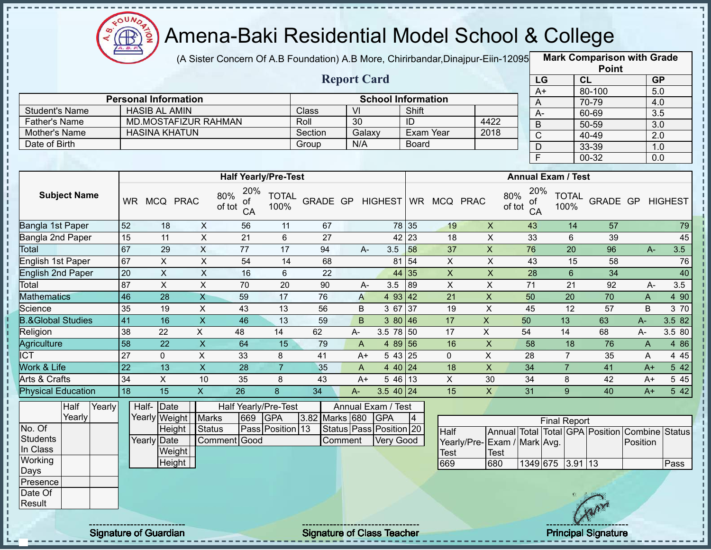

(A Sister Concern Of A.B Foundation) A.B More, Chirirbandar,Dinajpur-Eiin-12095 **Mark Comparison with Grade** 

|                      |                             |         | <b>Report Card</b> |                           |      |
|----------------------|-----------------------------|---------|--------------------|---------------------------|------|
|                      | <b>Personal Information</b> |         |                    | <b>School Information</b> |      |
| Student's Name       | <b>HASIB AL AMIN</b>        | Class   | VI                 | Shift                     |      |
| <b>Father's Name</b> | MD.MOSTAFIZUR RAHMAN        | Roll    | 30                 |                           | 4422 |
| Mother's Name        | HASINA KHATUN               | Section | Galaxy             | Exam Year                 | 2018 |
| Date of Birth        |                             | Group   | N/A                | <b>Board</b>              |      |

|                 | <b>Point</b> |                  |
|-----------------|--------------|------------------|
| LG              | <b>CL</b>    | <b>GP</b>        |
| $\overline{A+}$ | 80-100       | 5.0              |
| Α               | $70 - 79$    | 4.0              |
| А-              | 60-69        | 3.5              |
| B               | 50-59        | $\overline{3.0}$ |
| $\mathsf{C}$    | 40-49        | 2.0              |
| D               | 33-39        | 1.0              |
| F               | 00-32        | 0.0              |

|                              |        |           |               |             |                           | <b>Half Yearly/Pre-Test</b>      |                      |                |         |       |                                      |                |             |    |                | <b>Annual Exam / Test</b>         |                     |                      |                                 |                        |               |
|------------------------------|--------|-----------|---------------|-------------|---------------------------|----------------------------------|----------------------|----------------|---------|-------|--------------------------------------|----------------|-------------|----|----------------|-----------------------------------|---------------------|----------------------|---------------------------------|------------------------|---------------|
| <b>Subject Name</b>          |        | <b>WR</b> | <b>MCQ</b>    | <b>PRAC</b> |                           | 20%<br>80%<br>οf<br>of tot<br>CA | <b>TOTAL</b><br>100% | GRADE GP       |         |       | <b>HIGHEST</b>                       |                | WR MCQ PRAC |    |                | 20%<br>80%<br>οf<br>of tot<br>CA  |                     | <b>TOTAL</b><br>100% | GRADE GP                        |                        | HIGHEST       |
| Bangla 1st Paper             |        | 52        | 18            |             | X                         | 56                               | 11                   | 67             |         |       | 78 35                                |                | 19          |    | X              | 43                                |                     | 14                   | 57                              |                        | 79            |
| Bangla 2nd Paper             |        | 15        | 11            |             | $\pmb{\times}$            | 21                               | 6                    | 27             |         |       | 42 23                                |                | 18          |    | X              | 33                                |                     | 6                    | 39                              |                        | 45            |
| Total                        |        | 67        | 29            |             | X                         | 77                               | 17                   | 94             |         | $A -$ | 3.5                                  | 58             | 37          |    | X              | 76                                |                     | 20                   | 96                              | $A -$                  | 3.5           |
| English 1st Paper            |        | 67        | X             |             | X                         | 54                               | 14                   | 68             |         |       | 81                                   | 54             | X           |    | X              | 43                                |                     | 15                   | 58                              |                        | 76            |
| English 2nd Paper            |        | 20        | X             |             | $\times$                  | 16                               | 6                    | 22             |         |       | 44                                   | 35             | X           |    | $\pmb{\times}$ | 28                                |                     | 6                    | 34                              |                        | 40            |
| Total                        |        | 87        | X             |             | X                         | 70                               | 20                   | 90             |         | A-    | 3.5                                  | 89             | X           |    | X              | 71                                |                     | 21                   | 92                              | A-                     | 3.5           |
| <b>Mathematics</b>           |        | 46        | 28            |             | Χ                         | 59                               | 17                   | 76             |         | A     | 4 93 42                              |                | 21          |    | $\mathsf X$    | 50                                |                     | 20                   | 70                              | A                      | 4 9 0         |
| Science                      |        | 35        | 19            |             | X                         | 43                               | 13                   | 56             |         | B     | 3 67 37                              |                | 19          |    | X              | 45                                |                     | 12                   | 57                              | B                      | 3 70          |
| <b>B.&amp;Global Studies</b> |        | 41        | 16            |             | $\boldsymbol{\mathsf{X}}$ | 46                               | 13                   | 59             |         | B     | 380 46                               |                | 17          | X  |                | 50                                |                     | 13                   | 63                              | A-                     | 3.582         |
| Religion                     |        | 38        | 22            |             | X                         | 48                               | 14                   | 62             | $A -$   |       | 3.5 78 50                            |                | 17          | X. |                | 54                                |                     | 14                   | 68                              | A-                     | 3.5 80        |
| Agriculture                  |        | 58        | 22            |             | X                         | 64                               | 15                   | 79             |         | A     | 4 89 56                              |                | 16          |    | X              | 58                                |                     | 18                   | 76                              | A                      | 4 8 6         |
| ICT                          |        | 27        | $\mathbf{0}$  |             | X                         | 33                               | 8                    | 41             |         | $A+$  | 543 25                               |                | 0           |    | X              | 28                                |                     | $\overline{7}$       | 35                              | A                      | 4 4 5         |
| Work & Life                  |        | 22        | 13            |             | X                         | 28                               | 7                    | 35             |         | A     | 4 40 24                              |                | 18          |    | X              | 34                                |                     |                      | 41                              | $A+$                   | 5 42          |
| Arts & Crafts                |        | 34        | X.            |             | 10                        | 35                               | 8                    | 43             |         | $A+$  | $546$ 13                             |                | X           |    | 30             | 34                                |                     | 8                    | 42                              | $A+$                   | 5 4 5         |
| Physical Education           |        | 18        | 15            |             | X                         | 26                               | 8                    | 34             | $A-$    |       | $3.540$   24                         |                | 15          |    | X              | 31                                |                     | 9                    | 40                              | $A+$                   | 5 42          |
| Half                         | Yearly |           | Half-         | Date        |                           | Half Yearly/Pre-Test             |                      |                |         |       | Annual Exam / Test                   |                |             |    |                |                                   |                     |                      |                                 |                        |               |
| Yearly                       |        |           | Yearly Weight |             | <b>Marks</b>              | 669                              | <b>GPA</b>           | 3.82 Marks 680 |         |       | <b>GPA</b>                           | $\overline{4}$ |             |    |                |                                   | <b>Final Report</b> |                      |                                 |                        |               |
| No. Of<br><b>Students</b>    |        |           | Yearly Date   | Height      | <b>Status</b>             | Comment Good                     | Pass Position 13     |                | Comment |       | Status Pass Position 20<br>Very Good |                | Half        |    |                | $V0$ orly/Dro Evom / Mork $N_{0}$ |                     |                      | Annual Total Total GPA Position | Combine<br>$D$ ooition | <b>Status</b> |

Yearly Date **Weight Height** | Comment Good Comment Very Good Yearly/Pre-Exam / Mark Avg. Test **Test** Position 669 680 1349 675 3.91 13 Pass

In Class **Working** Days Presence Date Of **Result** 

п

J. п

Ì

I  $\frac{1}{1}$ f,

п  $\blacksquare$ 

Signature of Guardian Signature of Class Teacher Principal Signature 2014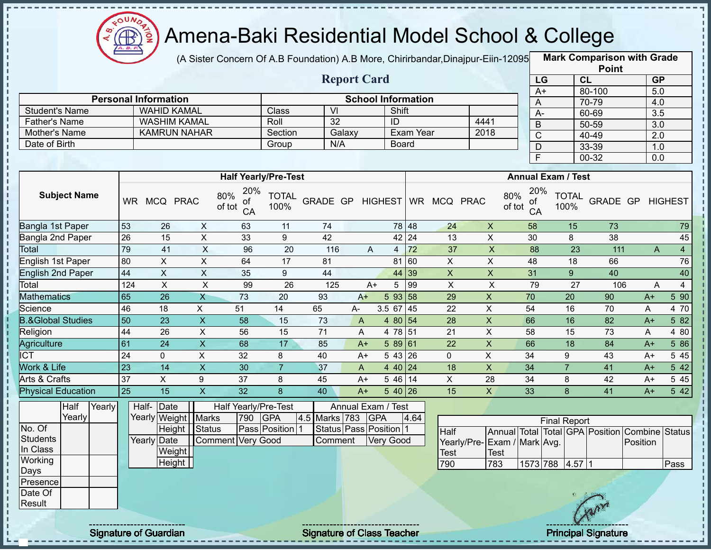

п

i

 $\mathbf I$  $\mathbf I$ 

 $\mathbf I$  $\mathbf{I}$ 

 $\mathbf{I}$ 

 $\mathbf{I}$ 

#### Amena-Baki Residential Model School & College

(A Sister Concern Of A.B Foundation) A.B More, Chirirbandar,Dinajpur-Eiin-120950

**Mark Comparison with Grade**

|                              |        |                 |                             |                           |                                  |                      |                 |                        |                           |              |                         |                             |                                  |                           |                 | <b>Point</b>     |                                                |                  |
|------------------------------|--------|-----------------|-----------------------------|---------------------------|----------------------------------|----------------------|-----------------|------------------------|---------------------------|--------------|-------------------------|-----------------------------|----------------------------------|---------------------------|-----------------|------------------|------------------------------------------------|------------------|
|                              |        |                 |                             |                           |                                  |                      |                 | <b>Report Card</b>     |                           |              |                         |                             |                                  | LG                        | CL              |                  | GP                                             |                  |
|                              |        |                 |                             |                           |                                  |                      |                 |                        |                           |              |                         |                             | $A+$                             |                           | 80-100          |                  | 5.0                                            |                  |
|                              |        |                 | <b>Personal Information</b> |                           |                                  |                      |                 |                        | <b>School Information</b> |              |                         |                             | A                                |                           | 70-79           |                  | 4.0                                            |                  |
| <b>Student's Name</b>        |        |                 | <b>WAHID KAMAL</b>          |                           |                                  | Class                | $\overline{VI}$ |                        | Shift                     |              |                         |                             | $A -$                            |                           | 60-69           |                  | 3.5                                            |                  |
| <b>Father's Name</b>         |        |                 | <b>WASHIM KAMAL</b>         |                           |                                  | Roll                 | 32              |                        | ID                        |              |                         | 4441                        | $\mathsf B$                      |                           | $50 - 59$       |                  | $\overline{3.0}$                               |                  |
| Mother's Name                |        |                 | <b>KAMRUN NAHAR</b>         |                           |                                  | Section              |                 | Galaxy                 |                           | Exam Year    |                         | 2018                        | $\mathsf C$                      |                           | 40-49           |                  | $\overline{2.0}$                               |                  |
| Date of Birth                |        |                 |                             |                           |                                  | Group                | N/A             |                        |                           | <b>Board</b> |                         |                             | D                                |                           | 33-39           |                  | 1.0                                            |                  |
|                              |        |                 |                             |                           |                                  |                      |                 |                        |                           |              |                         |                             | F                                |                           | $00 - 32$       |                  | $\overline{0.0}$                               |                  |
|                              |        |                 |                             |                           | <b>Half Yearly/Pre-Test</b>      |                      |                 |                        |                           |              |                         |                             |                                  | <b>Annual Exam / Test</b> |                 |                  |                                                |                  |
| <b>Subject Name</b>          |        |                 | WR MCQ PRAC                 |                           | 20%<br>80%<br>οf<br>of tot<br>CA | <b>TOTAL</b><br>100% | GRADE GP        |                        | <b>HIGHEST</b>            |              | WR MCQ PRAC             |                             | 20%<br>80%<br>ot<br>of tot<br>CA | <b>TOTAL</b><br>100%      |                 |                  | GRADE GP HIGHEST                               |                  |
| Bangla 1st Paper             |        | 53              | 26                          | $\boldsymbol{\mathsf{X}}$ | 63                               | 11                   | 74              |                        |                           | 78 48        | 24                      | $\pmb{\times}$              | 58                               |                           | 15              | 73               |                                                | 79               |
| Bangla 2nd Paper             |        | $\overline{26}$ | 15                          | $\overline{X}$            | 33                               | 9                    | 42              |                        |                           | 42 24        | 13                      | $\pmb{\times}$              | 30                               | 8                         |                 | 38               |                                                | 45               |
| Total                        |        | 79              | 41                          | $\overline{X}$            | 96                               | $\overline{20}$      | 116             | A                      | $\overline{4}$            | 72           | $\overline{37}$         | $\overline{X}$              | 88                               |                           | $\overline{23}$ | $\overline{111}$ | $\overline{A}$                                 | $\overline{4}$   |
| <b>English 1st Paper</b>     |        | 80              | $\mathsf{X}$                | $\boldsymbol{\mathsf{X}}$ | 64                               | 17                   | 81              |                        |                           | 81 60        | $\overline{X}$          | $\boldsymbol{\mathsf{X}}$   | 48                               |                           | 18              | 66               |                                                | 76               |
| <b>English 2nd Paper</b>     |        | 44              | $\overline{X}$              | $\boldsymbol{\mathsf{X}}$ | 35                               | $\boldsymbol{9}$     | 44              |                        |                           | 44 39        | $\pmb{\times}$          | $\boldsymbol{\mathsf{X}}$   | 31                               | $\overline{9}$            |                 | 40               |                                                | 40               |
| Total                        |        | 124             | $\mathsf X$                 | $\overline{X}$            | 99                               | 26                   | 125             | $A+$                   | 5                         | 99           | X                       | $\pmb{\times}$              | 79                               |                           | 27              | 106              | A                                              | $\overline{4}$   |
| <b>Mathematics</b>           |        | 65              | 26                          | $\mathsf{X}$              | 73                               | 20                   | 93              | $A+$                   | 593 58                    |              | 29                      | $\mathsf X$                 | 70                               | 20                        |                 | 90               | $A+$                                           | $5\overline{90}$ |
| Science                      |        | 46              | 18                          | X                         | 51                               | 14                   | 65              | A-                     | $3.5$ 67 45               |              | 22                      | $\boldsymbol{\mathsf{X}}$   | 54                               | 16                        |                 | 70               | A                                              | 4 70             |
| <b>B.&amp;Global Studies</b> |        | 50              | 23                          | $\mathsf X$               | 58                               | 15                   | 73              | A                      | 4 80 54                   |              | 28                      | $\mathsf X$                 | 66                               | 16                        |                 | 82               | $A+$                                           | 582              |
| Religion                     |        | 44              | 26                          | $\pmb{\times}$            | 56                               | 15                   | 71              | A                      | 4 78 51                   |              | 21                      | X                           | 58                               | 15                        |                 | 73               | A                                              | 4 80             |
| Agriculture                  |        | 61              | $\overline{24}$             | $\overline{X}$            | 68                               | 17                   | 85              | $A+$                   | 58961                     |              | $\overline{22}$         | $\overline{X}$              | 66                               | $\overline{18}$           |                 | 84               | $A+$                                           | 586              |
| <b>ICT</b>                   |        | 24              | $\overline{0}$              | $\overline{\mathsf{x}}$   | $\overline{32}$                  | 8                    | 40              | $A+$                   | $543\overline{26}$        |              | $\overline{0}$          | $\overline{X}$              | $\overline{34}$                  | 9                         |                 | $\overline{43}$  | $A+$                                           | $5\overline{45}$ |
| Work & Life                  |        | 23              | $\overline{14}$             | $\overline{\mathsf{x}}$   | 30                               | $\overline{7}$       | 37              | A                      | 4 40 24                   |              | $\overline{18}$         | $\overline{X}$              | $\overline{34}$                  | $\overline{7}$            |                 | 41               | $A+$                                           | $\overline{542}$ |
| Arts & Crafts                |        | 37              | $\overline{X}$              | 9                         | $\overline{37}$                  | 8                    | 45              | $A+$                   | 5 46 14                   |              | $\overline{\mathsf{x}}$ | $\overline{28}$             | $\overline{34}$                  | 8                         |                 | 42               | $A+$                                           | 5 4 5            |
| <b>Physical Education</b>    |        | 25              | 15                          | $\overline{\mathsf{X}}$   | 32                               | 8                    | 40              | $A+$                   | $540$ 26                  |              | 15                      | $\mathsf{X}$                | 33                               | 8                         |                 | 41               | $A+$                                           | 542              |
| Half                         | Yearly |                 | Half- Date                  |                           | Half Yearly/Pre-Test             |                      |                 | Annual Exam / Test     |                           |              |                         |                             |                                  |                           |                 |                  |                                                |                  |
| Yearly                       |        |                 | Yearly Weight Marks         |                           | 790                              | <b>GPA</b>           | 4.5 Marks 783   |                        | <b>GPA</b>                | 4.64         |                         |                             |                                  | <b>Final Report</b>       |                 |                  |                                                |                  |
| No. Of                       |        |                 | Height Status               |                           |                                  | Pass Position 1      |                 | Status Pass Position 1 |                           |              | Half                    |                             |                                  |                           |                 |                  | Annual Total Total GPA Position Combine Status |                  |
| <b>Students</b>              |        |                 | Yearly Date                 |                           | Comment Very Good                |                      | Comment         |                        | <b>Very Good</b>          |              |                         | Yearly/Pre-Exam / Mark Avg. |                                  |                           |                 |                  | Position                                       |                  |
| In Class                     |        |                 | Weight                      |                           |                                  |                      |                 |                        |                           |              | Test                    | Test                        |                                  |                           |                 |                  |                                                |                  |
| Working                      |        |                 | Height                      |                           |                                  |                      |                 |                        |                           |              | 790                     | 783                         |                                  | 1573 788 4.57 1           |                 |                  |                                                | Pass             |
| Days                         |        |                 |                             |                           |                                  |                      |                 |                        |                           |              |                         |                             |                                  |                           |                 |                  |                                                |                  |
| Presence<br>Date Of          |        |                 |                             |                           |                                  |                      |                 |                        |                           |              |                         |                             |                                  |                           |                 |                  |                                                |                  |
| Result                       |        |                 |                             |                           |                                  |                      |                 |                        |                           |              |                         |                             |                                  |                           |                 |                  |                                                |                  |
|                              |        |                 |                             |                           |                                  |                      |                 |                        |                           |              |                         |                             |                                  |                           |                 |                  |                                                |                  |
|                              |        |                 |                             |                           |                                  |                      |                 |                        |                           |              |                         |                             |                                  |                           |                 |                  |                                                |                  |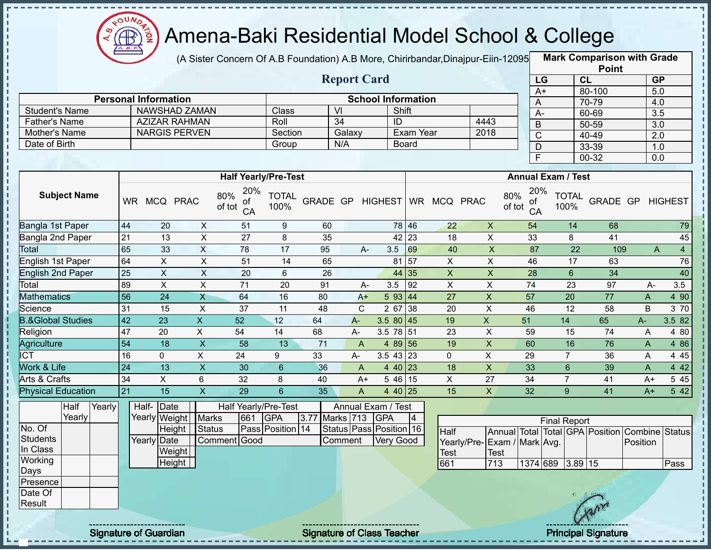

(A Sister Concern Of A.B Foundation) A.B More, Chirirbandar,Dinajpur-Eiin-12095 **Mark Comparison with Grade** 

|                      |                             |         | <b>Report Card</b> |                           |      | LG. |
|----------------------|-----------------------------|---------|--------------------|---------------------------|------|-----|
|                      | <b>Personal Information</b> |         |                    | <b>School Information</b> |      | A+  |
| Student's Name       | NAWSHAD ZAMAN               | Class   | VI                 | Shift                     |      |     |
| <b>Father's Name</b> | <b>AZIZAR RAHMAN</b>        | Roll    | 34                 | ID                        | 4443 | B   |
| Mother's Name        | <b>NARGIS PERVEN</b>        | Section | Galaxy             | Exam Year                 | 2018 |     |
| Date of Birth        |                             | Group   | N/A                | <b>Board</b>              |      |     |
|                      |                             |         |                    |                           |      |     |

|                       | <b>Point</b> |                  |
|-----------------------|--------------|------------------|
| LG                    | <b>CL</b>    | <b>GP</b>        |
| $\overline{A+}$       | 80-100       | 5.0              |
| Α                     | 70-79        | 4.0              |
| A-                    | 60-69        | $\overline{3.5}$ |
| B                     | 50-59        | 3.0              |
| $\overline{\text{C}}$ | 40-49        | 2.0              |
| D                     | 33-39        | 1.0              |
| Ē                     | 00-32        | 0.0              |

|                              |           |                     |                           | <b>Half Yearly/Pre-Test</b>      |                      |                |       |                    |       |             |                | <b>Annual Exam / Test</b>        |                      |          |       |                |
|------------------------------|-----------|---------------------|---------------------------|----------------------------------|----------------------|----------------|-------|--------------------|-------|-------------|----------------|----------------------------------|----------------------|----------|-------|----------------|
| <b>Subject Name</b>          | <b>WR</b> | <b>MCQ</b>          | <b>PRAC</b>               | 20%<br>80%<br>of<br>of tot<br>CA | <b>TOTAL</b><br>100% | GRADE GP       |       | <b>HIGHEST</b>     |       | WR MCQ PRAC |                | 20%<br>80%<br>οf<br>of tot<br>CA | <b>TOTAL</b><br>100% | GRADE GP |       | <b>HIGHEST</b> |
| Bangla 1st Paper             | 44        | 20                  | X                         | 51                               | 9                    | 60             |       |                    | 78 46 | 22          | $\pmb{\times}$ | 54                               | 14                   | 68       |       | 79             |
| Bangla 2nd Paper             | 21        | 13                  | X                         | 27                               | 8                    | 35             |       | 42                 | 23    | 18          | X              | 33                               | 8                    | 41       |       | 45             |
| Total                        | 65        | 33                  | $\times$                  | 78                               | 17                   | 95             | $A -$ | 3.5                | 69    | 40          | X              | 87                               | 22                   | 109      | A     | $\overline{4}$ |
| English 1st Paper            | 64        | X.                  | X                         | 51                               | 14                   | 65             |       | 81                 | 57    | X           | X              | 46                               | 17                   | 63       |       | 76             |
| English 2nd Paper            | 25        | X.                  | $\boldsymbol{\mathsf{X}}$ | 20                               | 6                    | 26             |       |                    | 44 35 | X           | X              | 28                               | 6                    | 34       |       | 40             |
| Total                        | 89        | X.                  | X                         | 71                               | 20                   | 91             | A-    | 3.5                | 92    | X           | X              | 74                               | 23                   | 97       | $A -$ | 3.5            |
| <b>Mathematics</b>           | 56        | 24                  | X                         | 64                               | 16                   | 80             | $A+$  | 5 93               | 44    | 27          | X              | 57                               | 20                   | 77       | A     | 4 90           |
| Science                      | 31        | 15                  | X                         | 37                               | 11                   | 48             | С     | 2 67               | 38    | 20          | X              | 46                               | 12                   | 58       | B     | 3 70           |
| <b>B.&amp;Global Studies</b> | 42        | 23                  | X.                        | 52                               | 12                   | 64             | $A -$ | $3.580$ 45         |       | 19          | X              | 51                               | 14                   | 65       | A-    | 3.5 82         |
| Religion                     | 47        | 20                  | X.                        | 54                               | 14                   | 68             | А-    | 3.5 78 51          |       | 23          | X              | 59                               | 15                   | 74       | A     | 4 80           |
| Agriculture                  | 54        | 18                  | X                         | 58                               | 13                   | 71             | A     | 4 89 56            |       | 19          | X              | 60                               | 16                   | 76       | A     | 4 8 6          |
| <b>ICT</b>                   | 16        | 0                   | X                         | 24                               | 9                    | 33             | A-    | $3.5$ 43 23        |       | 0           | X              | 29                               | $\overline{7}$       | 36       | A     | 4 4 5          |
| Work & Life                  | 24        | 13                  | $\boldsymbol{\mathsf{X}}$ | 30                               | 6                    | 36             | A     | 4 40 23            |       | 18          | X              | 33                               | 6                    | 39       | A     | 4 4 2          |
| Arts & Crafts                | 34        | X                   | 6                         | 32                               | 8                    | 40             | $A+$  | 5 4 6              | 15    | X           | 27             | 34                               |                      | 41       | $A+$  | 5 4 5          |
| Physical Education           | 21        | 15                  | X                         | 29                               | $6\phantom{1}$       | 35             | A     | 4 40 25            |       | 15          | X              | 32                               | 9                    | 41       | $A+$  | 5 4 2          |
| Half<br>Yearly               |           | Half-<br>Date       |                           | Half Yearly/Pre-Test             |                      |                |       | Annual Exam / Test |       |             |                |                                  |                      |          |       |                |
| Yearly                       |           | Yearly Weight Marks |                           | 661                              | <b>GPA</b>           | 3.77 Marks 713 |       | <b>GPA</b>         | 4     |             |                |                                  | <b>Einal Renort</b>  |          |       |                |

|            | Yearly |  |             | Yearly Weight Marks |              | 661 | <b>IGPA</b>      | 3.77 Marks 713 GPA |                               |  |                             |      |          | <b>Final Report</b> |     |                                                |      |
|------------|--------|--|-------------|---------------------|--------------|-----|------------------|--------------------|-------------------------------|--|-----------------------------|------|----------|---------------------|-----|------------------------------------------------|------|
| No. Of     |        |  |             | Height              | Status       |     | Pass Position 14 |                    | Status   Pass   Position   16 |  | Half                        |      |          |                     |     | Annual Total Total GPA Position Combine Status |      |
| Students   |        |  | Yearly Date |                     | Comment Good |     |                  | Comment            | <b>Very Good</b>              |  | Yearly/Pre-Exam / Mark Avg. |      |          |                     |     | Position                                       |      |
| In Class   |        |  |             | Weight              |              |     |                  |                    |                               |  | <b>Test</b>                 | Test |          |                     |     |                                                |      |
| Working    |        |  |             | Height              |              |     |                  |                    |                               |  | 661                         | 713  | 1374 689 | $3.89$ 15           |     |                                                | Pass |
| Days       |        |  |             |                     |              |     |                  |                    |                               |  |                             |      |          |                     |     |                                                |      |
| Presence l |        |  |             |                     |              |     |                  |                    |                               |  |                             |      |          |                     |     |                                                |      |
| Date Of    |        |  |             |                     |              |     |                  |                    |                               |  |                             |      |          |                     |     |                                                |      |
| Result     |        |  |             |                     |              |     |                  |                    |                               |  |                             |      |          |                     | Any |                                                |      |
|            |        |  |             |                     |              |     |                  |                    |                               |  |                             |      |          |                     |     |                                                |      |

Signature of Guardian Signature of Class Teacher **Signature 31/45 and Teacher** Principal Signature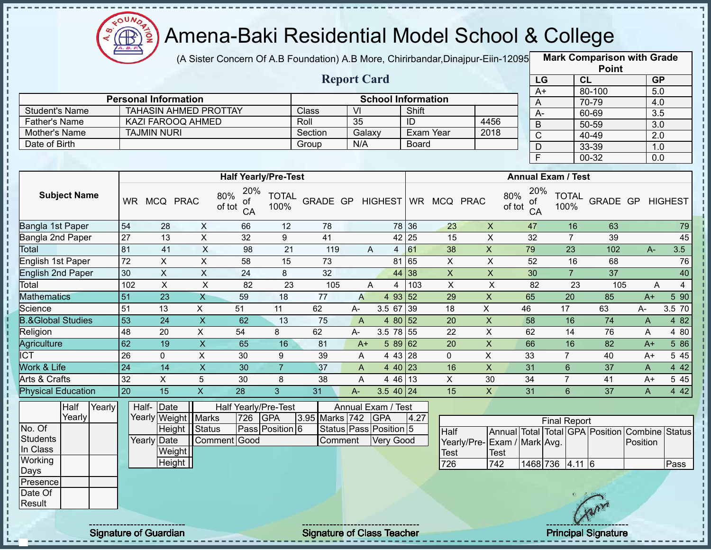

(A Sister Concern Of A.B Foundation) A.B More, Chirirbandar,Dinajpur-Eiin-12095 **Mark Comparison with Grade** 

|                      |                              |         | <b>Report Card</b> |                           |      |
|----------------------|------------------------------|---------|--------------------|---------------------------|------|
|                      | <b>Personal Information</b>  |         |                    | <b>School Information</b> |      |
| Student's Name       | <b>TAHASIN AHMED PROTTAY</b> | Class   | VI                 | Shift                     |      |
| <b>Father's Name</b> | KAZI FAROOQ AHMED            | Roll    | 35                 | ID                        | 4456 |
| Mother's Name        | <b>TAJMIN NURI</b>           | Section | Galaxy             | Exam Year                 | 2018 |
| Date of Birth        |                              | Group   | N/A                | Board                     |      |

|                 | <b>Point</b> |                  |
|-----------------|--------------|------------------|
| LG              | CL           | <b>GP</b>        |
| $\overline{A+}$ | 80-100       | 5.0              |
| A               | 70-79        | 4.0              |
| A-              | 60-69        | $\overline{3.5}$ |
| В               | $50 - 59$    | $\overline{3.0}$ |
| C               | 40-49        | 2.0              |
| D               | 33-39        | 1.0              |
| F               | 00-32        | 0.0              |

|                              |           |              |             | <b>Half Yearly/Pre-Test</b>      |                      |          |       |                |              |            |             | <b>Annual Exam / Test</b>        |                      |          |       |                |
|------------------------------|-----------|--------------|-------------|----------------------------------|----------------------|----------|-------|----------------|--------------|------------|-------------|----------------------------------|----------------------|----------|-------|----------------|
| <b>Subject Name</b>          | <b>WR</b> | <b>MCQ</b>   | <b>PRAC</b> | 20%<br>80%<br>οf<br>of tot<br>CA | <b>TOTAL</b><br>100% | GRADE GP |       | <b>HIGHEST</b> | <b>WR</b>    | <b>MCQ</b> | <b>PRAC</b> | 20%<br>80%<br>of<br>of tot<br>CA | <b>TOTAL</b><br>100% | GRADE GP |       | <b>HIGHEST</b> |
| Bangla 1st Paper             | 54        | 28           | X           | 66                               | 12                   | 78       |       |                | 78 36        | 23         | X           | 47                               | 16                   | 63       |       | 79             |
| Bangla 2nd Paper             | 27        | 13           | Χ           | 32                               | 9                    | 41       |       |                | $42 \mid 25$ | 15         | X           | 32                               |                      | 39       |       | 45             |
| Total                        | 81        | 41           | $\times$    | 98                               | 21                   | 119      |       | A<br>4         | 61           | 38         | X           | 79                               | 23                   | 102      | $A -$ | 3.5            |
| English 1st Paper            | 72        | X            | X           | 58                               | 15                   | 73       |       |                | 81 65        | X          | X           | 52                               | 16                   | 68       |       | 76             |
| <b>English 2nd Paper</b>     | 30        | $\mathsf{X}$ | X           | 24                               | 8                    | 32       |       |                | 44 38        | X          | X           | 30                               | $\overline{7}$       | 37       |       | 40             |
| Total                        | 102       | X.           | X           | 82                               | 23                   | 105      |       | A<br>4         | 103          | X.         | X           | 82                               | 23                   | 105      |       | A<br>4         |
| <b>Mathematics</b>           | 51        | 23           | X           | 59                               | 18                   | 77       | A     | 4 93 52        |              | 29         | X           | 65                               | 20                   | 85       | $A+$  | 5 90           |
| Science                      | 51        | 13           | X           | 51                               | 11                   | 62       | A-    | 3.5 67         | 139          | 18         | X           | 46                               | 17                   | 63       | A-    | 3.5 70         |
| <b>B.&amp;Global Studies</b> | 53        | 24           | X           | 62                               | 13                   | 75       | A     | 4 80 52        |              | 20         | X           | 58                               | 16                   | 74       | A     | 4 8 2          |
| Religion                     | 48        | 20           | X.          | 54                               | 8                    | 62       | $A -$ | 3.5 78 55      |              | 22         | X           | 62                               | 14                   | 76       | A     | 4 80           |
| Agriculture                  | 62        | 19           | X           | 65                               | 16                   | 81       | $A+$  | $589$ 62       |              | 20         | X.          | 66                               | 16                   | 82       | $A+$  | 5 86           |
| <b>CT</b>                    | 26        | $\mathbf{0}$ | X           | 30                               | 9                    | 39       | A     | 4 43 28        |              | 0          | X           | 33                               |                      | 40       | $A+$  | 5 45           |
| <b>Nork &amp; Life</b>       | 24        | 14           | X           | 30                               |                      | 37       | A     | 4 40 23        |              | 16         | X           | 31                               | 6                    | 37       | A     | 4 4 2          |
| Arts & Crafts                | 32        | X            | 5           | 30                               | 8                    | 38       | A     | 4 4 6          | 13           | X          | 30          | 34                               |                      | 41       | $A+$  | 5 4 5          |
| <b>Physical Education</b>    | 20        | 15           | X           | 28                               | 3                    | 31       | $A -$ | $3.540$ 24     |              | 15         | X           | 31                               | 6                    | 37       | A     | 4 4 2          |

|                 | Half   | Yearly |  | Half-Date             |              |     | Half Yearly/Pre-Test |                | Annual Exam / Test     |      |                              |      |                     |     |                                                |      |
|-----------------|--------|--------|--|-----------------------|--------------|-----|----------------------|----------------|------------------------|------|------------------------------|------|---------------------|-----|------------------------------------------------|------|
|                 | Yearly |        |  | Yearly Weight   Marks |              | 726 | <b>IGPA</b>          | 3.95 Marks 742 | <b>GPA</b>             | 4.27 |                              |      | <b>Final Report</b> |     |                                                |      |
| No. Of          |        |        |  | Height Status         |              |     | Pass Position 6      |                | Status Pass Position 5 |      | Half                         |      |                     |     | Annual Total Total GPA Position Combine Status |      |
| Students        |        |        |  | Yearly Date           | Comment Good |     |                      | Comment        | Very Good              |      | Yearly/Pre- Exam / Mark Avg. |      |                     |     | Position                                       |      |
| In Class        |        |        |  | Weight                |              |     |                      |                |                        |      | <b>Test</b>                  | Test |                     |     |                                                |      |
| Working         |        |        |  | Height                |              |     |                      |                |                        |      | 726                          | 742  | 1468 736 4.11 6     |     |                                                | Pass |
| IDays           |        |        |  |                       |              |     |                      |                |                        |      |                              |      |                     |     |                                                |      |
| <b>Presence</b> |        |        |  |                       |              |     |                      |                |                        |      |                              |      |                     |     |                                                |      |
| Date Of         |        |        |  |                       |              |     |                      |                |                        |      |                              |      |                     |     |                                                |      |
| Result          |        |        |  |                       |              |     |                      |                |                        |      |                              |      |                     |     |                                                |      |
|                 |        |        |  |                       |              |     |                      |                |                        |      |                              |      |                     | mor |                                                |      |

Ĭ

Signature of Guardian Signature of Class Teacher Principal Signature 32/45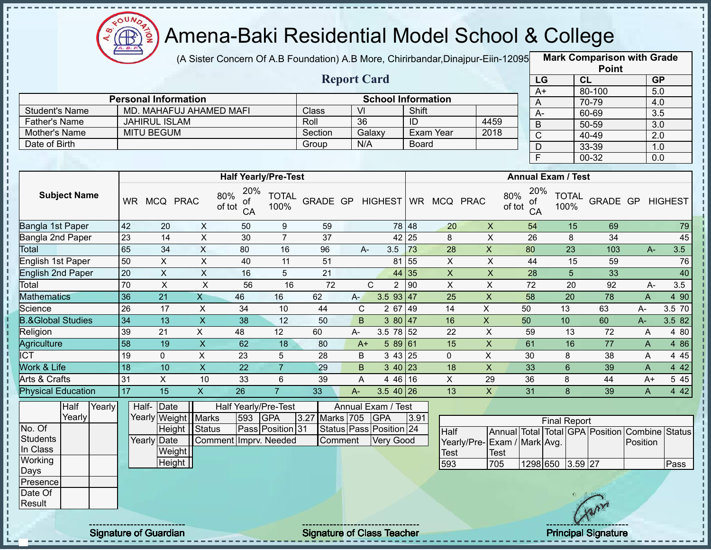

(A Sister Concern Of A.B Foundation) A.B More, Chirirbandar,Dinajpur-Eiin-12095 **Mark Comparison with Grade** 

|                |                             |         | <b>Report Card</b> |                           |      |
|----------------|-----------------------------|---------|--------------------|---------------------------|------|
|                | <b>Personal Information</b> |         |                    | <b>School Information</b> |      |
| Student's Name | MD. MAHAFUJ AHAMED MAFI     | Class   | -VI                | Shift                     |      |
| Father's Name  | <b>JAHIRUL ISLAM</b>        | Roll    | 36                 | ID                        | 4459 |
| Mother's Name  | <b>MITU BEGUM</b>           | Section | Galaxy             | Exam Year                 | 2018 |
| Date of Birth  |                             | Group   | N/A                | Board                     |      |

|      | <b>Point</b> |                  |
|------|--------------|------------------|
| LG   | CL           | <b>GP</b>        |
| $A+$ | 80-100       | 5.0              |
| A    | 70-79        | 4.0              |
| А-   | 60-69        | $\overline{3.5}$ |
| B    | 50-59        | $\overline{3.0}$ |
| C    | 40-49        | 2.0              |
| D    | 33-39        | 1.0              |
| E    | 00-32        | 0.0              |

|                              |           |              |             | <b>Half Yearly/Pre-Test</b>      |                      |          |       |                |                   |           |             |             | <b>Annual Exam / Test</b>        |                      |          |       |                |
|------------------------------|-----------|--------------|-------------|----------------------------------|----------------------|----------|-------|----------------|-------------------|-----------|-------------|-------------|----------------------------------|----------------------|----------|-------|----------------|
| <b>Subject Name</b>          | <b>WR</b> | <b>MCQ</b>   | <b>PRAC</b> | 20%<br>80%<br>of<br>of tot<br>CA | <b>TOTAL</b><br>100% | GRADE GP |       | <b>HIGHEST</b> |                   | <b>WR</b> | <b>MCQ</b>  | <b>PRAC</b> | 20%<br>80%<br>0f<br>of tot<br>CA | <b>TOTAL</b><br>100% | GRADE GP |       | <b>HIGHEST</b> |
| Bangla 1st Paper             | 42        | 20           | X           | 50                               | 9                    | 59       |       |                | 78 48             |           | 20          | X           | 54                               | 15                   | 69       |       | 79             |
| Bangla 2nd Paper             | 23        | 14           | X           | 30                               | $\overline{7}$       | 37       |       |                | 42 25             |           | 8           | Χ           | 26                               | 8                    | 34       |       | 45             |
| Total                        | 65        | 34           | X           | 80                               | 16                   | 96       |       | $A-$           | 3.5               | 73        | 28          | X.          | 80                               | 23                   | 103      |       | 3.5<br>$A -$   |
| English 1st Paper            | 50        | $\mathsf{X}$ | X           | 40                               | 11                   | 51       |       |                | 81                | 55        | X           | X           | 44                               | 15                   | 59       |       | 76             |
| <b>English 2nd Paper</b>     | 20        | X            | X           | 16                               | 5                    | 21       |       |                | 44 35             |           | X           | X           | 28                               | 5                    | 33       |       | 40             |
| Total                        | 70        | X            | X           | 56                               | 16                   | 72       |       | С              | $\overline{2}$    | 90        | X           | X           | 72                               | 20                   | 92       |       | 3.5<br>A-      |
| <b>Mathematics</b>           | 36        | 21           | X           | 46                               | 16                   | 62       | $A-$  |                | $3.5$ 93 47       |           | 25          | X           | 58                               | 20                   | 78       | A     | 4 90           |
| Science                      | 26        | 17           | X           | 34                               | 10                   | 44       | C     |                | 2 67              | 49        | 14          | X           | 50                               | 13                   | 63       | А-    | 3.5 70         |
| <b>B.&amp;Global Studies</b> | 34        | 13           | X           | 38                               | 12                   | 50       | B.    |                | 380 47            |           | 16          | X           | 50                               | 10                   | 60       | $A -$ | 3.5 82         |
| Religion                     | 39        | 21           | X           | 48                               | 12                   | 60       | $A -$ |                | 3.5 78 52         |           | 22          | X           | 59                               | 13                   | 72       | A     | 4 80           |
| Agriculture                  | 58        | 19           | X           | 62                               | 18                   | 80       | $A+$  |                | 589 61            |           | 15          | X           | 61                               | 16                   | 77       | A     | 4 86           |
| <b>CT</b>                    | 19        | $\Omega$     | X           | 23                               | 5                    | 28       | B     |                | $343$ 25          |           | $\mathbf 0$ | X.          | 30                               | 8                    | 38       | A     | 4 4 5          |
| <b>Nork &amp; Life</b>       | 18        | 10           | X           | 22                               |                      | 29       | B.    |                | $3 \, 40 \,   23$ |           | 18          | X           | 33                               | 6                    | 39       | A     | 4 4 2          |
| Arts & Crafts                | 31        | X            | 10          | 33                               | 6                    | 39       | A     |                | 4 46 16           |           | X           | 29          | 36                               | 8                    | 44       | $A+$  | 5 4 5          |
| <b>Physical Education</b>    | 17        | 15           | Χ           | 26                               | 7                    | 33       | A-    |                | $3.5$ 40 26       |           | 13          | Χ           | 31                               | 8                    | 39       | A     | 4 4 2          |

|                 | Half   | Yearly |             | Half-Date             |                       |     | Half Yearly/Pre-Test |                | Annual Exam / Test      |      |                              |      |                     |   |                                                |      |
|-----------------|--------|--------|-------------|-----------------------|-----------------------|-----|----------------------|----------------|-------------------------|------|------------------------------|------|---------------------|---|------------------------------------------------|------|
|                 | Yearly |        |             | Yearly Weight   Marks |                       | 593 | <b>GPA</b>           | 3.27 Marks 705 | <b>GPA</b>              | 3.91 |                              |      | <b>Final Report</b> |   |                                                |      |
| No. Of          |        |        |             | Height Status         |                       |     | Pass Position 31     |                | Status Pass Position 24 |      | Half                         |      |                     |   | Annual Total Total GPA Position Combine Status |      |
| <b>Students</b> |        |        | Yearly Date |                       | Comment Imprv. Needed |     |                      | Comment        | Very Good               |      | Yearly/Pre- Exam / Mark Avg. |      |                     |   | Position                                       |      |
| In Class        |        |        |             | Weight                |                       |     |                      |                |                         |      | <b>Test</b>                  | Test |                     |   |                                                |      |
| Working         |        |        |             | Height                |                       |     |                      |                |                         |      | 593                          | 705  | 1298 650 3.59 27    |   |                                                | Pass |
| Days            |        |        |             |                       |                       |     |                      |                |                         |      |                              |      |                     |   |                                                |      |
| Presence        |        |        |             |                       |                       |     |                      |                |                         |      |                              |      |                     |   |                                                |      |
| Date Of         |        |        |             |                       |                       |     |                      |                |                         |      |                              |      |                     |   |                                                |      |
| Result          |        |        |             |                       |                       |     |                      |                |                         |      |                              |      |                     | m |                                                |      |
|                 |        |        |             |                       |                       |     |                      |                |                         |      |                              |      |                     |   |                                                |      |

Signature of Guardian Signature of Class T Teacher Principal Signature 33/45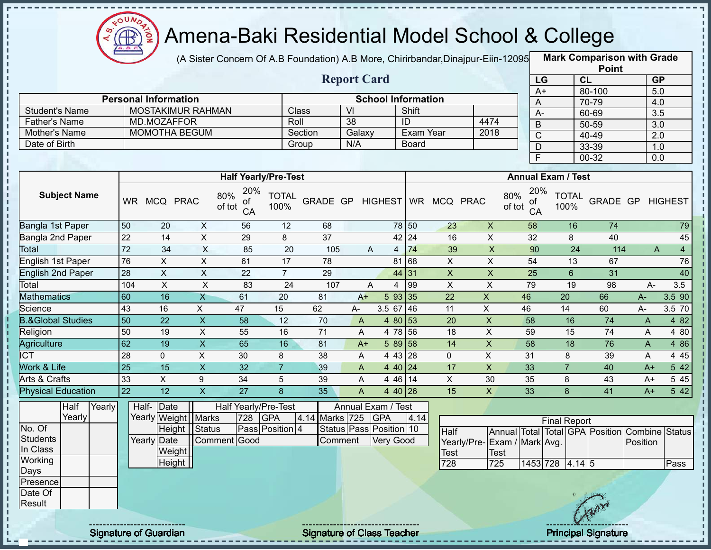

(A Sister Concern Of A.B Foundation) A.B More, Chirirbandar,Dinajpur-Eiin-12095 **Mark Comparison with Grade** 

|                       |                             |                                                                  |                             | <b>Report Card</b>           |           |      |               | LG                 |                      |
|-----------------------|-----------------------------|------------------------------------------------------------------|-----------------------------|------------------------------|-----------|------|---------------|--------------------|----------------------|
|                       |                             |                                                                  |                             |                              |           |      |               | A+                 |                      |
|                       | <b>Personal Information</b> |                                                                  |                             | <b>School Information</b>    |           |      |               | A                  |                      |
| <b>Student's Name</b> | <b>MOSTAKIMUR RAHMAN</b>    |                                                                  | <b>Class</b>                | VI                           | Shift     |      |               | A-                 |                      |
| <b>Father's Name</b>  | MD.MOZAFFOR                 |                                                                  | Roll                        | 38                           | ID        | 4474 |               | B                  |                      |
| Mother's Name         | MOMOTHA BEGUM               |                                                                  | Section                     | Galaxy                       | Exam Year | 2018 |               | С                  |                      |
| Date of Birth         |                             |                                                                  | Group                       | N/A                          | Board     |      |               | D                  |                      |
|                       |                             |                                                                  |                             |                              |           |      |               |                    |                      |
|                       |                             |                                                                  |                             |                              |           |      |               |                    |                      |
|                       |                             |                                                                  | <b>Half Yearly/Pre-Test</b> |                              |           |      |               | <b>Annual Exam</b> |                      |
| <b>Subject Name</b>   | MCQ PRAC<br><b>WR</b>       | 20%<br>$\frac{80\%}{\text{of tot}} \frac{20\%}{\text{of}}$<br>CA | <b>TOTAL</b><br>100%        | GRADE GP HIGHEST WR MCQ PRAC |           |      | 80%<br>of tot | 20%<br>-of<br>CA   | T <sub>C</sub><br>10 |

|                       | <b>Point</b> |                  |
|-----------------------|--------------|------------------|
| LG                    | <b>CL</b>    | <b>GP</b>        |
| $\overline{A+}$       | 80-100       | 5.0              |
| Α                     | 70-79        | 4.0              |
| А-                    | 60-69        | $\overline{3.5}$ |
| B                     | 50-59        | 3.0              |
| $\overline{\text{C}}$ | 40-49        | 2.0              |
| D                     | 33-39        | 1.0              |
| F                     | 00-32        | 0.0              |

|                              |           |              |             |                                  | <b>Half Yearly/Pre-Test</b> |          |      |            |       |            |              | <b>Annual Exam / Test</b>        |                      |                 |      |                |                |
|------------------------------|-----------|--------------|-------------|----------------------------------|-----------------------------|----------|------|------------|-------|------------|--------------|----------------------------------|----------------------|-----------------|------|----------------|----------------|
| <b>Subject Name</b>          | <b>WR</b> | <b>MCQ</b>   | <b>PRAC</b> | 20%<br>80%<br>οf<br>of tot<br>CA | <b>TOTAL</b><br>100%        | GRADE GP |      | HIGHEST WR |       | <b>MCQ</b> | <b>PRAC</b>  | 20%<br>80%<br>οf<br>of tot<br>CA | <b>TOTAL</b><br>100% | <b>GRADE GP</b> |      | <b>HIGHEST</b> |                |
| Bangla 1st Paper             | 50        | 20           | X           | 56                               | 12                          | 68       |      |            | 78 50 | 23         | X            | 58                               | 16                   | 74              |      |                | 79             |
| Bangla 2nd Paper             | 22        | 14           | X           | 29                               | 8                           | 37       |      |            | 42 24 | 16         | X            | 32                               | 8                    | 40              |      |                | 45             |
| Total                        | 72        | 34           | X           | 85                               | 20                          | 105      |      | A<br>4     | 74    | 39         | X            | 90                               | 24                   | 114             |      | A              | $\overline{4}$ |
| English 1st Paper            | 76        | X            | X           | 61                               | 17                          | 78       |      | 81         | 68    | X          | X            | 54                               | 13                   | 67              |      |                | 76             |
| <b>English 2nd Paper</b>     | 28        | X            | X           | 22                               | 7                           | 29       |      | 44 31      |       | X          | X            | 25                               | 6                    | 31              |      |                | 40             |
| Total                        | 104       | X            | X           | 83                               | 24                          | 107      |      | A<br>4     | 99    | X          | X            | 79                               | 19                   | 98              | A-   |                | 3.5            |
| <b>Mathematics</b>           | 60        | 16           | Χ           | 61                               | 20                          | 81       | $A+$ | 593 35     |       | 22         | X            | 46                               | 20                   | 66              | A-   |                | 3.5 90         |
| Science                      | 43        | 16           | X           | 47                               | 15                          | 62       | A-   | 3.5 67     | 46    | 11         | X            | 46                               | 14                   | 60              | A-   |                | 3.5 70         |
| <b>B.&amp;Global Studies</b> | 50        | 22           | X           | 58                               | 12                          | 70       | A    | 4 80 53    |       | 20         | $\mathsf{X}$ | 58                               | 16                   | 74              | A    |                | 4 8 2          |
| Religion                     | 50        | 19           | X           | 55                               | 16                          | 71       | A    | 4 78       | 56    | 18         | X            | 59                               | 15                   | 74              | A    |                | 4 80           |
| Agriculture                  | 62        | 19           | X           | 65                               | 16                          | 81       | $A+$ | 5 89 58    |       | 14         | X            | 58                               | 18                   | 76              | A    |                | 4 86           |
| <b>CT</b>                    | 28        | $\mathbf{0}$ | X           | 30                               | 8                           | 38       | A    | 4 43 28    |       | 0          | X            | 31                               | 8                    | 39              | A    |                | 4 4 5          |
| <b>Nork &amp; Life</b>       | 25        | 15           | X.          | 32                               |                             | 39       | A    | 4 40 24    |       | 17         | X.           | 33                               |                      | 40              | $A+$ |                | 5 42           |
| Arts & Crafts                | 33        | X            | 9           | 34                               | 5                           | 39       | A    | 4 4 6      | 14    | X          | 30           | 35                               | 8                    | 43              | $A+$ |                | 5 4 5          |
| <b>Physical Education</b>    | 22        | 12           | X           | 27                               | 8                           | 35       | A    | $440$ 26   |       | 15         | X            | 33                               | 8                    | 41              | $A+$ |                | 5 42           |

|          | Half   | Yearly                        | Half-       | Date                  |              |     | Half Yearly/Pre-Test |                    | Annual Exam / Test                 |      |                             |             |                     |                |    |                                                |      |
|----------|--------|-------------------------------|-------------|-----------------------|--------------|-----|----------------------|--------------------|------------------------------------|------|-----------------------------|-------------|---------------------|----------------|----|------------------------------------------------|------|
|          | Yearly |                               |             | Yearly Weight   Marks |              | 728 | <b>GPA</b>           | 4.14 Marks 725 GPA |                                    | 4.14 |                             |             | <b>Final Report</b> |                |    |                                                |      |
| No. Of   |        |                               |             | Height Status         |              |     | Pass Position 4      |                    | Status   Pass   Position   10      |      | Half                        |             |                     |                |    | Annual Total Total GPA Position Combine Status |      |
| Students |        |                               | Yearly Date |                       | Comment Good |     |                      | Comment            | <b>Very Good</b>                   |      | Yearly/Pre-Exam / Mark Avg. |             |                     |                |    | Position                                       |      |
| In Class |        |                               |             | Weight                |              |     |                      |                    |                                    |      | <b>Test</b>                 | <b>Test</b> |                     |                |    |                                                |      |
| Working  |        |                               |             | Height                |              |     |                      |                    |                                    |      | 728                         | 725         | $1453$ 728 4.14 5   |                |    |                                                | Pass |
| Days     |        |                               |             |                       |              |     |                      |                    |                                    |      |                             |             |                     |                |    |                                                |      |
| Presence |        |                               |             |                       |              |     |                      |                    |                                    |      |                             |             |                     |                |    |                                                |      |
| Date Of  |        |                               |             |                       |              |     |                      |                    |                                    |      |                             |             |                     |                |    |                                                |      |
| Result   |        |                               |             |                       |              |     |                      |                    |                                    |      |                             |             |                     |                | Ar |                                                |      |
|          |        | ----------------------------- |             |                       |              |     |                      |                    | ---------------------------------- |      |                             |             |                     | -------------- |    |                                                |      |

л п

 $\begin{array}{c} 1 \\ 1 \\ 1 \\ 1 \\ 1 \end{array}$ 

 $\mathbf I$ 

 $\blacksquare$  $\mathbf I$ 

 $\begin{array}{c} 1 & 1 \\ 1 & 1 \\ 1 & 1 \end{array}$ 

Signature of Guardian Signature of Class T Teacher Principal Signature 34/45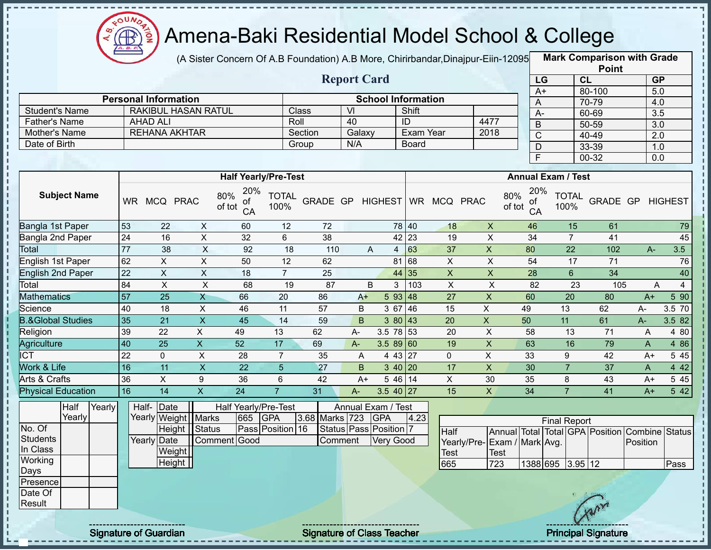

J. п

i

I.  $\mathbf{I}$ 

,,,,,,,,,,,,,,,,,,

#### Amena-Baki Residential Model School & College

(A Sister Concern Of A.B Foundation) A.B More, Chirirbandar,Dinajpur-Eiin-12095 **Mark Comparison with Grade** 

|                      |                             |         | <b>Report Card</b> |                           |      |  |
|----------------------|-----------------------------|---------|--------------------|---------------------------|------|--|
|                      | <b>Personal Information</b> |         |                    | <b>School Information</b> |      |  |
| Student's Name       | RAKIBUL HASAN RATUL         | Class   | VI                 | Shift                     |      |  |
| <b>Father's Name</b> | AHAD ALI                    | Roll    | 40                 |                           | 4477 |  |
| Mother's Name        | REHANA AKHTAR               | Section | Galaxy             | Exam Year                 | 2018 |  |
| Date of Birth        |                             | Group   | N/A                | <b>Board</b>              |      |  |

|      | <b>Point</b> |                  |
|------|--------------|------------------|
| LG   | CL           | <b>GP</b>        |
| $A+$ | 80-100       | 5.0              |
| Α    | 70-79        | 4.0              |
| А-   | 60-69        | 3.5              |
| B    | 50-59        | 3.0              |
| C    | 40-49        | $\overline{2.0}$ |
| D    | 33-39        | 1.0              |
| F    | 00-32        | 0.0              |

|                              |           |     |             | <b>Half Yearly/Pre-Test</b>      |                      |                 |       |                     |           |             |             | <b>Annual Exam / Test</b>        |                      |          |              |                |
|------------------------------|-----------|-----|-------------|----------------------------------|----------------------|-----------------|-------|---------------------|-----------|-------------|-------------|----------------------------------|----------------------|----------|--------------|----------------|
| <b>Subject Name</b>          | <b>WR</b> | MCQ | <b>PRAC</b> | 20%<br>80%<br>οf<br>of tot<br>CA | <b>TOTAL</b><br>100% | <b>GRADE GP</b> |       | <b>HIGHEST</b>      | <b>WR</b> | <b>MCQ</b>  | <b>PRAC</b> | 20%<br>80%<br>0f<br>of tot<br>CA | <b>TOTAL</b><br>100% | GRADE GP |              | <b>HIGHEST</b> |
| Bangla 1st Paper             | 53        | 22  | X           | 60                               | 12                   | 72              |       |                     | 78 40     | 18          | X           | 46                               | 15                   | 61       |              | 79             |
| Bangla 2nd Paper             | 24        | 16  | X           | 32                               | 6                    | 38              |       |                     | $42$ 23   | 19          | X           | 34                               |                      | 41       |              | 45             |
| Total                        | 77        | 38  | X           | 92                               | 18                   | 110             |       | A<br>$\overline{4}$ | 63        | 37          | X           | 80                               | 22                   | 102      | A-           | 3.5            |
| English 1st Paper            | 62        | X.  | X           | 50                               | 12                   | 62              |       | 81                  | 68        | X           | X           | 54                               | 17                   | 71       |              | 76             |
| <b>English 2nd Paper</b>     | 22        | X.  | X           | 18                               | $\overline{7}$       | 25              |       |                     | 44 35     | X           | X           | 28                               | 6                    | 34       |              | 40             |
| Total                        | 84        | Χ   | Χ           | 68                               | 19                   | 87              |       | B                   | 103       | X           | X           | 82                               | 23                   | 105      | A            | 4              |
| <b>Mathematics</b>           | 57        | 25  | X           | 66                               | 20                   | 86              | $A+$  | 593   48            |           | 27          | X           | 60                               | 20                   | 80       | $A+$         | 5 90           |
| Science                      | 40        | 18  | X           | 46                               | 11                   | 57              | B     | 3 67                | 46        | 15          | X           | 49                               | 13                   | 62       | A-           | 3.5 70         |
| <b>B.&amp;Global Studies</b> | 35        | 21  | X           | 45                               | 14                   | 59              | B.    |                     | 380 43    | 20          | X           | 50                               | 11                   | 61       | A-           | 3.582          |
| Religion                     | 39        | 22  | X.          | 49                               | 13                   | 62              | $A -$ | 3.5 78 53           |           | 20          | X           | 58                               | 13                   | 71       | A            | 4 80           |
| Agriculture                  | 40        | 25  | X           | 52                               | 17                   | 69              | $A -$ | 3.589 60            |           | 19          | X           | 63                               | 16                   | 79       | A            | 4 8 6          |
| ICT                          | 22        | 0   | X           | 28                               | $\overline{7}$       | 35              | A     | 4 43 27             |           | $\mathbf 0$ | X           | 33                               | 9                    | 42       | $A+$         | 5 4 5          |
| <b>Nork &amp; Life</b>       | 16        | 11  | X.          | 22                               | 5                    | 27              | B.    | $3\;40\;20$         |           | 17          | X           | 30                               |                      | 37       | $\mathsf{A}$ | 4 4 2          |
| Arts & Crafts                | 36        | X   | 9           | 36                               | 6                    | 42              | $A+$  | 5 46 14             |           | X           | 30          | 35                               | 8                    | 43       | $A+$         | 5 4 5          |
| <b>Physical Education</b>    | 16        | 14  | X.          | 24                               |                      | 31              | $A -$ | $3.540$   27        |           | 15          | X           | 34                               |                      | 41       | $A+$         | 5 42           |

|             | Half   | Yearly | Half-Date             |               |         | Half Yearly/Pre-Test |                | Annual Exam / Test           |      |                              |             |                     |     |                                                |      |
|-------------|--------|--------|-----------------------|---------------|---------|----------------------|----------------|------------------------------|------|------------------------------|-------------|---------------------|-----|------------------------------------------------|------|
|             | Yearly |        | Yearly Weight   Marks |               | 665 GPA |                      | 3.68 Marks 723 | <b>IGPA</b>                  | 4.23 |                              |             | <b>Final Report</b> |     |                                                |      |
| No. Of      |        |        |                       | Height Status |         | Pass Position 16     |                | Status   Pass   Position   7 |      | Half                         |             |                     |     | Annual Total Total GPA Position Combine Status |      |
| Students    |        |        | Yearly Date           | Comment Good  |         |                      | Comment        | Very Good                    |      | Yearly/Pre- Exam / Mark Avg. |             |                     |     | Position                                       |      |
| In Class    |        |        | Weight                |               |         |                      |                |                              |      | <b>Test</b>                  | <b>Test</b> |                     |     |                                                |      |
| Working     |        |        | Height                |               |         |                      |                |                              |      | 665                          | 723         | 1388 695 3.95 12    |     |                                                | Pass |
| <b>Days</b> |        |        |                       |               |         |                      |                |                              |      |                              |             |                     |     |                                                |      |
| Presence    |        |        |                       |               |         |                      |                |                              |      |                              |             |                     |     |                                                |      |
| Date Of     |        |        |                       |               |         |                      |                |                              |      |                              |             |                     |     |                                                |      |
| Result      |        |        |                       |               |         |                      |                |                              |      |                              |             |                     | Arv |                                                |      |
|             |        |        |                       |               |         |                      |                |                              |      |                              |             |                     |     |                                                |      |
|             |        |        |                       |               |         |                      |                |                              |      |                              |             |                     |     |                                                |      |

Signature of Guardian Signature of Class Teacher **Signature 35 and Teacher Principal Signature**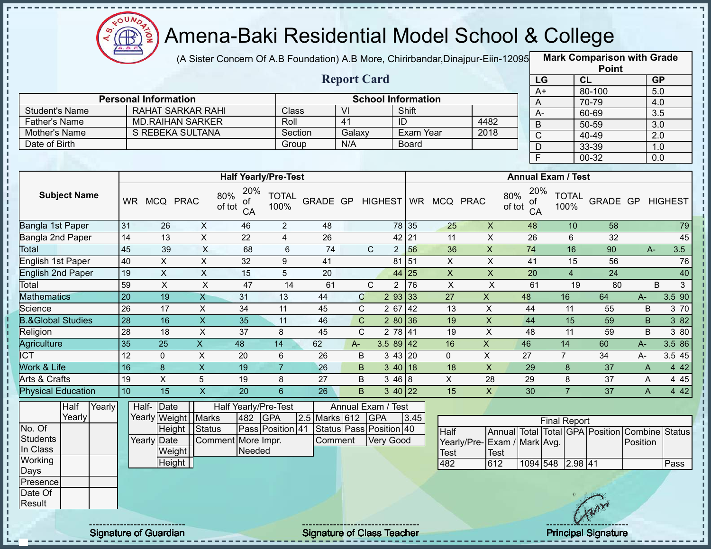

(A Sister Concern Of A.B Foundation) A.B More, Chirirbandar,Dinajpur-Eiin-12095 **Mark Comparison with Grade** 

|                              |                 |                             |                           |                             |                      |                 |                    |                                |              |                         |                             |                 |                         |                           | <b>Point</b>                    |          |                         |
|------------------------------|-----------------|-----------------------------|---------------------------|-----------------------------|----------------------|-----------------|--------------------|--------------------------------|--------------|-------------------------|-----------------------------|-----------------|-------------------------|---------------------------|---------------------------------|----------|-------------------------|
|                              |                 |                             |                           |                             |                      |                 | <b>Report Card</b> |                                |              |                         |                             |                 | LG                      |                           | CL                              |          | <b>GP</b>               |
|                              |                 |                             |                           |                             |                      |                 |                    |                                |              |                         |                             |                 | $A+$                    |                           | 80-100                          |          | 5.0                     |
|                              |                 | <b>Personal Information</b> |                           |                             |                      |                 |                    | <b>School Information</b>      |              |                         |                             |                 | A                       |                           | 70-79                           |          | 4.0                     |
| <b>Student's Name</b>        |                 |                             | <b>RAHAT SARKAR RAHI</b>  |                             | Class                |                 | VI                 |                                | Shift        |                         |                             |                 | $A -$                   |                           | 60-69                           |          | 3.5                     |
| <b>Father's Name</b>         |                 |                             | <b>MD.RAIHAN SARKER</b>   |                             | Roll                 |                 | 41                 |                                | ID           |                         | 4482                        |                 | B                       |                           | 50-59                           |          | $\overline{3.0}$        |
| Mother's Name                |                 |                             | S REBEKA SULTANA          |                             | Section              |                 | Galaxy             |                                | Exam Year    |                         | 2018                        |                 | $\mathsf{C}$            |                           | 40-49                           |          | $\overline{2.0}$        |
| Date of Birth                |                 |                             |                           |                             | Group                |                 | N/A                |                                | <b>Board</b> |                         |                             |                 | $\mathsf D$             |                           | 33-39                           |          | 1.0                     |
|                              |                 |                             |                           |                             |                      |                 |                    |                                |              |                         |                             |                 | $\overline{\mathsf{F}}$ |                           | 00-32                           |          | 0.0                     |
|                              |                 |                             |                           | <b>Half Yearly/Pre-Test</b> |                      |                 |                    |                                |              |                         |                             |                 |                         | <b>Annual Exam / Test</b> |                                 |          |                         |
|                              |                 |                             |                           | 20%                         |                      |                 |                    |                                |              |                         |                             |                 | 20%                     |                           |                                 |          |                         |
| <b>Subject Name</b>          |                 | WR MCQ PRAC                 |                           | 80%<br>οf<br>of tot<br>CA   | <b>TOTAL</b><br>100% |                 |                    | GRADE GP HIGHEST               |              | WR MCQ PRAC             |                             | 80%<br>of tot   | οf<br>CA                | <b>TOTAL</b><br>100%      |                                 |          | <b>GRADE GP HIGHEST</b> |
| Bangla 1st Paper             | 31              | 26                          | $\mathsf{X}$              | 46                          | $\overline{2}$       | 48              |                    |                                | 78 35        | 25                      | $\mathsf X$                 |                 | 48                      | 10                        | 58                              |          | 79                      |
| Bangla 2nd Paper             | 14              | 13                          | $\overline{X}$            | 22                          | $\overline{4}$       | 26              |                    | 42                             | 21           | 11                      | $\overline{X}$              |                 | 26                      | 6                         | 32                              |          | 45                      |
| Total                        | 45              | 39                          | $\mathsf{X}$              | 68                          | 6                    | 74              |                    | $\mathsf{C}$<br>2 <sub>1</sub> | 56           | 36                      | $\overline{X}$              |                 | $\overline{74}$         | 16                        | 90                              | $A -$    | 3.5                     |
| English 1st Paper            | 40              | $\pmb{\times}$              | $\overline{X}$            | 32                          | 9                    | 41              |                    | 81                             | 51           | $\pmb{\times}$          | $\overline{X}$              |                 | 41                      | 15                        | 56                              |          | 76                      |
| <b>English 2nd Paper</b>     | 19              | $\overline{\mathsf{x}}$     | $\overline{X}$            | 15                          | 5                    | $\overline{20}$ |                    | 44                             | 25           | $\overline{\mathsf{x}}$ | $\overline{\mathsf{x}}$     |                 | $\overline{20}$         | $\overline{4}$            | $\overline{24}$                 |          | 40                      |
| Total                        | 59              | $\pmb{\times}$              | $\overline{X}$            | 47                          | 14                   | 61              |                    | $\mathsf{C}$<br>$\overline{a}$ | 76           | $\pmb{\times}$          | $\boldsymbol{\mathsf{X}}$   |                 | 61                      | 19                        | 80                              |          | B<br>$\mathbf{3}$       |
| <b>Mathematics</b>           | 20              | 19                          | $\mathsf{X}$              | 31                          | 13                   | 44              | $\mathbf C$        |                                | 2 93 33      | $\overline{27}$         | $\boldsymbol{\mathsf{X}}$   | 48              |                         | 16                        | 64                              | $A -$    | 3.5 90                  |
| Science                      | 26              | 17                          | $\pmb{\times}$            | 34                          | 11                   | 45              | $\mathsf{C}$       | 267                            | 42           | 13                      | $\pmb{\times}$              | 44              |                         | 11                        | 55                              | B        | 3 70                    |
| <b>B.&amp;Global Studies</b> | 28              | 16                          | $\overline{X}$            | 35                          | 11                   | 46              | $\mathbf C$        |                                | 280 36       | 19                      | $\overline{X}$              | 44              |                         | 15                        | 59                              | B        | 382                     |
| Religion                     | 28              | 18                          | $\times$                  | 37                          | 8                    | 45              | $\mathsf{C}$       | 2 78                           | 41           | 19                      | $\pmb{\times}$              |                 | 48                      | 11                        | 59                              | B        | 3 80                    |
| Agriculture                  | 35              | 25                          | $\mathsf X$               | 48                          | 14                   | 62              | $A-$               | 3.5 89 42                      |              | 16                      | $\boldsymbol{\mathsf{X}}$   | 46              |                         | 14                        | 60                              | $A -$    | 3.5 86                  |
| <b>ICT</b>                   | $\overline{12}$ | $\mathsf{O}\xspace$         | $\boldsymbol{\mathsf{X}}$ | 20                          | $6\phantom{1}$       | 26              | $\sf B$            | $\overline{3}$ 43              | 20           | $\overline{0}$          | $\mathsf{X}$                | $\overline{27}$ |                         | $\overline{7}$            | 34                              | $A-$     | 3.545                   |
| Work & Life                  | 16              | $\bf 8$                     | $\boldsymbol{\mathsf{X}}$ | 19                          | $\overline{7}$       | 26              | B                  |                                | $340$ 18     | 18                      | $\boldsymbol{X}$            |                 | 29                      | 8                         | 37                              | A        | 4 4 2                   |
| Arts & Crafts                | 19              | $\overline{X}$              | 5                         | 19                          | 8                    | 27              | $\sf B$            | 346 8                          |              | $\mathsf{X}$            | 28                          | 29              |                         | 8                         | 37                              | A        | 4 4 5                   |
| <b>Physical Education</b>    | 10              | $\overline{15}$             | $\overline{X}$            | 20                          | $6\phantom{a}$       | 26              | $\overline{B}$     |                                | $340$ 22     | 15                      | $\mathsf{X}$                | 30              |                         | $\overline{7}$            | $\overline{37}$                 | A        | 4 4 2                   |
| Half<br>Yearly               |                 | Half-<br>Date               |                           | Half Yearly/Pre-Test        |                      |                 |                    | Annual Exam / Test             |              |                         |                             |                 |                         |                           |                                 |          |                         |
| Yearly                       |                 | Yearly Weight               | <b>Marks</b>              | 482                         | <b>GPA</b>           | 2.5 Marks 612   |                    | <b>GPA</b>                     | 3.45         |                         |                             |                 |                         | <b>Final Report</b>       |                                 |          |                         |
| No. Of                       |                 | Height                      | Status                    |                             | Pass Position 41     |                 |                    | Status Pass Position 40        |              | Half                    |                             |                 |                         |                           | Annual Total Total GPA Position |          | Combine Status          |
| <b>Students</b>              |                 | Yearly Date                 |                           | Comment More Impr.          |                      | Comment         |                    | Very Good                      |              |                         | Yearly/Pre-Exam / Mark Avg. |                 |                         |                           |                                 | Position |                         |
| In Class                     |                 | Weight                      |                           | Needed                      |                      |                 |                    |                                |              | <b>Test</b>             | <b>Test</b>                 |                 |                         |                           |                                 |          |                         |
| Working                      |                 | Height                      |                           |                             |                      |                 |                    |                                |              | 482                     | 612                         |                 |                         | 1094 548 2.98 41          |                                 |          | Pass                    |
| Days                         |                 |                             |                           |                             |                      |                 |                    |                                |              |                         |                             |                 |                         |                           |                                 |          |                         |
| Presence<br>Date Of          |                 |                             |                           |                             |                      |                 |                    |                                |              |                         |                             |                 |                         |                           |                                 |          |                         |
| Result                       |                 |                             |                           |                             |                      |                 |                    |                                |              |                         |                             |                 |                         |                           |                                 |          |                         |
|                              |                 |                             |                           |                             |                      |                 |                    |                                |              |                         |                             |                 |                         |                           |                                 |          |                         |
|                              |                 |                             |                           |                             |                      |                 |                    |                                |              |                         |                             |                 |                         |                           |                                 |          |                         |

 $\frac{1}{1}$ 

J.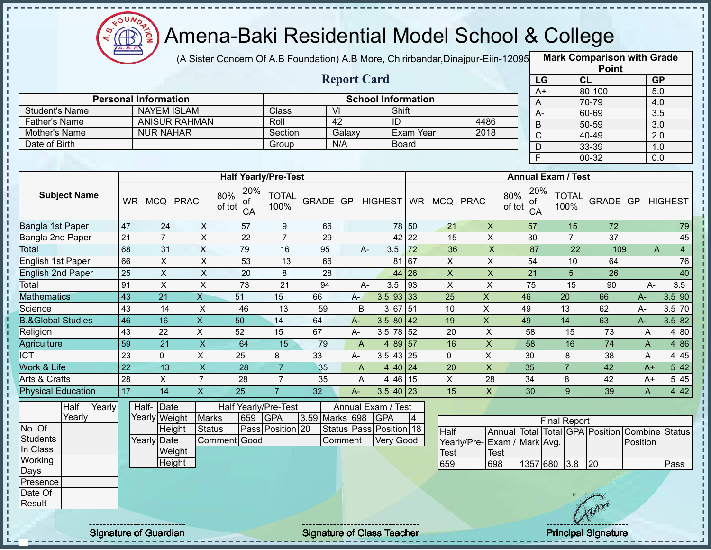

(A Sister Concern Of A.B Foundation) A.B More, Chirirbandar,Dinajpur-Eiin-120950

**Mark Comparison with Grade Point**

|                              |                     |        |                 |                             |                           |                                             |                      |                |                    |                                  |                 |                     |                             |                                  |                     |                      | <b>LOIII</b>                            |                |                         |
|------------------------------|---------------------|--------|-----------------|-----------------------------|---------------------------|---------------------------------------------|----------------------|----------------|--------------------|----------------------------------|-----------------|---------------------|-----------------------------|----------------------------------|---------------------|----------------------|-----------------------------------------|----------------|-------------------------|
|                              |                     |        |                 |                             |                           |                                             |                      |                | <b>Report Card</b> |                                  |                 |                     |                             |                                  | LG                  |                      | CL                                      |                | GP                      |
|                              |                     |        |                 | <b>Personal Information</b> |                           |                                             |                      |                |                    | <b>School Information</b>        |                 |                     |                             |                                  | $A+$                |                      | 80-100                                  |                | 5.0                     |
| <b>Student's Name</b>        |                     |        |                 | <b>NAYEM ISLAM</b>          |                           |                                             | Class                |                | $\overline{V}$     |                                  | Shift           |                     |                             | A                                |                     |                      | 70-79<br>60-69                          |                | 4.0<br>$\overline{3.5}$ |
| <b>Father's Name</b>         |                     |        |                 |                             | <b>ANISUR RAHMAN</b>      |                                             | Roll                 |                | 42                 | $\overline{ID}$                  |                 |                     | 4486                        | $A -$<br>$\overline{B}$          |                     |                      | $50 - 59$                               |                | $\overline{3.0}$        |
| Mother's Name                |                     |        |                 | <b>NUR NAHAR</b>            |                           |                                             | Section              |                | Galaxy             |                                  | Exam Year       |                     | 2018                        | $\overline{C}$                   |                     |                      | 40-49                                   |                | $\overline{2.0}$        |
| Date of Birth                |                     |        |                 |                             |                           |                                             | Group                |                | N/A                |                                  | <b>Board</b>    |                     |                             | $\mathsf D$                      |                     |                      | 33-39                                   |                | 1.0                     |
|                              |                     |        |                 |                             |                           |                                             |                      |                |                    |                                  |                 |                     |                             | $\overline{F}$                   |                     |                      | 00-32                                   |                | 0.0                     |
|                              |                     |        |                 |                             |                           | <b>Half Yearly/Pre-Test</b>                 |                      |                |                    |                                  |                 |                     |                             | <b>Annual Exam / Test</b>        |                     |                      |                                         |                |                         |
|                              | <b>Subject Name</b> |        |                 | WR MCQ PRAC                 |                           | 20%<br>80%<br>οt<br>of tot<br>CA            | <b>TOTAL</b><br>100% | GRADE GP       |                    |                                  |                 | HIGHEST WR MCQ PRAC |                             | 20%<br>80%<br>οt<br>of tot<br>CA |                     | <b>TOTAL</b><br>100% | GRADE GP                                |                | <b>HIGHEST</b>          |
| Bangla 1st Paper             |                     |        | 47              | 24                          | $\pmb{\times}$            | 57                                          | $\boldsymbol{9}$     | 66             |                    |                                  | 78 50           | 21                  | $\mathsf X$                 | 57                               |                     | 15                   | $\overline{72}$                         |                | 79                      |
| Bangla 2nd Paper             |                     |        | 21              | $\overline{7}$              | $\sf X$                   | 22                                          | $\overline{7}$       | 29             |                    |                                  | $42$ 22         | 15                  | $\sf X$                     | 30                               |                     | $\overline{7}$       | 37                                      |                | 45                      |
| Total                        |                     |        | 68              | 31                          | $\mathsf X$               | 79                                          | 16                   | 95             |                    | 3.5<br>A-                        | 72              | 36                  | $\boldsymbol{\mathsf{X}}$   | 87                               |                     | 22                   | 109                                     | $\overline{A}$ | $\overline{4}$          |
| <b>English 1st Paper</b>     |                     |        | 66              | $\overline{X}$              | $\overline{X}$            | 53                                          | 13                   | 66             |                    |                                  | 81 67           | X                   | $\overline{X}$              | 54                               |                     | 10                   | 64                                      |                | 76                      |
| <b>English 2nd Paper</b>     |                     |        | 25              | $\overline{X}$              | $\overline{X}$            | 20                                          | 8                    | 28             |                    |                                  | 44 26           | $\overline{X}$      | $\overline{X}$              | $\overline{21}$                  |                     | $5\phantom{.}$       | $\overline{26}$                         |                | 40                      |
| Total                        |                     |        | 91              | $\boldsymbol{\mathsf{X}}$   | $\mathsf X$               | 73                                          | $\overline{21}$      | 94             |                    | 3.5<br>A-                        | 93              | $\pmb{\times}$      | $\pmb{\times}$              | 75                               |                     | 15                   | 90                                      | A-             | 3.5                     |
| <b>Mathematics</b>           |                     |        | 43              | $\overline{21}$             | $\overline{X}$            | 51                                          | 15                   | 66             | $A-$               |                                  | $3.5$ 93 33     | 25                  | $\overline{X}$              | 46                               |                     | 20                   | 66                                      | $A -$          | 3.5 90                  |
| Science                      |                     |        | 43              | 14                          | $\pmb{\times}$            | 46                                          | 13                   | 59             | B                  |                                  | 3 67 51         | 10                  | $\mathsf X$                 | 49                               |                     | 13                   | 62                                      | A-             | 3.5 70                  |
| <b>B.&amp;Global Studies</b> |                     |        | 46              | 16                          | $\overline{X}$            | 50                                          | 14                   | 64             | $A -$              |                                  | 3.5 80 42       | 19                  | $\mathsf{x}$                | 49                               |                     | 14                   | 63                                      | $A -$          | 3.5 82                  |
| Religion                     |                     |        | 43              | 22                          | $\overline{X}$            | 52                                          | 15                   | 67             | A-                 |                                  | $3.5 \ 78 \ 52$ | 20                  | $\pmb{\times}$              | 58                               |                     | 15                   | 73                                      | A              | 4 80                    |
| Agriculture                  |                     |        | 59              | $\overline{21}$             | $\overline{\mathsf{x}}$   | 64                                          | 15                   | 79             | A                  |                                  | 4 89 57         | 16                  | $\pmb{\times}$              | $\overline{58}$                  |                     | 16                   | $\overline{74}$                         | A              | 4 8 6                   |
| $\overline{ICT}$             |                     |        | $\overline{23}$ | $\mathbf 0$                 | $\pmb{\times}$            | 25                                          | 8                    | 33             | A-                 |                                  | $3.543$ 25      | 0                   | $\pmb{\times}$              | 30                               |                     | 8                    | 38                                      | A              | 4 4 5                   |
| Work & Life                  |                     |        | $\overline{22}$ | 13                          | $\boldsymbol{\mathsf{X}}$ | 28                                          | $\overline{7}$       | 35             | A                  |                                  | 4 40 24         | 20                  | $\pmb{\times}$              | 35                               |                     | $\overline{7}$       | 42                                      | $A+$           | 5 42                    |
| Arts & Crafts                |                     |        | 28              | $\pmb{\times}$              | $\overline{7}$            | 28                                          | $\overline{7}$       | 35             | A                  |                                  | 4 46 15         | $\pmb{\times}$      | 28                          | 34                               |                     | 8                    | 42                                      | $A+$           | 5 4 5                   |
| <b>Physical Education</b>    |                     |        | 17              | 14                          | $\overline{X}$            | 25                                          | $\overline{7}$       | 32             | $A -$              |                                  | $3.540$ 23      | 15                  | $\mathsf{X}$                | 30                               |                     | 9                    | 39                                      | A              | 4 4 2                   |
|                              | Half<br>Yearly      | Yearly |                 | Half- Date<br>Yearly Weight |                           | Half Yearly/Pre-Test<br><b>Marks</b><br>659 | <b>GPA</b>           | 3.59 Marks 698 |                    | Annual Exam / Test<br><b>GPA</b> | $\overline{4}$  |                     |                             |                                  | <b>Final Report</b> |                      |                                         |                |                         |
| No. Of                       |                     |        |                 |                             | Height                    | Status                                      | Pass Position 20     |                |                    | Status Pass Position 18          |                 | Half                |                             |                                  |                     |                      | Annual Total Total GPA Position Combine |                | <b>Status</b>           |
| <b>Students</b>              |                     |        |                 | Yearly Date                 |                           | Comment Good                                |                      |                | Comment            |                                  | Very Good       |                     | Yearly/Pre-Exam / Mark Avg. |                                  |                     |                      |                                         | Position       |                         |
| In Class                     |                     |        |                 |                             | Weight                    |                                             |                      |                |                    |                                  |                 | Test                | <b>Test</b>                 |                                  |                     |                      |                                         |                |                         |
| Working                      |                     |        |                 |                             | <b>Height</b>             |                                             |                      |                |                    |                                  |                 | 659                 | 698                         |                                  | 1357 680            | 3.8                  | 20                                      |                | Pass                    |
| Days                         |                     |        |                 |                             |                           |                                             |                      |                |                    |                                  |                 |                     |                             |                                  |                     |                      |                                         |                |                         |
| Presence                     |                     |        |                 |                             |                           |                                             |                      |                |                    |                                  |                 |                     |                             |                                  |                     |                      |                                         |                |                         |
| Date Of<br>Result            |                     |        |                 |                             |                           |                                             |                      |                |                    |                                  |                 |                     |                             |                                  |                     |                      |                                         |                |                         |
|                              |                     |        |                 |                             |                           |                                             |                      |                |                    |                                  |                 |                     |                             |                                  |                     |                      |                                         |                |                         |

л п

п

Signature of Guardian Signature of Class T Teacher Principal Signature 37/45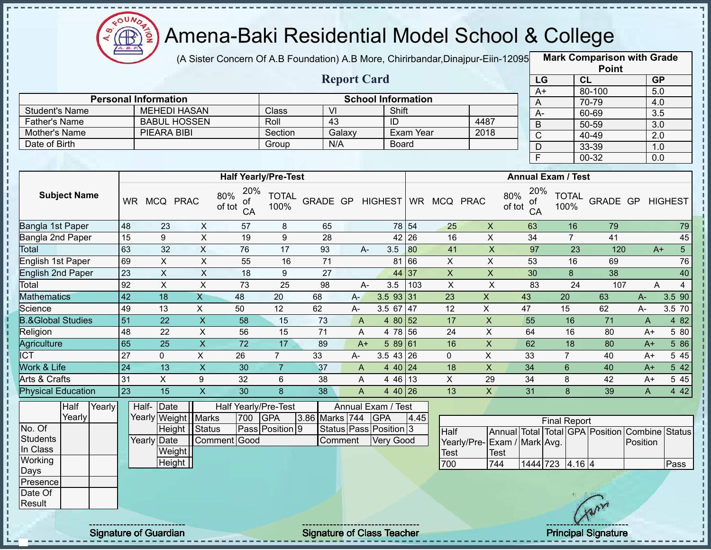

J.

 $\mathbf I$ 

 $\frac{1}{1}$ 

 $\mathbf I$  $\mathbf{I}$ 

 $\begin{array}{c} 1 \\ 1 \\ 1 \\ 1 \end{array}$ 

f,  $\mathbf I$ 

Ĭ

# Amena-Baki Residential Model School & College

(A Sister Concern Of A.B Foundation) A.B More, Chirirbandar,Dinajpur-Eiin-120950

**Mark Comparison with Grade**

|                              |                                                              |                                                    |                         |                             |                  |                 |                    |                           |                  |                 |                             |                           |                     |                  | <b>Point</b>                                   |                  |                  |
|------------------------------|--------------------------------------------------------------|----------------------------------------------------|-------------------------|-----------------------------|------------------|-----------------|--------------------|---------------------------|------------------|-----------------|-----------------------------|---------------------------|---------------------|------------------|------------------------------------------------|------------------|------------------|
|                              |                                                              |                                                    |                         |                             |                  |                 | <b>Report Card</b> |                           |                  |                 |                             | LG                        |                     | CL               |                                                | GP               |                  |
|                              |                                                              |                                                    |                         |                             |                  |                 |                    | <b>School Information</b> |                  |                 |                             | $A+$                      |                     |                  | 80-100                                         | 5.0              |                  |
| <b>Student's Name</b>        |                                                              | <b>Personal Information</b><br><b>MEHEDI HASAN</b> |                         |                             | Class            | $\overline{M}$  |                    | Shift                     |                  |                 |                             | A                         |                     |                  | 70-79                                          | 4.0              |                  |
| <b>Father's Name</b>         |                                                              | <b>BABUL HOSSEN</b>                                |                         |                             | Roll             | $\overline{43}$ |                    | $\overline{1}$            |                  |                 | 4487                        | $A -$                     |                     |                  | 60-69                                          | 3.5              |                  |
| Mother's Name                |                                                              | <b>PIEARA BIBI</b>                                 |                         |                             | Section          |                 | Galaxy             |                           | <b>Exam Year</b> |                 | 2018                        | $\overline{B}$            |                     |                  | $50 - 59$                                      | $\overline{3.0}$ |                  |
| Date of Birth                |                                                              |                                                    |                         |                             | Group            | N/A             |                    |                           | Board            |                 |                             | $\overline{C}$            |                     |                  | 40-49                                          | $\overline{2.0}$ |                  |
|                              |                                                              |                                                    |                         |                             |                  |                 |                    |                           |                  |                 |                             | $\mathsf{D}$              |                     |                  | 33-39                                          | 1.0              |                  |
|                              |                                                              |                                                    |                         |                             |                  |                 |                    |                           |                  |                 |                             | $\overline{\mathsf{F}}$   |                     |                  | $00 - 32$                                      | $\overline{0.0}$ |                  |
|                              |                                                              |                                                    |                         | <b>Half Yearly/Pre-Test</b> |                  |                 |                    |                           |                  |                 |                             | <b>Annual Exam / Test</b> |                     |                  |                                                |                  |                  |
|                              |                                                              |                                                    |                         | 20%                         | <b>TOTAL</b>     |                 |                    |                           |                  |                 |                             | 20%                       |                     |                  |                                                |                  |                  |
| <b>Subject Name</b>          | 80%<br>WR MCQ PRAC<br>of tot<br>48<br>23<br>$\boldsymbol{X}$ |                                                    |                         |                             |                  |                 |                    | GRADE GP HIGHEST          |                  | WR MCQ PRAC     |                             | 80%<br>of<br>of tot<br>CA | 100%                | <b>TOTAL</b>     | GRADE GP                                       |                  | <b>HIGHEST</b>   |
| Bangla 1st Paper             |                                                              |                                                    |                         | 57                          | 8                | 65              |                    |                           | 78 54            | 25              | $\mathsf X$                 | 63                        |                     | 16               | 79                                             |                  | 79               |
| Bangla 2nd Paper             | $\overline{15}$                                              | $\boldsymbol{9}$                                   | $\overline{\mathsf{x}}$ | 19                          | $\boldsymbol{9}$ | $\overline{28}$ |                    |                           | 42 26            | 16              | $\overline{X}$              | $\overline{34}$           |                     | $\overline{7}$   | 41                                             |                  | 45               |
| Total                        | 63                                                           | 32                                                 | $\overline{X}$          | 76                          | $\overline{17}$  | 93              | A-                 | 3.5                       | 80               | 41              | $\mathsf X$                 | $\overline{97}$           |                     | 23               | 120                                            | $A+$             | $5\overline{)}$  |
| English 1st Paper            | 69                                                           | $\pmb{\times}$                                     | $\overline{X}$          | 55                          | 16               | 71              |                    |                           | 81 66            | $\pmb{\times}$  | $\mathsf{X}$                | 53                        |                     | 16               | 69                                             |                  | 76               |
| <b>English 2nd Paper</b>     | $\overline{23}$                                              | $\overline{X}$                                     | $\overline{X}$          | 18                          | $9\,$            | 27              |                    |                           | 44 37            | $\overline{X}$  | $\overline{X}$              | 30                        |                     | $\boldsymbol{8}$ | 38                                             |                  | 40               |
| Total                        | 92                                                           | $\pmb{\times}$                                     | $\mathsf{X}$            | 73                          | 25               | 98              | $A -$              | 3.5                       | 103              | $\pmb{\times}$  | $\sf X$                     | 83                        |                     | 24               | 107                                            | A                | $\overline{4}$   |
| <b>Mathematics</b>           | $\overline{42}$                                              | $\overline{18}$                                    | $\overline{X}$          | $\overline{48}$             | 20               | 68              | $A-$               | $3.5$ 93 31               |                  | $\overline{23}$ | $\mathsf{X}$                | 43                        | $\overline{20}$     |                  | 63                                             | A-               | 3.5 90           |
| Science                      | 49                                                           | 13                                                 | $\sf X$                 | 50                          | 12               | 62              | A-                 | 3.5 67                    | 47               | 12              | $\mathsf X$                 | 47                        | 15                  |                  | 62                                             | A-               | 3.5 70           |
| <b>B.&amp;Global Studies</b> | $\overline{51}$                                              | $\overline{22}$                                    | $\overline{\mathsf{x}}$ | $\overline{58}$             | 15               | 73              | $\mathsf{A}$       | 4 80 52                   |                  | 17              | $\overline{X}$              | 55                        |                     | 16               | $\overline{71}$                                | $\overline{A}$   | 4 8 2            |
| Religion                     | 48                                                           | $\overline{22}$                                    | $\overline{\mathsf{x}}$ | 56                          | $\overline{15}$  | $\overline{71}$ | A                  | 4 78 56                   |                  | $\overline{24}$ | $\overline{X}$              | 64                        |                     | 16               | 80                                             | $A+$             | 5 80             |
| Agriculture                  | 65                                                           | $\overline{25}$                                    | $\overline{\mathsf{x}}$ | $\overline{72}$             | 17               | 89              | $A+$               | 589 61                    |                  | 16              | $\overline{\mathsf{X}}$     | 62                        |                     | 18               | 80                                             | $A+$             | 5 86             |
| <b>ICT</b>                   | $\overline{27}$                                              | $\mathbf 0$                                        | $\overline{X}$          | 26                          | $\overline{7}$   | 33              | A-                 | $3.5 \overline{43}$ 26    |                  | $\overline{0}$  | $\overline{\mathsf{x}}$     | 33                        | $\overline{7}$      |                  | 40                                             | $A+$             | 5 4 5            |
| Work & Life                  | $\overline{24}$                                              | $\overline{13}$                                    | $\overline{X}$          | $\overline{30}$             | $\overline{7}$   | 37              | $\mathsf{A}$       | 4 40 24                   |                  | $\overline{18}$ | $\overline{X}$              | $\overline{34}$           | $6\phantom{1}$      |                  | 40                                             | $A+$             | $5\overline{42}$ |
| <b>Arts &amp; Crafts</b>     | 31                                                           | $\overline{X}$                                     | $\boldsymbol{9}$        | 32                          | 6                | 38              | A                  | 4 46 13                   |                  | $\overline{X}$  | 29                          | 34                        | 8                   |                  | 42                                             | A+               | 5 4 5            |
| <b>Physical Education</b>    | 23                                                           | 15                                                 | $\mathsf X$             | 30                          | 8                | 38              | $\overline{A}$     | 4 40 26                   |                  | 13              | $\overline{\mathsf{X}}$     | 31                        |                     | 8                | 39                                             | $\mathsf{A}$     | 4 4 2            |
| Half<br>Yearly               |                                                              | Half-<br>Date                                      |                         | Half Yearly/Pre-Test        |                  |                 |                    | Annual Exam / Test        |                  |                 |                             |                           |                     |                  |                                                |                  |                  |
| Yearly                       |                                                              | Yearly Weight   Marks                              |                         | 700                         | <b>GPA</b>       | 3.86 Marks 744  |                    | <b>GPA</b>                | 4.45             |                 |                             |                           | <b>Final Report</b> |                  |                                                |                  |                  |
| No. Of                       |                                                              | Height   Status                                    |                         |                             | Pass Position 9  |                 |                    | Status Pass Position 3    |                  | <b>Half</b>     |                             |                           |                     |                  | Annual Total Total GPA Position Combine Status |                  |                  |
| <b>Students</b>              |                                                              | <b>Yearly Date</b>                                 |                         | Comment Good                |                  |                 | Comment            | Very Good                 |                  |                 | Yearly/Pre-Exam / Mark Avg. |                           |                     |                  |                                                | Position         |                  |
| In Class                     |                                                              | Weight                                             |                         |                             |                  |                 |                    |                           |                  | <b>Test</b>     | <b>Test</b>                 |                           |                     |                  |                                                |                  |                  |
| Working                      |                                                              | Height                                             |                         |                             |                  |                 |                    |                           |                  | 700             | 744                         |                           | 1444 723 4.16 4     |                  |                                                |                  | Pass             |
| Days                         |                                                              |                                                    |                         |                             |                  |                 |                    |                           |                  |                 |                             |                           |                     |                  |                                                |                  |                  |
| Presence                     |                                                              |                                                    |                         |                             |                  |                 |                    |                           |                  |                 |                             |                           |                     |                  |                                                |                  |                  |
| Date Of<br>Result            |                                                              |                                                    |                         |                             |                  |                 |                    |                           |                  |                 |                             |                           |                     |                  |                                                |                  |                  |
|                              |                                                              |                                                    |                         |                             |                  |                 |                    |                           |                  |                 |                             |                           |                     |                  | Trans                                          |                  |                  |
|                              |                                                              |                                                    |                         |                             |                  |                 |                    |                           |                  |                 |                             |                           |                     |                  |                                                |                  |                  |

Signature of Guardian Signature of Class T Teacher Principal Signature 38/45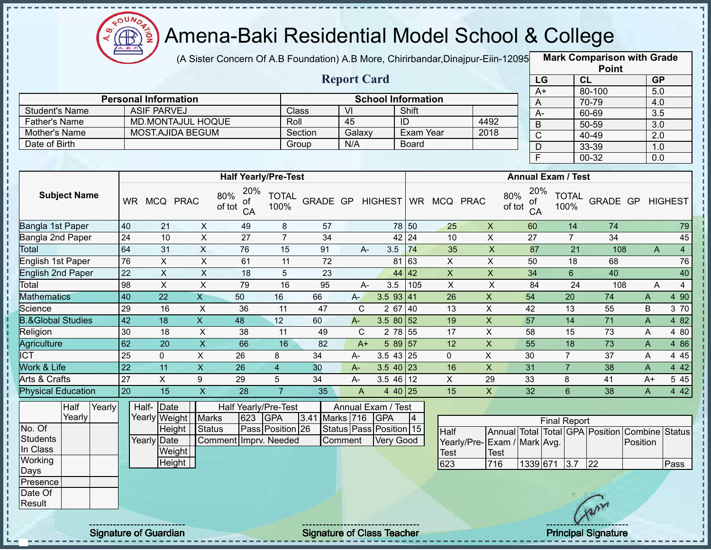

п

J.

 $\mathbf{I}$ п

 $\begin{array}{c} \mathbf{1} & \mathbf{1} & \mathbf{1} & \mathbf{1} \\ \mathbf{1} & \mathbf{1} & \mathbf{1} & \mathbf{1} \\ \mathbf{1} & \mathbf{1} & \mathbf{1} & \mathbf{1} \\ \mathbf{1} & \mathbf{1} & \mathbf{1} & \mathbf{1} \\ \mathbf{1} & \mathbf{1} & \mathbf{1} & \mathbf{1} \\ \mathbf{1} & \mathbf{1} & \mathbf{1} & \mathbf{1} \\ \mathbf{1} & \mathbf{1} & \mathbf{1} & \mathbf{1} \\ \mathbf{1} & \mathbf{1} & \mathbf$ 

 $\begin{array}{c} 1 & 1 \\ 1 & 1 \\ 1 & 1 \\ 1 & 1 \end{array}$ 

п

Í

# Amena-Baki Residential Model School & College

(A Sister Concern Of A.B Foundation) A.B More, Chirirbandar,Dinajpur-Eiin-12095 **Mark Comparison with Grade** 

|                              |                 |                              |                           |                                  |                      |                                   |                         |                           |                |                              |                           |                 |                           | <b>Point</b>                                   |              |                     |
|------------------------------|-----------------|------------------------------|---------------------------|----------------------------------|----------------------|-----------------------------------|-------------------------|---------------------------|----------------|------------------------------|---------------------------|-----------------|---------------------------|------------------------------------------------|--------------|---------------------|
|                              |                 |                              |                           |                                  |                      |                                   | <b>Report Card</b>      |                           |                |                              |                           |                 | LG                        | CL                                             |              | GP                  |
|                              |                 |                              |                           |                                  |                      |                                   |                         |                           |                |                              |                           | $A+$            |                           | 80-100                                         |              | 5.0                 |
|                              |                 | <b>Personal Information</b>  |                           |                                  |                      |                                   |                         | <b>School Information</b> |                |                              |                           | A               |                           | 70-79                                          |              | 4.0                 |
| <b>Student's Name</b>        |                 | <b>ASIF PARVEJ</b>           |                           |                                  | Class                |                                   | VI                      |                           | Shift          |                              |                           | A-              |                           | 60-69                                          |              | 3.5                 |
| <b>Father's Name</b>         |                 | <b>MD.MONTAJUL HOQUE</b>     |                           |                                  | Roll                 |                                   | 45                      |                           | ID             |                              | 4492                      | $\overline{B}$  |                           | 50-59                                          |              | $\overline{3.0}$    |
| Mother's Name                |                 | <b>MOST.AJIDA BEGUM</b>      |                           |                                  |                      | Section                           | Galaxy                  |                           | Exam Year      |                              | 2018                      | $\overline{C}$  |                           | 40-49                                          |              | 2.0                 |
| Date of Birth                |                 |                              |                           |                                  |                      | Group                             | N/A                     |                           | Board          |                              |                           | $\mathsf D$     |                           | 33-39                                          |              | 1.0                 |
|                              |                 |                              |                           |                                  |                      |                                   |                         |                           |                |                              |                           | F.              |                           | 00-32                                          |              | 0.0                 |
|                              |                 |                              |                           | <b>Half Yearly/Pre-Test</b>      |                      |                                   |                         |                           |                |                              |                           |                 | <b>Annual Exam / Test</b> |                                                |              |                     |
| <b>Subject Name</b>          |                 | WR MCQ PRAC                  |                           | 20%<br>80%<br>οf<br>of tot<br>CA | <b>TOTAL</b><br>100% |                                   |                         |                           |                | GRADE GP HIGHEST WR MCQ PRAC | 80%<br>of tot             | 20%<br>of<br>CA | <b>TOTAL</b><br>100%      |                                                |              | GRADE GP HIGHEST    |
| Bangla 1st Paper             | 40              | 21                           | $\pmb{\times}$            | 49                               | 8                    | 57                                |                         |                           | 78 50          | 25                           | $\boldsymbol{X}$          | 60              |                           | 74<br>14                                       |              | 79                  |
| Bangla 2nd Paper             | 24              | 10                           | $\overline{X}$            | 27                               | $\overline{7}$       | 34                                |                         |                           | 42 24          | 10                           | $\pmb{\times}$            | 27              | $\overline{7}$            | 34                                             |              | 45                  |
| <b>Total</b>                 | 64              | 31                           | $\mathsf{X}$              | 76                               | 15                   | 91                                | $A -$                   | 3.5                       | 74             | 35                           | $\boldsymbol{\mathsf{X}}$ | 87              |                           | 21                                             | 108          | $\overline{4}$<br>A |
| English 1st Paper            | 76              | $\pmb{\times}$               | $\boldsymbol{\mathsf{X}}$ | 61                               | 11                   | 72                                |                         | 81                        | 63             | X                            | $\pmb{\times}$            | 50              |                           | 18<br>68                                       |              | 76                  |
| <b>English 2nd Paper</b>     | 22              | $\mathsf X$                  | $\boldsymbol{\mathsf{X}}$ | 18                               | 5                    | 23                                |                         |                           | 44 42          | $\pmb{\mathsf{X}}$           | $\mathsf X$               | 34              | $6\phantom{a}$            | 40                                             |              | 40                  |
| Total                        | 98              | $\overline{\mathsf{x}}$      | $\overline{X}$            | 79                               | 16                   | 95                                | A-                      | 3.5                       | 105            | $\overline{X}$               | $\boldsymbol{\mathsf{X}}$ | 84              |                           | 24                                             | 108          | $\overline{4}$<br>A |
| <b>Mathematics</b>           | 40              | 22                           | $\overline{X}$            | 50                               | 16                   | 66                                | $A-$                    | $3.5$ 93 41               |                | 26                           | $\mathsf{X}$              | 54              | 20                        | 74                                             | A            | 4 90                |
| Science                      | 29              | 16                           | X                         | 36                               | 11                   | 47                                | C                       | 2 67                      | 40             | 13                           | $\mathsf X$               | 42              | 13                        | 55                                             | B            | 3 70                |
| <b>B.&amp;Global Studies</b> | 42              | 18                           | $\mathsf{X}$              | 48                               | 12                   | 60                                | $A -$                   | $3.580$ 52                |                | 19                           | $\mathsf X$               | 57              | 14                        | 71                                             | $\mathsf{A}$ | 4 8 2               |
| Religion                     | 30              | 18                           | X                         | 38                               | 11                   | 49                                | $\mathbf C$             |                           | 2 78 55        | 17                           | $\sf X$                   | 58              | 15                        | 73                                             | A            | 4 80                |
| Agriculture                  | 62              | 20                           | $\boldsymbol{\mathsf{X}}$ | 66                               | 16                   | 82                                | $A+$                    |                           | $589$ 57       | 12                           | $\pmb{\times}$            | 55              | 18                        | 73                                             | A            | 4 8 6               |
| <b>ICT</b>                   | 25              | $\mathbf 0$                  | X                         | 26                               | 8                    | 34                                | $A-$                    | $3.543$ 25                |                | $\mathbf 0$                  | $\mathsf X$               | 30              | $\overline{7}$            | 37                                             | A            | 4 4 5               |
| Work & Life                  | $\overline{22}$ | 11                           | $\mathsf{X}% _{0}$        | 26                               | $\overline{4}$       | 30                                | $A -$                   | $3.540$ 23                |                | 16                           | $\pmb{\mathsf{X}}$        | 31              | $\overline{7}$            | 38                                             | A            | 4 4 2               |
| Arts & Crafts                | $\overline{27}$ | $\boldsymbol{\mathsf{X}}$    | 9                         | 29                               | 5                    | 34                                | A-                      | $3.546$ 12                |                | $\mathsf{X}$                 | 29                        | 33              | 8                         | 41                                             | $A+$         | 5 4 5               |
| <b>Physical Education</b>    | 20              | 15                           | X                         | 28                               | $\overline{7}$       | 35                                | A                       |                           | 4 40 25        | 15                           | $\mathsf{X}$              | 32              | $6\phantom{1}$            | 38                                             | A            | 4 4 2               |
| Half<br>Yearly               |                 | Half-Date                    |                           | Half Yearly/Pre-Test             |                      |                                   | Annual Exam / Test      |                           |                |                              |                           |                 |                           |                                                |              |                     |
| Yearly                       |                 | Yearly Weight                | <b>Marks</b>              | 623                              | <b>GPA</b>           | 3.41 Marks 716                    |                         | GPA                       | $\overline{4}$ |                              |                           |                 | <b>Final Report</b>       |                                                |              |                     |
| No. Of                       |                 | Height                       | <b>Status</b>             |                                  | Pass Position 26     |                                   | Status Pass Position 15 |                           |                | Half                         |                           |                 |                           | Annual Total Total GPA Position Combine Status |              |                     |
| <b>Students</b><br>In Class  |                 | Yearly Date                  |                           | Comment Imprv. Needed            |                      |                                   | Comment                 | Very Good                 |                | Yearly/Pre-                  | Exam / Mark Avg.          |                 |                           |                                                | Position     |                     |
| Working                      |                 | Weight                       |                           |                                  |                      |                                   |                         |                           |                | <b>Test</b>                  | Test                      |                 |                           |                                                |              |                     |
| Days                         |                 | Height                       |                           |                                  |                      |                                   |                         |                           |                | 623                          | 716                       |                 | 1339 671 3.7 22           |                                                |              | Pass                |
| Presence                     |                 |                              |                           |                                  |                      |                                   |                         |                           |                |                              |                           |                 |                           |                                                |              |                     |
| Date Of                      |                 |                              |                           |                                  |                      |                                   |                         |                           |                |                              |                           |                 |                           |                                                |              |                     |
| Result                       |                 |                              |                           |                                  |                      |                                   |                         |                           |                |                              |                           |                 |                           |                                                |              |                     |
|                              |                 | <b>Signature of Guardian</b> |                           |                                  |                      | <b>Signature of Class Teacher</b> |                         |                           |                |                              |                           |                 |                           | <b>Principal Signature</b>                     |              |                     |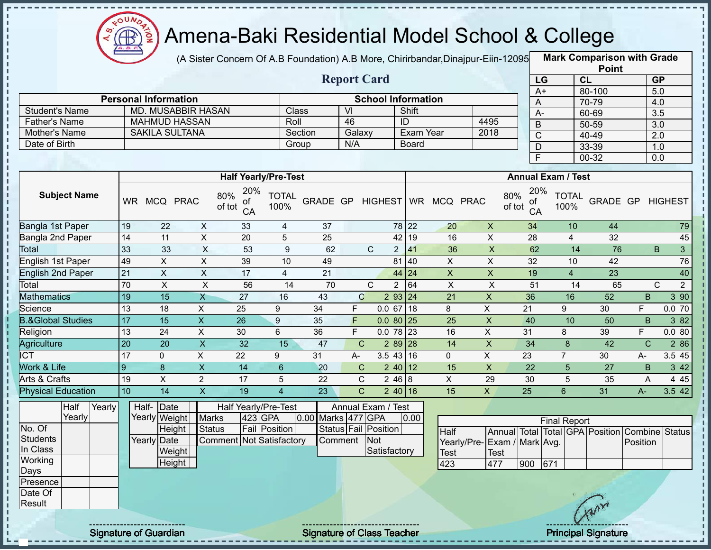

 $\frac{1}{1}$ 

 $\mathbf I$ 

 $\mathbf{I}$ 

J.

#### Amena-Baki Residential Model School & College

(A Sister Concern Of A.B Foundation) A.B More, Chirirbandar,Dinajpur-Eiin-12095 **Mark Comparison with Grade** 

|                                       |                 |                             |                         |                                        |                      |                    |                |                           |                      |                           |                                            |                           |                             | <b>Point</b>                                   |                         |                   |
|---------------------------------------|-----------------|-----------------------------|-------------------------|----------------------------------------|----------------------|--------------------|----------------|---------------------------|----------------------|---------------------------|--------------------------------------------|---------------------------|-----------------------------|------------------------------------------------|-------------------------|-------------------|
|                                       |                 |                             |                         |                                        |                      |                    |                | <b>Report Card</b>        |                      |                           |                                            |                           | LG                          | CL                                             | <b>GP</b>               |                   |
|                                       |                 |                             |                         |                                        |                      |                    |                |                           |                      |                           |                                            |                           | $A+$                        | 80-100                                         | 5.0                     |                   |
|                                       |                 | <b>Personal Information</b> |                         |                                        |                      |                    |                | <b>School Information</b> |                      |                           |                                            |                           | A                           | 70-79                                          | 4.0                     |                   |
| <b>Student's Name</b>                 |                 | <b>MD. MUSABBIR HASAN</b>   |                         |                                        | <b>Class</b>         |                    | VI             |                           | Shift                |                           |                                            |                           | $\overline{A}$              | 60-69                                          | 3.5                     |                   |
| <b>Father's Name</b>                  |                 | <b>MAHMUD HASSAN</b>        |                         |                                        | Roll                 |                    | 46             |                           | ID                   |                           | 4495                                       |                           | $\overline{B}$              | $50 - 59$                                      | $\overline{3.0}$        |                   |
| Mother's Name                         |                 | <b>SAKILA SULTANA</b>       |                         |                                        |                      | Section            | Galaxy         |                           |                      | <b>Exam Year</b>          | 2018                                       |                           | $\overline{C}$              | 40-49                                          | $\overline{2.0}$        |                   |
| Date of Birth                         |                 |                             |                         |                                        |                      | Group              | N/A            |                           | Board                |                           |                                            |                           | $\mathsf D$                 | 33-39                                          | 1.0                     |                   |
|                                       |                 |                             |                         |                                        |                      |                    |                |                           |                      |                           |                                            |                           | $\overline{F}$              | 00-32                                          | 0.0                     |                   |
|                                       |                 |                             |                         | <b>Half Yearly/Pre-Test</b>            |                      |                    |                |                           |                      |                           |                                            |                           | <b>Annual Exam / Test</b>   |                                                |                         |                   |
| <b>Subject Name</b>                   |                 | WR MCQ PRAC                 |                         | 20%<br>80%<br>οf<br>of tot<br>CA       | <b>TOTAL</b><br>100% | GRADE GP HIGHEST   |                |                           |                      | WR MCQ PRAC               |                                            | 80%<br>οf<br>of tot<br>CA | 20%<br><b>TOTAL</b><br>100% |                                                | <b>GRADE GP HIGHEST</b> |                   |
| Bangla 1st Paper                      | 19              | 22                          | X                       | 33                                     | $\overline{4}$       | 37                 |                |                           | 78 22                | 20                        | $\boldsymbol{\mathsf{X}}$                  | 34                        | 10                          | 44                                             |                         | 79                |
| Bangla 2nd Paper                      | 14              | 11                          | $\mathsf X$             | 20                                     | 5                    | 25                 |                |                           | 19<br>42             | 16                        | $\mathsf X$                                | 28                        | $\overline{4}$              | 32                                             |                         | 45                |
| Total                                 | 33              | 33                          | $\overline{X}$          | 53                                     | $\boldsymbol{9}$     | 62                 |                | $\mathsf{C}$              | 41<br>2 <sup>1</sup> | 36                        | $\overline{X}$                             | 62                        | 14                          | 76                                             | $\mathsf B$             | $\mathbf{3}$      |
| English 1st Paper                     | 49              | $\overline{X}$              | $\overline{X}$          | 39                                     | 10                   | 49                 |                |                           | 81<br>40             | $\overline{X}$            | $\overline{X}$                             | $\overline{32}$           | 10                          | 42                                             |                         | 76                |
| English 2nd Paper                     | $\overline{21}$ | $\overline{\mathsf{x}}$     | $\overline{X}$          | 17                                     | $\overline{4}$       | 21                 |                |                           | 44<br>24             | $\boldsymbol{\mathsf{X}}$ | $\overline{\mathsf{x}}$                    | 19                        | $\overline{4}$              | 23                                             |                         | 40                |
| Total                                 | $\overline{70}$ | $\overline{X}$              | $\overline{\mathsf{x}}$ | 56                                     | $\overline{14}$      | 70                 |                | $\mathsf{C}$              | 64<br>$\overline{2}$ | $\overline{X}$            | $\overline{\mathsf{x}}$                    | $\overline{51}$           | $\overline{14}$             | 65                                             | $\mathsf{C}$            | $\overline{2}$    |
| <b>Mathematics</b>                    | 19              | $\overline{15}$             | $\overline{X}$          | $\overline{27}$                        | 16                   | 43                 | $\mathsf{C}$   |                           | 2 93 24              | $\overline{21}$           | $\overline{\mathsf{x}}$                    | $\overline{36}$           | 16                          | 52                                             | B                       | 3 90              |
| Science                               | 13              | 18                          | $\mathsf X$             | 25                                     | 9                    | 34                 | F              | 0.067                     | 18                   | 8                         | X                                          | 21                        | 9                           | 30                                             | F                       | 0.070             |
| <b>B.&amp;Global Studies</b>          | 17              | 15                          | $\overline{X}$          | $\overline{26}$                        | 9                    | 35                 | F              |                           | $0.080$ 25           | 25                        | $\mathsf X$                                | 40                        | 10                          | 50                                             | B                       | 3 82              |
| Religion                              | 13              | 24                          | $\overline{X}$          | 30                                     | 6                    | 36                 | F              |                           | $0.078$ 23           | 16                        | $\pmb{\times}$                             | 31                        | 8                           | 39                                             | F                       | 0.080             |
| <b>Agriculture</b>                    | 20              | 20                          | $\overline{X}$          | 32                                     | 15                   | 47                 | $\mathsf{C}$   |                           | 2 89 28              | $\overline{14}$           | $\overline{X}$                             | $\overline{34}$           | 8                           | $\overline{42}$                                | $\mathbf C$             | 2 86              |
| <b>ICT</b>                            | $\overline{17}$ | $\mathbf 0$                 | $\pmb{\times}$          | 22                                     | 9                    | 31                 | $A-$           |                           | $3.543$ 16           | $\mathbf 0$               | $\mathsf{X}$                               | 23                        | $\overline{7}$              | 30                                             | $A -$                   | 3.5 45            |
| Work & Life                           | 9               | 8                           | $\overline{\mathsf{x}}$ | $\overline{14}$                        | 6                    | $\overline{20}$    | $\mathsf{C}$   |                           | $240$ 12             | 15                        | $\pmb{\times}$                             | $\overline{22}$           | $5\phantom{.}$              | $\overline{27}$                                | B                       | $3 \overline{42}$ |
| Arts & Crafts                         | 19              | $\mathsf{x}$                | $\overline{2}$          | 17                                     | 5                    | 22                 | $\mathsf{C}$   |                           | 246 8                | X                         | 29                                         | 30                        | 5                           | 35                                             | A                       | 4 4 5             |
| Physical Education                    | 10              | 14                          | $\mathsf X$             | 19                                     | $\overline{4}$       | 23                 | $\overline{C}$ |                           | 240 16               | 15                        | $\mathsf{X}$                               | 25                        | $6\phantom{1}$              | 31                                             | $A -$                   | 3.5 42            |
| Half<br>Yearly<br>Yearly              |                 | Half-Date<br>Yearly Weight  | <b>Marks</b>            | <b>Half Yearly/Pre-Test</b><br>423 GPA |                      | 0.00 Marks 477 GPA |                | Annual Exam / Test        | 0.00                 |                           |                                            |                           | <b>Final Report</b>         |                                                |                         |                   |
| No. Of                                |                 | Height                      | Status                  | <b>Fail Position</b>                   |                      |                    |                | Status Fail Position      |                      | Half                      |                                            |                           |                             | Annual Total Total GPA Position Combine Status |                         |                   |
| <b>Students</b><br>In Class           |                 | Yearly Date<br>Weight       |                         | Comment Not Satisfactory               |                      |                    | Comment        | Not<br>Satisfactory       |                      | Test                      | Yearly/Pre-Exam / Mark Avg.<br><b>Test</b> |                           |                             |                                                | Position                |                   |
| Working                               |                 | Height                      |                         |                                        |                      |                    |                |                           |                      | 423                       | 477                                        | 900                       | 671                         |                                                |                         |                   |
| Days<br>Presence<br>Date Of<br>Result |                 |                             |                         |                                        |                      |                    |                |                           |                      |                           |                                            |                           |                             |                                                |                         |                   |
|                                       |                 |                             |                         |                                        |                      |                    |                |                           |                      |                           |                                            |                           |                             |                                                |                         |                   |

Signature of Guardian Signature of Class Teacher Principal Signature 40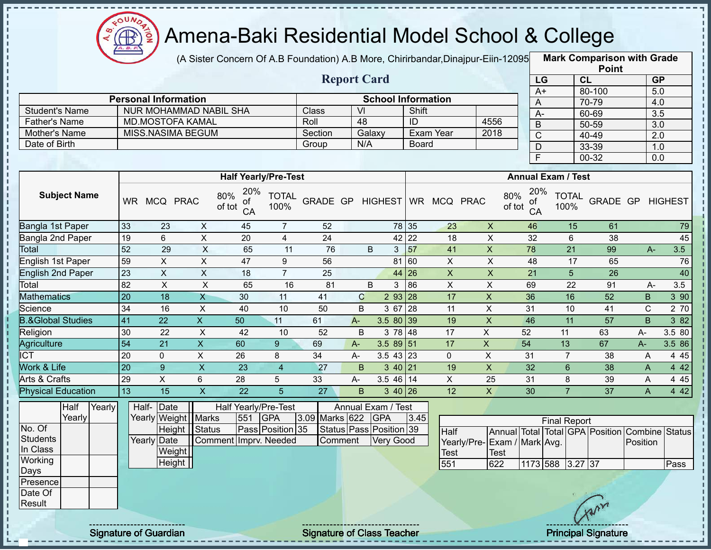

(A Sister Concern Of A.B Foundation) A.B More, Chirirbandar,Dinajpur-Eiin-12095 **Mark Comparison with Grade** 

|                      |                             |         | <b>Report Card</b> |                           |      |
|----------------------|-----------------------------|---------|--------------------|---------------------------|------|
|                      | <b>Personal Information</b> |         |                    | <b>School Information</b> |      |
| Student's Name       | NUR MOHAMMAD NABIL SHA      | Class   | VI                 | Shift                     |      |
| <b>Father's Name</b> | <b>MD.MOSTOFA KAMAL</b>     | Roll    | 48                 | ID                        | 4556 |
| Mother's Name        | MISS.NASIMA BEGUM           | Section | Galaxy             | Exam Year                 | 2018 |
| Date of Birth        |                             | Group   | N/A                | <b>Board</b>              |      |

|      | <b>Point</b> |           |
|------|--------------|-----------|
| LG   | CL           | <b>GP</b> |
| $A+$ | 80-100       | 5.0       |
| A    | 70-79        | 4.0       |
| А-   | 60-69        | 3.5       |
| B    | 50-59        | 3.0       |
| C    | $40 - 49$    | 2.0       |
| D    | 33-39        | 1.0       |
| F    | 00-32        | 0.0       |

|                              |           |            |              | <b>Half Yearly/Pre-Test</b>      |                      |                 |       |                |                   |           |          |    | <b>Annual Exam / Test</b>        |                      |          |    |                |
|------------------------------|-----------|------------|--------------|----------------------------------|----------------------|-----------------|-------|----------------|-------------------|-----------|----------|----|----------------------------------|----------------------|----------|----|----------------|
| <b>Subject Name</b>          | <b>WR</b> | <b>MCQ</b> | <b>PRAC</b>  | 20%<br>80%<br>οf<br>of tot<br>CA | <b>TOTAL</b><br>100% | <b>GRADE GP</b> |       | <b>HIGHEST</b> |                   | <b>WR</b> | MCQ PRAC |    | 20%<br>80%<br>οf<br>of tot<br>CA | <b>TOTAL</b><br>100% | GRADE GP |    | <b>HIGHEST</b> |
| Bangla 1st Paper             | 33        | 23         | X            | 45                               | 7                    | 52              |       |                |                   | 78 35     | 23       | X  | 46                               | 15                   | 61       |    | 79             |
| Bangla 2nd Paper             | 19        | 6          | X            | 20                               | 4                    | 24              |       |                | 42 22             |           | 18       | X  | 32                               | 6                    | 38       |    | 45             |
| <b>Total</b>                 | 52        | 29         | X            | 65                               | 11                   | 76              |       | B              | 3                 | 57        | 41       | X  | 78                               | 21                   | 99       |    | 3.5<br>$A -$   |
| English 1st Paper            | 59        | X.         | Χ            | 47                               | 9                    | 56              |       |                |                   | 81 60     | X        | X  | 48                               | 17                   | 65       |    | 76             |
| <b>English 2nd Paper</b>     | 23        | X          | X            | 18                               |                      | 25              |       |                | 44 26             |           | X        | X  | 21                               | 5                    | 26       |    | 40             |
| Total                        | 82        | X          | Χ            | 65                               | 16                   | 81              |       | B              | 3                 | 86        | Χ        | Χ  | 69                               | 22                   | 91       |    | 3.5<br>A-      |
| <b>Mathematics</b>           | 20        | 18         | X            | 30                               | 11                   | 41              |       | С              | 293 28            |           | 17       | X  | 36                               | 16                   | 52       | B. | 3 90           |
| Science                      | 34        | 16         | X            | 40                               | 10                   | 50              |       | B              | 3 67              | 28        | 11       | X  | 31                               | 10                   | 41       | C. | 2 70           |
| <b>B.&amp;Global Studies</b> | 41        | 22         | X.           | 50                               | 11                   | 61              | $A -$ |                | $3.580$ 39        |           | 19       | X  | 46                               | 11                   | 57       | B  | 3 82           |
| Religion                     | 30        | 22         | X            | 42                               | 10                   | 52              |       | B              | 3 78 48           |           | 17       | X  | 52                               | 11                   | 63       | A- | 3.5 80         |
| Agriculture                  | 54        | 21         | X            | 60                               | 9                    | 69              | $A-$  |                | $3.589$ 51        |           | 17       | X  | 54                               | 13                   | 67       | A- | 3.5 86         |
| <b>ICT</b>                   | 20        | $\Omega$   | X            | 26                               | 8                    | 34              | A-    |                | $3.5$ 43 23       |           | $\Omega$ | X  | 31                               |                      | 38       | A  | 4 4 5          |
| Work & Life                  | 20        | 9          | X            | 23                               | 4                    | 27              |       | B              | $3 \, 40 \,   21$ |           | 19       | X  | 32                               | 6                    | 38       | A  | 4 4 2          |
| Arts & Crafts                | 29        | X          | 6            | 28                               | 5                    | 33              | $A-$  |                | $3.5$ 46 14       |           | X        | 25 | 31                               | 8                    | 39       | A  | 4 4 5          |
| <b>Physical Education</b>    | 13        | 15         | $\mathsf{X}$ | 22                               | 5                    | 27              |       | В              | $3\;40\;26$       |           | 12       | X  | 30                               |                      | 37       | A  | 4 4 2          |

|          | Half   | Yearly | Half- Date  |                       |                       |     | Half Yearly/Pre-Test |                | Annual Exam / Test      |      |                    |             |  |
|----------|--------|--------|-------------|-----------------------|-----------------------|-----|----------------------|----------------|-------------------------|------|--------------------|-------------|--|
|          | Yearly |        |             | Yearly Weight   Marks |                       | 551 | <b>IGPA</b>          | 3.09 Marks 622 | <b>IGPA</b>             | 3.45 |                    |             |  |
| No. Of   |        |        |             | Height                | <b>Status</b>         |     | Pass Position 35     |                | Status Pass Position 39 |      | <b>Half</b>        | Annual      |  |
| Students |        |        | Yearly Date |                       | Comment Imprv. Needed |     |                      | Comment        | <b>Very Good</b>        |      | Yearly/Pre- Exam / |             |  |
| In Class |        |        |             | Weight                |                       |     |                      |                |                         |      | Test               | <b>Test</b> |  |
| Working  |        |        |             | <b>Height</b>         |                       |     |                      |                |                         |      | 551                | 622         |  |
| Days     |        |        |             |                       |                       |     |                      |                |                         |      |                    |             |  |
| Presence |        |        |             |                       |                       |     |                      |                |                         |      |                    |             |  |
| Date Of  |        |        |             |                       |                       |     |                      |                |                         |      |                    |             |  |
| Result   |        |        |             |                       |                       |     |                      |                |                         |      |                    |             |  |

|                              |      |                        | <b>Final Report</b> |  |                                                |      |
|------------------------------|------|------------------------|---------------------|--|------------------------------------------------|------|
| Half                         |      |                        |                     |  | Annual Total Total GPA Position Combine Status |      |
| Yearly/Pre- Exam / Mark Avg. |      |                        |                     |  | Position                                       |      |
| <b>Test</b>                  | Test |                        |                     |  |                                                |      |
| 551                          | 622  | 1173   588   3.27   37 |                     |  |                                                | Pass |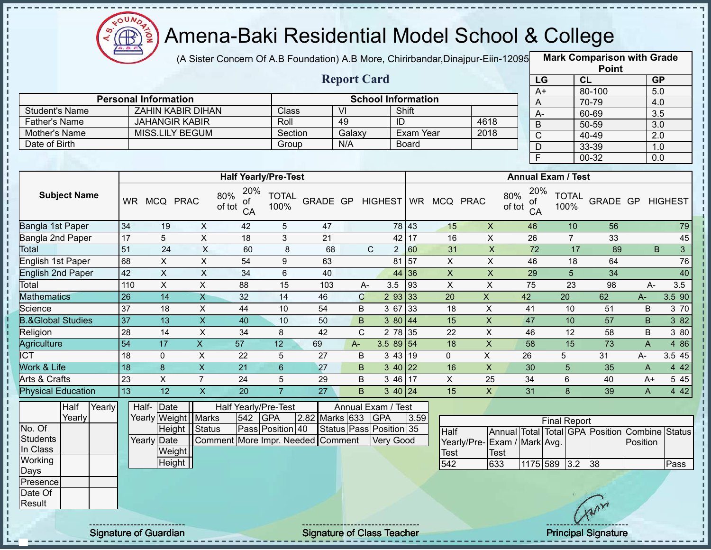

п  $\blacksquare$ 

#### Amena-Baki Residential Model School & College

(A Sister Concern Of A.B Foundation) A.B More, Chirirbandar, Dinajpur-Eiin-12095

**Mark Comparison with Grade Point**

|                                       |                 |                             |                         |                                  |                      |                                   | <b>Report Card</b>      |                                |                   |                              |                             |                                  | LG                  | CL                   |        | GP                                                         |              |
|---------------------------------------|-----------------|-----------------------------|-------------------------|----------------------------------|----------------------|-----------------------------------|-------------------------|--------------------------------|-------------------|------------------------------|-----------------------------|----------------------------------|---------------------|----------------------|--------|------------------------------------------------------------|--------------|
|                                       |                 | <b>Personal Information</b> |                         |                                  |                      |                                   |                         | <b>School Information</b>      |                   |                              |                             |                                  | $A+$                |                      | 80-100 | 5.0                                                        |              |
| <b>Student's Name</b>                 |                 | <b>ZAHIN KABIR DIHAN</b>    |                         |                                  | Class                |                                   | $\overline{V}$          |                                | Shift             |                              |                             | A                                |                     |                      | 70-79  | 4.0                                                        |              |
| <b>Father's Name</b>                  |                 | <b>JAHANGIR KABIR</b>       |                         |                                  | Roll                 |                                   | 49                      |                                | ID                |                              | 4618                        | $A -$                            |                     |                      | 60-69  | 3.5                                                        |              |
| Mother's Name                         |                 | <b>MISS.LILY BEGUM</b>      |                         |                                  | Section              |                                   | Galaxy                  |                                | Exam Year         |                              | 2018                        | $\mathsf B$                      |                     |                      | 50-59  | 3.0                                                        |              |
| Date of Birth                         |                 |                             |                         |                                  | Group                |                                   | N/A                     |                                | Board             |                              |                             | $\overline{C}$                   |                     |                      | 40-49  | 2.0                                                        |              |
|                                       |                 |                             |                         |                                  |                      |                                   |                         |                                |                   |                              |                             | $\mathsf D$                      |                     |                      | 33-39  | 1.0                                                        |              |
|                                       |                 |                             |                         |                                  |                      |                                   |                         |                                |                   |                              |                             | E                                |                     |                      | 00-32  | 0.0                                                        |              |
|                                       |                 |                             |                         | <b>Half Yearly/Pre-Test</b>      |                      |                                   |                         |                                |                   |                              |                             | <b>Annual Exam / Test</b>        |                     |                      |        |                                                            |              |
| <b>Subject Name</b>                   |                 | WR MCQ PRAC                 |                         | 20%<br>80%<br>οf<br>of tot<br>CA | <b>TOTAL</b><br>100% |                                   |                         |                                |                   | GRADE GP HIGHEST WR MCQ PRAC |                             | 20%<br>80%<br>0f<br>of tot<br>CA |                     | <b>TOTAL</b><br>100% |        | GRADE GP HIGHEST                                           |              |
| Bangla 1st Paper                      | $\overline{34}$ | 19                          | X                       | 42                               | $\sqrt{5}$           | 47                                |                         |                                | 78 43             | 15                           | $\mathsf X$                 | 46                               |                     | 10                   | 56     |                                                            | 79           |
| Bangla 2nd Paper                      | 17              | 5                           | $\pmb{\times}$          | 18                               | 3                    | 21                                |                         |                                | 42 17             | 16                           | $\mathsf X$                 | 26                               |                     | $\overline{7}$       | 33     |                                                            | 45           |
| Total                                 | 51              | $\overline{24}$             | $\overline{X}$          | 60                               | 8                    | 68                                |                         | $\mathsf{C}$<br>$\overline{2}$ | 60                | 31                           | $\boldsymbol{\mathsf{X}}$   | $\overline{72}$                  |                     | 17                   | 89     | B                                                          | $\mathbf{3}$ |
| <b>English 1st Paper</b>              | 68              | $\overline{X}$              | $\overline{X}$          | 54                               | 9                    | 63                                |                         |                                | 81   57           | $\overline{X}$               | $\overline{X}$              | 46                               |                     | 18                   | 64     |                                                            | 76           |
| <b>English 2nd Paper</b>              | 42              | $\overline{X}$              | $\mathsf X$             | 34                               | $\,6\,$              | 40                                |                         |                                | 44 36             | $\boldsymbol{\mathsf{X}}$    | $\mathsf X$                 | 29                               |                     | 5                    | 34     |                                                            | 40           |
| Total                                 | 110             | $\boldsymbol{\mathsf{X}}$   | $\overline{X}$          | 88                               | 15                   | 103                               | $A -$                   | 3.5                            | $\vert$ 93        | $\pmb{\times}$               | $\mathsf X$                 | 75                               |                     | 23                   | 98     | $A -$                                                      | 3.5          |
| <b>Mathematics</b>                    | 26              | 14                          | $\overline{\mathsf{x}}$ | 32                               | 14                   | 46                                | $\mathbf C$             |                                | 293 33            | 20                           | $\overline{X}$              | 42                               |                     | 20                   | 62     | $A-$                                                       | 3.5 90       |
| Science                               | $\overline{37}$ | 18                          | $\overline{X}$          | 44                               | 10                   | 54                                | B                       |                                | 3 67 33           | 18                           | $\mathsf X$                 | 41                               |                     | 10                   | 51     | B                                                          | 3 70         |
| <b>B.&amp;Global Studies</b>          | 37              | 13                          | $\overline{\mathsf{x}}$ | 40                               | 10                   | 50                                | $\sf B$                 |                                | 380 44            | 15                           | $\overline{X}$              | 47                               |                     | 10                   | 57     | B                                                          | 3 8 2        |
| Religion                              | 28              | 14                          | $\pmb{\times}$          | 34                               | 8                    | 42                                | C                       |                                | 2 78 35           | 22                           | $\sf X$                     | 46                               |                     | 12                   | 58     | B                                                          | 3 80         |
| Agriculture                           | $\overline{54}$ | 17                          | $\mathsf X$             | 57                               | 12                   | 69                                | $A-$                    | $3.589$ 54                     |                   | 18                           | $\pmb{\times}$              | 58                               |                     | 15                   | 73     | $\overline{A}$                                             | 4 8 6        |
| $\overline{ICT}$                      | 18              | $\mathbf 0$                 | X                       | 22                               | 5                    | 27                                | B                       |                                | 343 19            | $\mathbf 0$                  | X                           | 26                               | 5                   |                      | 31     | $A-$                                                       | 3.5 45       |
| Work & Life                           | 18              | 8                           | $\overline{X}$          | 21                               | $6\phantom{a}$       | 27                                | B                       |                                | 3 40 22           | 16                           | $\mathsf{X}$                | 30                               |                     | 5                    | 35     | $\mathsf{A}$                                               | 4 4 2        |
| Arts & Crafts                         | 23              | X                           | $\overline{7}$          | 24                               | 5                    | 29                                | B                       | 3 46                           | 17                | $\pmb{\times}$               | 25                          | 34                               |                     | 6                    | 40     | A+                                                         | 5 4 5        |
| <b>Physical Education</b>             | 13              | 12                          | $\overline{\mathsf{x}}$ | 20                               | $\overline{7}$       | 27                                | B                       |                                | $3 \, 40 \,   24$ | 15                           | $\mathsf{X}$                | 31                               |                     | 8                    | 39     | A                                                          | 4 4 2        |
| Half<br>Yearly                        |                 | Half-Date                   |                         | Half Yearly/Pre-Test             |                      |                                   | Annual Exam / Test      |                                |                   |                              |                             |                                  |                     |                      |        |                                                            |              |
| Yearly                                |                 | Yearly Weight Marks         |                         | 542                              | <b>GPA</b>           | 2.82 Marks 633 GPA                |                         |                                | 3.59              |                              |                             |                                  | <b>Final Report</b> |                      |        |                                                            |              |
| No. Of<br><b>Students</b><br>In Class |                 | Yearly Date<br>Weight       | Height Status           |                                  | Pass Position 40     | Comment More Impr. Needed Comment | Status Pass Position 35 | Very Good                      |                   | <b>Half</b>                  | Yearly/Pre-Exam / Mark Avg. |                                  |                     |                      |        | Annual Total Total GPA Position Combine Status<br>Position |              |
| Working                               |                 | Height                      |                         |                                  |                      |                                   |                         |                                |                   | <b>Test</b><br>542           | <b>Test</b><br>633          |                                  | 1175 589 3.2        |                      | 38     |                                                            | Pass         |
| <b>Days</b>                           |                 |                             |                         |                                  |                      |                                   |                         |                                |                   |                              |                             |                                  |                     |                      |        |                                                            |              |
| Presence                              |                 |                             |                         |                                  |                      |                                   |                         |                                |                   |                              |                             |                                  |                     |                      |        |                                                            |              |
| Date Of                               |                 |                             |                         |                                  |                      |                                   |                         |                                |                   |                              |                             |                                  |                     |                      |        |                                                            |              |
| Result                                |                 |                             |                         |                                  |                      |                                   |                         |                                |                   |                              |                             |                                  |                     |                      | Yarn   |                                                            |              |
|                                       |                 |                             |                         |                                  |                      |                                   |                         |                                |                   |                              |                             |                                  |                     |                      |        |                                                            |              |

Signature of Guardian Signature of Class Teacher **Signature of Class Teacher Principal Signature** 42

**Status**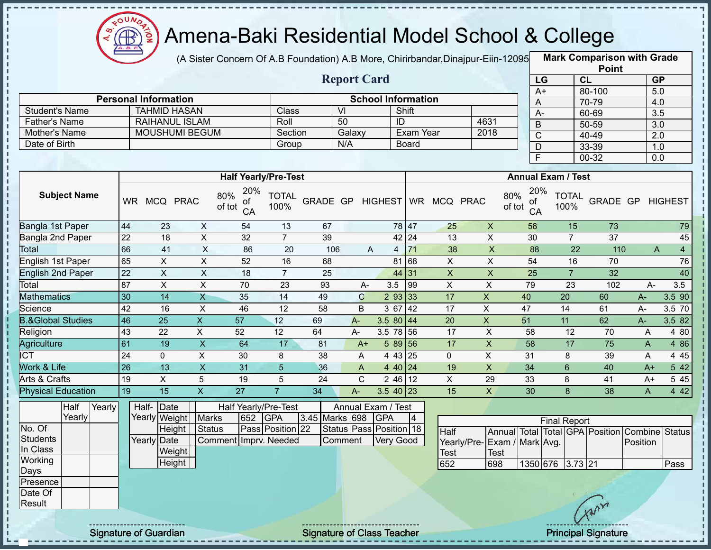

(A Sister Concern Of A.B Foundation) A.B More, Chirirbandar, Dinajpur-Eiin-12095

**Mark Comparison with Grade Point**

|                              |                 |                             |                           |                                  |                      |                |                         |                     |                           |                              |                             |                               |                                 | I VIIIL            |                         |                |
|------------------------------|-----------------|-----------------------------|---------------------------|----------------------------------|----------------------|----------------|-------------------------|---------------------|---------------------------|------------------------------|-----------------------------|-------------------------------|---------------------------------|--------------------|-------------------------|----------------|
|                              |                 |                             |                           |                                  |                      |                | <b>Report Card</b>      |                     |                           |                              |                             | LG                            |                                 | CL                 | GP                      |                |
|                              |                 | <b>Personal Information</b> |                           |                                  |                      |                |                         |                     | <b>School Information</b> |                              |                             | $A+$                          |                                 | 80-100             | 5.0                     |                |
| <b>Student's Name</b>        |                 | <b>TAHMID HASAN</b>         |                           |                                  | Class                |                | $\overline{V}$          |                     | Shift                     |                              |                             | A                             |                                 | 70-79              | 4.0                     |                |
| <b>Father's Name</b>         |                 | <b>RAIHANUL ISLAM</b>       |                           |                                  | Roll                 |                | 50                      |                     | $\overline{ID}$           |                              | 4631                        | $A -$                         |                                 | 60-69              | 3.5                     |                |
| Mother's Name                |                 |                             | <b>MOUSHUMI BEGUM</b>     |                                  | Section              |                | Galaxy                  |                     | Exam Year                 |                              | 2018                        | $\mathsf B$<br>$\overline{C}$ |                                 | $50 - 59$<br>40-49 | $\overline{3.0}$<br>2.0 |                |
| Date of Birth                |                 |                             |                           |                                  | Group                |                | N/A                     |                     | <b>Board</b>              |                              |                             | $\mathsf D$                   |                                 | 33-39              | 1.0                     |                |
|                              |                 |                             |                           |                                  |                      |                |                         |                     |                           |                              |                             | $\overline{F}$                |                                 | 00-32              | 0.0                     |                |
|                              |                 |                             |                           |                                  |                      |                |                         |                     |                           |                              |                             |                               |                                 |                    |                         |                |
|                              |                 |                             |                           | <b>Half Yearly/Pre-Test</b>      |                      |                |                         |                     |                           |                              |                             |                               | <b>Annual Exam / Test</b>       |                    |                         |                |
| <b>Subject Name</b>          |                 | WR MCQ PRAC                 |                           | 20%<br>80%<br>ΟĪ<br>of tot<br>CA | <b>TOTAL</b><br>100% |                |                         |                     |                           | GRADE GP HIGHEST WR MCQ PRAC | 80%<br>of tot               | 20%<br>ОT<br>CA               | <b>TOTAL</b><br>100%            |                    | GRADE GP HIGHEST        |                |
| Bangla 1st Paper             | 44              | 23                          | X                         | 54                               | 13                   | 67             |                         |                     | 78 47                     | 25                           | X                           | 58                            | 15                              | 73                 |                         | 79             |
| Bangla 2nd Paper             | 22              | 18                          | X                         | 32                               | $\overline{7}$       | 39             |                         |                     | 42 24                     | 13                           | $\pmb{\times}$              | 30                            | $\overline{7}$                  | 37                 |                         | 45             |
| Total                        | 66              | 41                          | $\boldsymbol{\mathsf{X}}$ | 86                               | 20                   | 106            |                         | A<br>$\overline{4}$ | 71                        | 38                           | $\boldsymbol{\mathsf{X}}$   | 88                            | 22                              | 110                | A                       | $\overline{4}$ |
| English 1st Paper            | 65              | $\mathsf{X}$                | X                         | 52                               | 16                   | 68             |                         |                     | 81 68                     | $\mathsf{X}$                 | $\pmb{\times}$              | 54                            | 16                              | 70                 |                         | 76             |
| <b>English 2nd Paper</b>     | 22              | $\mathsf X$                 | $\pmb{\times}$            | 18                               | $\overline{7}$       | 25             |                         |                     | 44 31                     | $\mathsf{X}$                 | $\pmb{\times}$              | 25                            | $\overline{7}$                  | 32                 |                         | 40             |
| Total                        | 87              | $\overline{X}$              | $\pmb{\times}$            | 70                               | 23                   | 93             | $A -$                   | 3.5                 | 99                        | $\pmb{\times}$               | X                           | 79                            | 23                              | 102                | $A-$                    | 3.5            |
| <b>Mathematics</b>           | 30              | 14                          | $\mathsf{X}$              | 35                               | 14                   | 49             | $\mathbf C$             |                     | 293 33                    | 17                           | $\mathsf{X}$                | 40                            | 20                              | 60                 | $A-$                    | 3.5 90         |
| Science                      | 42              | 16                          | $\pmb{\times}$            | 46                               | 12                   | 58             | B                       | 3 67                | 42                        | 17                           | X                           | 47                            | 14                              | 61                 | $A-$                    | 3.5 70         |
| <b>B.&amp;Global Studies</b> | 46              | 25                          | $\boldsymbol{\mathsf{X}}$ | 57                               | 12                   | 69             | $A -$                   | 3.5 80 44           |                           | 20                           | $\mathsf X$                 | 51                            | 11                              | 62                 | $A -$                   | 3.5 82         |
| Religion                     | 43              | 22                          | X                         | 52                               | 12                   | 64             | $A -$                   | 3.5 78 56           |                           | 17                           | $\pmb{\times}$              | 58                            | 12                              | 70                 | A                       | 4 80           |
| Agriculture                  | 61              | 19                          | $\mathsf{X}$              | 64                               | 17                   | 81             | $A+$                    |                     | 58956                     | 17                           | $\pmb{\times}$              | 58                            | 17                              | 75                 | $\mathsf{A}$            | 4 8 6          |
| $\overline{\text{ICT}}$      | $\overline{24}$ | $\overline{0}$              | X                         | 30                               | 8                    | 38             | A                       |                     | 4 43 25                   | $\mathbf{0}$                 | X                           | 31                            | 8                               | 39                 | A                       | 4 4 5          |
| Work & Life                  | 26              | 13                          | $\boldsymbol{\mathsf{X}}$ | 31                               | 5                    | 36             | A                       |                     | 4 40 24                   | 19                           | $\mathsf X$                 | 34                            | 6                               | 40                 | A+                      | 5 4 2          |
| Arts & Crafts                | 19              | $\mathsf{X}$                | 5                         | 19                               | 5                    | 24             | $\mathsf{C}$            |                     | $246$ 12                  | X                            | 29                          | 33                            | 8                               | 41                 | $A+$                    | 5 4 5          |
| <b>Physical Education</b>    | 19              | 15                          | $\overline{X}$            | $\overline{27}$                  | $\overline{7}$       | 34             | $A -$                   | $3.540$ 23          |                           | 15                           | $\overline{X}$              | 30                            | 8                               | 38                 | $\mathsf{A}$            | 4 4 2          |
| Half<br>Yearly               |                 | Half- Date                  |                           | Half Yearly/Pre-Test             |                      |                | Annual Exam / Test      |                     |                           |                              |                             |                               |                                 |                    |                         |                |
| Yearly                       |                 | Yearly Weight               | <b>Marks</b>              | 652                              | <b>GPA</b>           | 3.45 Marks 698 |                         | <b>GPA</b>          | $\vert 4 \vert$           |                              |                             |                               | <b>Final Report</b>             |                    |                         |                |
| No. Of                       |                 |                             | <b>Height</b><br>Status   |                                  | Pass Position 22     |                | Status Pass Position 18 |                     |                           | <b>Half</b>                  |                             |                               | Annual Total Total GPA Position |                    | <b>Combine Status</b>   |                |
| <b>Students</b>              |                 | Yearly Date                 |                           | Comment Imprv. Needed            |                      |                | Comment                 |                     | Very Good                 |                              | Yearly/Pre-Exam / Mark Avg. |                               |                                 |                    | Position                |                |
| In Class                     |                 |                             | Weight                    |                                  |                      |                |                         |                     |                           | <b>Test</b>                  | <b>Test</b>                 |                               |                                 |                    |                         |                |
| Working                      |                 |                             | Height                    |                                  |                      |                |                         |                     |                           | 652                          | 698                         |                               | 1350 676 3.73 21                |                    |                         | Pass           |
| Days                         |                 |                             |                           |                                  |                      |                |                         |                     |                           |                              |                             |                               |                                 |                    |                         |                |
| Presence<br>Date Of          |                 |                             |                           |                                  |                      |                |                         |                     |                           |                              |                             |                               |                                 |                    |                         |                |
| Result                       |                 |                             |                           |                                  |                      |                |                         |                     |                           |                              |                             |                               |                                 |                    |                         |                |
|                              |                 |                             |                           |                                  |                      |                |                         |                     |                           |                              |                             |                               |                                 | Cran               |                         |                |
|                              |                 |                             |                           |                                  |                      |                |                         |                     |                           |                              |                             |                               |                                 |                    |                         |                |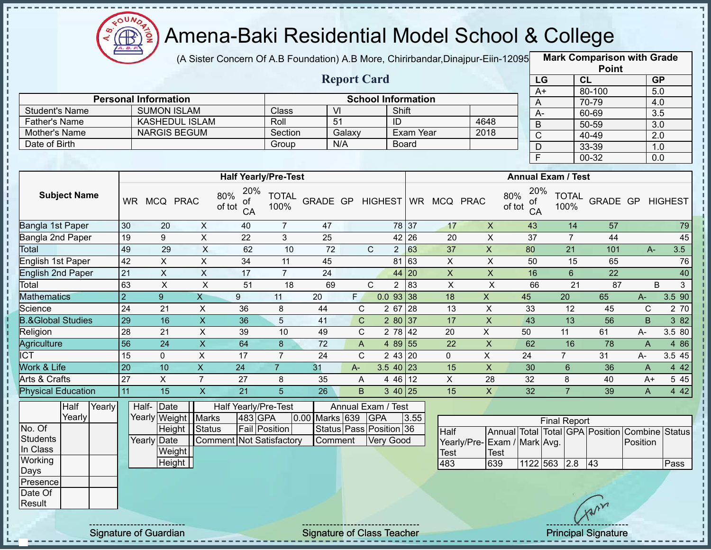

(A Sister Concern Of A.B Foundation) A.B More, Chirirbandar, Dinajpur-Eiin-12095

**Mark Comparison with Grade**

|                              |                 |                                   |                           |                                  |                      |                 |                         |                  |                |                           |                 |                                            |               |                 |                           |                | <b>Point</b>                    |                |                  |        |
|------------------------------|-----------------|-----------------------------------|---------------------------|----------------------------------|----------------------|-----------------|-------------------------|------------------|----------------|---------------------------|-----------------|--------------------------------------------|---------------|-----------------|---------------------------|----------------|---------------------------------|----------------|------------------|--------|
|                              |                 |                                   |                           |                                  |                      |                 | <b>Report Card</b>      |                  |                |                           |                 |                                            |               | LG              |                           | CL             |                                 |                | GP               |        |
|                              |                 |                                   |                           |                                  |                      |                 |                         |                  |                |                           |                 |                                            |               | A+              |                           |                | 80-100                          |                | 5.0              |        |
|                              |                 | <b>Personal Information</b>       |                           |                                  |                      |                 |                         |                  |                | <b>School Information</b> |                 |                                            |               | A               |                           |                | 70-79                           |                | 4.0              |        |
| <b>Student's Name</b>        |                 | <b>SUMON ISLAM</b>                |                           |                                  | Class                |                 | VI                      |                  | Shift          |                           |                 |                                            |               | $A-$            |                           |                | 60-69                           |                | $\overline{3.5}$ |        |
| <b>Father's Name</b>         |                 | <b>KASHEDUL ISLAM</b>             |                           |                                  | Roll                 |                 | $\overline{51}$         |                  | ID             |                           |                 | 4648                                       |               | B               |                           |                | 50-59                           |                | 3.0              |        |
| Mother's Name                |                 | <b>NARGIS BEGUM</b>               |                           |                                  | Section              |                 | Galaxy                  |                  |                | <b>Exam Year</b>          |                 | 2018                                       |               | $\mathsf{C}$    |                           |                | 40-49                           |                | $\overline{2.0}$ |        |
| Date of Birth                |                 |                                   |                           |                                  | Group                |                 | N/A                     |                  | <b>Board</b>   |                           |                 |                                            |               | D               |                           |                | 33-39                           |                | 1.0              |        |
|                              |                 |                                   |                           |                                  |                      |                 |                         |                  |                |                           |                 |                                            |               | E               |                           |                | 00-32                           |                | 0.0              |        |
|                              |                 |                                   |                           | <b>Half Yearly/Pre-Test</b>      |                      |                 |                         |                  |                |                           |                 |                                            |               |                 | <b>Annual Exam / Test</b> |                |                                 |                |                  |        |
| <b>Subject Name</b>          |                 | WR MCQ PRAC                       |                           | 20%<br>80%<br>οf<br>of tot<br>CA | <b>TOTAL</b><br>100% |                 | GRADE GP HIGHEST        |                  |                |                           | WR MCQ PRAC     |                                            | 80%<br>of tot | 20%<br>оf<br>CA | <b>TOTAL</b><br>100%      |                | <b>GRADE GP HIGHEST</b>         |                |                  |        |
| <b>Bangla 1st Paper</b>      | 30              | 20                                | $\pmb{\times}$            | 40                               | $\overline{7}$       | 47              |                         |                  | 78 37          |                           | 17              | $\mathsf X$                                |               | 43              |                           | 14             | 57                              |                |                  | 79     |
| Bangla 2nd Paper             | 19              | 9                                 | X                         | 22                               | $\mathfrak{Z}$       | 25              |                         |                  | 42 26          |                           | 20              | $\mathsf X$                                |               | 37              |                           | $\overline{7}$ | 44                              |                |                  | 45     |
| Total                        | 49              | 29                                | $\boldsymbol{\mathsf{X}}$ | 62                               | 10                   | 72              |                         | $\mathbf C$      | $\overline{2}$ | 63                        | 37              | $\mathsf X$                                |               | 80              |                           | 21             | 101                             | $A -$          |                  | 3.5    |
| English 1st Paper            | 42              | X.                                | X                         | 34                               | 11                   | 45              |                         |                  | 81 63          |                           | X               | X                                          |               | 50              |                           | 15             | 65                              |                |                  | 76     |
| <b>English 2nd Paper</b>     | 21              | $\mathsf{X}$                      | $\pmb{\times}$            | 17                               | $\overline{7}$       | 24              |                         |                  | 44             | <b>20</b>                 | $\mathsf X$     | $\pmb{\times}$                             |               | 16              |                           | $6\phantom{a}$ | 22                              |                |                  | 40     |
| Total                        | 63              | $\pmb{\times}$                    | $\times$                  | 51                               | 18                   | 69              |                         | $\mathsf{C}$     | $\overline{2}$ | 83                        | $\pmb{\times}$  | $\times$                                   |               | 66              |                           | 21             | 87                              |                | $\sf B$          | 3      |
| <b>Mathematics</b>           | $\overline{2}$  | $\overline{9}$                    | $\overline{X}$            | 9                                | 11                   | 20              | F.                      |                  | $0.0$ 93 38    |                           | 18              | $\overline{X}$                             |               | 45              | 20                        |                | 65                              | $A-$           |                  | 3.5 90 |
| Science                      | 24              | 21                                | X                         | 36                               | 8                    | 44              | $\mathbf C$             |                  | 2 67 28        |                           | 13              | X                                          |               | 33              | 12                        |                | 45                              | $\mathbf C$    |                  | 2 70   |
| <b>B.&amp;Global Studies</b> | 29              | 16                                | $\overline{X}$            | 36                               | 5                    | 41              | $\mathsf{C}$            |                  | 280 37         |                           | 17              | $\overline{X}$                             |               | 43              | 13                        |                | $\overline{56}$                 | $\mathsf B$    |                  | 3 82   |
| Religion                     | $\overline{28}$ | 21                                | $\pmb{\times}$            | 39                               | 10                   | 49              | $\mathbf C$             |                  | $278$ 42       |                           | 20              | X                                          |               | 50              | 11                        |                | 61                              | A-             |                  | 3.5 80 |
| <b>Agriculture</b>           | $\overline{56}$ | $\overline{24}$                   | $\overline{\mathsf{x}}$   | 64                               | 8                    | $\overline{72}$ | $\mathsf{A}$            |                  | 4 89 55        |                           | $\overline{22}$ | $\boldsymbol{\mathsf{X}}$                  |               | 62              | 16                        |                | 78                              | $\overline{A}$ |                  | 4 8 6  |
| $\overline{\text{ICT}}$      | 15              | 0                                 | X                         | 17                               | $\overline{7}$       | $\overline{24}$ | $\mathsf{C}$            |                  | 2 43 20        |                           | $\mathbf{0}$    | $\overline{X}$                             |               | 24              | $\overline{7}$            |                | 31                              | A-             |                  | 3.5 45 |
| Work & Life                  | 20              | 10                                | $\boldsymbol{\mathsf{X}}$ | 24                               | $\overline{7}$       | 31              | $A-$                    |                  | $3.540$ 23     |                           | 15              | $\mathsf X$                                |               | 30              | 6                         |                | 36                              | A              |                  | 4 4 2  |
| Arts & Crafts                | 27              | $\pmb{\times}$                    | $\overline{7}$            | 27                               | 8                    | 35              | A                       |                  | 4 46 12        |                           | $\pmb{\times}$  | 28                                         |               | 32              | 8                         |                | 40                              | $A+$           |                  | 5 4 5  |
| <b>Physical Education</b>    | 11              | 15                                | $\boldsymbol{\mathsf{X}}$ | 21                               | 5                    | 26              | B                       |                  | $340$ 25       |                           | 15              | $\mathsf{X}$                               |               | 32              | $\overline{7}$            |                | 39                              | A              |                  | 4 4 2  |
| Half<br>Yearly<br>Yearly     |                 | Half- Date<br>Yearly Weight Marks |                           | Half Yearly/Pre-Test<br>483 GPA  |                      | 0.00 Marks 639  | Annual Exam / Test      | GPA              |                | 3.55                      |                 |                                            |               |                 | <b>Final Report</b>       |                |                                 |                |                  |        |
| $\overline{No}$ . Of         |                 |                                   | Height Status             |                                  | Fail Position        |                 | Status Pass Position 36 |                  |                |                           | Half            |                                            |               |                 |                           |                | Annual Total Total GPA Position | Combine Status |                  |        |
| <b>Students</b><br>In Class  |                 | Yearly Date<br>Weight             |                           | Comment Not Satisfactory         |                      |                 | Comment                 | <b>Very Good</b> |                |                           | Test            | Yearly/Pre-Exam / Mark Avg.<br><b>Test</b> |               |                 |                           |                |                                 | Position       |                  |        |
| Working                      |                 | Height                            |                           |                                  |                      |                 |                         |                  |                |                           | 483             | 639                                        |               | 1122 563        |                           | 2.8            | 43                              |                |                  | Pass   |
| Days                         |                 |                                   |                           |                                  |                      |                 |                         |                  |                |                           |                 |                                            |               |                 |                           |                |                                 |                |                  |        |
| Presence                     |                 |                                   |                           |                                  |                      |                 |                         |                  |                |                           |                 |                                            |               |                 |                           |                |                                 |                |                  |        |
| Date Of                      |                 |                                   |                           |                                  |                      |                 |                         |                  |                |                           |                 |                                            |               |                 |                           |                |                                 |                |                  |        |
| Result                       |                 |                                   |                           |                                  |                      |                 |                         |                  |                |                           |                 |                                            |               |                 |                           |                | with                            |                |                  |        |
|                              |                 |                                   |                           |                                  |                      |                 |                         |                  |                |                           |                 |                                            |               |                 |                           |                |                                 |                |                  |        |

Signature of Guardian Signature of Class Teacher Principal Signature 44-45 and Principal Signature